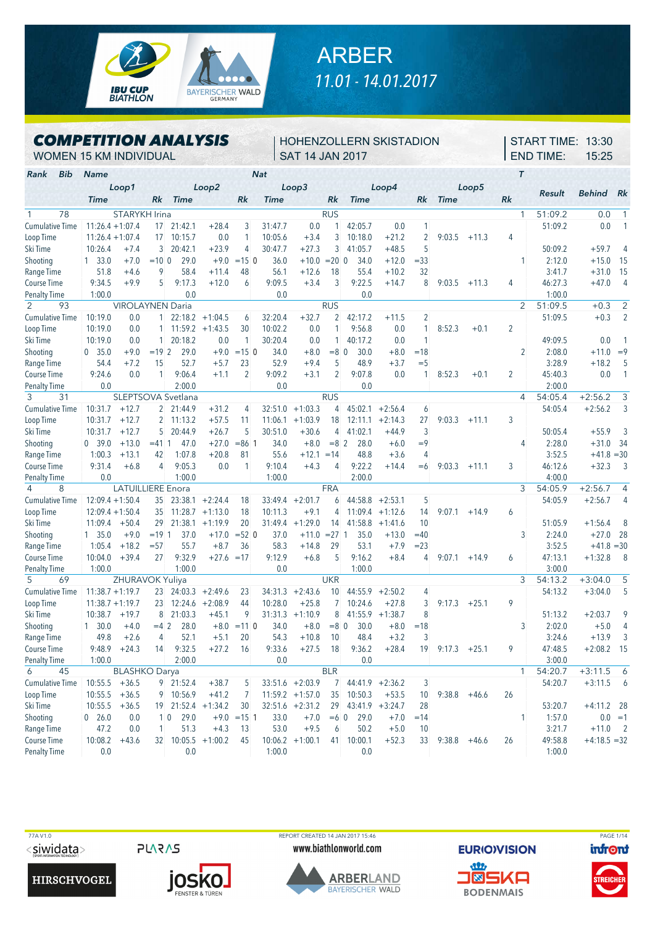

## ARBER *11.01 - 14.01.2017*

## *COMPETITION ANALYSIS*

## HOHENZOLLERN SKISTADION SAT 14 JAN 2017

START TIME: 13:30 END TIME: 15:25

WOMEN 15 KM INDIVIDUAL

| Bib<br>Rank            | <b>Name</b>        |                          |                 |                    |                    |                | <b>Nat</b> |                   |                |                     |           |                |                |         | T              |         |                |                |
|------------------------|--------------------|--------------------------|-----------------|--------------------|--------------------|----------------|------------|-------------------|----------------|---------------------|-----------|----------------|----------------|---------|----------------|---------|----------------|----------------|
|                        |                    | Loop1                    |                 |                    | Loop2              |                |            | Loop3             |                |                     | Loop4     |                |                | Loop5   |                |         |                |                |
|                        | <b>Time</b>        |                          | Rk              | <b>Time</b>        |                    | Rk             | Time       |                   | Rk             | <b>Time</b>         |           | Rk             | <b>Time</b>    |         | Rk             | Result  | <b>Behind</b>  | Rk             |
| 78<br>$\mathbf{1}$     |                    | STARYKH Irina            |                 |                    |                    |                |            |                   | <b>RUS</b>     |                     |           |                |                |         | $\mathbf{1}$   | 51:09.2 | 0.0            | 1              |
| <b>Cumulative Time</b> | $11:26.4 + 1:07.4$ |                          | 17              | 21:42.1            | $+28.4$            | 3              | 31:47.7    | 0.0               |                | 42:05.7             | 0.0       | 1              |                |         |                | 51:09.2 | 0.0            | 1              |
| Loop Time              | $11:26.4 + 1:07.4$ |                          | 17              | 10:15.7            | 0.0                | 1              | 10:05.6    | $+3.4$            | 3              | 10:18.0             | $+21.2$   | $\overline{2}$ | 9:03.5         | $+11.3$ | 4              |         |                |                |
| Ski Time               | 10:26.4            | $+7.4$                   | $\mathbf{3}$    | 20:42.1            | $+23.9$            | 4              | 30:47.7    | $+27.3$           | 3              | 41:05.7             | $+48.5$   | 5              |                |         |                | 50:09.2 | $+59.7$        | 4              |
| Shooting               | $1\quad 33.0$      | $+7.0$                   | $= 100$         | 29.0               | $+9.0$             | $= 150$        | 36.0       | $+10.0$           | $= 20 \, 0$    | 34.0                | $+12.0$   | $= 33$         |                |         |                | 2:12.0  | $+15.0$        | 15             |
| Range Time             | 51.8               | $+4.6$                   | 9               | 58.4               | $+11.4$            | 48             | 56.1       | $+12.6$           | 18             | 55.4                | $+10.2$   | 32             |                |         |                | 3:41.7  | $+31.0$        | 15             |
| Course Time            | 9:34.5             | $+9.9$                   | 5               | 9:17.3             | $+12.0$            | 6              | 9:09.5     | $+3.4$            | 3              | 9:22.5              | $+14.7$   | 8              | 9:03.5         | $+11.3$ | 4              | 46:27.3 | $+47.0$        | $\overline{4}$ |
| <b>Penalty Time</b>    | 1:00.0             |                          |                 | 0.0                |                    |                | 0.0        |                   |                | 0.0                 |           |                |                |         |                | 1:00.0  |                |                |
| 2<br>93                |                    | <b>VIROLAYNEN Daria</b>  |                 |                    |                    |                |            |                   | <b>RUS</b>     |                     |           |                |                |         | $\overline{2}$ | 51:09.5 | $+0.3$         | $\overline{2}$ |
| <b>Cumulative Time</b> | 10:19.0            | 0.0                      | 1.              |                    | $22:18.2 +1:04.5$  | 6              | 32:20.4    | $+32.7$           | $\overline{2}$ | 42:17.2             | $+11.5$   | $\overline{2}$ |                |         |                | 51:09.5 | $+0.3$         | $\overline{2}$ |
| Loop Time              | 10:19.0            | 0.0                      | $\mathbf{1}$    |                    | $11:59.2 +1:43.5$  | 30             | 10:02.2    | 0.0               | 1              | 9:56.8              | 0.0       | 1              | 8:52.3         | $+0.1$  | $\overline{2}$ |         |                |                |
| Ski Time               | 10:19.0            | 0.0                      | $\mathbf{1}$    | 20:18.2            | 0.0                | $\mathbf{1}$   | 30:20.4    | 0.0               | $\mathbf{1}$   | 40:17.2             | 0.0       | 1              |                |         |                | 49:09.5 | 0.0            |                |
| Shooting               | 0, 35.0            | $+9.0$                   | $= 192$         | 29.0               | $+9.0$             | $= 150$        | 34.0       | $+8.0$            | $= 8$ 0        | 30.0                | $+8.0$    | $=18$          |                |         | 2              | 2:08.0  | $+11.0$        | $=9$           |
| Range Time             | 54.4               | $+7.2$                   | 15              | 52.7               | $+5.7$             | 23             | 52.9       | $+9.4$            | 5              | 48.9                | $+3.7$    | $=$ 5          |                |         |                | 3:28.9  | $+18.2$        | 5              |
| <b>Course Time</b>     | 9:24.6             | 0.0                      | $\mathbf{1}$    | 9:06.4             | $+1.1$             | $\overline{2}$ | 9:09.2     | $+3.1$            | $\overline{2}$ | 9:07.8              | 0.0       | 1              | 8:52.3         | $+0.1$  | $\overline{2}$ | 45:40.3 | 0.0            | $\mathbf{1}$   |
| <b>Penalty Time</b>    | 0.0                |                          |                 | 2:00.0             |                    |                | 0.0        |                   |                | 0.0                 |           |                |                |         |                | 2:00.0  |                |                |
| 3<br>31                |                    |                          |                 | SLEPTSOVA Svetlana |                    |                |            |                   | <b>RUS</b>     |                     |           |                |                |         | $\overline{4}$ | 54:05.4 | $+2:56.2$      | 3              |
| <b>Cumulative Time</b> | 10:31.7            | $+12.7$                  | $\overline{2}$  | 21:44.9            | $+31.2$            | 4              | 32:51.0    | $+1:03.3$         | 4              | 45:02.1             | $+2:56.4$ | 6              |                |         |                | 54:05.4 | $+2:56.2$      | 3              |
| Loop Time              | 10:31.7            | $+12.7$                  | $\overline{2}$  | 11:13.2            | $+57.5$            | 11             | 11:06.1    | $+1:03.9$         | 18             | 12:11.1             | $+2:14.3$ | 27             | 9:03.3         | $+11.1$ | 3              |         |                |                |
| Ski Time               | 10:31.7            | $+12.7$                  | 5               | 20:44.9            | $+26.7$            | 5              | 30:51.0    | $+30.6$           | 4              | 41:02.1             | $+44.9$   | $\mathbf{3}$   |                |         |                | 50:05.4 | $+55.9$        | 3              |
| Shooting               | 0.39.0             | $+13.0$                  | $= 4111$        | 47.0               | $+27.0$            | $= 86$ 1       | 34.0       | $+8.0$            | $= 8 \, 2$     | 28.0                | $+6.0$    | $=9$           |                |         | 4              | 2:28.0  | $+31.0$        | 34             |
| Range Time             | 1:00.3             | $+13.1$                  | 42              | 1:07.8             | $+20.8$            | 81             | 55.6       | $+12.1$           | $=14$          | 48.8                | $+3.6$    | $\overline{4}$ |                |         |                | 3:52.5  | $+41.8 = 30$   |                |
| Course Time            | 9:31.4             | $+6.8$                   | 4               | 9:05.3             | 0.0                | 1              | 9:10.4     | $+4.3$            | 4              | 9:22.2              | $+14.4$   | $=6$           | 9:03.3         | $+11.1$ | 3              | 46:12.6 | $+32.3$        | 3              |
| <b>Penalty Time</b>    | 0.0                |                          |                 | 1:00.0             |                    |                | 1:00.0     |                   |                | 2:00.0              |           |                |                |         |                | 4:00.0  |                |                |
| $\overline{4}$<br>8    |                    | <b>LATUILLIERE</b> Enora |                 |                    |                    |                |            |                   | <b>FRA</b>     |                     |           |                |                |         | 3              | 54:05.9 | $+2:56.7$      | 4              |
| Cumulative Time        | $12:09.4 + 1:50.4$ |                          | 35              |                    | $23:38.1 + 2:24.4$ | 18             | 33:49.4    | $+2:01.7$         | 6              | 44:58.8             | $+2:53.1$ | 5              |                |         |                | 54:05.9 | $+2:56.7$      | 4              |
| Loop Time              | $12:09.4 + 1:50.4$ |                          | 35 <sup>5</sup> | 11:28.7            | $+1:13.0$          | 18             | 10:11.3    | $+9.1$            | 4              | 11:09.4             | $+1:12.6$ | 14             | 9:07.1         | $+14.9$ | 6              |         |                |                |
| Ski Time               | 11:09.4            | $+50.4$                  | 29              | 21:38.1            | $+1:19.9$          | 20             | 31:49.4    | $+1:29.0$         | 14             | 41:58.8             | $+1:41.6$ | 10             |                |         |                | 51:05.9 | $+1:56.4$      | 8              |
| Shooting               | 1, 35.0            | $+9.0$                   | $= 19 \, 1$     | 37.0               | $+17.0$            | $= 52$ 0       | 37.0       | $+11.0$           | $= 271$        | 35.0                | $+13.0$   | $=40$          |                |         | 3              | 2:24.0  | $+27.0$        | 28             |
| Range Time             | 1:05.4             | $+18.2$                  | $= 57$          | 55.7               | $+8.7$             | 36             | 58.3       | $+14.8$           | 29             | 53.1                | $+7.9$    | $= 23$         |                |         |                | 3:52.5  | $+41.8 = 30$   |                |
| <b>Course Time</b>     | 10:04.0            | $+39.4$                  | 27              | 9:32.9             | $+27.6$            | $=17$          | 9:12.9     | $+6.8$            | 5              | 9:16.2              | $+8.4$    | 4              | 9:07.1         | $+14.9$ | 6              | 47:13.1 | $+1:32.8$      | 8              |
| <b>Penalty Time</b>    | 1:00.0             |                          |                 | 1:00.0             |                    |                | 0.0        |                   |                | 1:00.0              |           |                |                |         |                | 3:00.0  |                |                |
| 5<br>69                |                    | ZHURAVOK Yuliya          |                 |                    |                    |                |            |                   | <b>UKR</b>     |                     |           |                |                |         | 3              | 54:13.2 | $+3:04.0$      | 5              |
| <b>Cumulative Time</b> | $11:38.7 + 1:19.7$ |                          | 23              |                    | $24:03.3 +2:49.6$  | 23             | 34:31.3    | $+2:43.6$         | 10             | 44:55.9             | $+2:50.2$ | 4              |                |         |                | 54:13.2 | $+3:04.0$      | 5              |
| Loop Time              | $11:38.7 + 1:19.7$ |                          | 23              | 12:24.6            | $+2:08.9$          | 44             | 10:28.0    | $+25.8$           | 7 <sup>1</sup> | 10:24.6             | $+27.8$   | 3              | 9:17.3         | $+25.1$ | 9              |         |                |                |
| Ski Time               | 10:38.7            | $+19.7$                  | 8               | 21:03.3            | $+45.1$            | 9              | 31:31.3    | $+1:10.9$         | 8              | 41:55.9             | $+1:38.7$ | 8              |                |         |                | 51:13.2 | $+2:03.7$      | 9              |
| Shooting               | 1, 30.0            | $+4.0$                   | $=4$ 2          | 28.0               | $+8.0$             | $= 110$        | 34.0       | $+8.0$            | $= 80$         | 30.0                | $+8.0$    | $=18$          |                |         | 3              | 2:02.0  | $+5.0$         | 4              |
| Range Time             | 49.8               | $+2.6$                   | 4               | 52.1               | $+5.1$             | 20             | 54.3       | $+10.8$           | 10             | 48.4                | $+3.2$    | 3              |                |         |                | 3:24.6  | $+13.9$        | 3              |
| <b>Course Time</b>     | 9:48.9             | $+24.3$                  | 14              | 9:32.5             | $+27.2$            | 16             | 9:33.6     | $+27.5$           | 18             | 9:36.2              | $+28.4$   | 19             | 9:17.3         | $+25.1$ | 9              | 47:48.5 | $+2:08.2$      | 15             |
| <b>Penalty Time</b>    | 1:00.0             |                          |                 | 2:00.0             |                    |                | 0.0        |                   |                | 0.0                 |           |                |                |         |                | 3:00.0  |                |                |
| 6<br>45                |                    | <b>BLASHKO</b> Darya     |                 |                    |                    |                |            |                   | <b>BLR</b>     |                     |           |                |                |         | 1              | 54:20.7 | $+3:11.5$      |                |
| <b>Cumulative Time</b> | 10:55.5            | $+36.5$                  |                 | 9 21:52.4          | $+38.7$            |                |            | $33:51.6 +2:03.9$ |                | $7$ 44:41.9 +2:36.2 |           | 3              |                |         |                | 54:20.7 | $+3:11.5$      | -6             |
|                        |                    | $+36.5$                  |                 |                    | $+41.2$            | 5              |            | $11:59.2 +1:57.0$ |                |                     |           |                | 9:38.8         |         | 26             |         |                | 6              |
| Loop Time              | 10:55.5            |                          |                 | 9 10:56.9          |                    | 7              |            |                   | 35             | 10:50.3             | $+53.5$   | 10             |                | $+46.6$ |                |         |                |                |
| Ski Time               | 10:55.5            | $+36.5$                  |                 | 19 21:52.4 +1:34.2 |                    | 30             |            | $32:51.6 +2:31.2$ |                | 29 43:41.9 +3:24.7  |           | 28             |                |         |                | 53:20.7 | $+4:11.2$ 28   |                |
| Shooting               | 0 26.0             | 0.0                      |                 | 10<br>29.0         |                    | $+9.0 = 15$ 1  | 33.0       | $+7.0$            | $=6$ 0         | 29.0                | $+7.0$    | $=14$          |                |         | 1              | 1:57.0  |                | $0.0 = 1$      |
| Range Time             | 47.2               | 0.0                      | 1               | 51.3               | $+4.3$             | 13             | 53.0       | $+9.5$            | 6              | 50.2                | $+5.0$    | 10             |                |         |                | 3:21.7  | $+11.0$ 2      |                |
| Course Time            | 10:08.2            | $+43.6$                  |                 | 32 10:05.5 +1:00.2 |                    | 45             |            | $10:06.2 +1:00.1$ |                | 41 10:00.1          | $+52.3$   | 33             | $9:38.8$ +46.6 |         | 26             | 49:58.8 | $+4:18.5 = 32$ |                |
| <b>Penalty Time</b>    | $0.0\,$            |                          |                 | 0.0                |                    |                | 1:00.0     |                   |                | 0.0                 |           |                |                |         |                | 1:00.0  |                |                |

<siwidata>

**HIRSCHVOGEL** 

**PLARAS** 



 77A V1.0 REPORT CREATED 14 JAN 2017 15:46 PAGE 1/14www.biathlonworld.com





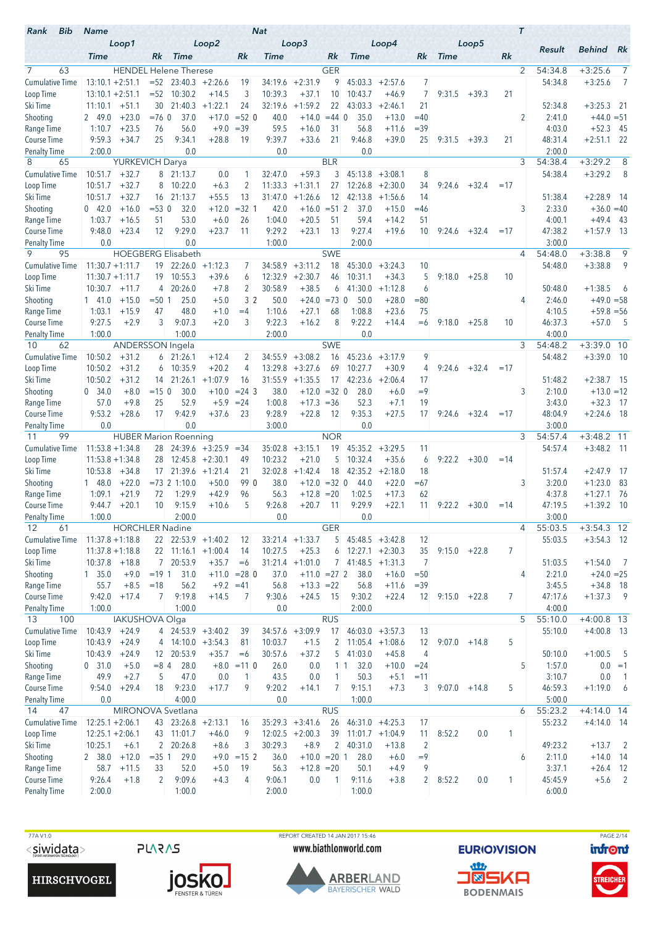| Bib<br>Rank                     | <b>Name</b>        |                         |                         |                                  |                              |                | <b>Nat</b>         |                         |                    |                     |                      |                |                 |                 |       | $\tau$ |                   |                         |                 |
|---------------------------------|--------------------|-------------------------|-------------------------|----------------------------------|------------------------------|----------------|--------------------|-------------------------|--------------------|---------------------|----------------------|----------------|-----------------|-----------------|-------|--------|-------------------|-------------------------|-----------------|
|                                 | <b>Time</b>        | Loop1                   | Rk                      | <b>Time</b>                      | Loop2                        | Rk             | Time               | Loop3                   | Rk                 | <b>Time</b>         | Loop4                | Rk             | <b>Time</b>     | Loop5           | Rk    |        | Result            | <b>Behind</b>           | Rk              |
| 7<br>63                         |                    |                         |                         | <b>HENDEL Helene Therese</b>     |                              |                |                    |                         | <b>GER</b>         |                     |                      |                |                 |                 |       | 2      | 54:34.8           | $+3:25.6$               | $\overline{7}$  |
| <b>Cumulative Time</b>          | $13:10.1 + 2:51.1$ |                         | $= 52$                  |                                  | $23:40.3 +2:26.6$            | 19             | 34:19.6            | $+2:31.9$               | 9                  | 45:03.3             | $+2:57.6$            | 7              |                 |                 |       |        | 54:34.8           | $+3:25.6$               | 7               |
| Loop Time                       | $13:10.1 + 2:51.1$ |                         | $=52$                   | 10:30.2                          | $+14.5$                      | 3              | 10:39.3            | $+37.1$                 | 10                 | 10:43.7             | $+46.9$              | $\overline{7}$ | 9:31.5          | $+39.3$         | 21    |        |                   |                         |                 |
| Ski Time                        | 11:10.1            | $+51.1$                 | 30                      | 21:40.3                          | $+1:22.1$                    | 24             | 32:19.6            | $+1:59.2$               | 22                 | 43:03.3             | $+2:46.1$            | 21             |                 |                 |       |        | 52:34.8           | $+3:25.3$               | - 21            |
| Shooting                        | 2 49.0             | $+23.0$                 | $=760$                  | 37.0                             | $+17.0$                      | $= 52$ 0       | 40.0               | $+14.0$                 | $= 44$ 0           | 35.0                | $+13.0$              | $=40$          |                 |                 |       | 2      | 2:41.0            | $+44.0 = 51$            |                 |
| Range Time                      | 1:10.7             | $+23.5$                 | 76                      | 56.0                             | $+9.0$                       | $= 39$         | 59.5               | $+16.0$                 | 31                 | 56.8                | $+11.6$              | $= 39$         |                 |                 |       |        | 4:03.0            | $+52.3$                 | - 45            |
| Course Time                     | 9:59.3             | $+34.7$                 | 25                      | 9:34.1                           | $+28.8$                      | 19             | 9:39.7             | $+33.6$                 | 21                 | 9:46.8              | $+39.0$              | 25             | 9:31.5          | $+39.3$         | 21    |        | 48:31.4           | $+2:51.1$               | 22              |
| <b>Penalty Time</b><br>8<br>65  | 2:00.0             | <b>YURKEVICH Darya</b>  |                         | 0.0                              |                              |                | 0.0                |                         | <b>BLR</b>         | 0.0                 |                      |                |                 |                 |       | 3      | 2:00.0<br>54:38.4 | $+3:29.2$               | 8               |
| <b>Cumulative Time</b>          | 10:51.7            | $+32.7$                 | 8                       | 21:13.7                          | 0.0                          | 1              | 32:47.0            | $+59.3$                 | 3                  | 45:13.8             | $+3:08.1$            | 8              |                 |                 |       |        | 54:38.4           | $+3:29.2$               | 8               |
| Loop Time                       | 10:51.7            | $+32.7$                 | 8                       | 10:22.0                          | $+6.3$                       | $\overline{2}$ | 11:33.3            | $+1:31.1$               | 27                 | 12:26.8             | $+2:30.0$            | 34             | 9:24.6          | $+32.4$         | $=17$ |        |                   |                         |                 |
| Ski Time                        | 10:51.7            | $+32.7$                 | 16                      | 21:13.7                          | $+55.5$                      | 13             | 31:47.0            | $+1:26.6$               | 12                 | 42:13.8             | $+1:56.6$            | 14             |                 |                 |       |        | 51:38.4           | $+2:28.9$               | - 14            |
| Shooting                        | 042.0              | $+16.0$                 | $= 530$                 | 32.0                             | $+12.0$                      | $=32$ 1        | 42.0               | $+16.0$                 | $= 51 \, \text{r}$ | 37.0                | $+15.0$              | $=46$          |                 |                 |       | 3      | 2:33.0            | $+36.0 = 40$            |                 |
| Range Time                      | 1:03.7             | $+16.5$                 | 51                      | 53.0                             | $+6.0$                       | 26             | 1:04.0             | $+20.5$                 | 51                 | 59.4                | $+14.2$              | 51             |                 |                 |       |        | 4:00.1            | $+49.4$                 | - 43            |
| Course Time                     | 9:48.0             | $+23.4$                 | 12                      | 9:29.0                           | $+23.7$                      | 11             | 9:29.2             | $+23.1$                 | 13                 | 9:27.4              | $+19.6$              | 10             |                 | $9:24.6 + 32.4$ | $=17$ |        | 47:38.2           | $+1:57.9$               | - 13            |
| <b>Penalty Time</b><br>9<br>95  | 0.0                |                         |                         | 0.0<br><b>HOEGBERG Elisabeth</b> |                              |                | 1:00.0             |                         | <b>SWE</b>         | 2:00.0              |                      |                |                 |                 |       | 4      | 3:00.0<br>54:48.0 | $+3:38.8$               | 9               |
| <b>Cumulative Time</b>          | $11:30.7 + 1:11.7$ |                         | 19                      |                                  | $22:26.0 +1:12.3$            | 7              | 34:58.9            | $+3:11.2$               | 18                 | 45:30.0             | $+3:24.3$            | 10             |                 |                 |       |        | 54:48.0           | $+3:38.8$               | 9               |
| Loop Time                       | $11:30.7 + 1:11.7$ |                         | 19                      | 10:55.3                          | $+39.6$                      | 6              | 12:32.9            | $+2:30.7$               | 46                 | 10:31.1             | $+34.3$              | 5              | 9:18.0          | $+25.8$         | 10    |        |                   |                         |                 |
| Ski Time                        | 10:30.7            | $+11.7$                 | 4                       | 20:26.0                          | $+7.8$                       | $\overline{c}$ | 30:58.9            | $+38.5$                 | 6                  | 41:30.0             | $+1:12.8$            | 6              |                 |                 |       |        | 50:48.0           | $+1:38.5$               | 6               |
| Shooting                        | $1 \quad 41.0$     | $+15.0$                 | $= 501$                 | 25.0                             | $+5.0$                       | 3 <sup>2</sup> | 50.0               | $+24.0$                 | $= 73$ 0           | 50.0                | $+28.0$              | $= 80$         |                 |                 |       | 4      | 2:46.0            | $+49.0 = 58$            |                 |
| Range Time                      | 1:03.1             | $+15.9$                 | 47                      | 48.0                             | $+1.0$                       | $=4$           | 1:10.6             | $+27.1$                 | 68                 | 1:08.8              | $+23.6$              | 75             |                 |                 |       |        | 4:10.5            | $+59.8 = 56$            |                 |
| Course Time                     | 9:27.5             | $+2.9$                  | 3                       | 9:07.3                           | $+2.0$                       | 3              | 9:22.3             | $+16.2$                 | 8                  | 9:22.2              | $+14.4$              | $=6$           | 9:18.0          | $+25.8$         | 10    |        | 46:37.3           | $+57.0$                 | $-5$            |
| <b>Penalty Time</b>             | 1:00.0             |                         |                         | 1:00.0                           |                              |                | 2:00.0             |                         |                    | 0.0                 |                      |                |                 |                 |       |        | 4:00.0            |                         |                 |
| 62<br>10                        |                    | <b>ANDERSSON</b> Ingela |                         |                                  |                              |                |                    |                         | <b>SWE</b>         |                     |                      |                |                 |                 |       | 3      | 54:48.2           | $+3:39.0$ 10            |                 |
| <b>Cumulative Time</b>          | 10:50.2            | $+31.2$                 | 6                       | 21:26.1                          | $+12.4$                      | 2<br>4         | 34:55.9            | $+3:08.2$               | 16                 | 45:23.6             | $+3:17.9$            | 9<br>4         |                 |                 |       |        | 54:48.2           | $+3:39.0$ 10            |                 |
| Loop Time<br>Ski Time           | 10:50.2<br>10:50.2 | $+31.2$<br>$+31.2$      | 6<br>14                 | 10:35.9<br>21:26.1               | $+20.2$<br>$+1:07.9$         | 16             | 13:29.8<br>31:55.9 | $+3:27.6$<br>$+1:35.5$  | 69<br>17           | 10:27.7<br>42:23.6  | $+30.9$<br>$+2:06.4$ | 17             | 9:24.6          | $+32.4$         | $=17$ |        | 51:48.2           | $+2:38.7$ 15            |                 |
| Shooting                        | 0.34.0             | $+8.0$                  | $= 150$                 | 30.0                             | $+10.0$                      | $= 24$ 3       | 38.0               | $+12.0$                 | $=32$ 0            | 28.0                | $+6.0$               | $=9$           |                 |                 |       | 3      | 2:10.0            | $+13.0 = 12$            |                 |
| Range Time                      | 57.0               | $+9.8$                  | 25                      | 52.9                             | $+5.9$                       | $= 24$         | 1:00.8             | $+17.3 = 36$            |                    | 52.3                | $+7.1$               | 19             |                 |                 |       |        | 3:43.0            | $+32.3$                 | 17              |
| <b>Course Time</b>              | 9:53.2             | $+28.6$                 | 17                      | 9:42.9                           | $+37.6$                      | 23             | 9:28.9             | $+22.8$                 | 12                 | 9:35.3              | $+27.5$              | 17             |                 | $9:24.6 + 32.4$ | $=17$ |        | 48:04.9           | $+2:24.6$ 18            |                 |
| Penalty Time                    | 0.0                |                         |                         | 0.0                              |                              |                | 3:00.0             |                         |                    | 0.0                 |                      |                |                 |                 |       |        | 3:00.0            |                         |                 |
| 99<br>11                        |                    |                         |                         | <b>HUBER Marion Roenning</b>     |                              |                |                    |                         | <b>NOR</b>         |                     |                      |                |                 |                 |       | 3      | 54:57.4           | $+3:48.2$               | 11              |
| <b>Cumulative Time</b>          | $11:53.8 + 1:34.8$ |                         |                         |                                  | $28$ 24:39.6 +3:25.9 = 34    |                | 35:02.8            | $+3:15.1$               | 19                 | 45:35.2             | $+3:29.5$            | 11             |                 |                 |       |        | 54:57.4           | $+3:48.2$ 11            |                 |
| Loop Time                       | $11:53.8 + 1:34.8$ |                         | 28                      |                                  | $12:45.8 + 2:30.1$           | 49             | 10:23.2            | $+21.0$                 | 5                  | 10:32.4             | $+35.6$              | 6              | 9:22.2          | $+30.0$         | $=14$ |        |                   |                         |                 |
| Ski Time                        | 10:53.8<br>148.0   | $+34.8$<br>$+22.0$      | 17 <sup>1</sup>         | $= 73$ 2 1:10.0                  | $21:39.6 +1:21.4$<br>$+50.0$ | 21<br>99 0     | 32:02.8<br>38.0    | $+1:42.4$<br>$+12.0$    | 18<br>$=32$ 0      | 42:35.2<br>44.0     | $+2:18.0$<br>$+22.0$ | 18<br>$=67$    |                 |                 |       | 3      | 51:57.4<br>3:20.0 | $+2:47.9$<br>$+1:23.0$  | - 17<br>83      |
| Shooting<br>Range Time          | 1:09.1             | $+21.9$                 | 72                      | 1:29.9                           | $+42.9$                      | 96             | 56.3               | $+12.8$                 | $=20$              | 1:02.5              | $+17.3$              | 62             |                 |                 |       |        | 4:37.8            | $+1:27.1$               | - 76            |
| <b>Course Time</b>              | 9:44.7             | $+20.1$                 | 10                      | 9:15.9                           | $+10.6$                      | 5              | 9:26.8             | $+20.7$                 | 11                 | 9:29.9              | $+22.1$              | 11             | $9:22.2 + 30.0$ |                 | $=14$ |        | 47:19.5           | $+1:39.2$               | - 10            |
| Penalty Time                    | 1:00.0             |                         |                         | 2:00.0                           |                              |                | 0.0                |                         |                    | 0.0                 |                      |                |                 |                 |       |        | 3:00.0            |                         |                 |
| 12<br>61                        |                    | <b>HORCHLER Nadine</b>  |                         |                                  |                              |                |                    |                         | <b>GER</b>         |                     |                      |                |                 |                 |       | 4      | 55:03.5           | $+3:54.3$ 12            |                 |
| <b>Cumulative Time</b>          | $11:37.8 + 1:18.8$ |                         |                         | $22 \mid 22:53.9 +1:40.2$        |                              | 12             |                    | $33:21.4 +1:33.7$       |                    | $5$ 45:48.5 +3:42.8 |                      | 12             |                 |                 |       |        | 55:03.5           | $+3:54.3$ 12            |                 |
| Loop Time                       | $11:37.8 + 1:18.8$ |                         |                         | $22$ 11:16.1 +1:00.4             |                              | 14             | 10:27.5            | $+25.3$                 |                    | $6$ 12:27.1 +2:30.3 |                      | 35             | $9:15.0 +22.8$  |                 | 7     |        |                   |                         |                 |
| Ski Time                        | $10:37.8$ +18.8    |                         |                         | 7 20:53.9                        | $+35.7$                      | $=6$           |                    | $31:21.4 +1:01.0$       |                    | $7$ 41:48.5 +1:31.3 |                      | 7              |                 |                 |       |        | 51:03.5           | $+1:54.0$               | $\overline{7}$  |
| Shooting                        | 1, 35.0            | $+9.0$                  | $= 19 \, 1$             | 31.0                             |                              | $+11.0 = 28$ 0 | 37.0               | $+11.0 = 27$ 2          |                    | 38.0                | $+16.0$              | $=50$          |                 |                 |       | 4      | 2:21.0            | $+24.0 = 25$            |                 |
| Range Time<br>Course Time       | 55.7<br>9:42.0     | $+8.5$<br>$+17.4$       | $=18$<br>$\overline{7}$ | 56.2<br>9:19.8                   | $+9.2 = 41$<br>$+14.5$       | 7              | 56.8<br>9:30.6     | $+13.3 = 22$<br>$+24.5$ | - 15               | 56.8<br>9:30.2      | $+11.6$<br>$+22.4$   | $= 39$<br>12   | 9:15.0          | $+22.8$         | 7     |        | 3:45.5<br>47:17.6 | $+34.8$ 18<br>$+1:37.3$ | $\overline{9}$  |
| <b>Penalty Time</b>             | 1:00.0             |                         |                         | 1:00.0                           |                              |                | 0.0                |                         |                    | 2:00.0              |                      |                |                 |                 |       |        | 4:00.0            |                         |                 |
| 13<br>100                       |                    | <b>IAKUSHOVA Olga</b>   |                         |                                  |                              |                |                    |                         | <b>RUS</b>         |                     |                      |                |                 |                 |       | 5      | 55:10.0           | $+4:00.8$ 13            |                 |
| <b>Cumulative Time</b>          | 10:43.9            | $+24.9$                 |                         |                                  | $4 \mid 24:53.9 +3:40.2$     | 39             |                    | $34:57.6 +3:09.9$       | 17                 | $46:03.0 +3:57.3$   |                      | 13             |                 |                 |       |        | 55:10.0           | $+4:00.8$ 13            |                 |
| Loop Time                       | $10:43.9 + 24.9$   |                         |                         | $4$ 14:10.0 +3:54.3              |                              | 81             | 10:03.7            | $+1.5$                  | $\overline{c}$     |                     | $11:05.4$ +1:08.6    | 12             | 9:07.0          | $+14.8$         | 5     |        |                   |                         |                 |
| Ski Time                        | 10:43.9            | $+24.9$                 |                         | 12 20:53.9                       | $+35.7$                      | $=6$           | 30:57.6            | $+37.2$                 | 5 <sup>1</sup>     | 41:03.0             | $+45.8$              | $\overline{4}$ |                 |                 |       |        | 50:10.0           | $+1:00.5$               | $-5$            |
| Shooting                        | 0 31.0             | $+5.0$                  | $= 84$                  | 28.0                             |                              | $+8.0 = 11$ 0  | 26.0               | 0.0                     |                    | 32.0<br>$1 \vert 1$ | $+10.0$              | $= 24$         |                 |                 |       | 5      | 1:57.0            |                         | $0.0 = 1$       |
| Range Time                      | 49.9               | $+2.7$                  | 5                       | 47.0                             | 0.0                          | 1              | 43.5               | 0.0                     | 1                  | 50.3                | $+5.1$               | $=11$          |                 |                 |       |        | 3:10.7            | 0.0                     | $\overline{1}$  |
| Course Time                     | 9:54.0             | $+29.4$                 | 18                      | 9:23.0                           | $+17.7$                      | 9              | 9:20.2             | $+14.1$                 | 7                  | 9:15.1              | $+7.3$               | 3              | 9:07.0          | $+14.8$         | 5     |        | 46:59.3           | $+1:19.0$               | $6\overline{6}$ |
| <b>Penalty Time</b><br>14<br>47 | 0.0                |                         |                         | 4:00.0<br>MIRONOVA Svetlana      |                              |                | 0.0                |                         | <b>RUS</b>         | 1:00.0              |                      |                |                 |                 |       | 6      | 5:00.0<br>55:23.2 | $+4:14.0$ 14            |                 |
| <b>Cumulative Time</b>          | $12:25.1 + 2:06.1$ |                         |                         | 43 23:26.8 +2:13.1               |                              | 16             |                    | $35:29.3 +3:41.6$       | 26                 |                     | $46:31.0 +4:25.3$    | 17             |                 |                 |       |        | 55:23.2           | $+4:14.0$ 14            |                 |
| Loop Time                       | $12:25.1 + 2:06.1$ |                         |                         | 43 11:01.7                       | $+46.0$                      | 9              |                    | $12:02.5 + 2:00.3$      | 39                 |                     | $11:01.7 +1:04.9$    | 11             | 8:52.2          | 0.0             | 1     |        |                   |                         |                 |
| Ski Time                        | 10:25.1            | $+6.1$                  | $\overline{2}$          | 20:26.8                          | $+8.6$                       | 3              | 30:29.3            | $+8.9$                  |                    | 2 40:31.0           | $+13.8$              | $\overline{2}$ |                 |                 |       |        | 49:23.2           | $+13.7$                 | $\overline{2}$  |
| Shooting                        | 2 38.0             | $+12.0$                 | $=35$ 1                 | 29.0                             |                              | $+9.0 = 15$ 2  | 36.0               | $+10.0 = 20$ 1          |                    | 28.0                | $+6.0$               | $=9$           |                 |                 |       | 6      | 2:11.0            | $+14.0$ 14              |                 |
| Range Time                      | 58.7               | $+11.5$                 | 33                      | 52.0                             | $+5.0$                       | 19             | 56.3               | $+12.8 = 20$            |                    | 50.1                | $+4.9$               | 9              |                 |                 |       |        | 3:37.1            | $+26.4$ 12              |                 |
| Course Time                     | 9:26.4             | $+1.8$                  | $\overline{2}$          | 9:09.6                           | $+4.3$                       | 4              | 9:06.1             | 0.0                     | $\overline{1}$     | 9:11.6              | $+3.8$               | $\overline{c}$ | 8:52.2          | 0.0             | 1     |        | 45:45.9           | $+5.6$ 2                |                 |
| <b>Penalty Time</b>             | 2:00.0             |                         |                         | 1:00.0                           |                              |                | 2:00.0             |                         |                    | 1:00.0              |                      |                |                 |                 |       |        | 6:00.0            |                         |                 |

77A V1.0  $<$ siwidata>

**PLARAS** 





REPORT CREATED 14 JAN 2017 15:46 www.biathlonworld.com



**EURIOVISION** <u>an</u> **J®SKA** 

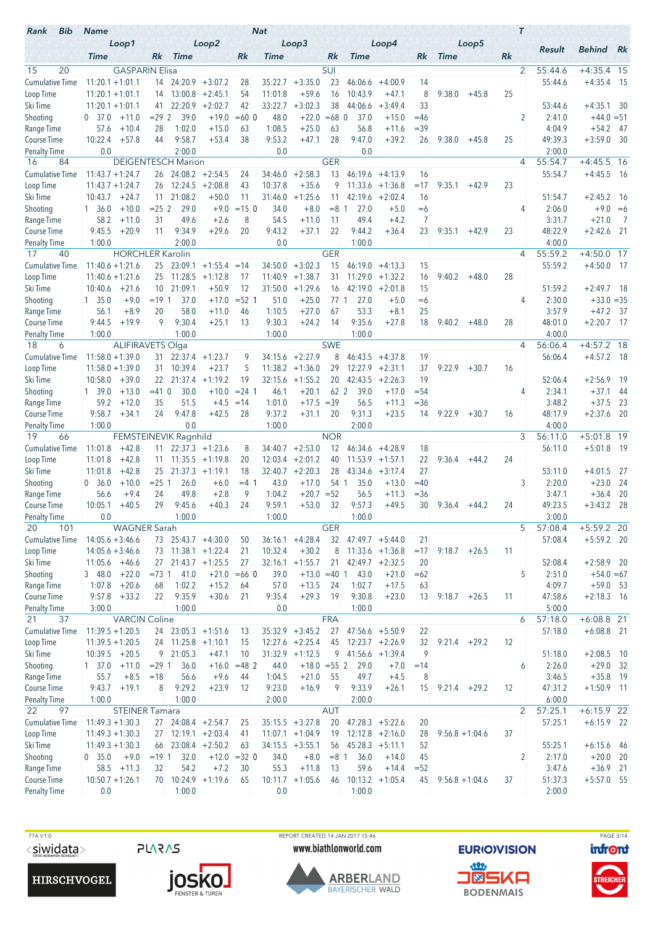| Bib<br>Rank                               | <b>Name</b>         |                         |                   |                           |                      |                      | <b>Nat</b>       |                           |                          |                     |                    |                  |                  |         |    | $\tau$         |                   |                            |            |
|-------------------------------------------|---------------------|-------------------------|-------------------|---------------------------|----------------------|----------------------|------------------|---------------------------|--------------------------|---------------------|--------------------|------------------|------------------|---------|----|----------------|-------------------|----------------------------|------------|
|                                           | <b>Time</b>         | Loop1                   | Rk                | <b>Time</b>               | Loop2                | Rk                   | Time             | Loop3                     | Rk                       | <b>Time</b>         | Loop4              | Rk               | <b>Time</b>      | Loop5   | Rk |                | Result            | <b>Behind</b>              | Rk         |
| 15<br>20                                  |                     | <b>GASPARIN Elisa</b>   |                   |                           |                      |                      |                  |                           | SUI                      |                     |                    |                  |                  |         |    | $\overline{2}$ | 55:44.6           | $+4:35.4$ 15               |            |
| <b>Cumulative Time</b>                    | $11:20.1 + 1:01.1$  |                         | 14                |                           | $24:20.9$ +3:07.2    | 28                   | 35:22.7          | $+3:35.0$                 | 23                       | 46:06.6             | $+4:00.9$          | 14               |                  |         |    |                | 55:44.6           | $+4:35.4$ 15               |            |
| Loop Time                                 | $11:20.1 + 1:01.1$  |                         | 14                | 13:00.8                   | $+2:45.1$            | 54                   | 11:01.8          | $+59.6$                   | 16                       | 10:43.9             | $+47.1$            | 8                | 9:38.0           | $+45.8$ | 25 |                |                   |                            |            |
| Ski Time                                  | $11:20.1 + 1:01.1$  |                         | 41                | 22:20.9                   | $+2:02.7$            | 42                   | 33:22.7          | $+3:02.3$                 | 38                       | 44:06.6             | $+3:49.4$          | 33               |                  |         |    |                | 53:44.6           | $+4:35.1$ 30               |            |
| Shooting                                  | 0, 37.0             | $+11.0$                 | $= 292$           | 39.0                      | $+19.0$              | $=600$               | 48.0             | $+22.0$                   | $=68$ 0                  | 37.0                | $+15.0$            | $=46$            |                  |         |    | 2              | 2:41.0            | $+44.0 = 51$               |            |
| Range Time                                | 57.6                | $+10.4$                 | 28                | 1:02.0                    | $+15.0$              | 63                   | 1:08.5<br>9:53.2 | $+25.0$                   | 63                       | 56.8                | $+11.6$            | $=39$            |                  |         |    |                | 4:04.9            | $+54.2$                    | - 47       |
| <b>Course Time</b><br><b>Penalty Time</b> | 10:22.4<br>0.0      | $+57.8$                 | 44                | 9:58.7<br>2:00.0          | $+53.4$              | 38                   | 0.0              | $+47.1$                   | 28                       | 9:47.0<br>0.0       | $+39.2$            | 26               | 9:38.0           | $+45.8$ | 25 |                | 49:39.3<br>2:00.0 | $+3:59.0$                  | - 30       |
| 84<br>16                                  |                     |                         |                   | <b>DEIGENTESCH Marion</b> |                      |                      |                  |                           | <b>GER</b>               |                     |                    |                  |                  |         |    | 4              | 55:54.7           | $+4:45.5$                  | 16         |
| <b>Cumulative Time</b>                    | $11:43.7 + 1:24.7$  |                         | 26                |                           | $24:08.2 + 2:54.5$   | 24                   | 34:46.0          | $+2:58.3$                 | 13                       | 46:19.6             | $+4:13.9$          | 16               |                  |         |    |                | 55:54.7           | $+4:45.5$                  | - 16       |
| Loop Time                                 | $11:43.7 + 1:24.7$  |                         | 26                | 12:24.5                   | $+2:08.8$            | 43                   | 10:37.8          | $+35.6$                   | 9                        |                     | $11:33.6 + 1:36.8$ | $=17$            | 9:35.1           | $+42.9$ | 23 |                |                   |                            |            |
| Ski Time                                  | 10:43.7             | $+24.7$                 | 11                | 21:08.2                   | $+50.0$              | 11                   | 31:46.0          | $+1:25.6$                 | 11                       | 42:19.6             | $+2:02.4$          | 16               |                  |         |    |                | 51:54.7           | $+2:45.2$ 16               |            |
| Shooting                                  | 1 36.0              | $+10.0$                 | $= 252$           | 29.0                      | $+9.0$               | $= 150$              | 34.0             | $+8.0$                    | $=8$                     | 27.0<br>-1          | $+5.0$             | $=6$             |                  |         |    | 4              | 2:06.0            | $+9.0 = 6$                 |            |
| Range Time<br>Course Time                 | 58.2<br>9:45.5      | $+11.0$<br>$+20.9$      | 31<br>11          | 49.6<br>9:34.9            | $+2.6$<br>$+29.6$    | 8<br>20              | 54.5<br>9:43.2   | $+11.0$<br>$+37.1$        | 11<br>22                 | 49.4<br>9:44.2      | $+4.2$<br>$+36.4$  | 7<br>23          | 9:35.1           | $+42.9$ | 23 |                | 3:31.7<br>48:22.9 | $+21.0$<br>$+2:42.6$       | 7<br>- 21  |
| <b>Penalty Time</b>                       | 1:00.0              |                         |                   | 2:00.0                    |                      |                      | 0.0              |                           |                          | 1:00.0              |                    |                  |                  |         |    |                | 4:00.0            |                            |            |
| 40<br>17                                  |                     | <b>HORCHLER Karolin</b> |                   |                           |                      |                      |                  |                           | <b>GER</b>               |                     |                    |                  |                  |         |    | $\overline{4}$ | 55:59.2           | $+4:50.0$                  | 17         |
| <b>Cumulative Time</b>                    | $11:40.6 + 1:21.6$  |                         | 25                | 23:09.1                   | $+1:55.4 = 14$       |                      | 34:50.0          | $+3:02.3$                 | 15                       | 46:19.0             | $+4:13.3$          | 15               |                  |         |    |                | 55:59.2           | $+4:50.0$ 17               |            |
| Loop Time                                 | $11:40.6 + 1:21.6$  |                         | 25                | 11:28.5                   | $+1:12.8$            | 17                   | 11:40.9          | $+1:38.7$                 | 31                       | 11:29.0             | $+1:32.2$          | 16               | 9:40.2           | $+48.0$ | 28 |                |                   |                            |            |
| Ski Time                                  | 10:40.6             | $+21.6$                 | 10                | 21:09.1                   | $+50.9$              | 12                   | 31:50.0          | $+1:29.6$                 | 16                       | 42:19.0             | $+2:01.8$          | 15               |                  |         |    |                | 51:59.2           | $+2:49.7$                  | - 18       |
| Shooting                                  | 1, 35.0             | $+9.0$                  | $= 19 \, 1$       | 37.0                      | $+17.0$              | $= 52 \, 1$          | 51.0             | $+25.0$                   | 771                      | 27.0                | $+5.0$             | $=6$             |                  |         |    | 4              | 2:30.0            | $+33.0 = 35$               |            |
| Range Time<br>Course Time                 | 56.1<br>9:44.5      | $+8.9$<br>$+19.9$       | 20<br>9           | 58.0<br>9:30.4            | $+11.0$<br>$+25.1$   | 46<br>13             | 1:10.5<br>9:30.3 | $+27.0$<br>$+24.2$        | 67<br>14                 | 53.3<br>9:35.6      | $+8.1$<br>$+27.8$  | 25<br>18         | 9:40.2           | $+48.0$ | 28 |                | 3:57.9<br>48:01.0 | $+47.2$<br>$+2:20.7$ 17    | - 37       |
| <b>Penalty Time</b>                       | 1:00.0              |                         |                   | 1:00.0                    |                      |                      | 1:00.0           |                           |                          | 1:00.0              |                    |                  |                  |         |    |                | 4:00.0            |                            |            |
| 18<br>6                                   |                     | <b>ALIFIRAVETS Olga</b> |                   |                           |                      |                      |                  |                           | <b>SWE</b>               |                     |                    |                  |                  |         |    | 4              | 56:06.4           | $+4:57.2$ 18               |            |
| <b>Cumulative Time</b>                    | $11:58.0 + 1:39.0$  |                         | 31.               |                           | $22:37.4$ +1:23.7    | 9                    | 34:15.6          | $+2:27.9$                 | 8                        | 46:43.5             | $+4:37.8$          | 19               |                  |         |    |                | 56:06.4           | $+4:57.2$ 18               |            |
| Loop Time                                 | $11:58.0 + 1:39.0$  |                         | 31                | 10:39.4                   | $+23.7$              | 5                    | 11:38.2          | $+1:36.0$                 | 29                       | 12:27.9             | $+2:31.1$          | 37               | 9:22.9           | $+30.7$ | 16 |                |                   |                            |            |
| Ski Time                                  | 10:58.0             | $+39.0$                 | 22                | 21:37.4                   | $+1:19.2$            | 19                   | 32:15.6          | $+1:55.2$                 | 20                       | 42:43.5             | $+2:26.3$          | 19               |                  |         |    |                | 52:06.4           | $+2:56.9$                  | 19         |
| Shooting                                  | 1, 39.0             | $+13.0$                 | $= 410$           | 30.0                      | $+10.0$              | $= 24$ 1             | 46.1             | $+20.1$                   | 62 <sup>2</sup><br>$=39$ | 39.0                | $+17.0$            | $= 54$<br>$= 36$ |                  |         |    | 4              | 2:34.1            | $+37.1$                    | 44         |
| Range Time<br><b>Course Time</b>          | 59.2<br>9:58.7      | $+12.0$<br>$+34.1$      | 35<br>24          | 51.5<br>9:47.8            | $+4.5$<br>$+42.5$    | $=14$<br>28          | 1:01.0<br>9:37.2 | $+17.5$<br>$+31.1$        | 20                       | 56.5<br>9:31.3      | $+11.3$<br>$+23.5$ | 14               | 9:22.9           | $+30.7$ | 16 |                | 3:48.2<br>48:17.9 | $+37.5$<br>$+2:37.6$       | 23<br>- 20 |
| Penalty Time                              | 1:00.0              |                         |                   | 0.0                       |                      |                      | 1:00.0           |                           |                          | 2:00.0              |                    |                  |                  |         |    |                | 4:00.0            |                            |            |
| 19<br>66                                  |                     |                         |                   | FEMSTEINEVIK Ragnhild     |                      |                      |                  |                           | <b>NOR</b>               |                     |                    |                  |                  |         |    | 3              | 56:11.0           | $+5:01.8$                  | 19         |
| Cumulative Time                           | 11:01.8             | $+42.8$                 | 11 <sup>1</sup>   |                           | $22:37.3 +1:23.6$    | 8                    | 34:40.7          | $+2:53.0$                 | 12                       | 46:34.6             | $+4:28.9$          | 18               |                  |         |    |                | 56:11.0           | $+5:01.8$ 19               |            |
| Loop Time                                 | 11:01.8             | $+42.8$                 | 11.               |                           | $11:35.5 + 1:19.8$   | 20                   | 12:03.4          | $+2:01.2$                 | 40                       |                     | $11:53.9 + 1:57.1$ | 22               | 9:36.4           | $+44.2$ | 24 |                |                   |                            |            |
| Ski Time                                  | 11:01.8             | $+42.8$                 | 25                | 21:37.3                   | $+1:19.1$            | 18                   | 32:40.7          | $+2:20.3$                 | 28                       | 43:34.6             | $+3:17.4$          | 27               |                  |         |    |                | 53:11.0           | $+4:01.5$                  | -27        |
| Shooting<br>Range Time                    | - 36.0<br>0<br>56.6 | $+10.0$<br>$+9.4$       | $= 251$<br>24     | 26.0<br>49.8              | $+6.0$<br>$+2.8$     | $=4$ 1<br>9          | 43.0<br>1:04.2   | $+17.0$<br>$+20.7$        | 54 1<br>$= 52$           | 35.0<br>56.5        | $+13.0$<br>$+11.3$ | $=40$<br>$= 36$  |                  |         |    | 3              | 2:20.0<br>3:47.1  | $+23.0$<br>$+36.4$         | 24<br>20   |
| <b>Course Time</b>                        | 10:05.1             | $+40.5$                 | 29                | 9:45.6                    | $+40.3$              | 24                   | 9:59.1           | $+53.0$                   | 32                       | 9:57.3              | $+49.5$            | 30               | 9:36.4           | $+44.2$ | 24 |                | 49:23.5           | $+3:43.2$                  | - 28       |
| <b>Penalty Time</b>                       | $0.0\,$             |                         |                   | 1:00.0                    |                      |                      | 1:00.0           |                           |                          | 1:00.0              |                    |                  |                  |         |    |                | 3:00.0            |                            |            |
| 20<br>101                                 |                     | <b>WAGNER Sarah</b>     |                   |                           |                      |                      |                  |                           | <b>GER</b>               |                     |                    |                  |                  |         |    | 5              | 57:08.4           | $+5:59.2$ 20               |            |
| Cumulative Time                           | $14:05.6 + 3:46.6$  |                         |                   | 73 25:43.7 +4:30.0        |                      | 50                   | 36:16.1          | $+4:28.4$                 | 32                       | $47:49.7 +5:44.0$   |                    | 21               |                  |         |    |                | 57:08.4           | $+5:59.2$ 20               |            |
| Loop Time                                 | $14:05.6 + 3:46.6$  |                         |                   |                           | 73 11:38.1 +1:22.4   | 21                   | 10:32.4          | $+30.2$                   | 8                        |                     | $11:33.6 +1:36.8$  | $=17$            | 9:18.7           | $+26.5$ | 11 |                |                   |                            |            |
| Ski Time                                  | $11:05.6 +46.6$     |                         |                   | $27$ 21:43.7 +1:25.5      |                      | 27                   |                  | $32:16.1 + 1:55.7$        | 21                       |                     | $42:49.7 + 2:32.5$ | 20               |                  |         |    |                | 52:08.4           | $+2:58.9$ 20               |            |
| Shooting<br>Range Time                    | 3 48.0<br>1:07.8    | $+22.0$<br>$+20.6$      | $= 73.1$<br>68    | 41.0<br>1:02.2            | $+15.2$              | $+21.0 = 66$ 0<br>64 | 39.0<br>57.0     | $+13.0 = 40$ 1<br>$+13.5$ | 24                       | 43.0<br>1:02.7      | $+21.0$<br>$+17.5$ | $=62$<br>63      |                  |         |    | 5              | 2:51.0<br>4:09.7  | $+54.0 = 67$<br>$+59.0$ 53 |            |
| Course Time                               | 9:57.8              | $+33.2$                 | 22                | 9:35.9                    | $+30.6$              | 21                   | 9:35.4           | $+29.3$                   | 19                       | 9:30.8              | $+23.0$            | 13               | 9:18.7           | $+26.5$ | 11 |                | 47:58.6           | $+2:18.3$ 16               |            |
| <b>Penalty Time</b>                       | 3:00.0              |                         |                   | 1:00.0                    |                      |                      | 0.0              |                           |                          | 1:00.0              |                    |                  |                  |         |    |                | 5:00.0            |                            |            |
| 21<br>37                                  |                     | <b>VARCIN Coline</b>    |                   |                           |                      |                      |                  |                           | <b>FRA</b>               |                     |                    |                  |                  |         |    | 6              | 57:18.0           | $+6:08.8$ 21               |            |
| <b>Cumulative Time</b>                    | $11:39.5 + 1:20.5$  |                         |                   | $24$ 23:05.3 +1:51.6      |                      | 13                   |                  | $35:32.9 +3:45.2$         | 27                       | $47:56.6 + 5:50.9$  |                    | 22               |                  |         |    |                | 57:18.0           | $+6:08.8$ 21               |            |
| Loop Time                                 | $11:39.5 + 1:20.5$  |                         |                   | 24 11:25.8 +1:10.1        |                      | 15                   |                  | $12:27.6$ +2:25.4         | 45                       |                     | $12:23.7 +2:26.9$  | 32               | 9:21.4           | $+29.2$ | 12 |                |                   |                            |            |
| Ski Time                                  | $10:39.5 + 20.5$    |                         | 9                 | 21:05.3                   | $+47.1$              | 10                   |                  | $31:32.9 +1:12.5$         |                          | $9$ 41:56.6 +1:39.4 |                    | 9                |                  |         |    |                | 51:18.0           | $+2:08.5$ 10               |            |
| Shooting<br>Range Time                    | $1 \t37.0$<br>55.7  | $+11.0$<br>$+8.5$       | $= 291$<br>$=18$  | 36.0<br>56.6              | $+9.6$               | $+16.0 = 48$ 2<br>44 | 44.0<br>1:04.5   | $+18.0 = 55$ 2<br>$+21.0$ | 55                       | 29.0<br>49.7        | $+7.0$<br>$+4.5$   | $=14$<br>8       |                  |         |    | 6              | 2:26.0<br>3:46.5  | $+29.0$ 32<br>$+35.8$ 19   |            |
| Course Time                               | 9:43.7              | $+19.1$                 | 8                 | 9:29.2                    | $+23.9$              | 12                   | 9:23.0           | $+16.9$                   | 9                        | 9:33.9              | $+26.1$            | 15               | $9:21.4 +29.2$   |         | 12 |                | 47:31.2           | $+1:50.9$ 11               |            |
| <b>Penalty Time</b>                       | 1:00.0              |                         |                   | 1:00.0                    |                      |                      | 2:00.0           |                           |                          | 2:00.0              |                    |                  |                  |         |    |                | 6:00.0            |                            |            |
| 22<br>97                                  |                     | <b>STEINER Tamara</b>   |                   |                           |                      |                      |                  |                           | <b>AUT</b>               |                     |                    |                  |                  |         |    | $\overline{2}$ | 57:25.1           | $+6:15.9$ 22               |            |
| <b>Cumulative Time</b>                    | $11:49.3 + 1:30.3$  |                         |                   | 27 24:08.4 +2:54.7        |                      | 25                   |                  | $35:15.5 + 3:27.8$        | 20                       |                     | $47:28.3 + 5:22.6$ | 20               |                  |         |    |                | 57:25.1           | $+6:15.9$ 22               |            |
| Loop Time                                 | $11:49.3 + 1:30.3$  |                         |                   |                           | $27$ 12:19.1 +2:03.4 | 41                   |                  | $11:07.1 +1:04.9$         | 19                       |                     | $12:12.8 + 2:16.0$ | 28               | $9:56.8 +1:04.6$ |         | 37 |                |                   |                            |            |
| Ski Time                                  | $11:49.3 + 1:30.3$  |                         |                   | $66$ 23:08.4 +2:50.2      |                      | 63                   |                  | $34:15.5 + 3:55.1$        | 56                       | $45:28.3 +5:11.1$   |                    | 52               |                  |         |    |                | 55:25.1           | $+6:15.6$ 46               |            |
| Shooting<br>Range Time                    | 0, 35.0             | $+9.0$<br>$58.5 + 11.3$ | $= 19 \; 1$<br>32 | 32.0<br>54.2              | $+7.2$               | $+12.0 = 32$ 0<br>30 | 34.0<br>55.3     | $+8.0$<br>$+11.8$         | $= 8 \; 1$<br>13         | 36.0<br>59.6        | $+14.0$<br>$+14.4$ | 45<br>$= 52$     |                  |         |    | 2              | 2:17.0<br>3:47.6  | $+20.0$ 20<br>$+36.9$ 21   |            |
| Course Time                               | $10:50.7 + 1:26.1$  |                         |                   |                           | 70 10:24.9 +1:19.6   | 65                   |                  | $10:11.7 + 1:05.6$        | 46                       |                     | $10:13.2 +1:05.4$  | 45               | $9:56.8 +1:04.6$ |         | 37 |                | 51:37.3           | $+5:57.0$ 55               |            |
| <b>Penalty Time</b>                       | 0.0                 |                         |                   | 1:00.0                    |                      |                      | 0.0              |                           |                          | 1:00.0              |                    |                  |                  |         |    |                | 2:00.0            |                            |            |





TZAV1.0<br>
TAGE 3/14 REPORT CREATED 14 JAN 2017 15:46<br>
SIWID ALLER WWW.biathlonworld.com **EURIO)VISION infont** www.biathlonworld.com



**EURIOVISION** <u>an</u> **J®SKA** 

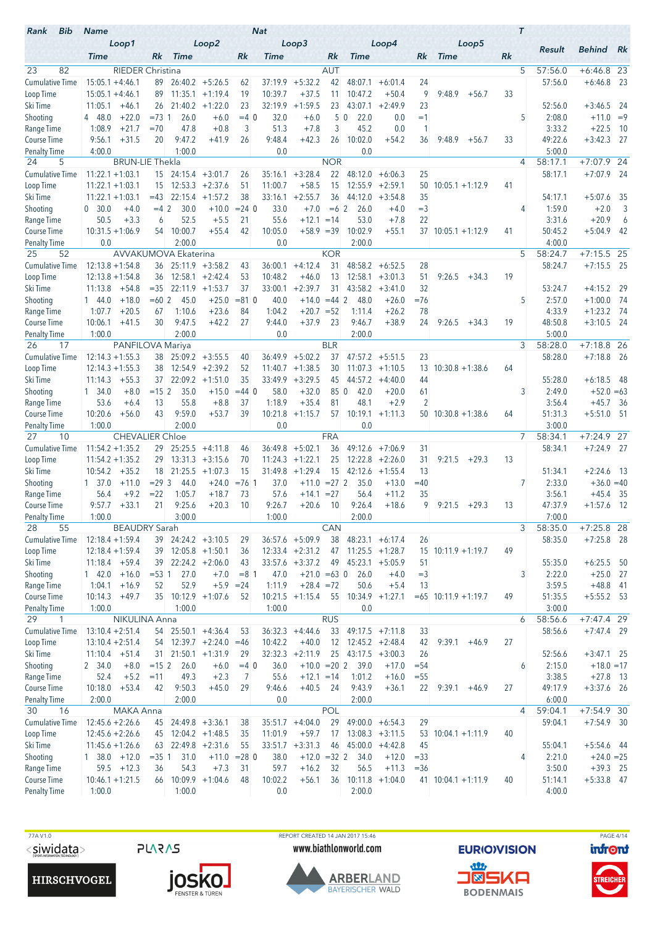| Loop2<br>Loop5<br>Loop1<br>Loop3<br>Loop4<br>Result<br><b>Behind</b><br><b>Time</b><br><b>Time</b><br>Rk<br>Rk<br><b>Time</b><br>Rk<br><b>Time</b><br>Rk<br><b>Time</b><br>Rk<br>23<br>82<br>AUT<br>5<br>57:56.0<br><b>RIEDER Christina</b><br>$+6:46.8$ 23<br>$26:40.2 + 5:26.5$<br>37:19.9<br>$+5:32.2$<br>42<br>$+6:46.8$<br>Cumulative Time<br>$15:05.1 + 4:46.1$<br>48:07.1<br>$+6:01.4$<br>24<br>57:56.0<br>89.<br>62<br>9<br>89<br>$11:35.1 + 1:19.4$<br>10:39.7<br>$+37.5$<br>11<br>10:47.2<br>9:48.9<br>33<br>$15:05.1 + 4:46.1$<br>19<br>$+50.4$<br>$+56.7$<br>Loop Time<br>32:19.9<br>23<br>21:40.2<br>$+1:22.0$<br>23<br>$+1:59.5$<br>23<br>$+2:49.9$<br>52:56.0<br>Ski Time<br>11:05.1<br>$+46.1$<br>26<br>43:07.1<br>$+3:46.5$<br>$= 73.1$<br>26.0<br>32.0<br>50<br>22.0<br>5<br>2:08.0<br>$+11.0 = 9$<br>Shooting<br>4 48.0<br>$+22.0$<br>$+6.0$<br>$=4.0$<br>$+6.0$<br>0.0<br>$=1$<br>1:08.9<br>$+21.7$<br>$=70$<br>47.8<br>$+0.8$<br>3<br>51.3<br>$+7.8$<br>3<br>45.2<br>0.0<br>3:33.2<br>$+22.5$<br>Range Time<br>1<br>49:22.6<br>9:56.1<br>$+31.5$<br>20<br>9:47.2<br>$+41.9$<br>26<br>9:48.4<br>$+42.3$<br>26<br>10:02.0<br>$+54.2$<br>36<br>9:48.9<br>33<br>$+3:42.3$<br>Course Time<br>$+56.7$<br>4:00.0<br>1:00.0<br>0.0<br>0.0<br>5:00.0<br><b>Penalty Time</b><br>$+7:07.9$ 24<br><b>BRUN-LIE Thekla</b><br><b>NOR</b><br>58:17.1<br>24<br>5<br>4<br><b>Cumulative Time</b><br>$24:15.4 +3:01.7$<br>$+3:28.4$<br>22<br>48:12.0<br>58:17.1<br>$+7:07.9$<br>$11:22.1 + 1:03.1$<br>15<br>35:16.1<br>$+6:06.3$<br>25<br>26<br>$11:22.1 + 1:03.1$<br>15<br>12:53.3<br>$+2:37.6$<br>51<br>11:00.7<br>$+58.5$<br>15<br>$12:55.9$ +2:59.1<br>$10:05.1 + 1:12.9$<br>Loop Time<br>50<br>41<br>22:15.4<br>$+2:55.7$<br>Ski Time<br>$11:22.1 + 1:03.1$<br>$=43$<br>$+1:57.2$<br>38<br>33:16.1<br>36<br>44:12.0<br>$+3:54.8$<br>35<br>54:17.1<br>$+5:07.6$<br>$=42$<br>30.0<br>$+10.0$<br>$= 24$ 0<br>33.0<br>$+7.0$<br>$= 6 \, 2$<br>$=$ 3<br>1:59.0<br>$+2.0$<br>Shooting<br>0, 30.0<br>$+4.0$<br>26.0<br>$+4.0$<br>4<br>50.5<br>52.5<br>$+5.5$<br>55.6<br>$+12.1$<br>22<br>3:31.6<br>$+20.9$<br>Range Time<br>$+3.3$<br>6<br>21<br>$=14$<br>53.0<br>$+7.8$<br>10:00.7<br>$10:31.5 + 1:06.9$<br>$+55.4$<br>10:05.0<br>$+58.9 = 39$<br>10:02.9<br>$+55.1$<br>50:45.2<br>$+5:04.9$<br>Course Time<br>54<br>42<br>$37$ 10:05.1 +1:12.9<br>41<br>2:00.0<br>0.0<br>2:00.0<br>4:00.0<br>0.0<br><b>Penalty Time</b><br>52<br>AVVAKUMOVA Ekaterina<br><b>KOR</b><br>5<br>58:24.7<br>$+7:15.5$ 25<br>25<br>58:24.7<br>$+7:15.5$ 25<br><b>Cumulative Time</b><br>$12:13.8 + 1:54.8$<br>$25:11.9$ +3:58.2<br>$+4:12.4$<br>48:58.2<br>28<br>36:00.1<br>31<br>$+6:52.5$<br>36<br>43<br>$12:58.1 + 2:42.4$<br>10:48.2<br>$+46.0$<br>13<br>12:58.1<br>51<br>9:26.5<br>$+34.3$<br>19<br>Loop Time<br>$12:13.8 + 1:54.8$<br>36<br>53<br>$+3:01.3$<br>$22:11.9$ +1:53.7<br>37<br>33:00.1<br>$+2:39.7$<br>31<br>43:58.2<br>32<br>53:24.7<br>$+4:15.2$<br>Ski Time<br>11:13.8<br>$+54.8$<br>$= 35$<br>$+3:41.0$<br>$+18.0$<br>$=602$<br>45.0<br>$+25.0$<br>$= 810$<br>40.0<br>$+14.0$<br>$=44$ 2<br>48.0<br>$=76$<br>5<br>2:57.0<br>$+1:00.0$<br>Shooting<br>144.0<br>$+26.0$<br>1:07.7<br>1:10.6<br>$+23.6$<br>84<br>1:04.2<br>$+20.7$<br>$= 52$<br>78<br>4:33.9<br>$+1:23.2$<br>Range Time<br>$+20.5$<br>67<br>1:11.4<br>$+26.2$<br>$+3:10.5$ 24<br>Course Time<br>10:06.1<br>$+41.5$<br>30<br>9:47.5<br>$+42.2$<br>27<br>9:44.0<br>$+37.9$<br>23<br>9:46.7<br>$+38.9$<br>9:26.5<br>19<br>48:50.8<br>24<br>$+34.3$<br>1:00.0<br>2:00.0<br>5:00.0<br>Penalty Time<br>0.0<br>2:00.0<br><b>BLR</b><br>3<br>$+7:18.8$ 26<br>17<br>PANFILOVA Mariya<br>58:28.0<br>26<br><b>Cumulative Time</b><br>$12:14.3 + 1:55.3$<br>$+5:02.2$<br>47:57.2<br>23<br>58:28.0<br>$+7:18.8$ 26<br>38<br>$25:09.2 + 3:55.5$<br>36:49.9<br>37<br>$+5:51.5$<br>40<br>$12:54.9 + 2:39.2$<br>$11:07.3 +1:10.5$<br>Loop Time<br>$12:14.3 + 1:55.3$<br>38<br>52<br>11:40.7<br>$+1:38.5$<br>30<br>13<br>$10:30.8 + 1:38.6$<br>64<br>$22:09.2 +1:51.0$<br>35<br>33:49.9<br>$+3:29.5$<br>44:57.2<br>55:28.0<br>Ski Time<br>11:14.3<br>$+55.3$<br>37<br>45<br>$+4:40.0$<br>44<br>$+6:18.5$<br>$= 152$<br>35.0<br>$+15.0$<br>$=44$ 0<br>58.0<br>$+32.0$<br>850<br>42.0<br>3<br>2:49.0<br>Shooting<br>1, 34.0<br>$+8.0$<br>$+20.0$<br>61<br>$+52.0 = 63$<br>48.1<br>$\overline{2}$<br>53.6<br>13<br>55.8<br>$+8.8$<br>37<br>1:18.9<br>$+35.4$<br>81<br>$+2.9$<br>3:56.4<br>$+45.7$<br>Range Time<br>$+6.4$<br>9:59.0<br>10:20.6<br>43<br>$+53.7$<br>39<br>10:21.8<br>$+1:15.7$<br>$10:19.1 + 1:11.3$<br>51:31.3<br>$+5:51.0$ 51<br>Course Time<br>$+56.0$<br>57<br>$50$ 10:30.8 +1:38.6<br>64<br>2:00.0<br>3:00.0<br>1:00.0<br>0.0<br>0.0<br>Penalty Time<br>58:34.1<br>$+7:24.\overline{9}$<br>10<br><b>CHEVALIER Chloe</b><br><b>FRA</b><br>7<br>27<br><b>Cumulative Time</b><br>$+7:24.9$ 27<br>$11:54.2 + 1:35.2$<br>$25:25.5 +4:11.8$<br>36:49.8<br>$+5:02.1$<br>36<br>49:12.6<br>58:34.1<br>29<br>$+7:06.9$<br>31<br>46<br>$11:54.2 + 1:35.2$<br>$13:31.3 + 3:15.6$<br>$+1:22.1$<br>25<br>$12:22.8$ +2:26.0<br>31<br>9:21.5<br>$+29.3$<br>13<br>Loop Time<br>29<br>70<br>11:24.3<br>$+35.2$<br>21:25.5<br>31:49.8<br>$+1:29.4$<br>15<br>Ski Time<br>10:54.2<br>18<br>$+1:07.3$<br>15<br>42:12.6<br>$+1:55.4$<br>13<br>51:34.1<br>$+2:24.6$<br>$= 293$<br>44.0<br>$+24.0$<br>$= 76.1$<br>37.0<br>$= 27$ 2<br>35.0<br>$=40$<br>7<br>2:33.0<br>$+36.0 = 40$<br>Shooting<br>$1 \quad 37.0$<br>$+11.0$<br>$+11.0$<br>$+13.0$<br>56.4<br>$+9.2$<br>$= 22$<br>1:05.7<br>$+18.7$<br>73<br>57.6<br>$= 27$<br>56.4<br>3:56.1<br>Range Time<br>$+14.1$<br>$+11.2$<br>35<br>$+45.4$<br>9:57.7<br>$+33.1$<br>21<br>9:25.6<br>$+20.3$<br>$+20.6$<br>$+18.6$<br>9<br>47:37.9<br>$+1:57.6$<br><b>Course Time</b><br>10<br>9:26.7<br>10<br>9:26.4<br>9:21.5<br>$+29.3$<br>13<br>Penalty Time<br>1:00.0<br>3:00.0<br>1:00.0<br>2:00.0<br>7:00.0<br>3<br>28<br>55<br>CAN<br>58:35.0<br>$+7:25.8$ 28<br><b>BEAUDRY Sarah</b><br>$48:23.1 + 6:17.4$<br>$+7:25.8$ 28<br>Cumulative Time<br>$12:18.4 + 1:59.4$<br>$39$ 24:24.2 +3:10.5<br>$36:57.6 + 5:09.9$<br>38<br>26<br>58:35.0<br>29<br>39 12:05.8 +1:50.1<br>$11:25.5 + 1:28.7$<br>49<br>Loop Time<br>$12:18.4 + 1:59.4$<br>$12:33.4 +2:31.2$<br>47<br>$15$ 10:11.9 +1:19.7<br>36<br>Ski Time<br>$11:18.4 +59.4$<br>$22:24.2 + 2:06.0$<br>$33:57.6 +3:37.2$<br>49<br>$45:23.1 + 5:05.9$<br>55:35.0<br>$+6:25.5$ 50<br>39<br>43<br>51<br>Shooting<br>$+16.0$<br>$= 53 \, 1$<br>27.0<br>$+7.0$<br>$= 8 \; 1$<br>47.0<br>$+21.0 = 63$ 0<br>26.0<br>$+4.0$<br>$=$ 3<br>3<br>2:22.0<br>$+25.0$ 27<br>$1 \quad 42.0$<br>52.9<br>Range Time<br>1:04.1<br>$+5.9 = 24$<br>1:11.9<br>$+28.4 = 72$<br>50.6<br>$+5.4$<br>3:59.5<br>$+48.8$ 41<br>$+16.9$<br>52<br>13<br>Course Time<br>10:14.3<br>$+49.7$<br>$35$ 10:12.9 +1:07.6<br>$10:21.5 +1:15.4$<br>55<br>$10:34.9 +1:27.1$<br>$= 65$ 10:11.9 +1:19.7<br>49<br>51:35.5<br>$+5:55.2$ 53<br>52<br>1:00.0<br><b>Penalty Time</b><br>1:00.0<br>1:00.0<br>0.0<br>3:00.0<br><b>RUS</b><br>29<br>NIKULINA Anna<br>58:56.6<br>$+7:47.4$ 29<br>6<br>1<br><b>Cumulative Time</b><br>$13:10.4 + 2:51.4$<br>54 25:50.1 +4:36.4<br>$36:32.3 +4:44.6$<br>33<br>58:56.6<br>$+7:47.4$ 29<br>53<br>$49:17.5$ +7:11.8<br>33<br>Loop Time<br>$54$ 12:39.7 +2:24.0 =46<br>10:42.2<br>$+40.0$<br>12<br>$12:45.2 + 2:48.4$<br>27<br>$13:10.4 + 2:51.4$<br>42<br>9:39.1<br>$+46.9$<br>Ski Time<br>$31$ 21:50.1 +1:31.9<br>$32:32.3 + 2:11.9$<br>25<br>$43:17.5 +3:00.3$<br>52:56.6<br>$11:10.4$ +51.4<br>29<br>26<br>$+3:47.1$ 25<br>Shooting<br>2 34.0<br>$+8.0$<br>$= 152$<br>26.0<br>$+6.0$<br>36.0<br>$+10.0 = 20$ 2 39.0<br>$+17.0$<br>2:15.0<br>$+18.0 = 17$<br>$=4$ 0<br>$= 54$<br>6<br>Range Time<br>3:38.5<br>52.4<br>$+5.2$<br>$=11$<br>49.3<br>$+2.3$<br>55.6<br>$+12.1 = 14$<br>1:01.2<br>$+16.0$<br>$+27.8$ 13<br>7<br>$= 55$<br>Course Time<br>10:18.0<br>$+53.4$<br>9:50.3<br>$+45.0$<br>9:46.6<br>$+40.5$<br>49:17.9<br>$+3:37.6$ 26<br>42<br>29<br>-24<br>9:43.9<br>$+36.1$<br>22<br>$9:39.1 +46.9$<br>27<br><b>Penalty Time</b><br>2:00.0<br>2:00.0<br>0.0<br>2:00.0<br>6:00.0<br>30<br>MAKA Anna<br><b>POL</b><br>$\overline{4}$<br>59:04.1<br>$+7:54.9$ 30<br>16<br>Cumulative Time<br>$12:45.6 + 2:26.6$<br>29<br>$49:00.0 + 6:54.3$<br>29<br>$+7:54.9$ 30<br>$24:49.8 + 3:36.1$<br>$35:51.7 +4:04.0$<br>59:04.1<br>45<br>38<br>Loop Time<br>$12:45.6 + 2:26.6$<br>$12:04.2 +1:48.5$<br>11:01.9<br>$+59.7$<br>17<br>$13:08.3 + 3:11.5$<br>$10:04.1 + 1:11.9$<br>45<br>35<br>53<br>40<br>Ski Time<br>$22:49.8$ +2:31.6<br>$33:51.7 + 3:31.3$<br>55:04.1<br>$+5:54.6$ 44<br>$11:45.6 + 1:26.6$<br>55<br>46<br>$45:00.0 +4:42.8$<br>45<br>63<br>Shooting<br>31.0<br>$+11.0 = 28$ 0<br>38.0<br>$+12.0 = 32$ 2<br>2:21.0<br>$+24.0 = 25$<br>$1\quad38.0\quad +12.0$<br>$= 351$<br>34.0<br>$+12.0$<br>$= 33$<br>4<br>Range Time<br>54.3<br>$+7.3$<br>59.7<br>$+16.2$<br>3:50.0<br>$+39.3$ 25<br>$59.5 + 12.3$<br>36<br>31<br>32<br>56.5<br>$+11.3$<br>$= 36$ | Bib<br>Rank | <b>Name</b> |  |  | <b>Nat</b> |         |  |  |    | $\tau$ |         |             |
|----------------------------------------------------------------------------------------------------------------------------------------------------------------------------------------------------------------------------------------------------------------------------------------------------------------------------------------------------------------------------------------------------------------------------------------------------------------------------------------------------------------------------------------------------------------------------------------------------------------------------------------------------------------------------------------------------------------------------------------------------------------------------------------------------------------------------------------------------------------------------------------------------------------------------------------------------------------------------------------------------------------------------------------------------------------------------------------------------------------------------------------------------------------------------------------------------------------------------------------------------------------------------------------------------------------------------------------------------------------------------------------------------------------------------------------------------------------------------------------------------------------------------------------------------------------------------------------------------------------------------------------------------------------------------------------------------------------------------------------------------------------------------------------------------------------------------------------------------------------------------------------------------------------------------------------------------------------------------------------------------------------------------------------------------------------------------------------------------------------------------------------------------------------------------------------------------------------------------------------------------------------------------------------------------------------------------------------------------------------------------------------------------------------------------------------------------------------------------------------------------------------------------------------------------------------------------------------------------------------------------------------------------------------------------------------------------------------------------------------------------------------------------------------------------------------------------------------------------------------------------------------------------------------------------------------------------------------------------------------------------------------------------------------------------------------------------------------------------------------------------------------------------------------------------------------------------------------------------------------------------------------------------------------------------------------------------------------------------------------------------------------------------------------------------------------------------------------------------------------------------------------------------------------------------------------------------------------------------------------------------------------------------------------------------------------------------------------------------------------------------------------------------------------------------------------------------------------------------------------------------------------------------------------------------------------------------------------------------------------------------------------------------------------------------------------------------------------------------------------------------------------------------------------------------------------------------------------------------------------------------------------------------------------------------------------------------------------------------------------------------------------------------------------------------------------------------------------------------------------------------------------------------------------------------------------------------------------------------------------------------------------------------------------------------------------------------------------------------------------------------------------------------------------------------------------------------------------------------------------------------------------------------------------------------------------------------------------------------------------------------------------------------------------------------------------------------------------------------------------------------------------------------------------------------------------------------------------------------------------------------------------------------------------------------------------------------------------------------------------------------------------------------------------------------------------------------------------------------------------------------------------------------------------------------------------------------------------------------------------------------------------------------------------------------------------------------------------------------------------------------------------------------------------------------------------------------------------------------------------------------------------------------------------------------------------------------------------------------------------------------------------------------------------------------------------------------------------------------------------------------------------------------------------------------------------------------------------------------------------------------------------------------------------------------------------------------------------------------------------------------------------------------------------------------------------------------------------------------------------------------------------------------------------------------------------------------------------------------------------------------------------------------------------------------------------------------------------------------------------------------------------------------------------------------------------------------------------------------------------------------------------------------------------------------------------------------------------------------------------------------------------------------------------------------------------------------------------------------------------------------------------------------------------------------------------------------------------------------------------------------------------------------------------------------------------------------------------------------------------------------------------------------------------------------------------------------------------------------------------------------------------------------------------------------------------------------------------------------------------------------------------------------------------------------------------------------------------------------------------------------------------------------------------------------------------------------------------------------------------------------------------------------------------------------------------------------------------------------------------------------------------------------------------------------------------------------------------------------------------------------------------------------------------------------------------------------------------------------------------------------------------------------------------------------------------------------------------------------------------------------------------------------------------------------------------------------------------------------------------------------------------------------------------------------------------------------------------------------------------------------------------------------------------------------------------------------------------------------------------------------------------------------------------------------------------------------------------------------------------------------------------------------------------------------------------------------------------------------------------------|-------------|-------------|--|--|------------|---------|--|--|----|--------|---------|-------------|
|                                                                                                                                                                                                                                                                                                                                                                                                                                                                                                                                                                                                                                                                                                                                                                                                                                                                                                                                                                                                                                                                                                                                                                                                                                                                                                                                                                                                                                                                                                                                                                                                                                                                                                                                                                                                                                                                                                                                                                                                                                                                                                                                                                                                                                                                                                                                                                                                                                                                                                                                                                                                                                                                                                                                                                                                                                                                                                                                                                                                                                                                                                                                                                                                                                                                                                                                                                                                                                                                                                                                                                                                                                                                                                                                                                                                                                                                                                                                                                                                                                                                                                                                                                                                                                                                                                                                                                                                                                                                                                                                                                                                                                                                                                                                                                                                                                                                                                                                                                                                                                                                                                                                                                                                                                                                                                                                                                                                                                                                                                                                                                                                                                                                                                                                                                                                                                                                                                                                                                                                                                                                                                                                                                                                                                                                                                                                                                                                                                                                                                                                                                                                                                                                                                                                                                                                                                                                                                                                                                                                                                                                                                                                                                                                                                                                                                                                                                                                                                                                                                                                                                                                                                                                                                                                                                                                                                                                                                                                                                                                                                                                                                                                                                                                                                                                                                                                                                                                                                                                                                                                                                                                                                                                                                                                                                                                                                                                                                                                                                                              |             |             |  |  |            |         |  |  |    |        |         | Rk          |
|                                                                                                                                                                                                                                                                                                                                                                                                                                                                                                                                                                                                                                                                                                                                                                                                                                                                                                                                                                                                                                                                                                                                                                                                                                                                                                                                                                                                                                                                                                                                                                                                                                                                                                                                                                                                                                                                                                                                                                                                                                                                                                                                                                                                                                                                                                                                                                                                                                                                                                                                                                                                                                                                                                                                                                                                                                                                                                                                                                                                                                                                                                                                                                                                                                                                                                                                                                                                                                                                                                                                                                                                                                                                                                                                                                                                                                                                                                                                                                                                                                                                                                                                                                                                                                                                                                                                                                                                                                                                                                                                                                                                                                                                                                                                                                                                                                                                                                                                                                                                                                                                                                                                                                                                                                                                                                                                                                                                                                                                                                                                                                                                                                                                                                                                                                                                                                                                                                                                                                                                                                                                                                                                                                                                                                                                                                                                                                                                                                                                                                                                                                                                                                                                                                                                                                                                                                                                                                                                                                                                                                                                                                                                                                                                                                                                                                                                                                                                                                                                                                                                                                                                                                                                                                                                                                                                                                                                                                                                                                                                                                                                                                                                                                                                                                                                                                                                                                                                                                                                                                                                                                                                                                                                                                                                                                                                                                                                                                                                                                                              |             |             |  |  |            |         |  |  |    |        |         |             |
|                                                                                                                                                                                                                                                                                                                                                                                                                                                                                                                                                                                                                                                                                                                                                                                                                                                                                                                                                                                                                                                                                                                                                                                                                                                                                                                                                                                                                                                                                                                                                                                                                                                                                                                                                                                                                                                                                                                                                                                                                                                                                                                                                                                                                                                                                                                                                                                                                                                                                                                                                                                                                                                                                                                                                                                                                                                                                                                                                                                                                                                                                                                                                                                                                                                                                                                                                                                                                                                                                                                                                                                                                                                                                                                                                                                                                                                                                                                                                                                                                                                                                                                                                                                                                                                                                                                                                                                                                                                                                                                                                                                                                                                                                                                                                                                                                                                                                                                                                                                                                                                                                                                                                                                                                                                                                                                                                                                                                                                                                                                                                                                                                                                                                                                                                                                                                                                                                                                                                                                                                                                                                                                                                                                                                                                                                                                                                                                                                                                                                                                                                                                                                                                                                                                                                                                                                                                                                                                                                                                                                                                                                                                                                                                                                                                                                                                                                                                                                                                                                                                                                                                                                                                                                                                                                                                                                                                                                                                                                                                                                                                                                                                                                                                                                                                                                                                                                                                                                                                                                                                                                                                                                                                                                                                                                                                                                                                                                                                                                                                              |             |             |  |  |            |         |  |  |    |        |         | - 23        |
|                                                                                                                                                                                                                                                                                                                                                                                                                                                                                                                                                                                                                                                                                                                                                                                                                                                                                                                                                                                                                                                                                                                                                                                                                                                                                                                                                                                                                                                                                                                                                                                                                                                                                                                                                                                                                                                                                                                                                                                                                                                                                                                                                                                                                                                                                                                                                                                                                                                                                                                                                                                                                                                                                                                                                                                                                                                                                                                                                                                                                                                                                                                                                                                                                                                                                                                                                                                                                                                                                                                                                                                                                                                                                                                                                                                                                                                                                                                                                                                                                                                                                                                                                                                                                                                                                                                                                                                                                                                                                                                                                                                                                                                                                                                                                                                                                                                                                                                                                                                                                                                                                                                                                                                                                                                                                                                                                                                                                                                                                                                                                                                                                                                                                                                                                                                                                                                                                                                                                                                                                                                                                                                                                                                                                                                                                                                                                                                                                                                                                                                                                                                                                                                                                                                                                                                                                                                                                                                                                                                                                                                                                                                                                                                                                                                                                                                                                                                                                                                                                                                                                                                                                                                                                                                                                                                                                                                                                                                                                                                                                                                                                                                                                                                                                                                                                                                                                                                                                                                                                                                                                                                                                                                                                                                                                                                                                                                                                                                                                                                              |             |             |  |  |            |         |  |  |    |        |         |             |
|                                                                                                                                                                                                                                                                                                                                                                                                                                                                                                                                                                                                                                                                                                                                                                                                                                                                                                                                                                                                                                                                                                                                                                                                                                                                                                                                                                                                                                                                                                                                                                                                                                                                                                                                                                                                                                                                                                                                                                                                                                                                                                                                                                                                                                                                                                                                                                                                                                                                                                                                                                                                                                                                                                                                                                                                                                                                                                                                                                                                                                                                                                                                                                                                                                                                                                                                                                                                                                                                                                                                                                                                                                                                                                                                                                                                                                                                                                                                                                                                                                                                                                                                                                                                                                                                                                                                                                                                                                                                                                                                                                                                                                                                                                                                                                                                                                                                                                                                                                                                                                                                                                                                                                                                                                                                                                                                                                                                                                                                                                                                                                                                                                                                                                                                                                                                                                                                                                                                                                                                                                                                                                                                                                                                                                                                                                                                                                                                                                                                                                                                                                                                                                                                                                                                                                                                                                                                                                                                                                                                                                                                                                                                                                                                                                                                                                                                                                                                                                                                                                                                                                                                                                                                                                                                                                                                                                                                                                                                                                                                                                                                                                                                                                                                                                                                                                                                                                                                                                                                                                                                                                                                                                                                                                                                                                                                                                                                                                                                                                                              |             |             |  |  |            |         |  |  |    |        |         | -24         |
|                                                                                                                                                                                                                                                                                                                                                                                                                                                                                                                                                                                                                                                                                                                                                                                                                                                                                                                                                                                                                                                                                                                                                                                                                                                                                                                                                                                                                                                                                                                                                                                                                                                                                                                                                                                                                                                                                                                                                                                                                                                                                                                                                                                                                                                                                                                                                                                                                                                                                                                                                                                                                                                                                                                                                                                                                                                                                                                                                                                                                                                                                                                                                                                                                                                                                                                                                                                                                                                                                                                                                                                                                                                                                                                                                                                                                                                                                                                                                                                                                                                                                                                                                                                                                                                                                                                                                                                                                                                                                                                                                                                                                                                                                                                                                                                                                                                                                                                                                                                                                                                                                                                                                                                                                                                                                                                                                                                                                                                                                                                                                                                                                                                                                                                                                                                                                                                                                                                                                                                                                                                                                                                                                                                                                                                                                                                                                                                                                                                                                                                                                                                                                                                                                                                                                                                                                                                                                                                                                                                                                                                                                                                                                                                                                                                                                                                                                                                                                                                                                                                                                                                                                                                                                                                                                                                                                                                                                                                                                                                                                                                                                                                                                                                                                                                                                                                                                                                                                                                                                                                                                                                                                                                                                                                                                                                                                                                                                                                                                                                              |             |             |  |  |            |         |  |  |    |        |         |             |
|                                                                                                                                                                                                                                                                                                                                                                                                                                                                                                                                                                                                                                                                                                                                                                                                                                                                                                                                                                                                                                                                                                                                                                                                                                                                                                                                                                                                                                                                                                                                                                                                                                                                                                                                                                                                                                                                                                                                                                                                                                                                                                                                                                                                                                                                                                                                                                                                                                                                                                                                                                                                                                                                                                                                                                                                                                                                                                                                                                                                                                                                                                                                                                                                                                                                                                                                                                                                                                                                                                                                                                                                                                                                                                                                                                                                                                                                                                                                                                                                                                                                                                                                                                                                                                                                                                                                                                                                                                                                                                                                                                                                                                                                                                                                                                                                                                                                                                                                                                                                                                                                                                                                                                                                                                                                                                                                                                                                                                                                                                                                                                                                                                                                                                                                                                                                                                                                                                                                                                                                                                                                                                                                                                                                                                                                                                                                                                                                                                                                                                                                                                                                                                                                                                                                                                                                                                                                                                                                                                                                                                                                                                                                                                                                                                                                                                                                                                                                                                                                                                                                                                                                                                                                                                                                                                                                                                                                                                                                                                                                                                                                                                                                                                                                                                                                                                                                                                                                                                                                                                                                                                                                                                                                                                                                                                                                                                                                                                                                                                                              |             |             |  |  |            |         |  |  |    |        |         | - 10<br>-27 |
|                                                                                                                                                                                                                                                                                                                                                                                                                                                                                                                                                                                                                                                                                                                                                                                                                                                                                                                                                                                                                                                                                                                                                                                                                                                                                                                                                                                                                                                                                                                                                                                                                                                                                                                                                                                                                                                                                                                                                                                                                                                                                                                                                                                                                                                                                                                                                                                                                                                                                                                                                                                                                                                                                                                                                                                                                                                                                                                                                                                                                                                                                                                                                                                                                                                                                                                                                                                                                                                                                                                                                                                                                                                                                                                                                                                                                                                                                                                                                                                                                                                                                                                                                                                                                                                                                                                                                                                                                                                                                                                                                                                                                                                                                                                                                                                                                                                                                                                                                                                                                                                                                                                                                                                                                                                                                                                                                                                                                                                                                                                                                                                                                                                                                                                                                                                                                                                                                                                                                                                                                                                                                                                                                                                                                                                                                                                                                                                                                                                                                                                                                                                                                                                                                                                                                                                                                                                                                                                                                                                                                                                                                                                                                                                                                                                                                                                                                                                                                                                                                                                                                                                                                                                                                                                                                                                                                                                                                                                                                                                                                                                                                                                                                                                                                                                                                                                                                                                                                                                                                                                                                                                                                                                                                                                                                                                                                                                                                                                                                                                              |             |             |  |  |            |         |  |  |    |        |         |             |
|                                                                                                                                                                                                                                                                                                                                                                                                                                                                                                                                                                                                                                                                                                                                                                                                                                                                                                                                                                                                                                                                                                                                                                                                                                                                                                                                                                                                                                                                                                                                                                                                                                                                                                                                                                                                                                                                                                                                                                                                                                                                                                                                                                                                                                                                                                                                                                                                                                                                                                                                                                                                                                                                                                                                                                                                                                                                                                                                                                                                                                                                                                                                                                                                                                                                                                                                                                                                                                                                                                                                                                                                                                                                                                                                                                                                                                                                                                                                                                                                                                                                                                                                                                                                                                                                                                                                                                                                                                                                                                                                                                                                                                                                                                                                                                                                                                                                                                                                                                                                                                                                                                                                                                                                                                                                                                                                                                                                                                                                                                                                                                                                                                                                                                                                                                                                                                                                                                                                                                                                                                                                                                                                                                                                                                                                                                                                                                                                                                                                                                                                                                                                                                                                                                                                                                                                                                                                                                                                                                                                                                                                                                                                                                                                                                                                                                                                                                                                                                                                                                                                                                                                                                                                                                                                                                                                                                                                                                                                                                                                                                                                                                                                                                                                                                                                                                                                                                                                                                                                                                                                                                                                                                                                                                                                                                                                                                                                                                                                                                                              |             |             |  |  |            |         |  |  |    |        |         |             |
|                                                                                                                                                                                                                                                                                                                                                                                                                                                                                                                                                                                                                                                                                                                                                                                                                                                                                                                                                                                                                                                                                                                                                                                                                                                                                                                                                                                                                                                                                                                                                                                                                                                                                                                                                                                                                                                                                                                                                                                                                                                                                                                                                                                                                                                                                                                                                                                                                                                                                                                                                                                                                                                                                                                                                                                                                                                                                                                                                                                                                                                                                                                                                                                                                                                                                                                                                                                                                                                                                                                                                                                                                                                                                                                                                                                                                                                                                                                                                                                                                                                                                                                                                                                                                                                                                                                                                                                                                                                                                                                                                                                                                                                                                                                                                                                                                                                                                                                                                                                                                                                                                                                                                                                                                                                                                                                                                                                                                                                                                                                                                                                                                                                                                                                                                                                                                                                                                                                                                                                                                                                                                                                                                                                                                                                                                                                                                                                                                                                                                                                                                                                                                                                                                                                                                                                                                                                                                                                                                                                                                                                                                                                                                                                                                                                                                                                                                                                                                                                                                                                                                                                                                                                                                                                                                                                                                                                                                                                                                                                                                                                                                                                                                                                                                                                                                                                                                                                                                                                                                                                                                                                                                                                                                                                                                                                                                                                                                                                                                                                              |             |             |  |  |            |         |  |  |    |        |         | - 24        |
|                                                                                                                                                                                                                                                                                                                                                                                                                                                                                                                                                                                                                                                                                                                                                                                                                                                                                                                                                                                                                                                                                                                                                                                                                                                                                                                                                                                                                                                                                                                                                                                                                                                                                                                                                                                                                                                                                                                                                                                                                                                                                                                                                                                                                                                                                                                                                                                                                                                                                                                                                                                                                                                                                                                                                                                                                                                                                                                                                                                                                                                                                                                                                                                                                                                                                                                                                                                                                                                                                                                                                                                                                                                                                                                                                                                                                                                                                                                                                                                                                                                                                                                                                                                                                                                                                                                                                                                                                                                                                                                                                                                                                                                                                                                                                                                                                                                                                                                                                                                                                                                                                                                                                                                                                                                                                                                                                                                                                                                                                                                                                                                                                                                                                                                                                                                                                                                                                                                                                                                                                                                                                                                                                                                                                                                                                                                                                                                                                                                                                                                                                                                                                                                                                                                                                                                                                                                                                                                                                                                                                                                                                                                                                                                                                                                                                                                                                                                                                                                                                                                                                                                                                                                                                                                                                                                                                                                                                                                                                                                                                                                                                                                                                                                                                                                                                                                                                                                                                                                                                                                                                                                                                                                                                                                                                                                                                                                                                                                                                                                              |             |             |  |  |            |         |  |  |    |        |         |             |
|                                                                                                                                                                                                                                                                                                                                                                                                                                                                                                                                                                                                                                                                                                                                                                                                                                                                                                                                                                                                                                                                                                                                                                                                                                                                                                                                                                                                                                                                                                                                                                                                                                                                                                                                                                                                                                                                                                                                                                                                                                                                                                                                                                                                                                                                                                                                                                                                                                                                                                                                                                                                                                                                                                                                                                                                                                                                                                                                                                                                                                                                                                                                                                                                                                                                                                                                                                                                                                                                                                                                                                                                                                                                                                                                                                                                                                                                                                                                                                                                                                                                                                                                                                                                                                                                                                                                                                                                                                                                                                                                                                                                                                                                                                                                                                                                                                                                                                                                                                                                                                                                                                                                                                                                                                                                                                                                                                                                                                                                                                                                                                                                                                                                                                                                                                                                                                                                                                                                                                                                                                                                                                                                                                                                                                                                                                                                                                                                                                                                                                                                                                                                                                                                                                                                                                                                                                                                                                                                                                                                                                                                                                                                                                                                                                                                                                                                                                                                                                                                                                                                                                                                                                                                                                                                                                                                                                                                                                                                                                                                                                                                                                                                                                                                                                                                                                                                                                                                                                                                                                                                                                                                                                                                                                                                                                                                                                                                                                                                                                                              |             |             |  |  |            |         |  |  |    |        |         | - 35        |
|                                                                                                                                                                                                                                                                                                                                                                                                                                                                                                                                                                                                                                                                                                                                                                                                                                                                                                                                                                                                                                                                                                                                                                                                                                                                                                                                                                                                                                                                                                                                                                                                                                                                                                                                                                                                                                                                                                                                                                                                                                                                                                                                                                                                                                                                                                                                                                                                                                                                                                                                                                                                                                                                                                                                                                                                                                                                                                                                                                                                                                                                                                                                                                                                                                                                                                                                                                                                                                                                                                                                                                                                                                                                                                                                                                                                                                                                                                                                                                                                                                                                                                                                                                                                                                                                                                                                                                                                                                                                                                                                                                                                                                                                                                                                                                                                                                                                                                                                                                                                                                                                                                                                                                                                                                                                                                                                                                                                                                                                                                                                                                                                                                                                                                                                                                                                                                                                                                                                                                                                                                                                                                                                                                                                                                                                                                                                                                                                                                                                                                                                                                                                                                                                                                                                                                                                                                                                                                                                                                                                                                                                                                                                                                                                                                                                                                                                                                                                                                                                                                                                                                                                                                                                                                                                                                                                                                                                                                                                                                                                                                                                                                                                                                                                                                                                                                                                                                                                                                                                                                                                                                                                                                                                                                                                                                                                                                                                                                                                                                                              |             |             |  |  |            |         |  |  |    |        |         | 3           |
|                                                                                                                                                                                                                                                                                                                                                                                                                                                                                                                                                                                                                                                                                                                                                                                                                                                                                                                                                                                                                                                                                                                                                                                                                                                                                                                                                                                                                                                                                                                                                                                                                                                                                                                                                                                                                                                                                                                                                                                                                                                                                                                                                                                                                                                                                                                                                                                                                                                                                                                                                                                                                                                                                                                                                                                                                                                                                                                                                                                                                                                                                                                                                                                                                                                                                                                                                                                                                                                                                                                                                                                                                                                                                                                                                                                                                                                                                                                                                                                                                                                                                                                                                                                                                                                                                                                                                                                                                                                                                                                                                                                                                                                                                                                                                                                                                                                                                                                                                                                                                                                                                                                                                                                                                                                                                                                                                                                                                                                                                                                                                                                                                                                                                                                                                                                                                                                                                                                                                                                                                                                                                                                                                                                                                                                                                                                                                                                                                                                                                                                                                                                                                                                                                                                                                                                                                                                                                                                                                                                                                                                                                                                                                                                                                                                                                                                                                                                                                                                                                                                                                                                                                                                                                                                                                                                                                                                                                                                                                                                                                                                                                                                                                                                                                                                                                                                                                                                                                                                                                                                                                                                                                                                                                                                                                                                                                                                                                                                                                                                              |             |             |  |  |            |         |  |  |    |        |         | 6           |
|                                                                                                                                                                                                                                                                                                                                                                                                                                                                                                                                                                                                                                                                                                                                                                                                                                                                                                                                                                                                                                                                                                                                                                                                                                                                                                                                                                                                                                                                                                                                                                                                                                                                                                                                                                                                                                                                                                                                                                                                                                                                                                                                                                                                                                                                                                                                                                                                                                                                                                                                                                                                                                                                                                                                                                                                                                                                                                                                                                                                                                                                                                                                                                                                                                                                                                                                                                                                                                                                                                                                                                                                                                                                                                                                                                                                                                                                                                                                                                                                                                                                                                                                                                                                                                                                                                                                                                                                                                                                                                                                                                                                                                                                                                                                                                                                                                                                                                                                                                                                                                                                                                                                                                                                                                                                                                                                                                                                                                                                                                                                                                                                                                                                                                                                                                                                                                                                                                                                                                                                                                                                                                                                                                                                                                                                                                                                                                                                                                                                                                                                                                                                                                                                                                                                                                                                                                                                                                                                                                                                                                                                                                                                                                                                                                                                                                                                                                                                                                                                                                                                                                                                                                                                                                                                                                                                                                                                                                                                                                                                                                                                                                                                                                                                                                                                                                                                                                                                                                                                                                                                                                                                                                                                                                                                                                                                                                                                                                                                                                                              |             |             |  |  |            |         |  |  |    |        |         | - 42        |
|                                                                                                                                                                                                                                                                                                                                                                                                                                                                                                                                                                                                                                                                                                                                                                                                                                                                                                                                                                                                                                                                                                                                                                                                                                                                                                                                                                                                                                                                                                                                                                                                                                                                                                                                                                                                                                                                                                                                                                                                                                                                                                                                                                                                                                                                                                                                                                                                                                                                                                                                                                                                                                                                                                                                                                                                                                                                                                                                                                                                                                                                                                                                                                                                                                                                                                                                                                                                                                                                                                                                                                                                                                                                                                                                                                                                                                                                                                                                                                                                                                                                                                                                                                                                                                                                                                                                                                                                                                                                                                                                                                                                                                                                                                                                                                                                                                                                                                                                                                                                                                                                                                                                                                                                                                                                                                                                                                                                                                                                                                                                                                                                                                                                                                                                                                                                                                                                                                                                                                                                                                                                                                                                                                                                                                                                                                                                                                                                                                                                                                                                                                                                                                                                                                                                                                                                                                                                                                                                                                                                                                                                                                                                                                                                                                                                                                                                                                                                                                                                                                                                                                                                                                                                                                                                                                                                                                                                                                                                                                                                                                                                                                                                                                                                                                                                                                                                                                                                                                                                                                                                                                                                                                                                                                                                                                                                                                                                                                                                                                                              |             |             |  |  |            |         |  |  |    |        |         |             |
|                                                                                                                                                                                                                                                                                                                                                                                                                                                                                                                                                                                                                                                                                                                                                                                                                                                                                                                                                                                                                                                                                                                                                                                                                                                                                                                                                                                                                                                                                                                                                                                                                                                                                                                                                                                                                                                                                                                                                                                                                                                                                                                                                                                                                                                                                                                                                                                                                                                                                                                                                                                                                                                                                                                                                                                                                                                                                                                                                                                                                                                                                                                                                                                                                                                                                                                                                                                                                                                                                                                                                                                                                                                                                                                                                                                                                                                                                                                                                                                                                                                                                                                                                                                                                                                                                                                                                                                                                                                                                                                                                                                                                                                                                                                                                                                                                                                                                                                                                                                                                                                                                                                                                                                                                                                                                                                                                                                                                                                                                                                                                                                                                                                                                                                                                                                                                                                                                                                                                                                                                                                                                                                                                                                                                                                                                                                                                                                                                                                                                                                                                                                                                                                                                                                                                                                                                                                                                                                                                                                                                                                                                                                                                                                                                                                                                                                                                                                                                                                                                                                                                                                                                                                                                                                                                                                                                                                                                                                                                                                                                                                                                                                                                                                                                                                                                                                                                                                                                                                                                                                                                                                                                                                                                                                                                                                                                                                                                                                                                                                              |             |             |  |  |            |         |  |  |    |        |         |             |
|                                                                                                                                                                                                                                                                                                                                                                                                                                                                                                                                                                                                                                                                                                                                                                                                                                                                                                                                                                                                                                                                                                                                                                                                                                                                                                                                                                                                                                                                                                                                                                                                                                                                                                                                                                                                                                                                                                                                                                                                                                                                                                                                                                                                                                                                                                                                                                                                                                                                                                                                                                                                                                                                                                                                                                                                                                                                                                                                                                                                                                                                                                                                                                                                                                                                                                                                                                                                                                                                                                                                                                                                                                                                                                                                                                                                                                                                                                                                                                                                                                                                                                                                                                                                                                                                                                                                                                                                                                                                                                                                                                                                                                                                                                                                                                                                                                                                                                                                                                                                                                                                                                                                                                                                                                                                                                                                                                                                                                                                                                                                                                                                                                                                                                                                                                                                                                                                                                                                                                                                                                                                                                                                                                                                                                                                                                                                                                                                                                                                                                                                                                                                                                                                                                                                                                                                                                                                                                                                                                                                                                                                                                                                                                                                                                                                                                                                                                                                                                                                                                                                                                                                                                                                                                                                                                                                                                                                                                                                                                                                                                                                                                                                                                                                                                                                                                                                                                                                                                                                                                                                                                                                                                                                                                                                                                                                                                                                                                                                                                                              |             |             |  |  |            |         |  |  |    |        |         |             |
|                                                                                                                                                                                                                                                                                                                                                                                                                                                                                                                                                                                                                                                                                                                                                                                                                                                                                                                                                                                                                                                                                                                                                                                                                                                                                                                                                                                                                                                                                                                                                                                                                                                                                                                                                                                                                                                                                                                                                                                                                                                                                                                                                                                                                                                                                                                                                                                                                                                                                                                                                                                                                                                                                                                                                                                                                                                                                                                                                                                                                                                                                                                                                                                                                                                                                                                                                                                                                                                                                                                                                                                                                                                                                                                                                                                                                                                                                                                                                                                                                                                                                                                                                                                                                                                                                                                                                                                                                                                                                                                                                                                                                                                                                                                                                                                                                                                                                                                                                                                                                                                                                                                                                                                                                                                                                                                                                                                                                                                                                                                                                                                                                                                                                                                                                                                                                                                                                                                                                                                                                                                                                                                                                                                                                                                                                                                                                                                                                                                                                                                                                                                                                                                                                                                                                                                                                                                                                                                                                                                                                                                                                                                                                                                                                                                                                                                                                                                                                                                                                                                                                                                                                                                                                                                                                                                                                                                                                                                                                                                                                                                                                                                                                                                                                                                                                                                                                                                                                                                                                                                                                                                                                                                                                                                                                                                                                                                                                                                                                                                              |             |             |  |  |            |         |  |  |    |        |         | -29         |
|                                                                                                                                                                                                                                                                                                                                                                                                                                                                                                                                                                                                                                                                                                                                                                                                                                                                                                                                                                                                                                                                                                                                                                                                                                                                                                                                                                                                                                                                                                                                                                                                                                                                                                                                                                                                                                                                                                                                                                                                                                                                                                                                                                                                                                                                                                                                                                                                                                                                                                                                                                                                                                                                                                                                                                                                                                                                                                                                                                                                                                                                                                                                                                                                                                                                                                                                                                                                                                                                                                                                                                                                                                                                                                                                                                                                                                                                                                                                                                                                                                                                                                                                                                                                                                                                                                                                                                                                                                                                                                                                                                                                                                                                                                                                                                                                                                                                                                                                                                                                                                                                                                                                                                                                                                                                                                                                                                                                                                                                                                                                                                                                                                                                                                                                                                                                                                                                                                                                                                                                                                                                                                                                                                                                                                                                                                                                                                                                                                                                                                                                                                                                                                                                                                                                                                                                                                                                                                                                                                                                                                                                                                                                                                                                                                                                                                                                                                                                                                                                                                                                                                                                                                                                                                                                                                                                                                                                                                                                                                                                                                                                                                                                                                                                                                                                                                                                                                                                                                                                                                                                                                                                                                                                                                                                                                                                                                                                                                                                                                                              |             |             |  |  |            |         |  |  |    |        |         | -74         |
|                                                                                                                                                                                                                                                                                                                                                                                                                                                                                                                                                                                                                                                                                                                                                                                                                                                                                                                                                                                                                                                                                                                                                                                                                                                                                                                                                                                                                                                                                                                                                                                                                                                                                                                                                                                                                                                                                                                                                                                                                                                                                                                                                                                                                                                                                                                                                                                                                                                                                                                                                                                                                                                                                                                                                                                                                                                                                                                                                                                                                                                                                                                                                                                                                                                                                                                                                                                                                                                                                                                                                                                                                                                                                                                                                                                                                                                                                                                                                                                                                                                                                                                                                                                                                                                                                                                                                                                                                                                                                                                                                                                                                                                                                                                                                                                                                                                                                                                                                                                                                                                                                                                                                                                                                                                                                                                                                                                                                                                                                                                                                                                                                                                                                                                                                                                                                                                                                                                                                                                                                                                                                                                                                                                                                                                                                                                                                                                                                                                                                                                                                                                                                                                                                                                                                                                                                                                                                                                                                                                                                                                                                                                                                                                                                                                                                                                                                                                                                                                                                                                                                                                                                                                                                                                                                                                                                                                                                                                                                                                                                                                                                                                                                                                                                                                                                                                                                                                                                                                                                                                                                                                                                                                                                                                                                                                                                                                                                                                                                                                              |             |             |  |  |            |         |  |  |    |        |         | - 74        |
|                                                                                                                                                                                                                                                                                                                                                                                                                                                                                                                                                                                                                                                                                                                                                                                                                                                                                                                                                                                                                                                                                                                                                                                                                                                                                                                                                                                                                                                                                                                                                                                                                                                                                                                                                                                                                                                                                                                                                                                                                                                                                                                                                                                                                                                                                                                                                                                                                                                                                                                                                                                                                                                                                                                                                                                                                                                                                                                                                                                                                                                                                                                                                                                                                                                                                                                                                                                                                                                                                                                                                                                                                                                                                                                                                                                                                                                                                                                                                                                                                                                                                                                                                                                                                                                                                                                                                                                                                                                                                                                                                                                                                                                                                                                                                                                                                                                                                                                                                                                                                                                                                                                                                                                                                                                                                                                                                                                                                                                                                                                                                                                                                                                                                                                                                                                                                                                                                                                                                                                                                                                                                                                                                                                                                                                                                                                                                                                                                                                                                                                                                                                                                                                                                                                                                                                                                                                                                                                                                                                                                                                                                                                                                                                                                                                                                                                                                                                                                                                                                                                                                                                                                                                                                                                                                                                                                                                                                                                                                                                                                                                                                                                                                                                                                                                                                                                                                                                                                                                                                                                                                                                                                                                                                                                                                                                                                                                                                                                                                                                              |             |             |  |  |            |         |  |  |    |        |         |             |
|                                                                                                                                                                                                                                                                                                                                                                                                                                                                                                                                                                                                                                                                                                                                                                                                                                                                                                                                                                                                                                                                                                                                                                                                                                                                                                                                                                                                                                                                                                                                                                                                                                                                                                                                                                                                                                                                                                                                                                                                                                                                                                                                                                                                                                                                                                                                                                                                                                                                                                                                                                                                                                                                                                                                                                                                                                                                                                                                                                                                                                                                                                                                                                                                                                                                                                                                                                                                                                                                                                                                                                                                                                                                                                                                                                                                                                                                                                                                                                                                                                                                                                                                                                                                                                                                                                                                                                                                                                                                                                                                                                                                                                                                                                                                                                                                                                                                                                                                                                                                                                                                                                                                                                                                                                                                                                                                                                                                                                                                                                                                                                                                                                                                                                                                                                                                                                                                                                                                                                                                                                                                                                                                                                                                                                                                                                                                                                                                                                                                                                                                                                                                                                                                                                                                                                                                                                                                                                                                                                                                                                                                                                                                                                                                                                                                                                                                                                                                                                                                                                                                                                                                                                                                                                                                                                                                                                                                                                                                                                                                                                                                                                                                                                                                                                                                                                                                                                                                                                                                                                                                                                                                                                                                                                                                                                                                                                                                                                                                                                                              |             |             |  |  |            |         |  |  |    |        |         |             |
|                                                                                                                                                                                                                                                                                                                                                                                                                                                                                                                                                                                                                                                                                                                                                                                                                                                                                                                                                                                                                                                                                                                                                                                                                                                                                                                                                                                                                                                                                                                                                                                                                                                                                                                                                                                                                                                                                                                                                                                                                                                                                                                                                                                                                                                                                                                                                                                                                                                                                                                                                                                                                                                                                                                                                                                                                                                                                                                                                                                                                                                                                                                                                                                                                                                                                                                                                                                                                                                                                                                                                                                                                                                                                                                                                                                                                                                                                                                                                                                                                                                                                                                                                                                                                                                                                                                                                                                                                                                                                                                                                                                                                                                                                                                                                                                                                                                                                                                                                                                                                                                                                                                                                                                                                                                                                                                                                                                                                                                                                                                                                                                                                                                                                                                                                                                                                                                                                                                                                                                                                                                                                                                                                                                                                                                                                                                                                                                                                                                                                                                                                                                                                                                                                                                                                                                                                                                                                                                                                                                                                                                                                                                                                                                                                                                                                                                                                                                                                                                                                                                                                                                                                                                                                                                                                                                                                                                                                                                                                                                                                                                                                                                                                                                                                                                                                                                                                                                                                                                                                                                                                                                                                                                                                                                                                                                                                                                                                                                                                                                              |             |             |  |  |            |         |  |  |    |        |         |             |
|                                                                                                                                                                                                                                                                                                                                                                                                                                                                                                                                                                                                                                                                                                                                                                                                                                                                                                                                                                                                                                                                                                                                                                                                                                                                                                                                                                                                                                                                                                                                                                                                                                                                                                                                                                                                                                                                                                                                                                                                                                                                                                                                                                                                                                                                                                                                                                                                                                                                                                                                                                                                                                                                                                                                                                                                                                                                                                                                                                                                                                                                                                                                                                                                                                                                                                                                                                                                                                                                                                                                                                                                                                                                                                                                                                                                                                                                                                                                                                                                                                                                                                                                                                                                                                                                                                                                                                                                                                                                                                                                                                                                                                                                                                                                                                                                                                                                                                                                                                                                                                                                                                                                                                                                                                                                                                                                                                                                                                                                                                                                                                                                                                                                                                                                                                                                                                                                                                                                                                                                                                                                                                                                                                                                                                                                                                                                                                                                                                                                                                                                                                                                                                                                                                                                                                                                                                                                                                                                                                                                                                                                                                                                                                                                                                                                                                                                                                                                                                                                                                                                                                                                                                                                                                                                                                                                                                                                                                                                                                                                                                                                                                                                                                                                                                                                                                                                                                                                                                                                                                                                                                                                                                                                                                                                                                                                                                                                                                                                                                                              |             |             |  |  |            |         |  |  |    |        |         |             |
|                                                                                                                                                                                                                                                                                                                                                                                                                                                                                                                                                                                                                                                                                                                                                                                                                                                                                                                                                                                                                                                                                                                                                                                                                                                                                                                                                                                                                                                                                                                                                                                                                                                                                                                                                                                                                                                                                                                                                                                                                                                                                                                                                                                                                                                                                                                                                                                                                                                                                                                                                                                                                                                                                                                                                                                                                                                                                                                                                                                                                                                                                                                                                                                                                                                                                                                                                                                                                                                                                                                                                                                                                                                                                                                                                                                                                                                                                                                                                                                                                                                                                                                                                                                                                                                                                                                                                                                                                                                                                                                                                                                                                                                                                                                                                                                                                                                                                                                                                                                                                                                                                                                                                                                                                                                                                                                                                                                                                                                                                                                                                                                                                                                                                                                                                                                                                                                                                                                                                                                                                                                                                                                                                                                                                                                                                                                                                                                                                                                                                                                                                                                                                                                                                                                                                                                                                                                                                                                                                                                                                                                                                                                                                                                                                                                                                                                                                                                                                                                                                                                                                                                                                                                                                                                                                                                                                                                                                                                                                                                                                                                                                                                                                                                                                                                                                                                                                                                                                                                                                                                                                                                                                                                                                                                                                                                                                                                                                                                                                                                              |             |             |  |  |            |         |  |  |    |        |         | -48         |
|                                                                                                                                                                                                                                                                                                                                                                                                                                                                                                                                                                                                                                                                                                                                                                                                                                                                                                                                                                                                                                                                                                                                                                                                                                                                                                                                                                                                                                                                                                                                                                                                                                                                                                                                                                                                                                                                                                                                                                                                                                                                                                                                                                                                                                                                                                                                                                                                                                                                                                                                                                                                                                                                                                                                                                                                                                                                                                                                                                                                                                                                                                                                                                                                                                                                                                                                                                                                                                                                                                                                                                                                                                                                                                                                                                                                                                                                                                                                                                                                                                                                                                                                                                                                                                                                                                                                                                                                                                                                                                                                                                                                                                                                                                                                                                                                                                                                                                                                                                                                                                                                                                                                                                                                                                                                                                                                                                                                                                                                                                                                                                                                                                                                                                                                                                                                                                                                                                                                                                                                                                                                                                                                                                                                                                                                                                                                                                                                                                                                                                                                                                                                                                                                                                                                                                                                                                                                                                                                                                                                                                                                                                                                                                                                                                                                                                                                                                                                                                                                                                                                                                                                                                                                                                                                                                                                                                                                                                                                                                                                                                                                                                                                                                                                                                                                                                                                                                                                                                                                                                                                                                                                                                                                                                                                                                                                                                                                                                                                                                                              |             |             |  |  |            |         |  |  |    |        |         |             |
|                                                                                                                                                                                                                                                                                                                                                                                                                                                                                                                                                                                                                                                                                                                                                                                                                                                                                                                                                                                                                                                                                                                                                                                                                                                                                                                                                                                                                                                                                                                                                                                                                                                                                                                                                                                                                                                                                                                                                                                                                                                                                                                                                                                                                                                                                                                                                                                                                                                                                                                                                                                                                                                                                                                                                                                                                                                                                                                                                                                                                                                                                                                                                                                                                                                                                                                                                                                                                                                                                                                                                                                                                                                                                                                                                                                                                                                                                                                                                                                                                                                                                                                                                                                                                                                                                                                                                                                                                                                                                                                                                                                                                                                                                                                                                                                                                                                                                                                                                                                                                                                                                                                                                                                                                                                                                                                                                                                                                                                                                                                                                                                                                                                                                                                                                                                                                                                                                                                                                                                                                                                                                                                                                                                                                                                                                                                                                                                                                                                                                                                                                                                                                                                                                                                                                                                                                                                                                                                                                                                                                                                                                                                                                                                                                                                                                                                                                                                                                                                                                                                                                                                                                                                                                                                                                                                                                                                                                                                                                                                                                                                                                                                                                                                                                                                                                                                                                                                                                                                                                                                                                                                                                                                                                                                                                                                                                                                                                                                                                                                              |             |             |  |  |            |         |  |  |    |        |         | - 36        |
|                                                                                                                                                                                                                                                                                                                                                                                                                                                                                                                                                                                                                                                                                                                                                                                                                                                                                                                                                                                                                                                                                                                                                                                                                                                                                                                                                                                                                                                                                                                                                                                                                                                                                                                                                                                                                                                                                                                                                                                                                                                                                                                                                                                                                                                                                                                                                                                                                                                                                                                                                                                                                                                                                                                                                                                                                                                                                                                                                                                                                                                                                                                                                                                                                                                                                                                                                                                                                                                                                                                                                                                                                                                                                                                                                                                                                                                                                                                                                                                                                                                                                                                                                                                                                                                                                                                                                                                                                                                                                                                                                                                                                                                                                                                                                                                                                                                                                                                                                                                                                                                                                                                                                                                                                                                                                                                                                                                                                                                                                                                                                                                                                                                                                                                                                                                                                                                                                                                                                                                                                                                                                                                                                                                                                                                                                                                                                                                                                                                                                                                                                                                                                                                                                                                                                                                                                                                                                                                                                                                                                                                                                                                                                                                                                                                                                                                                                                                                                                                                                                                                                                                                                                                                                                                                                                                                                                                                                                                                                                                                                                                                                                                                                                                                                                                                                                                                                                                                                                                                                                                                                                                                                                                                                                                                                                                                                                                                                                                                                                                              |             |             |  |  |            |         |  |  |    |        |         |             |
|                                                                                                                                                                                                                                                                                                                                                                                                                                                                                                                                                                                                                                                                                                                                                                                                                                                                                                                                                                                                                                                                                                                                                                                                                                                                                                                                                                                                                                                                                                                                                                                                                                                                                                                                                                                                                                                                                                                                                                                                                                                                                                                                                                                                                                                                                                                                                                                                                                                                                                                                                                                                                                                                                                                                                                                                                                                                                                                                                                                                                                                                                                                                                                                                                                                                                                                                                                                                                                                                                                                                                                                                                                                                                                                                                                                                                                                                                                                                                                                                                                                                                                                                                                                                                                                                                                                                                                                                                                                                                                                                                                                                                                                                                                                                                                                                                                                                                                                                                                                                                                                                                                                                                                                                                                                                                                                                                                                                                                                                                                                                                                                                                                                                                                                                                                                                                                                                                                                                                                                                                                                                                                                                                                                                                                                                                                                                                                                                                                                                                                                                                                                                                                                                                                                                                                                                                                                                                                                                                                                                                                                                                                                                                                                                                                                                                                                                                                                                                                                                                                                                                                                                                                                                                                                                                                                                                                                                                                                                                                                                                                                                                                                                                                                                                                                                                                                                                                                                                                                                                                                                                                                                                                                                                                                                                                                                                                                                                                                                                                                              |             |             |  |  |            |         |  |  |    |        |         |             |
|                                                                                                                                                                                                                                                                                                                                                                                                                                                                                                                                                                                                                                                                                                                                                                                                                                                                                                                                                                                                                                                                                                                                                                                                                                                                                                                                                                                                                                                                                                                                                                                                                                                                                                                                                                                                                                                                                                                                                                                                                                                                                                                                                                                                                                                                                                                                                                                                                                                                                                                                                                                                                                                                                                                                                                                                                                                                                                                                                                                                                                                                                                                                                                                                                                                                                                                                                                                                                                                                                                                                                                                                                                                                                                                                                                                                                                                                                                                                                                                                                                                                                                                                                                                                                                                                                                                                                                                                                                                                                                                                                                                                                                                                                                                                                                                                                                                                                                                                                                                                                                                                                                                                                                                                                                                                                                                                                                                                                                                                                                                                                                                                                                                                                                                                                                                                                                                                                                                                                                                                                                                                                                                                                                                                                                                                                                                                                                                                                                                                                                                                                                                                                                                                                                                                                                                                                                                                                                                                                                                                                                                                                                                                                                                                                                                                                                                                                                                                                                                                                                                                                                                                                                                                                                                                                                                                                                                                                                                                                                                                                                                                                                                                                                                                                                                                                                                                                                                                                                                                                                                                                                                                                                                                                                                                                                                                                                                                                                                                                                                              |             |             |  |  |            |         |  |  |    |        |         | 27          |
|                                                                                                                                                                                                                                                                                                                                                                                                                                                                                                                                                                                                                                                                                                                                                                                                                                                                                                                                                                                                                                                                                                                                                                                                                                                                                                                                                                                                                                                                                                                                                                                                                                                                                                                                                                                                                                                                                                                                                                                                                                                                                                                                                                                                                                                                                                                                                                                                                                                                                                                                                                                                                                                                                                                                                                                                                                                                                                                                                                                                                                                                                                                                                                                                                                                                                                                                                                                                                                                                                                                                                                                                                                                                                                                                                                                                                                                                                                                                                                                                                                                                                                                                                                                                                                                                                                                                                                                                                                                                                                                                                                                                                                                                                                                                                                                                                                                                                                                                                                                                                                                                                                                                                                                                                                                                                                                                                                                                                                                                                                                                                                                                                                                                                                                                                                                                                                                                                                                                                                                                                                                                                                                                                                                                                                                                                                                                                                                                                                                                                                                                                                                                                                                                                                                                                                                                                                                                                                                                                                                                                                                                                                                                                                                                                                                                                                                                                                                                                                                                                                                                                                                                                                                                                                                                                                                                                                                                                                                                                                                                                                                                                                                                                                                                                                                                                                                                                                                                                                                                                                                                                                                                                                                                                                                                                                                                                                                                                                                                                                                              |             |             |  |  |            |         |  |  |    |        |         |             |
|                                                                                                                                                                                                                                                                                                                                                                                                                                                                                                                                                                                                                                                                                                                                                                                                                                                                                                                                                                                                                                                                                                                                                                                                                                                                                                                                                                                                                                                                                                                                                                                                                                                                                                                                                                                                                                                                                                                                                                                                                                                                                                                                                                                                                                                                                                                                                                                                                                                                                                                                                                                                                                                                                                                                                                                                                                                                                                                                                                                                                                                                                                                                                                                                                                                                                                                                                                                                                                                                                                                                                                                                                                                                                                                                                                                                                                                                                                                                                                                                                                                                                                                                                                                                                                                                                                                                                                                                                                                                                                                                                                                                                                                                                                                                                                                                                                                                                                                                                                                                                                                                                                                                                                                                                                                                                                                                                                                                                                                                                                                                                                                                                                                                                                                                                                                                                                                                                                                                                                                                                                                                                                                                                                                                                                                                                                                                                                                                                                                                                                                                                                                                                                                                                                                                                                                                                                                                                                                                                                                                                                                                                                                                                                                                                                                                                                                                                                                                                                                                                                                                                                                                                                                                                                                                                                                                                                                                                                                                                                                                                                                                                                                                                                                                                                                                                                                                                                                                                                                                                                                                                                                                                                                                                                                                                                                                                                                                                                                                                                                              |             |             |  |  |            |         |  |  |    |        |         | - 13        |
|                                                                                                                                                                                                                                                                                                                                                                                                                                                                                                                                                                                                                                                                                                                                                                                                                                                                                                                                                                                                                                                                                                                                                                                                                                                                                                                                                                                                                                                                                                                                                                                                                                                                                                                                                                                                                                                                                                                                                                                                                                                                                                                                                                                                                                                                                                                                                                                                                                                                                                                                                                                                                                                                                                                                                                                                                                                                                                                                                                                                                                                                                                                                                                                                                                                                                                                                                                                                                                                                                                                                                                                                                                                                                                                                                                                                                                                                                                                                                                                                                                                                                                                                                                                                                                                                                                                                                                                                                                                                                                                                                                                                                                                                                                                                                                                                                                                                                                                                                                                                                                                                                                                                                                                                                                                                                                                                                                                                                                                                                                                                                                                                                                                                                                                                                                                                                                                                                                                                                                                                                                                                                                                                                                                                                                                                                                                                                                                                                                                                                                                                                                                                                                                                                                                                                                                                                                                                                                                                                                                                                                                                                                                                                                                                                                                                                                                                                                                                                                                                                                                                                                                                                                                                                                                                                                                                                                                                                                                                                                                                                                                                                                                                                                                                                                                                                                                                                                                                                                                                                                                                                                                                                                                                                                                                                                                                                                                                                                                                                                                              |             |             |  |  |            |         |  |  |    |        |         |             |
|                                                                                                                                                                                                                                                                                                                                                                                                                                                                                                                                                                                                                                                                                                                                                                                                                                                                                                                                                                                                                                                                                                                                                                                                                                                                                                                                                                                                                                                                                                                                                                                                                                                                                                                                                                                                                                                                                                                                                                                                                                                                                                                                                                                                                                                                                                                                                                                                                                                                                                                                                                                                                                                                                                                                                                                                                                                                                                                                                                                                                                                                                                                                                                                                                                                                                                                                                                                                                                                                                                                                                                                                                                                                                                                                                                                                                                                                                                                                                                                                                                                                                                                                                                                                                                                                                                                                                                                                                                                                                                                                                                                                                                                                                                                                                                                                                                                                                                                                                                                                                                                                                                                                                                                                                                                                                                                                                                                                                                                                                                                                                                                                                                                                                                                                                                                                                                                                                                                                                                                                                                                                                                                                                                                                                                                                                                                                                                                                                                                                                                                                                                                                                                                                                                                                                                                                                                                                                                                                                                                                                                                                                                                                                                                                                                                                                                                                                                                                                                                                                                                                                                                                                                                                                                                                                                                                                                                                                                                                                                                                                                                                                                                                                                                                                                                                                                                                                                                                                                                                                                                                                                                                                                                                                                                                                                                                                                                                                                                                                                                              |             |             |  |  |            |         |  |  |    |        |         | - 35        |
|                                                                                                                                                                                                                                                                                                                                                                                                                                                                                                                                                                                                                                                                                                                                                                                                                                                                                                                                                                                                                                                                                                                                                                                                                                                                                                                                                                                                                                                                                                                                                                                                                                                                                                                                                                                                                                                                                                                                                                                                                                                                                                                                                                                                                                                                                                                                                                                                                                                                                                                                                                                                                                                                                                                                                                                                                                                                                                                                                                                                                                                                                                                                                                                                                                                                                                                                                                                                                                                                                                                                                                                                                                                                                                                                                                                                                                                                                                                                                                                                                                                                                                                                                                                                                                                                                                                                                                                                                                                                                                                                                                                                                                                                                                                                                                                                                                                                                                                                                                                                                                                                                                                                                                                                                                                                                                                                                                                                                                                                                                                                                                                                                                                                                                                                                                                                                                                                                                                                                                                                                                                                                                                                                                                                                                                                                                                                                                                                                                                                                                                                                                                                                                                                                                                                                                                                                                                                                                                                                                                                                                                                                                                                                                                                                                                                                                                                                                                                                                                                                                                                                                                                                                                                                                                                                                                                                                                                                                                                                                                                                                                                                                                                                                                                                                                                                                                                                                                                                                                                                                                                                                                                                                                                                                                                                                                                                                                                                                                                                                                              |             |             |  |  |            |         |  |  |    |        |         | - 12        |
|                                                                                                                                                                                                                                                                                                                                                                                                                                                                                                                                                                                                                                                                                                                                                                                                                                                                                                                                                                                                                                                                                                                                                                                                                                                                                                                                                                                                                                                                                                                                                                                                                                                                                                                                                                                                                                                                                                                                                                                                                                                                                                                                                                                                                                                                                                                                                                                                                                                                                                                                                                                                                                                                                                                                                                                                                                                                                                                                                                                                                                                                                                                                                                                                                                                                                                                                                                                                                                                                                                                                                                                                                                                                                                                                                                                                                                                                                                                                                                                                                                                                                                                                                                                                                                                                                                                                                                                                                                                                                                                                                                                                                                                                                                                                                                                                                                                                                                                                                                                                                                                                                                                                                                                                                                                                                                                                                                                                                                                                                                                                                                                                                                                                                                                                                                                                                                                                                                                                                                                                                                                                                                                                                                                                                                                                                                                                                                                                                                                                                                                                                                                                                                                                                                                                                                                                                                                                                                                                                                                                                                                                                                                                                                                                                                                                                                                                                                                                                                                                                                                                                                                                                                                                                                                                                                                                                                                                                                                                                                                                                                                                                                                                                                                                                                                                                                                                                                                                                                                                                                                                                                                                                                                                                                                                                                                                                                                                                                                                                                                              |             |             |  |  |            |         |  |  |    |        |         |             |
|                                                                                                                                                                                                                                                                                                                                                                                                                                                                                                                                                                                                                                                                                                                                                                                                                                                                                                                                                                                                                                                                                                                                                                                                                                                                                                                                                                                                                                                                                                                                                                                                                                                                                                                                                                                                                                                                                                                                                                                                                                                                                                                                                                                                                                                                                                                                                                                                                                                                                                                                                                                                                                                                                                                                                                                                                                                                                                                                                                                                                                                                                                                                                                                                                                                                                                                                                                                                                                                                                                                                                                                                                                                                                                                                                                                                                                                                                                                                                                                                                                                                                                                                                                                                                                                                                                                                                                                                                                                                                                                                                                                                                                                                                                                                                                                                                                                                                                                                                                                                                                                                                                                                                                                                                                                                                                                                                                                                                                                                                                                                                                                                                                                                                                                                                                                                                                                                                                                                                                                                                                                                                                                                                                                                                                                                                                                                                                                                                                                                                                                                                                                                                                                                                                                                                                                                                                                                                                                                                                                                                                                                                                                                                                                                                                                                                                                                                                                                                                                                                                                                                                                                                                                                                                                                                                                                                                                                                                                                                                                                                                                                                                                                                                                                                                                                                                                                                                                                                                                                                                                                                                                                                                                                                                                                                                                                                                                                                                                                                                                              |             |             |  |  |            |         |  |  |    |        |         |             |
|                                                                                                                                                                                                                                                                                                                                                                                                                                                                                                                                                                                                                                                                                                                                                                                                                                                                                                                                                                                                                                                                                                                                                                                                                                                                                                                                                                                                                                                                                                                                                                                                                                                                                                                                                                                                                                                                                                                                                                                                                                                                                                                                                                                                                                                                                                                                                                                                                                                                                                                                                                                                                                                                                                                                                                                                                                                                                                                                                                                                                                                                                                                                                                                                                                                                                                                                                                                                                                                                                                                                                                                                                                                                                                                                                                                                                                                                                                                                                                                                                                                                                                                                                                                                                                                                                                                                                                                                                                                                                                                                                                                                                                                                                                                                                                                                                                                                                                                                                                                                                                                                                                                                                                                                                                                                                                                                                                                                                                                                                                                                                                                                                                                                                                                                                                                                                                                                                                                                                                                                                                                                                                                                                                                                                                                                                                                                                                                                                                                                                                                                                                                                                                                                                                                                                                                                                                                                                                                                                                                                                                                                                                                                                                                                                                                                                                                                                                                                                                                                                                                                                                                                                                                                                                                                                                                                                                                                                                                                                                                                                                                                                                                                                                                                                                                                                                                                                                                                                                                                                                                                                                                                                                                                                                                                                                                                                                                                                                                                                                                              |             |             |  |  |            |         |  |  |    |        |         |             |
|                                                                                                                                                                                                                                                                                                                                                                                                                                                                                                                                                                                                                                                                                                                                                                                                                                                                                                                                                                                                                                                                                                                                                                                                                                                                                                                                                                                                                                                                                                                                                                                                                                                                                                                                                                                                                                                                                                                                                                                                                                                                                                                                                                                                                                                                                                                                                                                                                                                                                                                                                                                                                                                                                                                                                                                                                                                                                                                                                                                                                                                                                                                                                                                                                                                                                                                                                                                                                                                                                                                                                                                                                                                                                                                                                                                                                                                                                                                                                                                                                                                                                                                                                                                                                                                                                                                                                                                                                                                                                                                                                                                                                                                                                                                                                                                                                                                                                                                                                                                                                                                                                                                                                                                                                                                                                                                                                                                                                                                                                                                                                                                                                                                                                                                                                                                                                                                                                                                                                                                                                                                                                                                                                                                                                                                                                                                                                                                                                                                                                                                                                                                                                                                                                                                                                                                                                                                                                                                                                                                                                                                                                                                                                                                                                                                                                                                                                                                                                                                                                                                                                                                                                                                                                                                                                                                                                                                                                                                                                                                                                                                                                                                                                                                                                                                                                                                                                                                                                                                                                                                                                                                                                                                                                                                                                                                                                                                                                                                                                                                              |             |             |  |  |            |         |  |  |    |        |         |             |
|                                                                                                                                                                                                                                                                                                                                                                                                                                                                                                                                                                                                                                                                                                                                                                                                                                                                                                                                                                                                                                                                                                                                                                                                                                                                                                                                                                                                                                                                                                                                                                                                                                                                                                                                                                                                                                                                                                                                                                                                                                                                                                                                                                                                                                                                                                                                                                                                                                                                                                                                                                                                                                                                                                                                                                                                                                                                                                                                                                                                                                                                                                                                                                                                                                                                                                                                                                                                                                                                                                                                                                                                                                                                                                                                                                                                                                                                                                                                                                                                                                                                                                                                                                                                                                                                                                                                                                                                                                                                                                                                                                                                                                                                                                                                                                                                                                                                                                                                                                                                                                                                                                                                                                                                                                                                                                                                                                                                                                                                                                                                                                                                                                                                                                                                                                                                                                                                                                                                                                                                                                                                                                                                                                                                                                                                                                                                                                                                                                                                                                                                                                                                                                                                                                                                                                                                                                                                                                                                                                                                                                                                                                                                                                                                                                                                                                                                                                                                                                                                                                                                                                                                                                                                                                                                                                                                                                                                                                                                                                                                                                                                                                                                                                                                                                                                                                                                                                                                                                                                                                                                                                                                                                                                                                                                                                                                                                                                                                                                                                                              |             |             |  |  |            |         |  |  |    |        |         |             |
|                                                                                                                                                                                                                                                                                                                                                                                                                                                                                                                                                                                                                                                                                                                                                                                                                                                                                                                                                                                                                                                                                                                                                                                                                                                                                                                                                                                                                                                                                                                                                                                                                                                                                                                                                                                                                                                                                                                                                                                                                                                                                                                                                                                                                                                                                                                                                                                                                                                                                                                                                                                                                                                                                                                                                                                                                                                                                                                                                                                                                                                                                                                                                                                                                                                                                                                                                                                                                                                                                                                                                                                                                                                                                                                                                                                                                                                                                                                                                                                                                                                                                                                                                                                                                                                                                                                                                                                                                                                                                                                                                                                                                                                                                                                                                                                                                                                                                                                                                                                                                                                                                                                                                                                                                                                                                                                                                                                                                                                                                                                                                                                                                                                                                                                                                                                                                                                                                                                                                                                                                                                                                                                                                                                                                                                                                                                                                                                                                                                                                                                                                                                                                                                                                                                                                                                                                                                                                                                                                                                                                                                                                                                                                                                                                                                                                                                                                                                                                                                                                                                                                                                                                                                                                                                                                                                                                                                                                                                                                                                                                                                                                                                                                                                                                                                                                                                                                                                                                                                                                                                                                                                                                                                                                                                                                                                                                                                                                                                                                                                              |             |             |  |  |            |         |  |  |    |        |         |             |
|                                                                                                                                                                                                                                                                                                                                                                                                                                                                                                                                                                                                                                                                                                                                                                                                                                                                                                                                                                                                                                                                                                                                                                                                                                                                                                                                                                                                                                                                                                                                                                                                                                                                                                                                                                                                                                                                                                                                                                                                                                                                                                                                                                                                                                                                                                                                                                                                                                                                                                                                                                                                                                                                                                                                                                                                                                                                                                                                                                                                                                                                                                                                                                                                                                                                                                                                                                                                                                                                                                                                                                                                                                                                                                                                                                                                                                                                                                                                                                                                                                                                                                                                                                                                                                                                                                                                                                                                                                                                                                                                                                                                                                                                                                                                                                                                                                                                                                                                                                                                                                                                                                                                                                                                                                                                                                                                                                                                                                                                                                                                                                                                                                                                                                                                                                                                                                                                                                                                                                                                                                                                                                                                                                                                                                                                                                                                                                                                                                                                                                                                                                                                                                                                                                                                                                                                                                                                                                                                                                                                                                                                                                                                                                                                                                                                                                                                                                                                                                                                                                                                                                                                                                                                                                                                                                                                                                                                                                                                                                                                                                                                                                                                                                                                                                                                                                                                                                                                                                                                                                                                                                                                                                                                                                                                                                                                                                                                                                                                                                                              |             |             |  |  |            |         |  |  |    |        |         |             |
|                                                                                                                                                                                                                                                                                                                                                                                                                                                                                                                                                                                                                                                                                                                                                                                                                                                                                                                                                                                                                                                                                                                                                                                                                                                                                                                                                                                                                                                                                                                                                                                                                                                                                                                                                                                                                                                                                                                                                                                                                                                                                                                                                                                                                                                                                                                                                                                                                                                                                                                                                                                                                                                                                                                                                                                                                                                                                                                                                                                                                                                                                                                                                                                                                                                                                                                                                                                                                                                                                                                                                                                                                                                                                                                                                                                                                                                                                                                                                                                                                                                                                                                                                                                                                                                                                                                                                                                                                                                                                                                                                                                                                                                                                                                                                                                                                                                                                                                                                                                                                                                                                                                                                                                                                                                                                                                                                                                                                                                                                                                                                                                                                                                                                                                                                                                                                                                                                                                                                                                                                                                                                                                                                                                                                                                                                                                                                                                                                                                                                                                                                                                                                                                                                                                                                                                                                                                                                                                                                                                                                                                                                                                                                                                                                                                                                                                                                                                                                                                                                                                                                                                                                                                                                                                                                                                                                                                                                                                                                                                                                                                                                                                                                                                                                                                                                                                                                                                                                                                                                                                                                                                                                                                                                                                                                                                                                                                                                                                                                                                              |             |             |  |  |            |         |  |  |    |        |         |             |
|                                                                                                                                                                                                                                                                                                                                                                                                                                                                                                                                                                                                                                                                                                                                                                                                                                                                                                                                                                                                                                                                                                                                                                                                                                                                                                                                                                                                                                                                                                                                                                                                                                                                                                                                                                                                                                                                                                                                                                                                                                                                                                                                                                                                                                                                                                                                                                                                                                                                                                                                                                                                                                                                                                                                                                                                                                                                                                                                                                                                                                                                                                                                                                                                                                                                                                                                                                                                                                                                                                                                                                                                                                                                                                                                                                                                                                                                                                                                                                                                                                                                                                                                                                                                                                                                                                                                                                                                                                                                                                                                                                                                                                                                                                                                                                                                                                                                                                                                                                                                                                                                                                                                                                                                                                                                                                                                                                                                                                                                                                                                                                                                                                                                                                                                                                                                                                                                                                                                                                                                                                                                                                                                                                                                                                                                                                                                                                                                                                                                                                                                                                                                                                                                                                                                                                                                                                                                                                                                                                                                                                                                                                                                                                                                                                                                                                                                                                                                                                                                                                                                                                                                                                                                                                                                                                                                                                                                                                                                                                                                                                                                                                                                                                                                                                                                                                                                                                                                                                                                                                                                                                                                                                                                                                                                                                                                                                                                                                                                                                                              |             |             |  |  |            |         |  |  |    |        |         |             |
|                                                                                                                                                                                                                                                                                                                                                                                                                                                                                                                                                                                                                                                                                                                                                                                                                                                                                                                                                                                                                                                                                                                                                                                                                                                                                                                                                                                                                                                                                                                                                                                                                                                                                                                                                                                                                                                                                                                                                                                                                                                                                                                                                                                                                                                                                                                                                                                                                                                                                                                                                                                                                                                                                                                                                                                                                                                                                                                                                                                                                                                                                                                                                                                                                                                                                                                                                                                                                                                                                                                                                                                                                                                                                                                                                                                                                                                                                                                                                                                                                                                                                                                                                                                                                                                                                                                                                                                                                                                                                                                                                                                                                                                                                                                                                                                                                                                                                                                                                                                                                                                                                                                                                                                                                                                                                                                                                                                                                                                                                                                                                                                                                                                                                                                                                                                                                                                                                                                                                                                                                                                                                                                                                                                                                                                                                                                                                                                                                                                                                                                                                                                                                                                                                                                                                                                                                                                                                                                                                                                                                                                                                                                                                                                                                                                                                                                                                                                                                                                                                                                                                                                                                                                                                                                                                                                                                                                                                                                                                                                                                                                                                                                                                                                                                                                                                                                                                                                                                                                                                                                                                                                                                                                                                                                                                                                                                                                                                                                                                                                              |             |             |  |  |            |         |  |  |    |        |         |             |
|                                                                                                                                                                                                                                                                                                                                                                                                                                                                                                                                                                                                                                                                                                                                                                                                                                                                                                                                                                                                                                                                                                                                                                                                                                                                                                                                                                                                                                                                                                                                                                                                                                                                                                                                                                                                                                                                                                                                                                                                                                                                                                                                                                                                                                                                                                                                                                                                                                                                                                                                                                                                                                                                                                                                                                                                                                                                                                                                                                                                                                                                                                                                                                                                                                                                                                                                                                                                                                                                                                                                                                                                                                                                                                                                                                                                                                                                                                                                                                                                                                                                                                                                                                                                                                                                                                                                                                                                                                                                                                                                                                                                                                                                                                                                                                                                                                                                                                                                                                                                                                                                                                                                                                                                                                                                                                                                                                                                                                                                                                                                                                                                                                                                                                                                                                                                                                                                                                                                                                                                                                                                                                                                                                                                                                                                                                                                                                                                                                                                                                                                                                                                                                                                                                                                                                                                                                                                                                                                                                                                                                                                                                                                                                                                                                                                                                                                                                                                                                                                                                                                                                                                                                                                                                                                                                                                                                                                                                                                                                                                                                                                                                                                                                                                                                                                                                                                                                                                                                                                                                                                                                                                                                                                                                                                                                                                                                                                                                                                                                                              |             |             |  |  |            |         |  |  |    |        |         |             |
|                                                                                                                                                                                                                                                                                                                                                                                                                                                                                                                                                                                                                                                                                                                                                                                                                                                                                                                                                                                                                                                                                                                                                                                                                                                                                                                                                                                                                                                                                                                                                                                                                                                                                                                                                                                                                                                                                                                                                                                                                                                                                                                                                                                                                                                                                                                                                                                                                                                                                                                                                                                                                                                                                                                                                                                                                                                                                                                                                                                                                                                                                                                                                                                                                                                                                                                                                                                                                                                                                                                                                                                                                                                                                                                                                                                                                                                                                                                                                                                                                                                                                                                                                                                                                                                                                                                                                                                                                                                                                                                                                                                                                                                                                                                                                                                                                                                                                                                                                                                                                                                                                                                                                                                                                                                                                                                                                                                                                                                                                                                                                                                                                                                                                                                                                                                                                                                                                                                                                                                                                                                                                                                                                                                                                                                                                                                                                                                                                                                                                                                                                                                                                                                                                                                                                                                                                                                                                                                                                                                                                                                                                                                                                                                                                                                                                                                                                                                                                                                                                                                                                                                                                                                                                                                                                                                                                                                                                                                                                                                                                                                                                                                                                                                                                                                                                                                                                                                                                                                                                                                                                                                                                                                                                                                                                                                                                                                                                                                                                                                              |             |             |  |  |            |         |  |  |    |        |         |             |
|                                                                                                                                                                                                                                                                                                                                                                                                                                                                                                                                                                                                                                                                                                                                                                                                                                                                                                                                                                                                                                                                                                                                                                                                                                                                                                                                                                                                                                                                                                                                                                                                                                                                                                                                                                                                                                                                                                                                                                                                                                                                                                                                                                                                                                                                                                                                                                                                                                                                                                                                                                                                                                                                                                                                                                                                                                                                                                                                                                                                                                                                                                                                                                                                                                                                                                                                                                                                                                                                                                                                                                                                                                                                                                                                                                                                                                                                                                                                                                                                                                                                                                                                                                                                                                                                                                                                                                                                                                                                                                                                                                                                                                                                                                                                                                                                                                                                                                                                                                                                                                                                                                                                                                                                                                                                                                                                                                                                                                                                                                                                                                                                                                                                                                                                                                                                                                                                                                                                                                                                                                                                                                                                                                                                                                                                                                                                                                                                                                                                                                                                                                                                                                                                                                                                                                                                                                                                                                                                                                                                                                                                                                                                                                                                                                                                                                                                                                                                                                                                                                                                                                                                                                                                                                                                                                                                                                                                                                                                                                                                                                                                                                                                                                                                                                                                                                                                                                                                                                                                                                                                                                                                                                                                                                                                                                                                                                                                                                                                                                                              |             |             |  |  |            |         |  |  |    |        |         |             |
|                                                                                                                                                                                                                                                                                                                                                                                                                                                                                                                                                                                                                                                                                                                                                                                                                                                                                                                                                                                                                                                                                                                                                                                                                                                                                                                                                                                                                                                                                                                                                                                                                                                                                                                                                                                                                                                                                                                                                                                                                                                                                                                                                                                                                                                                                                                                                                                                                                                                                                                                                                                                                                                                                                                                                                                                                                                                                                                                                                                                                                                                                                                                                                                                                                                                                                                                                                                                                                                                                                                                                                                                                                                                                                                                                                                                                                                                                                                                                                                                                                                                                                                                                                                                                                                                                                                                                                                                                                                                                                                                                                                                                                                                                                                                                                                                                                                                                                                                                                                                                                                                                                                                                                                                                                                                                                                                                                                                                                                                                                                                                                                                                                                                                                                                                                                                                                                                                                                                                                                                                                                                                                                                                                                                                                                                                                                                                                                                                                                                                                                                                                                                                                                                                                                                                                                                                                                                                                                                                                                                                                                                                                                                                                                                                                                                                                                                                                                                                                                                                                                                                                                                                                                                                                                                                                                                                                                                                                                                                                                                                                                                                                                                                                                                                                                                                                                                                                                                                                                                                                                                                                                                                                                                                                                                                                                                                                                                                                                                                                                              |             |             |  |  |            |         |  |  |    |        |         |             |
|                                                                                                                                                                                                                                                                                                                                                                                                                                                                                                                                                                                                                                                                                                                                                                                                                                                                                                                                                                                                                                                                                                                                                                                                                                                                                                                                                                                                                                                                                                                                                                                                                                                                                                                                                                                                                                                                                                                                                                                                                                                                                                                                                                                                                                                                                                                                                                                                                                                                                                                                                                                                                                                                                                                                                                                                                                                                                                                                                                                                                                                                                                                                                                                                                                                                                                                                                                                                                                                                                                                                                                                                                                                                                                                                                                                                                                                                                                                                                                                                                                                                                                                                                                                                                                                                                                                                                                                                                                                                                                                                                                                                                                                                                                                                                                                                                                                                                                                                                                                                                                                                                                                                                                                                                                                                                                                                                                                                                                                                                                                                                                                                                                                                                                                                                                                                                                                                                                                                                                                                                                                                                                                                                                                                                                                                                                                                                                                                                                                                                                                                                                                                                                                                                                                                                                                                                                                                                                                                                                                                                                                                                                                                                                                                                                                                                                                                                                                                                                                                                                                                                                                                                                                                                                                                                                                                                                                                                                                                                                                                                                                                                                                                                                                                                                                                                                                                                                                                                                                                                                                                                                                                                                                                                                                                                                                                                                                                                                                                                                                              |             |             |  |  |            |         |  |  |    |        |         |             |
|                                                                                                                                                                                                                                                                                                                                                                                                                                                                                                                                                                                                                                                                                                                                                                                                                                                                                                                                                                                                                                                                                                                                                                                                                                                                                                                                                                                                                                                                                                                                                                                                                                                                                                                                                                                                                                                                                                                                                                                                                                                                                                                                                                                                                                                                                                                                                                                                                                                                                                                                                                                                                                                                                                                                                                                                                                                                                                                                                                                                                                                                                                                                                                                                                                                                                                                                                                                                                                                                                                                                                                                                                                                                                                                                                                                                                                                                                                                                                                                                                                                                                                                                                                                                                                                                                                                                                                                                                                                                                                                                                                                                                                                                                                                                                                                                                                                                                                                                                                                                                                                                                                                                                                                                                                                                                                                                                                                                                                                                                                                                                                                                                                                                                                                                                                                                                                                                                                                                                                                                                                                                                                                                                                                                                                                                                                                                                                                                                                                                                                                                                                                                                                                                                                                                                                                                                                                                                                                                                                                                                                                                                                                                                                                                                                                                                                                                                                                                                                                                                                                                                                                                                                                                                                                                                                                                                                                                                                                                                                                                                                                                                                                                                                                                                                                                                                                                                                                                                                                                                                                                                                                                                                                                                                                                                                                                                                                                                                                                                                                              |             |             |  |  |            |         |  |  |    |        |         |             |
|                                                                                                                                                                                                                                                                                                                                                                                                                                                                                                                                                                                                                                                                                                                                                                                                                                                                                                                                                                                                                                                                                                                                                                                                                                                                                                                                                                                                                                                                                                                                                                                                                                                                                                                                                                                                                                                                                                                                                                                                                                                                                                                                                                                                                                                                                                                                                                                                                                                                                                                                                                                                                                                                                                                                                                                                                                                                                                                                                                                                                                                                                                                                                                                                                                                                                                                                                                                                                                                                                                                                                                                                                                                                                                                                                                                                                                                                                                                                                                                                                                                                                                                                                                                                                                                                                                                                                                                                                                                                                                                                                                                                                                                                                                                                                                                                                                                                                                                                                                                                                                                                                                                                                                                                                                                                                                                                                                                                                                                                                                                                                                                                                                                                                                                                                                                                                                                                                                                                                                                                                                                                                                                                                                                                                                                                                                                                                                                                                                                                                                                                                                                                                                                                                                                                                                                                                                                                                                                                                                                                                                                                                                                                                                                                                                                                                                                                                                                                                                                                                                                                                                                                                                                                                                                                                                                                                                                                                                                                                                                                                                                                                                                                                                                                                                                                                                                                                                                                                                                                                                                                                                                                                                                                                                                                                                                                                                                                                                                                                                                              |             |             |  |  |            |         |  |  |    |        |         |             |
|                                                                                                                                                                                                                                                                                                                                                                                                                                                                                                                                                                                                                                                                                                                                                                                                                                                                                                                                                                                                                                                                                                                                                                                                                                                                                                                                                                                                                                                                                                                                                                                                                                                                                                                                                                                                                                                                                                                                                                                                                                                                                                                                                                                                                                                                                                                                                                                                                                                                                                                                                                                                                                                                                                                                                                                                                                                                                                                                                                                                                                                                                                                                                                                                                                                                                                                                                                                                                                                                                                                                                                                                                                                                                                                                                                                                                                                                                                                                                                                                                                                                                                                                                                                                                                                                                                                                                                                                                                                                                                                                                                                                                                                                                                                                                                                                                                                                                                                                                                                                                                                                                                                                                                                                                                                                                                                                                                                                                                                                                                                                                                                                                                                                                                                                                                                                                                                                                                                                                                                                                                                                                                                                                                                                                                                                                                                                                                                                                                                                                                                                                                                                                                                                                                                                                                                                                                                                                                                                                                                                                                                                                                                                                                                                                                                                                                                                                                                                                                                                                                                                                                                                                                                                                                                                                                                                                                                                                                                                                                                                                                                                                                                                                                                                                                                                                                                                                                                                                                                                                                                                                                                                                                                                                                                                                                                                                                                                                                                                                                                              |             |             |  |  |            |         |  |  |    |        |         |             |
|                                                                                                                                                                                                                                                                                                                                                                                                                                                                                                                                                                                                                                                                                                                                                                                                                                                                                                                                                                                                                                                                                                                                                                                                                                                                                                                                                                                                                                                                                                                                                                                                                                                                                                                                                                                                                                                                                                                                                                                                                                                                                                                                                                                                                                                                                                                                                                                                                                                                                                                                                                                                                                                                                                                                                                                                                                                                                                                                                                                                                                                                                                                                                                                                                                                                                                                                                                                                                                                                                                                                                                                                                                                                                                                                                                                                                                                                                                                                                                                                                                                                                                                                                                                                                                                                                                                                                                                                                                                                                                                                                                                                                                                                                                                                                                                                                                                                                                                                                                                                                                                                                                                                                                                                                                                                                                                                                                                                                                                                                                                                                                                                                                                                                                                                                                                                                                                                                                                                                                                                                                                                                                                                                                                                                                                                                                                                                                                                                                                                                                                                                                                                                                                                                                                                                                                                                                                                                                                                                                                                                                                                                                                                                                                                                                                                                                                                                                                                                                                                                                                                                                                                                                                                                                                                                                                                                                                                                                                                                                                                                                                                                                                                                                                                                                                                                                                                                                                                                                                                                                                                                                                                                                                                                                                                                                                                                                                                                                                                                                                              |             |             |  |  |            |         |  |  |    |        |         |             |
|                                                                                                                                                                                                                                                                                                                                                                                                                                                                                                                                                                                                                                                                                                                                                                                                                                                                                                                                                                                                                                                                                                                                                                                                                                                                                                                                                                                                                                                                                                                                                                                                                                                                                                                                                                                                                                                                                                                                                                                                                                                                                                                                                                                                                                                                                                                                                                                                                                                                                                                                                                                                                                                                                                                                                                                                                                                                                                                                                                                                                                                                                                                                                                                                                                                                                                                                                                                                                                                                                                                                                                                                                                                                                                                                                                                                                                                                                                                                                                                                                                                                                                                                                                                                                                                                                                                                                                                                                                                                                                                                                                                                                                                                                                                                                                                                                                                                                                                                                                                                                                                                                                                                                                                                                                                                                                                                                                                                                                                                                                                                                                                                                                                                                                                                                                                                                                                                                                                                                                                                                                                                                                                                                                                                                                                                                                                                                                                                                                                                                                                                                                                                                                                                                                                                                                                                                                                                                                                                                                                                                                                                                                                                                                                                                                                                                                                                                                                                                                                                                                                                                                                                                                                                                                                                                                                                                                                                                                                                                                                                                                                                                                                                                                                                                                                                                                                                                                                                                                                                                                                                                                                                                                                                                                                                                                                                                                                                                                                                                                                              |             |             |  |  |            |         |  |  |    |        |         |             |
| $10:46.1 + 1:21.5$<br>$10:09.9 +1:04.6$<br>36<br>10:11.8<br>$+5:33.8$ 47<br>48<br>$+1:04.0$<br>$41$ 10:04.1 +1:11.9<br>66                                                                                                                                                                                                                                                                                                                                                                                                                                                                                                                                                                                                                                                                                                                                                                                                                                                                                                                                                                                                                                                                                                                                                                                                                                                                                                                                                                                                                                                                                                                                                                                                                                                                                                                                                                                                                                                                                                                                                                                                                                                                                                                                                                                                                                                                                                                                                                                                                                                                                                                                                                                                                                                                                                                                                                                                                                                                                                                                                                                                                                                                                                                                                                                                                                                                                                                                                                                                                                                                                                                                                                                                                                                                                                                                                                                                                                                                                                                                                                                                                                                                                                                                                                                                                                                                                                                                                                                                                                                                                                                                                                                                                                                                                                                                                                                                                                                                                                                                                                                                                                                                                                                                                                                                                                                                                                                                                                                                                                                                                                                                                                                                                                                                                                                                                                                                                                                                                                                                                                                                                                                                                                                                                                                                                                                                                                                                                                                                                                                                                                                                                                                                                                                                                                                                                                                                                                                                                                                                                                                                                                                                                                                                                                                                                                                                                                                                                                                                                                                                                                                                                                                                                                                                                                                                                                                                                                                                                                                                                                                                                                                                                                                                                                                                                                                                                                                                                                                                                                                                                                                                                                                                                                                                                                                                                                                                                                                                    | Course Time |             |  |  | 10:02.2    | $+56.1$ |  |  | 40 |        | 51:14.1 |             |
| <b>Penalty Time</b><br>1:00.0<br>0.0<br>2:00.0<br>1:00.0<br>4:00.0                                                                                                                                                                                                                                                                                                                                                                                                                                                                                                                                                                                                                                                                                                                                                                                                                                                                                                                                                                                                                                                                                                                                                                                                                                                                                                                                                                                                                                                                                                                                                                                                                                                                                                                                                                                                                                                                                                                                                                                                                                                                                                                                                                                                                                                                                                                                                                                                                                                                                                                                                                                                                                                                                                                                                                                                                                                                                                                                                                                                                                                                                                                                                                                                                                                                                                                                                                                                                                                                                                                                                                                                                                                                                                                                                                                                                                                                                                                                                                                                                                                                                                                                                                                                                                                                                                                                                                                                                                                                                                                                                                                                                                                                                                                                                                                                                                                                                                                                                                                                                                                                                                                                                                                                                                                                                                                                                                                                                                                                                                                                                                                                                                                                                                                                                                                                                                                                                                                                                                                                                                                                                                                                                                                                                                                                                                                                                                                                                                                                                                                                                                                                                                                                                                                                                                                                                                                                                                                                                                                                                                                                                                                                                                                                                                                                                                                                                                                                                                                                                                                                                                                                                                                                                                                                                                                                                                                                                                                                                                                                                                                                                                                                                                                                                                                                                                                                                                                                                                                                                                                                                                                                                                                                                                                                                                                                                                                                                                                           |             |             |  |  |            |         |  |  |    |        |         |             |

**HIRSCHVOGEL** 



TTA V1.0<br>
TO REPORT CREATED 14 JAN 2017 15:46<br>
SIWID ALLER WWW.biathlonworld.com **EURIOIVISION infont** www.biathlonworld.com



<u>an</u> **J®SKA BODENMAIS** 

**EURIOVISION** 

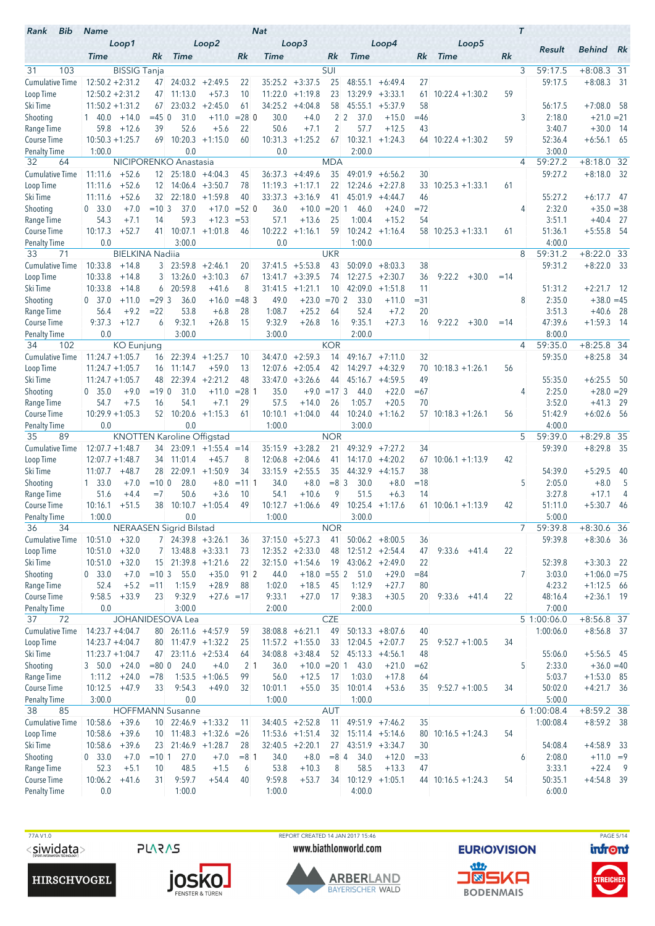| Bib<br>Rank                         | <b>Name</b>                 |                        |                   |                                |                                   |               | <b>Nat</b>         |                                         |                    |                        |                                         |             |                      |       | $\tau$ |                                    |                         |                |
|-------------------------------------|-----------------------------|------------------------|-------------------|--------------------------------|-----------------------------------|---------------|--------------------|-----------------------------------------|--------------------|------------------------|-----------------------------------------|-------------|----------------------|-------|--------|------------------------------------|-------------------------|----------------|
|                                     | <b>Time</b>                 | Loop1                  | Rk                | <b>Time</b>                    | Loop2                             | Rk            | Time               | Loop3                                   | Rk                 | <b>Time</b>            | Loop4                                   | Rk          | Loop5<br><b>Time</b> | Rk    |        | Result                             | <b>Behind</b> Rk        |                |
| 103<br>31                           |                             | <b>BISSIG Tanja</b>    |                   |                                |                                   |               |                    |                                         | SUI                |                        |                                         |             |                      |       | 3      | 59:17.5                            | $+8:08.3$ 31            |                |
| <b>Cumulative Time</b>              | $12:50.2 + 2:31.2$          |                        |                   | 47 24:03.2                     | $+2:49.5$                         | 22            | 35:25.2            | $+3:37.5$                               | 25                 | 48:55.1                | $+6:49.4$                               | 27          |                      |       |        | 59:17.5                            | $+8:08.3$ 31            |                |
| Loop Time                           | $12:50.2 + 2:31.2$          |                        | 47                | 11:13.0                        | $+57.3$                           | 10            | 11:22.0            | $+1:19.8$                               | 23                 |                        | $13:29.9 + 3:33.1$                      | 61          | $10:22.4 + 1:30.2$   | 59    |        |                                    |                         |                |
| Ski Time                            | $11:50.2 + 1:31.2$          |                        | 67                | 23:03.2                        | $+2:45.0$                         | 61            | 34:25.2            | $+4:04.8$                               | 58                 | 45:55.1                | $+5:37.9$                               | 58          |                      |       |        | 56:17.5                            | $+7:08.0$               | - 58           |
| Shooting                            | $1\quad 40.0$               | $+14.0$                | $= 45$ 0          | 31.0                           | $+11.0$                           | $= 28$ 0      | 30.0               | $+4.0$                                  |                    | 2 <sub>2</sub><br>37.0 | $+15.0$                                 | =46         |                      |       | 3      | 2:18.0                             | $+21.0 = 21$            |                |
| Range Time                          | 59.8                        | $+12.6$                | 39                | 52.6                           | $+5.6$                            | 22            | 50.6               | $+7.1$                                  | 2                  | 57.7                   | $+12.5$                                 | 43          |                      |       |        | 3:40.7                             | $+30.0$                 | - 14           |
| <b>Course Time</b>                  | $10:50.3 + 1:25.7$          |                        | 69                | 10:20.3                        | $+1:15.0$                         | 60            | 10:31.3            | $+1:25.2$                               | 67                 | 10:32.1                | $+1:24.3$                               |             | $64$ 10:22.4 +1:30.2 | 59    |        | 52:36.4                            | $+6:56.1$ 65            |                |
| <b>Penalty Time</b>                 | 1:00.0                      |                        |                   | 0.0<br>NICIPORENKO Anastasia   |                                   |               | 0.0                |                                         |                    | 2:00.0                 |                                         |             |                      |       | 4      | 3:00.0<br>59:27.2                  | $+8:18.0$               | 32             |
| 32<br>64<br><b>Cumulative Time</b>  | 11:11.6                     | $+52.6$                |                   | $12 \quad 25:18.0 +4:04.3$     |                                   | 45            | 36:37.3            | $+4:49.6$                               | <b>MDA</b><br>35   | 49:01.9                | $+6:56.2$                               | 30          |                      |       |        | 59:27.2                            | $+8:18.0$               | -32            |
| Loop Time                           | 11:11.6                     | $+52.6$                | $12 \mid$         | 14:06.4                        | $+3:50.7$                         | 78            | 11:19.3            | $+1:17.1$                               | 22                 | 12:24.6                | $+2:27.8$                               | 33          | $10:25.3 + 1:33.1$   | 61    |        |                                    |                         |                |
| Ski Time                            | 11:11.6                     | $+52.6$                |                   | 32 22:18.0                     | $+1:59.8$                         | 40            | 33:37.3            | $+3:16.9$                               | 41                 | 45:01.9                | $+4:44.7$                               | 46          |                      |       |        | 55:27.2                            | $+6:17.7$ 47            |                |
| Shooting                            | 0, 33.0                     | $+7.0$                 | $=10.3$           | 37.0                           | $+17.0$                           | $= 52$ 0      | 36.0               | $+10.0 = 20$                            |                    | 46.0<br>1              | $+24.0$                                 | $= 72$      |                      |       | 4      | 2:32.0                             | $+35.0 = 38$            |                |
| Range Time                          | 54.3                        | $+7.1$                 | 14                | 59.3                           | $+12.3$                           | $= 53$        | 57.1               | $+13.6$                                 | 25                 | 1:00.4                 | $+15.2$                                 | 54          |                      |       |        | 3:51.1                             | $+40.4$                 | - 27           |
| Course Time                         | 10:17.3                     | $+52.7$                | 41                | 10:07.1                        | $+1:01.8$                         | 46            | 10:22.2            | $+1:16.1$                               | 59                 | 10:24.2                | $+1:16.4$                               |             | $58$ 10:25.3 +1:33.1 | 61    |        | 51:36.1                            | $+5:55.8$               | - 54           |
| <b>Penalty Time</b>                 | 0.0                         |                        |                   | 3:00.0                         |                                   |               | 0.0                |                                         |                    | 1:00.0                 |                                         |             |                      |       |        | 4:00.0                             |                         |                |
| 71<br>33                            |                             | <b>BIELKINA Nadija</b> |                   |                                |                                   |               |                    |                                         | <b>UKR</b>         |                        |                                         |             |                      |       | 8      | 59:31.2                            | $+8:22.0$               | -33            |
| <b>Cumulative Time</b>              | 10:33.8                     | $+14.8$                |                   | $3 \quad 23:59.8$              | $+2:46.1$                         | 20            | 37:41.5            | $+5:53.8$<br>$+3:39.5$                  | 43                 | 50:09.0                | $+8:03.3$                               | 38          |                      |       |        | 59:31.2                            | $+8:22.0$               | - 33           |
| Loop Time<br>Ski Time               | 10:33.8<br>10:33.8          | $+14.8$<br>$+14.8$     | $\mathbf{3}$<br>6 | 13:26.0<br>20:59.8             | $+3:10.3$<br>$+41.6$              | 67<br>8       | 13:41.7<br>31:41.5 | $+1:21.1$                               | 74<br>10           | 12:27.5<br>42:09.0     | $+2:30.7$<br>$+1:51.8$                  | 36<br>11    | 9:22.2<br>$+30.0$    | $=14$ |        | 51:31.2                            | $+2:21.7$ 12            |                |
| Shooting                            | 0, 37.0                     | $+11.0$                | $= 29.3$          | 36.0                           | $+16.0$                           | $= 483$       | 49.0               | $+23.0$                                 | $= 702$            | 33.0                   | $+11.0$                                 | $= 31$      |                      |       | 8      | 2:35.0                             | $+38.0 = 45$            |                |
| Range Time                          | 56.4                        | $+9.2$                 | $= 22$            | 53.8                           | $+6.8$                            | 28            | 1:08.7             | $+25.2$                                 | 64                 | 52.4                   | $+7.2$                                  | 20          |                      |       |        | 3:51.3                             | $+40.6$                 | - 28           |
| Course Time                         | 9:37.3                      | $+12.7$                | 6                 | 9:32.1                         | $+26.8$                           | 15            | 9:32.9             | $+26.8$                                 | 16                 | 9:35.1                 | $+27.3$                                 | 16          | $9:22.2 + 30.0$      | $=14$ |        | 47:39.6                            | $+1:59.3$               | - 14           |
| <b>Penalty Time</b>                 | 0.0                         |                        |                   | 3:00.0                         |                                   |               | 3:00.0             |                                         |                    | 2:00.0                 |                                         |             |                      |       |        | 8:00.0                             |                         |                |
| 102<br>34                           |                             | <b>KO</b> Eunjung      |                   |                                |                                   |               |                    |                                         | <b>KOR</b>         |                        |                                         |             |                      |       | 4      | 59:35.0                            | $+8:25.8$ 34            |                |
| <b>Cumulative Time</b>              | $11:24.7 + 1:05.7$          |                        | 16                | 22:39.4                        | $+1:25.7$                         | 10            | 34:47.0            | $+2:59.3$                               | 14                 | 49:16.7                | $+7:11.0$                               | 32          |                      |       |        | 59:35.0                            | $+8:25.8$               | - 34           |
| Loop Time                           | $11:24.7 + 1:05.7$          |                        | 16                | 11:14.7                        | $+59.0$                           | 13            | 12:07.6            | $+2:05.4$                               | 42                 |                        | $14:29.7 + 4:32.9$                      | 70          | $10:18.3 + 1:26.1$   | 56    |        |                                    |                         |                |
| Ski Time                            | $11:24.7 + 1:05.7$          |                        | 48                | 22:39.4                        | $+2:21.2$                         | 48            | 33:47.0            | $+3:26.6$                               | 44                 | 45:16.7                | $+4:59.5$                               | 49          |                      |       |        | 55:35.0                            | $+6:25.5$               | -50            |
| Shooting<br>Range Time              | 0, 35.0<br>54.7             | $+9.0$<br>$+7.5$       | $=19$ 0<br>16     | 31.0<br>54.1                   | $+11.0$<br>$+7.1$                 | $= 281$<br>29 | 35.0<br>57.5       | $+14.0$                                 | $+9.0 = 173$<br>26 | 44.0<br>1:05.7         | $+22.0$<br>$+20.5$                      | $=67$<br>70 |                      |       | 4      | 2:25.0<br>3:52.0                   | $+28.0 = 29$<br>$+41.3$ | - 29           |
| <b>Course Time</b>                  | $10:29.9 + 1:05.3$          |                        |                   | $52$ 10:20.6 +1:15.3           |                                   | 61            | 10:10.1            | $+1:04.0$                               | 44                 |                        | $10:24.0 +1:16.2$                       |             | $57$ 10:18.3 +1:26.1 | 56    |        | 51:42.9                            | $+6:02.6$ 56            |                |
| Penalty Time                        | 0.0                         |                        |                   | 0.0                            |                                   |               | 1:00.0             |                                         |                    | 3:00.0                 |                                         |             |                      |       |        | 4:00.0                             |                         |                |
| 89<br>35                            |                             |                        |                   |                                | <b>KNOTTEN Karoline Offigstad</b> |               |                    |                                         | <b>NOR</b>         |                        |                                         |             |                      |       | 5      | 59:39.0                            | $+8:29.8$ 35            |                |
| <b>Cumulative Time</b>              | $12:07.7 + 1:48.7$          |                        | 34                |                                | $23:09.1 + 1:55.4$                | $=14$         | 35:15.9            | $+3:28.2$                               | 21                 | 49:32.9                | $+7:27.2$                               | 34          |                      |       |        | 59:39.0                            | $+8:29.8$ 35            |                |
| Loop Time                           | $12:07.7 + 1:48.7$          |                        | 34                | 11:01.4                        | $+45.7$                           | 8             | 12:06.8            | $+2:04.6$                               | 41                 | 14:17.0                | $+4:20.2$                               | 67          | $10:06.1 + 1:13.9$   | 42    |        |                                    |                         |                |
| Ski Time                            | 11:07.7                     | $+48.7$                | 28                | 22:09.1                        | $+1:50.9$                         | 34            | 33:15.9            | $+2:55.5$                               | 35                 | 44:32.9                | $+4:15.7$                               | 38          |                      |       |        | 54:39.0                            | $+5:29.5$               | 40             |
| Shooting                            | 1, 33.0                     | $+7.0$                 | $=100$            | 28.0                           | $+8.0$                            | $= 1111$      | 34.0               | $+8.0$                                  | $= 8 \, 3$         | 30.0                   | $+8.0$                                  | $=18$       |                      |       | 5      | 2:05.0                             | $+8.0$                  | 5              |
| Range Time<br><b>Course Time</b>    | 51.6<br>10:16.1             | $+4.4$<br>$+51.5$      | $=7$<br>38        | 50.6                           | $+3.6$<br>$10:10.7 + 1:05.4$      | 10<br>49      | 54.1               | $+10.6$<br>$10:12.7 + 1:06.6$           | 9<br>49            | 51.5                   | $+6.3$<br>$10:25.4$ +1:17.6             | 14          | $61$ 10:06.1 +1:13.9 | 42    |        | 3:27.8<br>51:11.0                  | $+17.1$<br>$+5:30.7$    | 4<br>-46       |
| Penalty Time                        | 1:00.0                      |                        |                   | 0.0                            |                                   |               | 1:00.0             |                                         |                    | 3:00.0                 |                                         |             |                      |       |        | 5:00.0                             |                         |                |
| 36<br>34                            |                             |                        |                   | <b>NERAASEN Sigrid Bilstad</b> |                                   |               |                    |                                         | <b>NOR</b>         |                        |                                         |             |                      |       | 7      | 59:39.8                            | $+8:30.6$ 36            |                |
| <b>Cumulative Time</b>              | $10:51.0 + 32.0$            |                        |                   | $7$ 24:39.8 +3:26.1            |                                   | 36            |                    | $37:15.0 + 5:27.3$                      | 41                 |                        | $50:06.2 + 8:00.5$                      | 36          |                      |       |        | 59:39.8                            | $+8:30.6$ 36            |                |
| Loop Time                           | $10:51.0 + 32.0$            |                        |                   | $7$ 13:48.8 +3:33.1            |                                   | 73            |                    | $12:35.2 +2:33.0$                       | 48                 |                        | $12:51.2 + 2:54.4$                      | 47          | $9:33.6 +41.4$       | 22    |        |                                    |                         |                |
| Ski Time                            | 10:51.0                     | $+32.0$                |                   |                                | $15$ 21:39.8 +1:21.6              | 22            |                    | $32:15.0 +1:54.6$                       | 19                 | $43:06.2 +2:49.0$      |                                         | 22          |                      |       |        | 52:39.8                            | $+3:30.3$ 22            |                |
| Shooting                            | 0 33.0                      | $+7.0$                 | $=10.3$           | 55.0                           | $+35.0$                           | 91 2          | 44.0               | $+18.0 = 55$ 2                          |                    | 51.0                   | $+29.0$                                 | $= 84$      |                      |       | 7      | 3:03.0                             | $+1:06.0 = 75$          |                |
| Range Time                          | 52.4                        | $+5.2$                 | $=11$             | 1:15.9                         | $+28.9$                           | 88            | 1:02.0             | $+18.5$                                 | 45                 | 1:12.9                 | $+27.7$                                 | 80          |                      |       |        | 4:23.2                             | $+1:12.5$ 66            |                |
| Course Time                         | 9:58.5                      | $+33.9$                | 23                | 9:32.9                         | $+27.6 = 17$                      |               | 9:33.1             | $+27.0$                                 | 17                 | 9:38.3                 | $+30.5$                                 | 20          | $9:33.6 +41.4$       | 22    |        | 48:16.4                            | $+2:36.1$ 19            |                |
| <b>Penalty Time</b><br>37<br>72     | 0.0                         |                        |                   | 3:00.0<br>JOHANIDESOVA Lea     |                                   |               | 2:00.0             |                                         | <b>CZE</b>         | 2:00.0                 |                                         |             |                      |       |        | 7:00.0<br>$\overline{5}$ 1:00:06.0 | $+8:56.8$ 37            |                |
| <b>Cumulative Time</b>              | $14:23.7 + 4:04.7$          |                        |                   | 80 26:11.6 +4:57.9             |                                   | 59            |                    | $38:08.8 + 6:21.1$                      | 49                 |                        | $50:13.3 + 8:07.6$                      | 40          |                      |       |        | 1:00:06.0                          | $+8:56.8$ 37            |                |
| Loop Time                           | $14:23.7 + 4:04.7$          |                        |                   |                                | 80 11:47.9 +1:32.2                | 25            |                    | $11:57.2 + 1:55.0$                      | 33                 |                        | $12:04.5 + 2:07.7$                      | 25          | $9:52.7 +1:00.5$     | 34    |        |                                    |                         |                |
| Ski Time                            | $11:23.7 + 1:04.7$          |                        |                   | 47 23:11.6 +2:53.4             |                                   | 64            |                    | $34:08.8$ +3:48.4                       |                    | $52$ 45:13.3 +4:56.1   |                                         | 48          |                      |       |        | 55:06.0                            | $+5:56.5$ 45            |                |
| Shooting                            | $3, 50.0 +24.0$             |                        | $= 80$ 0          | 24.0                           | $+4.0$                            | $2 \vert 1$   | 36.0               | $+10.0 = 20$ 1                          |                    | 43.0                   | $+21.0$                                 | $=62$       |                      |       | 5      | 2:33.0                             | $+36.0 = 40$            |                |
| Range Time                          | 1:11.2                      | $+24.0$                | $=78$             |                                | $1:53.5 +1:06.5$                  | 99            | 56.0               | $+12.5$                                 | 17                 | 1:03.0                 | $+17.8$                                 | 64          |                      |       |        | 5:03.7                             | $+1:53.0$ 85            |                |
| Course Time                         | 10:12.5                     | $+47.9$                | 33                | 9:54.3                         | $+49.0$                           | 32            | 10:01.1            | $+55.0$                                 | 35                 | 10:01.4                | $+53.6$                                 | 35          | $9:52.7 +1:00.5$     | 34    |        | 50:02.0                            | $+4:21.7$ 36            |                |
| <b>Penalty Time</b>                 | 3:00.0                      |                        |                   | 0.0                            |                                   |               | 1:00.0             |                                         |                    | 1:00.0                 |                                         |             |                      |       |        | 5:00.0                             |                         |                |
| 38<br>85                            |                             |                        |                   | <b>HOFFMANN Susanne</b>        |                                   |               |                    |                                         | <b>AUT</b>         |                        |                                         |             |                      |       |        | 6 1:00:08.4                        | $+8:59.2$ 38            |                |
| <b>Cumulative Time</b><br>Loop Time | 10:58.6<br>$10:58.6 + 39.6$ | $+39.6$                |                   | $10$ 22:46.9 +1:33.2           | $10$ 11:48.3 +1:32.6 = 26         | 11            |                    | $34:40.5$ +2:52.8<br>$11:53.6 + 1:51.4$ | 11<br>32           |                        | $49:51.9$ +7:46.2<br>$15:11.4 + 5:14.6$ | 35<br>80    | $10:16.5 + 1:24.3$   | 54    |        | 1:00:08.4                          | $+8:59.2$ 38            |                |
| Ski Time                            | 10:58.6                     | $+39.6$                |                   | 23 21:46.9 +1:28.7             |                                   | 28            |                    | $32:40.5 +2:20.1$                       |                    | $27$ 43:51.9 +3:34.7   |                                         | 30          |                      |       |        | 54:08.4                            | $+4:58.9$ 33            |                |
| Shooting                            | 0 33.0                      | $+7.0$                 | $=10.1$           | 27.0                           | $+7.0$                            | $= 8 \; 1$    | 34.0               | $+8.0$                                  | $=8$ 4             | 34.0                   | $+12.0$                                 | $= 33$      |                      |       | 6      | 2:08.0                             | $+11.0 = 9$             |                |
| Range Time                          | 52.3                        | $+5.1$                 | 10                | 48.5                           | $+1.5$                            | 6             | 53.8               | $+10.3$                                 | 8                  | 58.5                   | $+13.3$                                 | 47          |                      |       |        | 3:33.1                             | $+22.4$                 | $\overline{9}$ |
| Course Time                         | 10:06.2                     | $+41.6$                | 31                | 9:59.7                         | $+54.4$                           | 40            | 9:59.8             | $+53.7$                                 | 34                 |                        | $10:12.9 + 1:05.1$                      |             | $44$ 10:16.5 +1:24.3 | 54    |        | 50:35.1                            | $+4:54.8$ 39            |                |
| <b>Penalty Time</b>                 | 0.0                         |                        |                   | 1:00.0                         |                                   |               | 1:00.0             |                                         |                    | 4:00.0                 |                                         |             |                      |       |        | 6:00.0                             |                         |                |

**HIRSCHVOGEL** 

**PLARAS JOSKO.** 

77A V1.0<br>
TOM THE REPORT CREATED 14 JAN 2017 15:46<br>
SIWID ALLER WWW.biathlonworld.com **EURIO)VISION infont** www.biathlonworld.com



**EURIOVISION** <u>an</u>



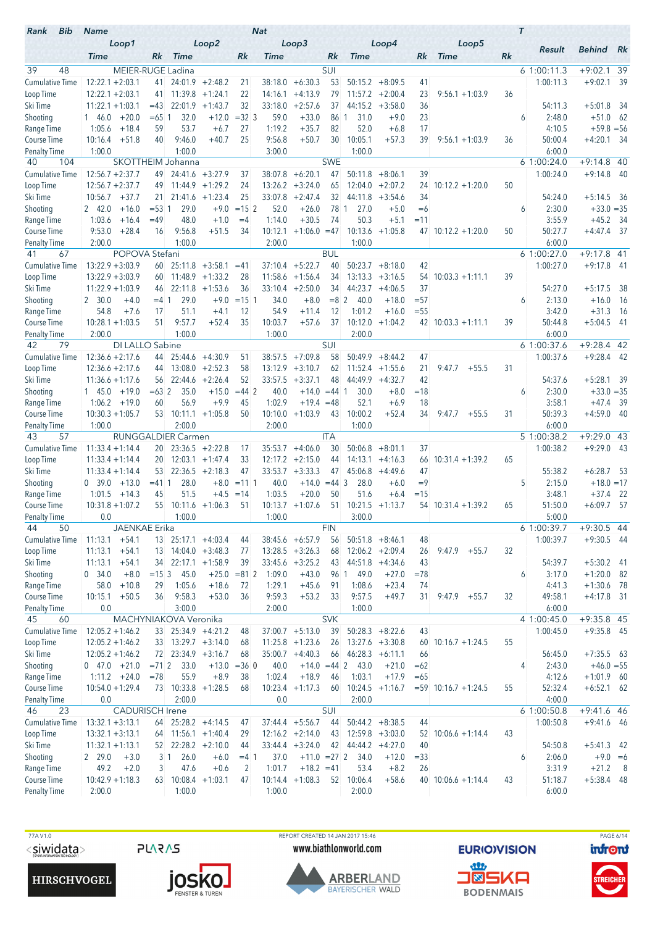| Bib<br>Rank                               | <b>Name</b>                              |                           |                   |                                  |                                  |                | <b>Nat</b>         |                        |               |                                  |                                |              |                           |    | $\tau$ |                          |                              |                |
|-------------------------------------------|------------------------------------------|---------------------------|-------------------|----------------------------------|----------------------------------|----------------|--------------------|------------------------|---------------|----------------------------------|--------------------------------|--------------|---------------------------|----|--------|--------------------------|------------------------------|----------------|
|                                           | Loop1<br><b>Time</b>                     |                           | Rk                | <b>Time</b>                      | Loop2                            | Rk             | Time               | Loop3                  | Rk            | <b>Time</b>                      | Loop4                          | Rk           | Loop5<br><b>Time</b>      | Rk |        | Result                   | <b>Behind</b>                | - Rk           |
| 39<br>48                                  |                                          | MEIER-RUGE Ladina         |                   |                                  |                                  |                |                    |                        | SUI           |                                  |                                |              |                           |    |        | 61:00:11.3               | $+9:02.1$                    | 39             |
| <b>Cumulative Time</b>                    | $12:22.1 + 2:03.1$                       |                           | 41.               |                                  | $24:01.9$ +2:48.2                | 21             | 38:18.0            | $+6:30.3$              | 53            | 50:15.2                          | $+8:09.5$                      | 41           |                           |    |        | 1:00:11.3                | $+9:02.1$                    | -39            |
| Loop Time                                 | $12:22.1 + 2:03.1$                       |                           | 41                | 11:39.8                          | $+1:24.1$                        | 22             | 14:16.1            | $+4:13.9$              | 79            |                                  | $11:57.2 + 2:00.4$             | 23           | $9:56.1 + 1:03.9$         | 36 |        |                          |                              |                |
| Ski Time                                  | $11:22.1 + 1:03.1$                       |                           | $=43$             | 22:01.9                          | $+1:43.7$                        | 32             | 33:18.0            | $+2:57.6$              | 37            | 44:15.2                          | $+3:58.0$                      | 36           |                           |    |        | 54:11.3                  | $+5:01.8$                    | -34            |
| Shooting                                  | 146.0                                    | $+20.0$                   | $=65$ 1           | 32.0                             | $+12.0$                          | $=32$ 3        | 59.0               | $+33.0$                | 86 1          | 31.0                             | $+9.0$                         | 23           |                           |    | 6      | 2:48.0                   | $+51.0$ 62                   |                |
| Range Time                                | 1:05.6                                   | $+18.4$                   | 59<br>40          | 53.7                             | $+6.7$                           | 27             | 1:19.2             | $+35.7$                | 82            | 52.0                             | $+6.8$                         | 17           |                           |    |        | 4:10.5                   | $+59.8 = 56$                 |                |
| <b>Course Time</b><br><b>Penalty Time</b> | 10:16.4<br>1:00.0                        | $+51.8$                   |                   | 9:46.0<br>1:00.0                 | $+40.7$                          | 25             | 9:56.8<br>3:00.0   | $+50.7$                | 30            | 10:05.1<br>1:00.0                | $+57.3$                        | 39           | $9:56.1 + 1:03.9$         | 36 |        | 50:00.4<br>6:00.0        | $+4:20.1$                    | - 34           |
| 40<br>104                                 |                                          | SKOTTHEIM Johanna         |                   |                                  |                                  |                |                    |                        | <b>SWE</b>    |                                  |                                |              |                           |    |        | 6 1:00:24.0              | $+9:14.8$ 40                 |                |
| <b>Cumulative Time</b>                    | $12:56.7 + 2:37.7$                       |                           | 49                |                                  | $24:41.6 + 3:27.9$               | 37             | 38:07.8            | $+6:20.1$              | 47            | 50:11.8                          | $+8:06.1$                      | 39           |                           |    |        | 1:00:24.0                | $+9:14.8$                    | -40            |
| Loop Time                                 | $12:56.7 + 2:37.7$                       |                           | 49                | 11:44.9                          | $+1:29.2$                        | 24             | 13:26.2            | $+3:24.0$              | 65            | 12:04.0                          | $+2:07.2$                      | 24           | $10:12.2 + 1:20.0$        | 50 |        |                          |                              |                |
| Ski Time                                  | 10:56.7                                  | $+37.7$                   | 21                |                                  | $21:41.6$ +1:23.4                | 25             | 33:07.8            | $+2:47.4$              | 32            | 44:11.8                          | $+3:54.6$                      | 34           |                           |    |        | 54:24.0                  | $+5:14.5$ 36                 |                |
| Shooting                                  | 2 42.0                                   | $+16.0$                   | $= 53 \; 1$       | 29.0                             | $+9.0$                           | $= 15 \, 2$    | 52.0               | $+26.0$                | 78 1          | 27.0                             | $+5.0$                         | $=6$         |                           |    | 6      | 2:30.0                   | $+33.0 = 35$                 |                |
| Range Time                                | 1:03.6                                   | $+16.4$                   | $=49$             | 48.0                             | $+1.0$                           | $=4$           | 1:14.0             | $+30.5$                | 74            | 50.3                             | $+5.1$                         | $=11$        |                           |    |        | 3:55.9                   | $+45.2$                      | - 34           |
| Course Time                               | 9:53.0                                   | $+28.4$                   | 16                | 9:56.8                           | $+51.5$                          | 34             | 10:12.1            | $+1:06.0 = 47$         |               | 10:13.6                          | $+1:05.8$                      |              | $47$ 10:12.2 +1:20.0      | 50 |        | 50:27.7                  | $+4:47.4$ 37                 |                |
| <b>Penalty Time</b><br>41<br>67           | 2:00.0                                   | POPOVA Stefani            |                   | 1:00.0                           |                                  |                | 2:00.0             |                        | <b>BUL</b>    | 1:00.0                           |                                |              |                           |    |        | 6:00.0<br>6 1:00:27.0    | $+9:17.8$ 41                 |                |
| <b>Cumulative Time</b>                    | $13:22.9 + 3:03.9$                       |                           | 60                |                                  | $25:11.8 + 3:58.1$               | $=41$          | 37:10.4            | $+5:22.7$              | 40            | 50:23.7                          | $+8:18.0$                      | 42           |                           |    |        | 1:00:27.0                | $+9:17.8$                    | - 41           |
| Loop Time                                 | $13:22.9 + 3:03.9$                       |                           | 60                |                                  | $11:48.9 + 1:33.2$               | 28             | 11:58.6            | $+1:56.4$              | 34            | 13:13.3                          | $+3:16.5$                      | 54           | $10:03.3 +1:11.1$         | 39 |        |                          |                              |                |
| Ski Time                                  | $11:22.9 + 1:03.9$                       |                           | 46.               | 22:11.8                          | $+1:53.6$                        | 36             |                    | $33:10.4 +2:50.0$      | 34            | 44:23.7                          | $+4:06.5$                      | 37           |                           |    |        | 54:27.0                  | $+5:17.5$                    | -38            |
| Shooting                                  | 2, 30.0                                  | $+4.0$                    | $= 4.1$           | 29.0                             | $+9.0$                           | $= 15 \, 1$    | 34.0               | $+8.0$                 | $= 8 \, 2$    | 40.0                             | $+18.0$                        | $= 57$       |                           |    | 6      | 2:13.0                   | $+16.0$                      | - 16           |
| Range Time                                | 54.8                                     | $+7.6$                    | 17                | 51.1                             | $+4.1$                           | 12             | 54.9               | $+11.4$                | 12            | 1:01.2                           | $+16.0$                        | $= 55$       |                           |    |        | 3:42.0                   | $+31.3$                      | - 16           |
| Course Time                               | $10:28.1 + 1:03.5$                       |                           | 51                | 9:57.7                           | $+52.4$                          | 35             | 10:03.7            | $+57.6$                | 37            | 10:12.0                          | $+1:04.2$                      |              | $42 \mid 10:03.3 +1:11.1$ | 39 |        | 50:44.8                  | $+5:04.5$                    | - 41           |
| <b>Penalty Time</b>                       | 2:00.0                                   |                           |                   | 1:00.0                           |                                  |                | 1:00.0             |                        |               | 2:00.0                           |                                |              |                           |    |        | 6:00.0                   |                              |                |
| 79<br>42                                  |                                          | DI LALLO Sabine           |                   |                                  |                                  |                |                    |                        | SUI           |                                  |                                |              |                           |    |        | 6 1:00:37.6              | $+9:28.4$ 42                 |                |
| <b>Cumulative Time</b>                    | $12:36.6 + 2:17.6$                       |                           | 44                |                                  | $25:44.6 +4:30.9$                | 51             | 38:57.5            | $+7:09.8$              | 58            | 50:49.9                          | $+8:44.2$                      | 47           |                           | 31 |        | 1:00:37.6                | $+9:28.4$ 42                 |                |
| Loop Time<br>Ski Time                     | $12:36.6 + 2:17.6$<br>$11:36.6 + 1:17.6$ |                           | 44<br>56          | $13:08.0 + 2:52.3$<br>22:44.6    | $+2:26.4$                        | 58<br>52       | 13:12.9<br>33:57.5 | $+3:10.7$<br>$+3:37.1$ | 62<br>48      | 44:49.9                          | $11:52.4$ +1:55.6<br>$+4:32.7$ | 21<br>42     | 9:47.7<br>$+55.5$         |    |        | 54:37.6                  | $+5:28.1$                    | -39            |
| Shooting                                  | 145.0                                    | $+19.0$                   | $= 632$           | 35.0                             | $+15.0$                          | $= 44$ 2       | 40.0               | $+14.0$                | $= 44$ 1      | 30.0                             | $+8.0$                         | $=18$        |                           |    | 6      | 2:30.0                   | $+33.0 = 35$                 |                |
| Range Time                                | 1:06.2                                   | $+19.0$                   | 60                | 56.9                             | $+9.9$                           | 45             | 1:02.9             | $+19.4 = 48$           |               | 52.1                             | $+6.9$                         | 18           |                           |    |        | 3:58.1                   | $+47.4$                      | - 39           |
| <b>Course Time</b>                        | $10:30.3 + 1:05.7$                       |                           |                   | $53$ 10:11.1 +1:05.8             |                                  | 50             | 10:10.0            | $+1:03.9$              | 43            | 10:00.2                          | $+52.4$                        | 34           | $9:47.7 + 55.5$           | 31 |        | 50:39.3                  | $+4:59.0$                    | - 40           |
| Penalty Time                              | 1:00.0                                   |                           |                   | 2:00.0                           |                                  |                | 2:00.0             |                        |               | 1:00.0                           |                                |              |                           |    |        | 6:00.0                   |                              |                |
| 57<br>43                                  |                                          | <b>RUNGGALDIER Carmen</b> |                   |                                  |                                  |                |                    |                        | <b>ITA</b>    |                                  |                                |              |                           |    |        | 5 1:00:38.2              | $+9:29.0$                    | -43            |
| <b>Cumulative Time</b>                    | $11:33.4 + 1:14.4$                       |                           |                   | $20 \quad 23:36.5 \quad +2:22.8$ |                                  | 17             | 35:53.7            | $+4:06.0$              | 30            | 50:06.8                          | $+8:01.1$                      | 37           |                           |    |        | 1:00:38.2                | $+9:29.0$ 43                 |                |
| Loop Time                                 | $11:33.4 + 1:14.4$                       |                           | 20                |                                  | $12:03.1 + 1:47.4$               | 33             | 12:17.2            | $+2:15.0$              | 44            | 14:13.1                          | $+4:16.3$                      | 66           | $10:31.4 +1:39.2$         | 65 |        |                          |                              |                |
| Ski Time                                  | $11:33.4 + 1:14.4$<br>0, 39.0            | $+13.0$                   | 53<br>$= 411$     | 22:36.5<br>28.0                  | $+2:18.3$<br>$+8.0$              | 47<br>$= 1111$ | 33:53.7<br>40.0    | $+3:33.3$<br>$+14.0$   | 47<br>$=44$ 3 | 45:06.8<br>28.0                  | $+4:49.6$<br>$+6.0$            | 47<br>$=9$   |                           |    | 5      | 55:38.2<br>2:15.0        | $+6:28.7$<br>$+18.0 = 17$    | -53            |
| Shooting<br>Range Time                    | 1:01.5                                   | $+14.3$                   | 45                | 51.5                             | $+4.5$                           | $=14$          | 1:03.5             | $+20.0$                | 50            | 51.6                             | $+6.4$                         | $=15$        |                           |    |        | 3:48.1                   | $+37.4$                      | - 22           |
| <b>Course Time</b>                        | $10:31.8 + 1:07.2$                       |                           |                   | $55$ 10:11.6 +1:06.3             |                                  | 51             |                    | $10:13.7 + 1:07.6$     | 51            |                                  | $10:21.5 +1:13.7$              |              | $54$ 10:31.4 +1:39.2      | 65 |        | 51:50.0                  | $+6:09.7$                    | - 57           |
| <b>Penalty Time</b>                       | 0.0                                      |                           |                   | 1:00.0                           |                                  |                | 1:00.0             |                        |               | 3:00.0                           |                                |              |                           |    |        | 5:00.0                   |                              |                |
| 44<br>50                                  |                                          | JAENKAE Erika             |                   |                                  |                                  |                |                    |                        | <b>FIN</b>    |                                  |                                |              |                           |    |        | 6 1:00:39.7              | +9:30.5 44                   |                |
| Cumulative Time                           | 11:13.1                                  | $+54.1$                   |                   | $13$ $25:17.1$ $+4:03.4$         |                                  | 44             |                    | $38:45.6 + 6:57.9$     | 56            |                                  | $50:51.8 + 8:46.1$             | 48           |                           |    |        | 1:00:39.7                | $+9:30.5$ 44                 |                |
| Loop Time                                 | 11:13.1                                  | $+54.1$                   |                   | $13$ 14:04.0 +3:48.3             |                                  | 77             |                    | $13:28.5 + 3:26.3$     | 68            |                                  | $12:06.2 + 2:09.4$             | 26           | 9:47.9<br>$+55.7$         | 32 |        |                          |                              |                |
| Ski Time                                  | 11:13.1                                  | $+54.1$                   |                   | $34$ 22:17.1 +1:58.9             |                                  | 39             |                    | $33:45.6 + 3:25.2$     | 43            |                                  | $44:51.8 +4:34.6$              | 43           |                           |    |        | 54:39.7                  | $+5:30.2$ 41                 |                |
| Shooting<br>Range Time                    | 0, 34.0<br>58.0                          | $+8.0$<br>$+10.8$         | $= 15 \, 3$<br>29 | 45.0<br>1:05.6                   | $+25.0$<br>$+18.6$               | $= 812$<br>72  | 1:09.0<br>1:29.1   | $+43.0$<br>$+45.6$     | 91            | 96 1<br>49.0<br>1:08.6           | $+27.0$<br>$+23.4$             | $= 78$<br>74 |                           |    | 6      | 3:17.0<br>4:41.3         | $+1:20.0$ 82<br>$+1:30.6$ 78 |                |
| Course Time                               | 10:15.1                                  | $+50.5$                   | 36                | 9:58.3                           | $+53.0$                          | 36             | 9:59.3             | $+53.2$                | 33            | 9:57.5                           | $+49.7$                        | 31           | $9:47.9$ +55.7            | 32 |        | 49:58.1                  | $+4:17.8$ 31                 |                |
| <b>Penalty Time</b>                       | 0.0                                      |                           |                   | 3:00.0                           |                                  |                | 2:00.0             |                        |               | 1:00.0                           |                                |              |                           |    |        | 6:00.0                   |                              |                |
| 45<br>60                                  |                                          | MACHYNIAKOVA Veronika     |                   |                                  |                                  |                |                    |                        | <b>SVK</b>    |                                  |                                |              |                           |    |        | $\overline{4}$ 1:00:45.0 | $+9:35.8$ 45                 |                |
| <b>Cumulative Time</b>                    | $12:05.2 + 1:46.2$                       |                           |                   |                                  | $33 \quad 25:34.9 \quad +4:21.2$ | 48             |                    | $37:00.7 + 5:13.0$     | 39            |                                  | $50:28.3 + 8:22.6$             | 43           |                           |    |        | 1:00:45.0                | $+9:35.8$ 45                 |                |
| Loop Time                                 | $12:05.2 + 1:46.2$                       |                           |                   | $33 \mid 13:29.7 +3:14.0$        |                                  | 68             |                    | $11:25.8$ +1:23.6      | 26            |                                  | $13:27.6 + 3:30.8$             |              | $60$ 10:16.7 +1:24.5      | 55 |        |                          |                              |                |
| Ski Time                                  | $12:05.2 + 1:46.2$                       |                           |                   | $72$ $23:34.9$ $+3:16.7$         |                                  | 68             |                    | $35:00.7 +4:40.3$      |               | $66$ 46:28.3 +6:11.1             |                                | 66           |                           |    |        | 56:45.0                  | $+7:35.5$ 63                 |                |
| Shooting                                  | $0$ 47.0 +21.0                           |                           | $= 712$           | 33.0                             |                                  | $+13.0 = 36$ 0 | 40.0               | $+14.0 = 44$ 2         |               | 43.0                             | $+21.0$                        | $=62$        |                           |    | 4      | 2:43.0                   | $+46.0 = 55$                 |                |
| Range Time                                | $1:11.2 + 24.0$                          |                           | $=78$             | 55.9                             | $+8.9$                           | 38             | 1:02.4             | $+18.9$                | 46            | 1:03.1                           | $+17.9$                        | $=65$        |                           |    |        | 4:12.6                   | $+1:01.9$ 60                 |                |
| Course Time<br><b>Penalty Time</b>        | $10:54.0 + 1:29.4$<br>0.0                |                           |                   | 73 10:33.8 +1:28.5<br>2:00.0     |                                  | 68             | 0.0                | $10:23.4 +1:17.3$      | 60            | 2:00.0                           | $10:24.5 +1:16.7$              |              | $= 59$ 10:16.7 +1:24.5    | 55 |        | 52:32.4<br>4:00.0        | $+6:52.1$ 62                 |                |
| 23<br>46                                  |                                          | <b>CADURISCH Irene</b>    |                   |                                  |                                  |                |                    |                        | SUI           |                                  |                                |              |                           |    |        | 6 1:00:50.8              | $+9:41.6$ 46                 |                |
| <b>Cumulative Time</b>                    | $13:32.1 + 3:13.1$                       |                           |                   | $64$ 25:28.2 +4:14.5             |                                  | 47             |                    | $37:44.4 + 5:56.7$     | 44            |                                  | $50:44.2 + 8:38.5$             | 44           |                           |    |        | 1:00:50.8                | $+9:41.6$ 46                 |                |
| Loop Time                                 | $13:32.1 + 3:13.1$                       |                           |                   | $64$ 11:56.1 +1:40.4             |                                  | 29             |                    | $12:16.2 +2:14.0$      | 43            |                                  | $12:59.8 + 3:03.0$             | 52           | $10:06.6 + 1:14.4$        | 43 |        |                          |                              |                |
| Ski Time                                  | $11:32.1 + 1:13.1$                       |                           |                   | $52 \mid 22:28.2 +2:10.0$        |                                  | 44             |                    | $33:44.4 + 3:24.0$     |               | $42 \quad 44:44.2 \quad +4:27.0$ |                                | 40           |                           |    |        | 54:50.8                  | $+5:41.3$ 42                 |                |
| Shooting                                  | 2 29.0                                   | $+3.0$                    | $3 \vert 1$       | 26.0                             | $+6.0$                           | $=4$ 1         | 37.0               | $+11.0 = 27$ 2         |               | 34.0                             | $+12.0$                        | $= 33$       |                           |    | 6      | 2:06.0                   | $+9.0 = 6$                   |                |
| Range Time                                | 49.2                                     | $+2.0$                    | 3                 | 47.6                             | $+0.6$                           | 2              | 1:01.7             | $+18.2 = 41$           |               | 53.4                             | $+8.2$                         | 26           |                           |    |        | 3:31.9                   | $+21.2$                      | 8 <sup>8</sup> |
| Course Time                               | $10:42.9 + 1:18.3$                       |                           | 63                |                                  | $10:08.4 +1:03.1$                | 47             |                    | $10:14.4 + 1:08.3$     | 52            | 10:06.4                          | $+58.6$                        |              | 40 10:06.6 +1:14.4        | 43 |        | 51:18.7                  | $+5:38.4$ 48                 |                |
| <b>Penalty Time</b>                       | 2:00.0                                   |                           |                   | 1:00.0                           |                                  |                | 1:00.0             |                        |               | 2:00.0                           |                                |              |                           |    |        | 6:00.0                   |                              |                |

77A V1.0  $<$ siwidata>

**HIRSCHVOGEL** 



**PLARAS** 

REPORT CREATED 14 JAN 2017 15:46 www.biathlonworld.com



**EURIOVISION** <u>an</u> **J®SKA BODENMAIS** 

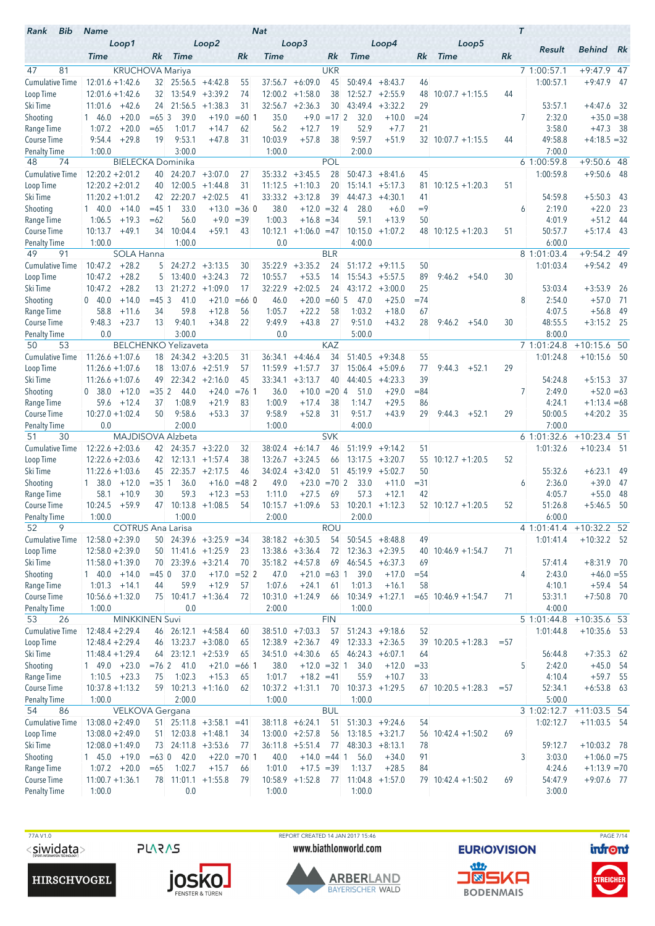| Bib<br>Rank                    | <b>Name</b>                          |                             |                                  |                                        |                | <b>Nat</b>         |                                   |             |                            |                                |            |                            |        | $\tau$                |                            |            |
|--------------------------------|--------------------------------------|-----------------------------|----------------------------------|----------------------------------------|----------------|--------------------|-----------------------------------|-------------|----------------------------|--------------------------------|------------|----------------------------|--------|-----------------------|----------------------------|------------|
|                                | Loop1<br><b>Time</b>                 | Rk                          | <b>Time</b>                      | Loop2                                  | Rk             | Time               | Loop3                             | Rk          | <b>Time</b>                | Loop4                          | Rk         | Loop5<br><b>Time</b>       | Rk     | Result                | <b>Behind</b>              | Rk         |
| 47<br>81                       |                                      | <b>KRUCHOVA Mariya</b>      |                                  |                                        |                |                    |                                   | <b>UKR</b>  |                            |                                |            |                            |        | 7 1:00:57.1           | $+9:47.9$                  | -47        |
| <b>Cumulative Time</b>         | $12:01.6 + 1:42.6$                   |                             | $32 \quad 25:56.5 \quad +4:42.8$ |                                        | 55             | 37:56.7            | $+6:09.0$                         | 45          | 50:49.4                    | $+8:43.7$                      | 46         |                            |        | 1:00:57.1             | $+9:47.9$                  | - 47       |
| Loop Time                      | $12:01.6 + 1:42.6$                   | 32                          | 13:54.9                          | $+3:39.2$                              | 74             | 12:00.2            | $+1:58.0$                         | 38          |                            | $12:52.7 + 2:55.9$             | 48         | $10:07.7 + 1:15.5$         | 44     |                       |                            |            |
| Ski Time                       | $+42.6$<br>11:01.6                   | 24                          | 21:56.5                          | $+1:38.3$                              | 31             | 32:56.7            | $+2:36.3$                         | 30          | 43:49.4                    | $+3:32.2$                      | 29         |                            |        | 53:57.1               | $+4:47.6$                  | - 32       |
| Shooting                       | 1 46.0                               | $+20.0$<br>$=65.3$          | 39.0                             | $+19.0$                                | $=60$ 1        | 35.0               | $+9.0$                            | $=172$      | 32.0                       | $+10.0$                        | $= 24$     |                            |        | 7<br>2:32.0           | $+35.0 = 38$               |            |
| Range Time                     | 1:07.2                               | $+20.0$<br>$=65$            | 1:01.7                           | $+14.7$                                | 62             | 56.2               | $+12.7$                           | 19          | 52.9                       | $+7.7$                         | 21         |                            |        | 3:58.0                | $+47.3$                    | - 38       |
| Course Time                    | 9:54.4                               | $+29.8$<br>19               | 9:53.1                           | $+47.8$                                | 31             | 10:03.9            | $+57.8$                           | 38          | 9:59.7                     | $+51.9$                        |            | $32 \mid 10:07.7 +1:15.5$  | 44     | 49:58.8               | $+4:18.5 = 32$             |            |
| <b>Penalty Time</b>            | 1:00.0                               |                             | 3:00.0                           |                                        |                | 1:00.0             |                                   |             | 2:00.0                     |                                |            |                            |        | 7:00.0                |                            |            |
| 74<br>48                       |                                      | <b>BIELECKA Dominika</b>    |                                  |                                        |                |                    |                                   | <b>POL</b>  |                            |                                |            |                            |        | 6 1:00:59.8           | $+9:50.6$ 48               |            |
| <b>Cumulative Time</b>         | $12:20.2 + 2:01.2$                   | 40                          |                                  | $24:20.7 + 3:07.0$                     | 27             | 35:33.2            | $+3:45.5$                         | 28          | 50:47.3                    | $+8:41.6$                      | 45         |                            |        | 1:00:59.8             | $+9:50.6$                  | - 48       |
| Loop Time                      | $12:20.2 + 2:01.2$                   | 40                          | 12:00.5                          | $+1:44.8$                              | 31             | 11:12.5            | $+1:10.3$                         | 20          | 15:14.1                    | $+5:17.3$                      | 81         | $10:12.5 + 1:20.3$         | 51     |                       |                            |            |
| Ski Time                       | $11:20.2 + 1:01.2$                   |                             | $42 \quad 22:20.7 \quad +2:02.5$ |                                        | 41             | 33:33.2            | $+3:12.8$                         | 39          | 44:47.3                    | $+4:30.1$                      | 41         |                            |        | 54:59.8               | $+5:50.3$                  | -43        |
| Shooting                       | $1\quad 40.0$                        | $+14.0$<br>$= 451$<br>$=62$ | 33.0                             | $+13.0$<br>$+9.0$                      | $= 360$        | 38.0               | $+12.0 = 32$ 4                    |             | 28.0<br>59.1               | $+6.0$<br>$+13.9$              | $=9$<br>50 |                            |        | 2:19.0<br>6           | $+22.0$                    | 23         |
| Range Time<br>Course Time      | 1:06.5<br>10:13.7                    | $+19.3$<br>$+49.1$<br>34    | 56.0<br>10:04.4                  | $+59.1$                                | $=39$<br>43    | 1:00.3<br>10:12.1  | $+16.8 = 34$<br>$+1:06.0 = 47$    |             | 10:15.0                    | $+1:07.2$                      |            | $48$ 10:12.5 +1:20.3       | 51     | 4:01.9<br>50:57.7     | $+51.2$<br>$+5:17.4$       | 44<br>- 43 |
| <b>Penalty Time</b>            | 1:00.0                               |                             | 1:00.0                           |                                        |                | 0.0                |                                   |             | 4:00.0                     |                                |            |                            |        | 6:00.0                |                            |            |
| 49<br>91                       |                                      | <b>SOLA Hanna</b>           |                                  |                                        |                |                    |                                   | <b>BLR</b>  |                            |                                |            |                            |        | 8 1:01:03.4           | $+9:54.2$ 49               |            |
| <b>Cumulative Time</b>         | 10:47.2                              | $+28.2$<br>5                |                                  | $24:27.2 +3:13.5$                      | 30             | 35:22.9            | $+3:35.2$                         | 24          | 51:17.2                    | $+9:11.5$                      | 50         |                            |        | 1:01:03.4             | $+9:54.2$ 49               |            |
| Loop Time                      | 10:47.2                              | $+28.2$<br>5                |                                  | $13:40.0 + 3:24.3$                     | 72             | 10:55.7            | $+53.5$                           | 14          |                            | $15:54.3 + 5:57.5$             | 89         | 9:46.2<br>$+54.0$          | 30     |                       |                            |            |
| Ski Time                       | 10:47.2                              | $+28.2$<br>13 <sup>°</sup>  |                                  | $21:27.2 + 1:09.0$                     | 17             | 32:22.9            | $+2:02.5$                         | 24          |                            | $43:17.2 +3:00.0$              | 25         |                            |        | 53:03.4               | $+3:53.9$                  | -26        |
| Shooting                       | 0.40.0                               | $+14.0$<br>$=45.3$          | 41.0                             | $+21.0$                                | $=660$         | 46.0               | $+20.0 = 60$ 5                    |             | 47.0                       | $+25.0$                        | $=74$      |                            |        | 8<br>2:54.0           | $+57.0$                    | - 71       |
| Range Time                     | 58.8                                 | 34<br>$+11.6$               | 59.8                             | $+12.8$                                | 56             | 1:05.7             | $+22.2$                           | 58          | 1:03.2                     | $+18.0$                        | 67         |                            |        | 4:07.5                | $+56.8$                    | 49         |
| Course Time                    | 9:48.3                               | $+23.7$<br>13               | 9:40.1                           | $+34.8$                                | 22             | 9:49.9             | $+43.8$                           | 27          | 9:51.0                     | $+43.2$                        | 28         | 9:46.2<br>$+54.0$          | 30     | 48:55.5               | $+3:15.2$ 25               |            |
| <b>Penalty Time</b>            | 0.0                                  |                             | 3:00.0                           |                                        |                | 0.0                |                                   |             | 5:00.0                     |                                |            |                            |        | 8:00.0                |                            |            |
| 53<br>50                       |                                      | <b>BELCHENKO Yelizaveta</b> |                                  |                                        |                |                    |                                   | <b>KAZ</b>  |                            |                                |            |                            |        | 7 1:01:24.8           | $+10:15.6$ 50              |            |
| <b>Cumulative Time</b>         | $11:26.6 + 1:07.6$                   | 18                          |                                  | $24:34.2 + 3:20.5$                     | 31             | 36:34.1            | $+4:46.4$                         | 34          | 51:40.5                    | $+9:34.8$                      | 55         |                            |        | 1:01:24.8             | $+10:15.6$ 50              |            |
| Loop Time<br>Ski Time          | $11:26.6 + 1:07.6$                   | 18<br>49                    |                                  | $13:07.6$ +2:51.9<br>$22:34.2 +2:16.0$ | 57<br>45       | 11:59.9<br>33:34.1 | $+1:57.7$<br>$+3:13.7$            | 37<br>40    | 44:40.5                    | $15:06.4$ +5:09.6<br>$+4:23.3$ | 77<br>39   | 9:44.3<br>$+52.1$          | 29     | 54:24.8               | $+5:15.3$                  |            |
| Shooting                       | $11:26.6 + 1:07.6$<br>0.38.0         | $+12.0$<br>$=352$           | 44.0                             | $+24.0$                                | $= 76.1$       | 36.0               | $+10.0$                           | $= 20 \, 4$ | 51.0                       | $+29.0$                        | $= 84$     |                            |        | 7<br>2:49.0           | $+52.0 = 63$               | - 37       |
| Range Time                     | 59.6                                 | $+12.4$<br>37               | 1:08.9                           | $+21.9$                                | 83             | 1:00.9             | $+17.4$                           | 38          | 1:14.7                     | $+29.5$                        | 86         |                            |        | 4:24.1                | $+1:13.4 = 68$             |            |
| <b>Course Time</b>             | $10:27.0 + 1:02.4$                   | 50                          | 9:58.6                           | $+53.3$                                | 37             | 9:58.9             | $+52.8$                           | 31          | 9:51.7                     | $+43.9$                        | 29         | $+52.1$<br>9:44.3          | 29     | 50:00.5               | $+4:20.2$ 35               |            |
| <b>Penalty Time</b>            | 0.0                                  |                             | 2:00.0                           |                                        |                | 1:00.0             |                                   |             | 4:00.0                     |                                |            |                            |        | 7:00.0                |                            |            |
| 51<br>30                       |                                      | MAJDISOVA Alzbeta           |                                  |                                        |                |                    |                                   | <b>SVK</b>  |                            |                                |            |                            |        | 6 1:01:32.6           | $+10:23.4$ 51              |            |
| <b>Cumulative Time</b>         | $12:22.6 + 2:03.6$                   |                             | $42 \quad 24:35.7 \quad +3:22.0$ |                                        | 32             | 38:02.4            | $+6:14.7$                         | 46          | 51:19.9                    | $+9:14.2$                      | 51         |                            |        | 1:01:32.6             | $+10:23.4$ 51              |            |
| Loop Time                      | $12:22.6 + 2:03.6$                   |                             | 42 12:13.1 +1:57.4               |                                        | 38             | 13:26.7            | $+3:24.5$                         | 66          |                            | $13:17.5 + 3:20.7$             | 55         | $10:12.7 + 1:20.5$         | 52     |                       |                            |            |
| Ski Time                       | $11:22.6 + 1:03.6$                   | 45                          |                                  | $22:35.7 + 2:17.5$                     | 46             |                    | $34:02.4 +3:42.0$                 | 51          |                            | $45:19.9 + 5:02.7$             | 50         |                            |        | 55:32.6               | $+6:23.1$                  | 49         |
| Shooting                       | $1 \quad 38.0$                       | $= 351$<br>$+12.0$          | 36.0                             | $+16.0$                                | $=482$         | 49.0               | $+23.0$                           | $=702$      | 33.0                       | $+11.0$                        | $= 31$     |                            |        | 2:36.0<br>6           | $+39.0$                    | -47        |
| Range Time                     | 58.1                                 | 30<br>$+10.9$               | 59.3                             | $+12.3$                                | $= 53$         | 1:11.0             | $+27.5$                           | 69          | 57.3                       | $+12.1$                        | 42         |                            |        | 4:05.7                | $+55.0$                    | 48         |
| <b>Course Time</b>             | 10:24.5                              | $+59.9$                     | $47$ 10:13.8 +1:08.5             |                                        | 54             |                    | $10:15.7 + 1:09.6$                | 53          |                            | $10:20.1 + 1:12.3$             |            | $52 \mid 10:12.7 + 1:20.5$ | 52     | 51:26.8               | $+5:46.5$                  | 50         |
| <b>Penalty Time</b><br>52<br>9 | 1:00.0                               | <b>COTRUS Ana Larisa</b>    | 1:00.0                           |                                        |                | 2:00.0             |                                   | <b>ROU</b>  | 2:00.0                     |                                |            |                            |        | 6:00.0<br>4 1:01:41.4 | $+10:32.2$ 52              |            |
| <b>Cumulative Time</b>         | $12:58.0 + 2:39.0$                   |                             |                                  | $50$ 24:39.6 +3:25.9 =34               |                |                    | $38:18.2 + 6:30.5$                | 54          |                            | $50:54.5 + 8:48.8$             | 49         |                            |        | 1:01:41.4             | $+10:32.2$ 52              |            |
| Loop Time                      | $12:58.0 + 2:39.0$                   |                             |                                  | $50$ 11:41.6 +1:25.9                   | 23             |                    | $13:38.6 + 3:36.4$                | 72          |                            | $12:36.3 + 2:39.5$             |            | $40$ 10:46.9 +1:54.7       | 71     |                       |                            |            |
| Ski Time                       | $11:58.0 + 1:39.0$                   |                             | 70 23:39.6 +3:21.4               |                                        | 70             |                    | $35:18.2 + 4:57.8$                |             | $69$ 46:54.5 +6:37.3       |                                | 69         |                            |        | 57:41.4               | $+8:31.9$ 70               |            |
| Shooting                       | $140.0 +14.0$                        | $=45$ 0                     | 37.0                             |                                        | $+17.0 = 52$ 2 | 47.0               | $+21.0 = 63$ 1                    |             | 39.0                       | $+17.0$                        | $= 54$     |                            |        | 2:43.0<br>4           | $+46.0 = 55$               |            |
| Range Time                     | $1:01.3 +14.1$                       | 44                          | 59.9                             | $+12.9$                                | 57             | 1:07.6             | $+24.1$                           | 61          | 1:01.3                     | $+16.1$                        | 58         |                            |        | 4:10.1                | $+59.4$ 54                 |            |
| Course Time                    | $10:56.6 + 1:32.0$                   |                             | 75 10:41.7 +1:36.4               |                                        | 72             |                    | $10:31.0 +1:24.9$                 | 66          |                            | $10:34.9 +1:27.1$              |            | $= 65$ 10:46.9 +1:54.7     | 71     | 53:31.1               | $+7:50.8$ 70               |            |
| <b>Penalty Time</b>            | 1:00.0                               |                             | 0.0                              |                                        |                | 2:00.0             |                                   |             | 1:00.0                     |                                |            |                            |        | 4:00.0                |                            |            |
| 53<br>26                       |                                      | <b>MINKKINEN Suvi</b>       |                                  |                                        |                |                    |                                   | <b>FIN</b>  |                            |                                |            |                            |        | 5 1:01:44.8           | $+10:35.6$ 53              |            |
| <b>Cumulative Time</b>         | $12:48.4 + 2:29.4$                   |                             | 46 26:12.1 +4:58.4               |                                        | 60             |                    | $38:51.0 +7:03.3$                 | 57          |                            | $51:24.3 +9:18.6$              | 52         |                            |        | 1:01:44.8             | $+10:35.6$ 53              |            |
| Loop Time                      | $12:48.4 + 2:29.4$                   |                             | 46 13:23.7 +3:08.0               |                                        | 65             |                    | $12:38.9 + 2:36.7$                | 49          |                            | $12:33.3 + 2:36.5$             | 39         | $10:20.5 + 1:28.3$         | $= 57$ |                       |                            |            |
| Ski Time                       | $11:48.4 + 1:29.4$                   | 64                          |                                  | $23:12.1 + 2:53.9$                     | 65             |                    | $34:51.0 +4:30.6$                 |             | $65$ 46:24.3 +6:07.1       |                                | 64         |                            |        | 56:44.8               | $+7:35.3$ 62               |            |
| Shooting                       | $1 49.0 +23.0$                       |                             | $= 76$ 2 41.0                    |                                        | $+21.0 = 66$ 1 | 38.0               | $+12.0 = 32$ 1                    |             | 34.0                       | $+12.0$                        | $= 33$     |                            |        | 5<br>2:42.0           | $+45.0$ 54                 |            |
| Range Time<br>Course Time      | $1:10.5 +23.3$<br>$10:37.8 + 1:13.2$ | 75                          | 1:02.3                           | $+15.3$<br>$59$ 10:21.3 +1:16.0        | 65<br>62       | 1:01.7             | $+18.2 = 41$<br>$10:37.2 +1:31.1$ |             | 55.9<br>70 10:37.3 +1:29.5 | $+10.7$                        | 33         | $67$ 10:20.5 +1:28.3       | $= 57$ | 4:10.4<br>52:34.1     | $+59.7$ 55<br>$+6:53.8$ 63 |            |
| <b>Penalty Time</b>            | 1:00.0                               |                             | 2:00.0                           |                                        |                | 1:00.0             |                                   |             | 1:00.0                     |                                |            |                            |        | 5:00.0                |                            |            |
| 54<br>86                       |                                      | VELKOVA Gergana             |                                  |                                        |                |                    |                                   | <b>BUL</b>  |                            |                                |            |                            |        | 3 1:02:12.7           | $+11:03.5$ 54              |            |
| <b>Cumulative Time</b>         | $13:08.0 + 2:49.0$                   |                             |                                  | $51$ 25:11.8 +3:58.1 =41               |                |                    | $38:11.8 + 6:24.1$                | 51          |                            | $51:30.3 +9:24.6$              | 54         |                            |        | 1:02:12.7             | $+11:03.5$ 54              |            |
| Loop Time                      | $13:08.0 + 2:49.0$                   |                             | $51$ 12:03.8 +1:48.1             |                                        | 34             |                    | $13:00.0 + 2:57.8$                | 56          |                            | $13:18.5 + 3:21.7$             |            | $56$ 10:42.4 +1:50.2       | 69     |                       |                            |            |
| Ski Time                       | $12:08.0 + 1:49.0$                   |                             | 73 24:11.8 +3:53.6               |                                        | 77             |                    | $36:11.8$ +5:51.4                 | 77          |                            | $48:30.3 + 8:13.1$             | 78         |                            |        | 59:12.7               | $+10:03.2$ 78              |            |
| Shooting                       | $145.0 + 19.0$                       |                             | $=63$ 0 42.0                     |                                        | $+22.0 = 701$  | 40.0               | $+14.0 = 44$ 1                    |             | 56.0                       | $+34.0$                        | 91         |                            |        | 3<br>3:03.0           | $+1:06.0 = 75$             |            |
| Range Time                     | $1:07.2 + 20.0$                      | $=65$                       | 1:02.7                           | $+15.7$                                | 66             | 1:01.0             | $+17.5 = 39$                      |             | 1:13.7                     | $+28.5$                        | 84         |                            |        | 4:24.6                | $+1:13.9 = 70$             |            |
| Course Time                    | $11:00.7 + 1:36.1$                   |                             |                                  | 78 11:01.1 +1:55.8                     | 79             |                    | $10:58.9 + 1:52.8$                |             | $77$ 11:04.8 +1:57.0       |                                |            | $79$ 10:42.4 +1:50.2       | 69     | 54:47.9               | $+9:07.6$ 77               |            |
| <b>Penalty Time</b>            | 1:00.0                               |                             | 0.0                              |                                        |                | 1:00.0             |                                   |             | 1:00.0                     |                                |            |                            |        | 3:00.0                |                            |            |





TTA V1.0<br>
TO REPORT CREATED 14 JAN 2017 15:46<br>
SIWIDIALA SURIOVISION <mark>infont (Mage 7/14) www.biathlonworld.com EURIOVISION</mark> www.biathlonworld.com



**EURIOVISION** <u>an</u> **J®SKA** 

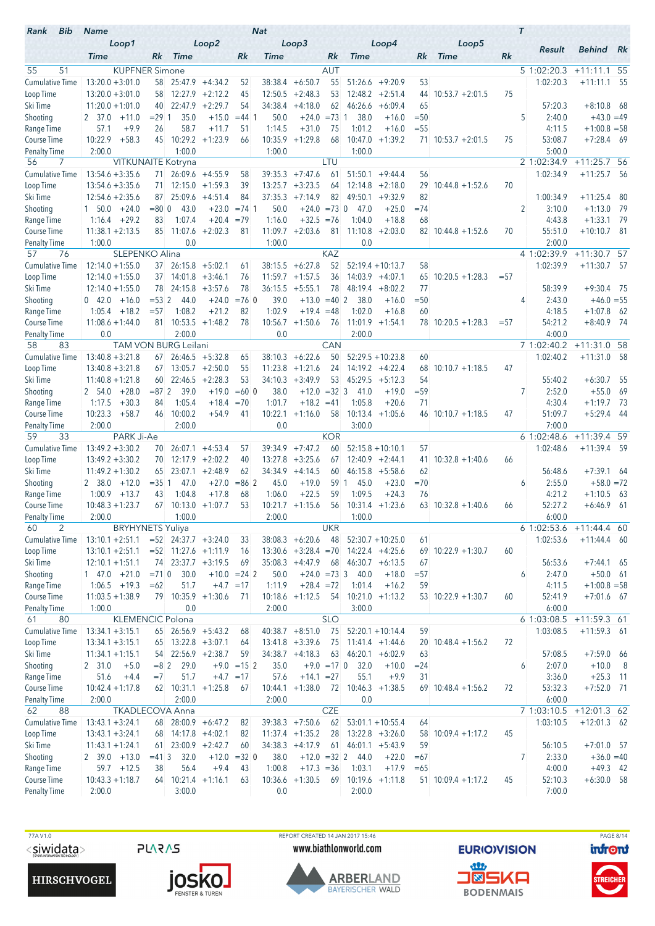| Loop2<br>Loop1<br>Loop3<br>Loop4<br>Loop5<br>Result<br><b>Behind</b><br>Rk<br><b>Time</b><br><b>Time</b><br>Rk<br>Rk<br><b>Time</b><br>Rk<br><b>Time</b><br>Rk<br><b>Time</b><br>Rk<br>55<br>51<br><b>KUPFNER Simone</b><br><b>AUT</b><br>5 1:02:20.3<br>$+11:11.1$ 55<br>$13:20.0 + 3:01.0$<br>$38:38.4 + 6:50.7$<br>55<br>$51:26.6 +9:20.9$<br>$25:47.9$ +4:34.2<br>53<br>1:02:20.3<br>$+11:11.1$ 55<br>58<br>52<br>$13:20.0 + 3:01.0$<br>$12:27.9$ +2:12.2<br>$12:50.5 + 2:48.3$<br>53<br>$12:48.2 + 2:51.4$<br>75<br>58<br>45<br>44<br>$10:53.7 + 2:01.5$<br>22:47.9<br>$+2:29.7$<br>54<br>34:38.4<br>$+4:18.0$<br>62<br>46:26.6<br>65<br>57:20.3<br>$+8:10.8$ 68<br>$11:20.0 + 1:01.0$<br>40<br>$+6:09.4$<br>$= 291$<br>35.0<br>$+15.0$<br>50.0<br>$= 73 \; 1$<br>38.0<br>$= 50$<br>5<br>2:40.0<br>$+43.0 = 49$<br>2 37.0<br>$+11.0$<br>$= 44$ 1<br>$+24.0$<br>$+16.0$<br>$+9.9$<br>58.7<br>1:14.5<br>$+31.0$<br>75<br>1:01.2<br>4:11.5<br>$+1:00.8 = 58$<br>Range Time<br>57.1<br>26<br>$+11.7$<br>51<br>$+16.0$<br>$= 55$<br>10:29.2<br>10:22.9<br>$+58.3$<br>$+1:23.9$<br>$10:35.9 +1:29.8$<br>68<br>10:47.0<br>$+1:39.2$<br>$71$ 10:53.7 +2:01.5<br>75<br>53:08.7<br>$+7:28.4$ 69<br>Course Time<br>45<br>66<br>2:00.0<br>1:00.0<br>1:00.0<br>1:00.0<br>5:00.0<br><b>Penalty Time</b><br>2 1:02:34.9<br>$+11:25.7$ 56<br>56<br>7<br><b>VITKUNAITE Kotryna</b><br>LTU<br>$13:54.6 + 3:35.6$<br>$26:09.6$ +4:55.9<br>$39:35.3 +7:47.6$<br>1:02:34.9<br>$+11:25.7$<br>58<br>61<br>51:50.1<br>$+9:44.4$<br>56<br>- 56<br>71<br>$13:54.6 + 3:35.6$<br>$12:15.0 +1:59.3$<br>13:25.7<br>$+3:23.5$<br>$12:14.8 + 2:18.0$<br>70<br>71<br>39<br>64<br>29<br>$10:44.8 + 1:52.6$<br>$25:09.6$ +4:51.4<br>37:35.3<br>82<br>49:50.1<br>82<br>$12:54.6 + 2:35.6$<br>84<br>$+7:14.9$<br>$+9:32.9$<br>1:00:34.9<br>$+11:25.4$<br>- 80<br>87 -<br>$+24.0$<br>43.0<br>$+23.0$<br>$= 74.1$<br>50.0<br>$+24.0 = 73$ 0<br>$=74$<br>2<br>3:10.0<br>$+1:13.0$<br>- 79<br>Shooting<br>$1\quad 50.0$<br>$= 800$<br>47.0<br>$+25.0$<br>1:07.4<br>$+20.4 = 79$<br>$+32.5 = 76$<br>4:43.8<br>$+1:33.1$<br>- 79<br>Range Time<br>1:16.4<br>$+29.2$<br>1:16.0<br>1:04.0<br>$+18.8$<br>68<br>83<br>85<br>11:07.6<br>$+2:02.3$<br>81<br>$11:09.7 + 2:03.6$<br>81<br>11:10.8<br>70<br>55:51.0<br>$+10:10.7$ 81<br>Course Time<br>$11:38.1 + 2:13.5$<br>$+2:03.0$<br>$82 \mid 10:44.8 + 1:52.6$<br>1:00.0<br>0.0<br>1:00.0<br>0.0<br>2:00.0<br><b>Penalty Time</b><br>76<br><b>SLEPENKO Alina</b><br><b>KAZ</b><br>4 1:02:39.9<br>$+11:30.7$<br>57<br>57<br>1:02:39.9<br>$12:14.0 + 1:55.0$<br>$26:15.8$ +5:02.1<br>$38:15.5 + 6:27.8$<br>52<br>$52:19.4 + 10:13.7$<br>58<br>$+11:30.7$<br>- 57<br>37<br>61<br>$14:01.8$ +3:46.1<br>11:59.7<br>$+1:57.5$<br>36<br>$14:03.9 + 4:07.1$<br>$10:20.5 + 1:28.3$<br>$12:14.0 + 1:55.0$<br>37<br>76<br>65<br>$= 57$<br>24:15.8<br>$+3:57.6$<br>$36:15.5 + 5:55.1$<br>78<br>48:19.4<br>$+8:02.2$<br>77<br>58:39.9<br>$+9:30.4$ 75<br>$12:14.0 + 1:55.0$<br>78<br>78<br>$= 532$<br>$+24.0$<br>$= 760$<br>39.0<br>$+13.0$<br>$= 40.2$<br>38.0<br>$= 50$<br>2:43.0<br>$+46.0 = 55$<br>Shooting<br>$0\quad 42.0$<br>$+16.0$<br>44.0<br>$+16.0$<br>4<br>1:08.2<br>$+21.2$<br>82<br>1:02.9<br>$+19.4 = 48$<br>1:02.0<br>60<br>4:18.5<br>$+1:07.8$<br>Range Time<br>1:05.4<br>$+18.2$<br>$= 57$<br>$+16.8$<br>- 62<br>Course Time<br>10:53.5<br>$+1:48.2$<br>78<br>10:56.7<br>$+1:50.6$<br>76<br>$11:01.9$ +1:54.1<br>54:21.2<br>$+8:40.9$ 74<br>$11:08.6 + 1:44.0$<br>81<br>$78$ 10:20.5 +1:28.3<br>$= 57$<br>2:00.0<br>0.0<br>2:00.0<br>4:00.0<br>Penalty Time<br>0.0<br>CAN<br>$+11:31.0$ 58<br>83<br><b>TAM VON BURG Leilani</b><br>7 1:02:40.2<br>58<br>$13:40.8 + 3:21.8$<br>$26:46.5 + 5:32.8$<br>$38:10.3 + 6:22.6$<br>$52:29.5 + 10:23.8$<br>1:02:40.2<br>$+11:31.0$<br>65<br>50<br>60<br>- 58<br>67<br>$13:05.7 + 2:50.0$<br>$11:23.8$ +1:21.6<br>$14:19.2 + 4:22.4$<br>$10:10.7 + 1:18.5$<br>47<br>$13:40.8 + 3:21.8$<br>55<br>24<br>68<br>67<br>$22:46.5 + 2:28.3$<br>$+3:49.9$<br>53<br>54<br>Ski Time<br>$11:40.8 + 1:21.8$<br>60<br>53<br>34:10.3<br>$45:29.5 +5:12.3$<br>55:40.2<br>$+6:30.7$<br>-55<br>$+28.0$<br>$= 872$<br>39.0<br>$+19.0$<br>$=600$<br>38.0<br>$+12.0$<br>$=32$ 3<br>$= 59$<br>7<br>2:52.0<br>$+55.0$<br>69<br>Shooting<br>2 54.0<br>41.0<br>$+19.0$<br>1:05.4<br>1:17.5<br>$+18.4$<br>1:01.7<br>$+18.2 = 41$<br>1:05.8<br>71<br>4:30.4<br>$+1:19.7$<br>- 73<br>Range Time<br>$+30.3$<br>84<br>$=70$<br>$+20.6$<br>10:23.3<br>$+58.7$<br>10:00.2<br>$+54.9$<br>10:22.1<br>$+1:16.0$<br>58<br>$10:13.4 +1:05.6$<br>51:09.7<br>$+5:29.4$<br>Course Time<br>41<br>$46$ 10:10.7 +1:18.5<br>47<br>- 44<br>46<br>7:00.0<br>2:00.0<br>2:00.0<br>0.0<br>3:00.0<br>Penalty Time<br>$+11:39.4$<br>59<br>33<br>PARK Ji-Ae<br><b>KOR</b><br>61:02:48.6<br>-59<br>$13:49.2 + 3:30.2$<br>$26:07.1 +4:53.4$<br>39:34.9<br>$+7:47.2$<br>60<br>$52:15.8 + 10:10.1$<br>57<br>1:02:48.6<br>$+11:39.4$ 59<br>57<br>70<br>$13:49.2 + 3:30.2$<br>$12:17.9$ +2:02.2<br>13:27.8<br>$+3:25.6$<br>$12:40.9 + 2:44.1$<br>$10:32.8 + 1:40.6$<br>70<br>40<br>67<br>41.<br>66<br>$23:07.1 + 2:48.9$<br>34:34.9<br>$+4:14.5$<br>$+7:39.1$<br>Ski Time<br>$11:49.2 + 1:30.2$<br>65<br>62<br>60<br>$46:15.8 + 5:58.6$<br>62<br>56:48.6<br>-64<br>$= 351$<br>47.0<br>$+27.0$<br>$= 862$<br>45.0<br>$+19.0$<br>59<br>$+23.0$<br>$=70$<br>2:55.0<br>$+58.0 = 72$<br>Shooting<br>2 38.0<br>$+12.0$<br>$\mathbf{1}$<br>45.0<br>6<br>1:00.9<br>$+13.7$<br>1:04.8<br>$+17.8$<br>1:06.0<br>$+22.5$<br>59<br>1:09.5<br>76<br>4:21.2<br>$+1:10.5$<br>Range Time<br>43<br>68<br>$+24.3$<br>- 63<br>$10:48.3 + 1:23.7$<br>$67$ 10:13.0 +1:07.7<br>$10:21.7 +1:15.6$<br>52:27.2<br>$+6:46.9$<br>53<br>56<br>$10:31.4$ +1:23.6<br>$63$ 10:32.8 +1:40.6<br>- 61<br>66<br>2:00.0<br>1:00.0<br>2:00.0<br>6:00.0<br>1:00.0<br><b>BRYHYNETS Yuliya</b><br><b>UKR</b><br>60<br>2<br>6 1:02:53.6<br>$+11:44.4$ 60<br>$13:10.1 + 2:51.1$<br>$=52$ 24:37.7 $+3:24.0$<br>$38:08.3 + 6:20.6$<br>48<br>$52:30.7 + 10:25.0$<br>1:02:53.6<br>$+11:44.4$ 60<br>33<br>61<br>69 10:22.9 +1:30.7<br>60<br>Loop Time<br>$13:10.1 + 2:51.1$<br>$=52$ 11:27.6 +1:11.9<br>$13:30.6 + 3:28.4 = 70$<br>$14:22.4 +4:25.6$<br>16<br>Ski Time<br>74 23:37.7 +3:19.5<br>$46:30.7 + 6:13.5$<br>56:53.6<br>$12:10.1 + 1:51.1$<br>$35:08.3 +4:47.9$<br>- 68<br>67<br>$+7:44.1$ 65<br>69<br>Shooting<br>$1$ 47.0 $+21.0$<br>$= 71$ 0<br>30.0<br>$+10.0 = 24$ 2<br>$+24.0 = 73$ 3<br>40.0<br>2:47.0<br>$+50.0$ 61<br>50.0<br>$+18.0$<br>$= 57$<br>6<br>51.7<br>$+28.4 = 72$<br>4:11.5<br>Range Time<br>$1:06.5$ +19.3<br>$=62$<br>$+4.7 = 17$<br>1:11.9<br>1:01.4<br>$+16.2$<br>59<br>$+1:00.8 = 58$<br>79 10:35.9 +1:30.6<br>$10:18.6 +1:12.5$<br>$10:21.0 +1:13.2$<br>$53$ 10:22.9 +1:30.7<br>60<br>52:41.9<br>$+7:01.6$ 67<br>$11:03.5 + 1:38.9$<br>- 54<br>-71<br>0.0<br>1:00.0<br>2:00.0<br>3:00.0<br>6:00.0<br><b>SLO</b><br>KLEMENCIC Polona<br>+11:59.3 61<br>80<br>6 1:03:08.5<br>61<br><b>Cumulative Time</b><br>$40:38.7 + 8:51.0$<br>75<br>59<br>$13:34.1 + 3:15.1$<br>$65$ 26:56.9 +5:43.2<br>$52:20.1 + 10:14.4$<br>1:03:08.5<br>$+11:59.3$ 61<br>68<br>Loop Time<br>$13:22.8 + 3:07.1$<br>75<br>72<br>$13:34.1 + 3:15.1$<br>$13:41.8 + 3:39.6$<br>$11:41.4 + 1:44.6$<br>$20$ 10:48.4 +1:56.2<br>65<br>64<br>Ski Time<br>$22:56.9 + 2:38.7$<br>$34:38.7 +4:18.3$<br>$63$ 46:20.1 +6:02.9<br>57:08.5<br>$11:34.1 + 1:15.1$<br>54<br>59<br>63<br>$+7:59.0$ 66<br>Shooting<br>$+5.0$<br>$= 8 \, 2$<br>29.0<br>$+9.0 = 15$ 2<br>35.0<br>$+9.0 = 170$<br>2:07.0<br>$+10.0$<br>2 31.0<br>32.0<br>$+10.0$<br>$= 24$<br>6<br>8 <sup>8</sup><br>Range Time<br>3:36.0<br>51.6<br>$+4.4$<br>$=7$<br>51.7<br>$+4.7 = 17$<br>57.6<br>$+14.1 = 27$<br>55.1<br>$+9.9$<br>$+25.3$ 11<br>31<br>$62$ 10:31.1 +1:25.8<br>$10:44.1 + 1:38.0$<br>72<br>$10:46.3 + 1:38.5$<br>72<br>53:32.3<br>$+7:52.0$ 71<br>$10:42.4 + 1:17.8$<br>$69$ 10:48.4 +1:56.2<br>67<br>2:00.0<br>2:00.0<br>0.0<br>6:00.0<br>2:00.0<br>88<br><b>TKADLECOVA Anna</b><br><b>CZE</b><br>7 1:03:10.5<br>$+12:01.3$ 62<br>62<br><b>Cumulative Time</b><br>$39:38.3 +7:50.6$<br>62<br>$+12:01.3$ 62<br>$13:43.1 + 3:24.1$<br>68<br>$28:00.9 + 6:47.2$<br>$53:01.1 + 10:55.4$<br>1:03:10.5<br>82<br>64<br>$13:43.1 + 3:24.1$<br>$14:17.8 + 4:02.1$<br>$11:37.4 +1:35.2$<br>28<br>$13:22.8 + 3:26.0$<br>$10:09.4 + 1:17.2$<br>45<br>Loop Time<br>68<br>58<br>82<br>56:10.5<br>$+7:01.0$ 57<br>Ski Time<br>$11:43.1 + 1:24.1$<br>$61$ 23:00.9 +2:42.7<br>$34:38.3 +4:17.9$<br>$61$ 46:01.1 +5:43.9<br>59<br>60<br>32.0<br>38.0<br>$+12.0 = 32 \ 2 \ 44.0$<br>2:33.0<br>$+36.0 = 40$<br>Shooting<br>$2$ 39.0 $+13.0$<br>$= 41.3$<br>$+12.0 = 32$ 0<br>$+22.0$<br>$=67$<br>7<br>Range Time<br>56.4<br>$+9.4$<br>1:00.8<br>$+17.3 = 36$<br>1:03.1<br>4:00.0<br>$+49.3$ 42<br>$59.7 + 12.5$<br>38<br>43<br>$+17.9$<br>$=65$<br>$10:43.3 + 1:18.7$<br>$64$ 10:21.4 +1:16.1<br>$10:36.6 +1:30.5$<br>$10:19.6 +1:11.8$<br>52:10.3<br>$+6:30.0$ 58<br>63<br>69<br>$51$ 10:09.4 +1:17.2<br>45<br>3:00.0<br>0.0<br>2:00.0<br>2:00.0<br>7:00.0 | Bib<br>Rank            | <b>Name</b> |  |  | <b>Nat</b> |  |  |  | $\tau$ |  |
|----------------------------------------------------------------------------------------------------------------------------------------------------------------------------------------------------------------------------------------------------------------------------------------------------------------------------------------------------------------------------------------------------------------------------------------------------------------------------------------------------------------------------------------------------------------------------------------------------------------------------------------------------------------------------------------------------------------------------------------------------------------------------------------------------------------------------------------------------------------------------------------------------------------------------------------------------------------------------------------------------------------------------------------------------------------------------------------------------------------------------------------------------------------------------------------------------------------------------------------------------------------------------------------------------------------------------------------------------------------------------------------------------------------------------------------------------------------------------------------------------------------------------------------------------------------------------------------------------------------------------------------------------------------------------------------------------------------------------------------------------------------------------------------------------------------------------------------------------------------------------------------------------------------------------------------------------------------------------------------------------------------------------------------------------------------------------------------------------------------------------------------------------------------------------------------------------------------------------------------------------------------------------------------------------------------------------------------------------------------------------------------------------------------------------------------------------------------------------------------------------------------------------------------------------------------------------------------------------------------------------------------------------------------------------------------------------------------------------------------------------------------------------------------------------------------------------------------------------------------------------------------------------------------------------------------------------------------------------------------------------------------------------------------------------------------------------------------------------------------------------------------------------------------------------------------------------------------------------------------------------------------------------------------------------------------------------------------------------------------------------------------------------------------------------------------------------------------------------------------------------------------------------------------------------------------------------------------------------------------------------------------------------------------------------------------------------------------------------------------------------------------------------------------------------------------------------------------------------------------------------------------------------------------------------------------------------------------------------------------------------------------------------------------------------------------------------------------------------------------------------------------------------------------------------------------------------------------------------------------------------------------------------------------------------------------------------------------------------------------------------------------------------------------------------------------------------------------------------------------------------------------------------------------------------------------------------------------------------------------------------------------------------------------------------------------------------------------------------------------------------------------------------------------------------------------------------------------------------------------------------------------------------------------------------------------------------------------------------------------------------------------------------------------------------------------------------------------------------------------------------------------------------------------------------------------------------------------------------------------------------------------------------------------------------------------------------------------------------------------------------------------------------------------------------------------------------------------------------------------------------------------------------------------------------------------------------------------------------------------------------------------------------------------------------------------------------------------------------------------------------------------------------------------------------------------------------------------------------------------------------------------------------------------------------------------------------------------------------------------------------------------------------------------------------------------------------------------------------------------------------------------------------------------------------------------------------------------------------------------------------------------------------------------------------------------------------------------------------------------------------------------------------------------------------------------------------------------------------------------------------------------------------------------------------------------------------------------------------------------------------------------------------------------------------------------------------------------------------------------------------------------------------------------------------------------------------------------------------------------------------------------------------------------------------------------------------------------------------------------------------------------------------------------------------------------------------------------------------------------------------------------------------------------------------------------------------------------------------------------------------------------------------------------------------------------------------------------------------------------------------------------------------------------------------------------------------------------------------------------------------------------------------------------------------------------------------------------------------------------------------------------------------------------------------------------------------------------------------------------------------------------------------------------------------------------------------------------------------------------------------------------------------------------------------------------------------------------------------------------------------------------------------------------------------------------------------------------------------------------------------------------------------------------------------------------------------------------------------------------------------------------------------------------------------------------------------------------------------------------------------------------------------------------------------------------------------------------------------------------------------------------------------------------------------------------------------------------------------------------------------------------------------------------------------------------------------------------------------------------------------------------------------------------------------------------------------------------------------------------------------------------------------------------------------------------------------------------------------------------------------------------------------------------------------------|------------------------|-------------|--|--|------------|--|--|--|--------|--|
|                                                                                                                                                                                                                                                                                                                                                                                                                                                                                                                                                                                                                                                                                                                                                                                                                                                                                                                                                                                                                                                                                                                                                                                                                                                                                                                                                                                                                                                                                                                                                                                                                                                                                                                                                                                                                                                                                                                                                                                                                                                                                                                                                                                                                                                                                                                                                                                                                                                                                                                                                                                                                                                                                                                                                                                                                                                                                                                                                                                                                                                                                                                                                                                                                                                                                                                                                                                                                                                                                                                                                                                                                                                                                                                                                                                                                                                                                                                                                                                                                                                                                                                                                                                                                                                                                                                                                                                                                                                                                                                                                                                                                                                                                                                                                                                                                                                                                                                                                                                                                                                                                                                                                                                                                                                                                                                                                                                                                                                                                                                                                                                                                                                                                                                                                                                                                                                                                                                                                                                                                                                                                                                                                                                                                                                                                                                                                                                                                                                                                                                                                                                                                                                                                                                                                                                                                                                                                                                                                                                                                                                                                                                                                                                                                                                                                                                                                                                                                                                                                                                                                                                                                                                                                                                                                                                                                                                                                                                                                                                                                                                                                                                                                                                                                                                                                                                                                                                                                                                                                                                                                                                                                                                                                                                                                                                                                                                                                                                                                                                                                                                          |                        |             |  |  |            |  |  |  |        |  |
|                                                                                                                                                                                                                                                                                                                                                                                                                                                                                                                                                                                                                                                                                                                                                                                                                                                                                                                                                                                                                                                                                                                                                                                                                                                                                                                                                                                                                                                                                                                                                                                                                                                                                                                                                                                                                                                                                                                                                                                                                                                                                                                                                                                                                                                                                                                                                                                                                                                                                                                                                                                                                                                                                                                                                                                                                                                                                                                                                                                                                                                                                                                                                                                                                                                                                                                                                                                                                                                                                                                                                                                                                                                                                                                                                                                                                                                                                                                                                                                                                                                                                                                                                                                                                                                                                                                                                                                                                                                                                                                                                                                                                                                                                                                                                                                                                                                                                                                                                                                                                                                                                                                                                                                                                                                                                                                                                                                                                                                                                                                                                                                                                                                                                                                                                                                                                                                                                                                                                                                                                                                                                                                                                                                                                                                                                                                                                                                                                                                                                                                                                                                                                                                                                                                                                                                                                                                                                                                                                                                                                                                                                                                                                                                                                                                                                                                                                                                                                                                                                                                                                                                                                                                                                                                                                                                                                                                                                                                                                                                                                                                                                                                                                                                                                                                                                                                                                                                                                                                                                                                                                                                                                                                                                                                                                                                                                                                                                                                                                                                                                                                          |                        |             |  |  |            |  |  |  |        |  |
|                                                                                                                                                                                                                                                                                                                                                                                                                                                                                                                                                                                                                                                                                                                                                                                                                                                                                                                                                                                                                                                                                                                                                                                                                                                                                                                                                                                                                                                                                                                                                                                                                                                                                                                                                                                                                                                                                                                                                                                                                                                                                                                                                                                                                                                                                                                                                                                                                                                                                                                                                                                                                                                                                                                                                                                                                                                                                                                                                                                                                                                                                                                                                                                                                                                                                                                                                                                                                                                                                                                                                                                                                                                                                                                                                                                                                                                                                                                                                                                                                                                                                                                                                                                                                                                                                                                                                                                                                                                                                                                                                                                                                                                                                                                                                                                                                                                                                                                                                                                                                                                                                                                                                                                                                                                                                                                                                                                                                                                                                                                                                                                                                                                                                                                                                                                                                                                                                                                                                                                                                                                                                                                                                                                                                                                                                                                                                                                                                                                                                                                                                                                                                                                                                                                                                                                                                                                                                                                                                                                                                                                                                                                                                                                                                                                                                                                                                                                                                                                                                                                                                                                                                                                                                                                                                                                                                                                                                                                                                                                                                                                                                                                                                                                                                                                                                                                                                                                                                                                                                                                                                                                                                                                                                                                                                                                                                                                                                                                                                                                                                                                          | <b>Cumulative Time</b> |             |  |  |            |  |  |  |        |  |
|                                                                                                                                                                                                                                                                                                                                                                                                                                                                                                                                                                                                                                                                                                                                                                                                                                                                                                                                                                                                                                                                                                                                                                                                                                                                                                                                                                                                                                                                                                                                                                                                                                                                                                                                                                                                                                                                                                                                                                                                                                                                                                                                                                                                                                                                                                                                                                                                                                                                                                                                                                                                                                                                                                                                                                                                                                                                                                                                                                                                                                                                                                                                                                                                                                                                                                                                                                                                                                                                                                                                                                                                                                                                                                                                                                                                                                                                                                                                                                                                                                                                                                                                                                                                                                                                                                                                                                                                                                                                                                                                                                                                                                                                                                                                                                                                                                                                                                                                                                                                                                                                                                                                                                                                                                                                                                                                                                                                                                                                                                                                                                                                                                                                                                                                                                                                                                                                                                                                                                                                                                                                                                                                                                                                                                                                                                                                                                                                                                                                                                                                                                                                                                                                                                                                                                                                                                                                                                                                                                                                                                                                                                                                                                                                                                                                                                                                                                                                                                                                                                                                                                                                                                                                                                                                                                                                                                                                                                                                                                                                                                                                                                                                                                                                                                                                                                                                                                                                                                                                                                                                                                                                                                                                                                                                                                                                                                                                                                                                                                                                                                                          | Loop Time              |             |  |  |            |  |  |  |        |  |
|                                                                                                                                                                                                                                                                                                                                                                                                                                                                                                                                                                                                                                                                                                                                                                                                                                                                                                                                                                                                                                                                                                                                                                                                                                                                                                                                                                                                                                                                                                                                                                                                                                                                                                                                                                                                                                                                                                                                                                                                                                                                                                                                                                                                                                                                                                                                                                                                                                                                                                                                                                                                                                                                                                                                                                                                                                                                                                                                                                                                                                                                                                                                                                                                                                                                                                                                                                                                                                                                                                                                                                                                                                                                                                                                                                                                                                                                                                                                                                                                                                                                                                                                                                                                                                                                                                                                                                                                                                                                                                                                                                                                                                                                                                                                                                                                                                                                                                                                                                                                                                                                                                                                                                                                                                                                                                                                                                                                                                                                                                                                                                                                                                                                                                                                                                                                                                                                                                                                                                                                                                                                                                                                                                                                                                                                                                                                                                                                                                                                                                                                                                                                                                                                                                                                                                                                                                                                                                                                                                                                                                                                                                                                                                                                                                                                                                                                                                                                                                                                                                                                                                                                                                                                                                                                                                                                                                                                                                                                                                                                                                                                                                                                                                                                                                                                                                                                                                                                                                                                                                                                                                                                                                                                                                                                                                                                                                                                                                                                                                                                                                                          | Ski Time               |             |  |  |            |  |  |  |        |  |
|                                                                                                                                                                                                                                                                                                                                                                                                                                                                                                                                                                                                                                                                                                                                                                                                                                                                                                                                                                                                                                                                                                                                                                                                                                                                                                                                                                                                                                                                                                                                                                                                                                                                                                                                                                                                                                                                                                                                                                                                                                                                                                                                                                                                                                                                                                                                                                                                                                                                                                                                                                                                                                                                                                                                                                                                                                                                                                                                                                                                                                                                                                                                                                                                                                                                                                                                                                                                                                                                                                                                                                                                                                                                                                                                                                                                                                                                                                                                                                                                                                                                                                                                                                                                                                                                                                                                                                                                                                                                                                                                                                                                                                                                                                                                                                                                                                                                                                                                                                                                                                                                                                                                                                                                                                                                                                                                                                                                                                                                                                                                                                                                                                                                                                                                                                                                                                                                                                                                                                                                                                                                                                                                                                                                                                                                                                                                                                                                                                                                                                                                                                                                                                                                                                                                                                                                                                                                                                                                                                                                                                                                                                                                                                                                                                                                                                                                                                                                                                                                                                                                                                                                                                                                                                                                                                                                                                                                                                                                                                                                                                                                                                                                                                                                                                                                                                                                                                                                                                                                                                                                                                                                                                                                                                                                                                                                                                                                                                                                                                                                                                                          | Shooting               |             |  |  |            |  |  |  |        |  |
|                                                                                                                                                                                                                                                                                                                                                                                                                                                                                                                                                                                                                                                                                                                                                                                                                                                                                                                                                                                                                                                                                                                                                                                                                                                                                                                                                                                                                                                                                                                                                                                                                                                                                                                                                                                                                                                                                                                                                                                                                                                                                                                                                                                                                                                                                                                                                                                                                                                                                                                                                                                                                                                                                                                                                                                                                                                                                                                                                                                                                                                                                                                                                                                                                                                                                                                                                                                                                                                                                                                                                                                                                                                                                                                                                                                                                                                                                                                                                                                                                                                                                                                                                                                                                                                                                                                                                                                                                                                                                                                                                                                                                                                                                                                                                                                                                                                                                                                                                                                                                                                                                                                                                                                                                                                                                                                                                                                                                                                                                                                                                                                                                                                                                                                                                                                                                                                                                                                                                                                                                                                                                                                                                                                                                                                                                                                                                                                                                                                                                                                                                                                                                                                                                                                                                                                                                                                                                                                                                                                                                                                                                                                                                                                                                                                                                                                                                                                                                                                                                                                                                                                                                                                                                                                                                                                                                                                                                                                                                                                                                                                                                                                                                                                                                                                                                                                                                                                                                                                                                                                                                                                                                                                                                                                                                                                                                                                                                                                                                                                                                                                          |                        |             |  |  |            |  |  |  |        |  |
|                                                                                                                                                                                                                                                                                                                                                                                                                                                                                                                                                                                                                                                                                                                                                                                                                                                                                                                                                                                                                                                                                                                                                                                                                                                                                                                                                                                                                                                                                                                                                                                                                                                                                                                                                                                                                                                                                                                                                                                                                                                                                                                                                                                                                                                                                                                                                                                                                                                                                                                                                                                                                                                                                                                                                                                                                                                                                                                                                                                                                                                                                                                                                                                                                                                                                                                                                                                                                                                                                                                                                                                                                                                                                                                                                                                                                                                                                                                                                                                                                                                                                                                                                                                                                                                                                                                                                                                                                                                                                                                                                                                                                                                                                                                                                                                                                                                                                                                                                                                                                                                                                                                                                                                                                                                                                                                                                                                                                                                                                                                                                                                                                                                                                                                                                                                                                                                                                                                                                                                                                                                                                                                                                                                                                                                                                                                                                                                                                                                                                                                                                                                                                                                                                                                                                                                                                                                                                                                                                                                                                                                                                                                                                                                                                                                                                                                                                                                                                                                                                                                                                                                                                                                                                                                                                                                                                                                                                                                                                                                                                                                                                                                                                                                                                                                                                                                                                                                                                                                                                                                                                                                                                                                                                                                                                                                                                                                                                                                                                                                                                                                          |                        |             |  |  |            |  |  |  |        |  |
|                                                                                                                                                                                                                                                                                                                                                                                                                                                                                                                                                                                                                                                                                                                                                                                                                                                                                                                                                                                                                                                                                                                                                                                                                                                                                                                                                                                                                                                                                                                                                                                                                                                                                                                                                                                                                                                                                                                                                                                                                                                                                                                                                                                                                                                                                                                                                                                                                                                                                                                                                                                                                                                                                                                                                                                                                                                                                                                                                                                                                                                                                                                                                                                                                                                                                                                                                                                                                                                                                                                                                                                                                                                                                                                                                                                                                                                                                                                                                                                                                                                                                                                                                                                                                                                                                                                                                                                                                                                                                                                                                                                                                                                                                                                                                                                                                                                                                                                                                                                                                                                                                                                                                                                                                                                                                                                                                                                                                                                                                                                                                                                                                                                                                                                                                                                                                                                                                                                                                                                                                                                                                                                                                                                                                                                                                                                                                                                                                                                                                                                                                                                                                                                                                                                                                                                                                                                                                                                                                                                                                                                                                                                                                                                                                                                                                                                                                                                                                                                                                                                                                                                                                                                                                                                                                                                                                                                                                                                                                                                                                                                                                                                                                                                                                                                                                                                                                                                                                                                                                                                                                                                                                                                                                                                                                                                                                                                                                                                                                                                                                                                          |                        |             |  |  |            |  |  |  |        |  |
|                                                                                                                                                                                                                                                                                                                                                                                                                                                                                                                                                                                                                                                                                                                                                                                                                                                                                                                                                                                                                                                                                                                                                                                                                                                                                                                                                                                                                                                                                                                                                                                                                                                                                                                                                                                                                                                                                                                                                                                                                                                                                                                                                                                                                                                                                                                                                                                                                                                                                                                                                                                                                                                                                                                                                                                                                                                                                                                                                                                                                                                                                                                                                                                                                                                                                                                                                                                                                                                                                                                                                                                                                                                                                                                                                                                                                                                                                                                                                                                                                                                                                                                                                                                                                                                                                                                                                                                                                                                                                                                                                                                                                                                                                                                                                                                                                                                                                                                                                                                                                                                                                                                                                                                                                                                                                                                                                                                                                                                                                                                                                                                                                                                                                                                                                                                                                                                                                                                                                                                                                                                                                                                                                                                                                                                                                                                                                                                                                                                                                                                                                                                                                                                                                                                                                                                                                                                                                                                                                                                                                                                                                                                                                                                                                                                                                                                                                                                                                                                                                                                                                                                                                                                                                                                                                                                                                                                                                                                                                                                                                                                                                                                                                                                                                                                                                                                                                                                                                                                                                                                                                                                                                                                                                                                                                                                                                                                                                                                                                                                                                                                          | <b>Cumulative Time</b> |             |  |  |            |  |  |  |        |  |
|                                                                                                                                                                                                                                                                                                                                                                                                                                                                                                                                                                                                                                                                                                                                                                                                                                                                                                                                                                                                                                                                                                                                                                                                                                                                                                                                                                                                                                                                                                                                                                                                                                                                                                                                                                                                                                                                                                                                                                                                                                                                                                                                                                                                                                                                                                                                                                                                                                                                                                                                                                                                                                                                                                                                                                                                                                                                                                                                                                                                                                                                                                                                                                                                                                                                                                                                                                                                                                                                                                                                                                                                                                                                                                                                                                                                                                                                                                                                                                                                                                                                                                                                                                                                                                                                                                                                                                                                                                                                                                                                                                                                                                                                                                                                                                                                                                                                                                                                                                                                                                                                                                                                                                                                                                                                                                                                                                                                                                                                                                                                                                                                                                                                                                                                                                                                                                                                                                                                                                                                                                                                                                                                                                                                                                                                                                                                                                                                                                                                                                                                                                                                                                                                                                                                                                                                                                                                                                                                                                                                                                                                                                                                                                                                                                                                                                                                                                                                                                                                                                                                                                                                                                                                                                                                                                                                                                                                                                                                                                                                                                                                                                                                                                                                                                                                                                                                                                                                                                                                                                                                                                                                                                                                                                                                                                                                                                                                                                                                                                                                                                                          | Loop Time              |             |  |  |            |  |  |  |        |  |
|                                                                                                                                                                                                                                                                                                                                                                                                                                                                                                                                                                                                                                                                                                                                                                                                                                                                                                                                                                                                                                                                                                                                                                                                                                                                                                                                                                                                                                                                                                                                                                                                                                                                                                                                                                                                                                                                                                                                                                                                                                                                                                                                                                                                                                                                                                                                                                                                                                                                                                                                                                                                                                                                                                                                                                                                                                                                                                                                                                                                                                                                                                                                                                                                                                                                                                                                                                                                                                                                                                                                                                                                                                                                                                                                                                                                                                                                                                                                                                                                                                                                                                                                                                                                                                                                                                                                                                                                                                                                                                                                                                                                                                                                                                                                                                                                                                                                                                                                                                                                                                                                                                                                                                                                                                                                                                                                                                                                                                                                                                                                                                                                                                                                                                                                                                                                                                                                                                                                                                                                                                                                                                                                                                                                                                                                                                                                                                                                                                                                                                                                                                                                                                                                                                                                                                                                                                                                                                                                                                                                                                                                                                                                                                                                                                                                                                                                                                                                                                                                                                                                                                                                                                                                                                                                                                                                                                                                                                                                                                                                                                                                                                                                                                                                                                                                                                                                                                                                                                                                                                                                                                                                                                                                                                                                                                                                                                                                                                                                                                                                                                                          | Ski Time               |             |  |  |            |  |  |  |        |  |
|                                                                                                                                                                                                                                                                                                                                                                                                                                                                                                                                                                                                                                                                                                                                                                                                                                                                                                                                                                                                                                                                                                                                                                                                                                                                                                                                                                                                                                                                                                                                                                                                                                                                                                                                                                                                                                                                                                                                                                                                                                                                                                                                                                                                                                                                                                                                                                                                                                                                                                                                                                                                                                                                                                                                                                                                                                                                                                                                                                                                                                                                                                                                                                                                                                                                                                                                                                                                                                                                                                                                                                                                                                                                                                                                                                                                                                                                                                                                                                                                                                                                                                                                                                                                                                                                                                                                                                                                                                                                                                                                                                                                                                                                                                                                                                                                                                                                                                                                                                                                                                                                                                                                                                                                                                                                                                                                                                                                                                                                                                                                                                                                                                                                                                                                                                                                                                                                                                                                                                                                                                                                                                                                                                                                                                                                                                                                                                                                                                                                                                                                                                                                                                                                                                                                                                                                                                                                                                                                                                                                                                                                                                                                                                                                                                                                                                                                                                                                                                                                                                                                                                                                                                                                                                                                                                                                                                                                                                                                                                                                                                                                                                                                                                                                                                                                                                                                                                                                                                                                                                                                                                                                                                                                                                                                                                                                                                                                                                                                                                                                                                                          |                        |             |  |  |            |  |  |  |        |  |
|                                                                                                                                                                                                                                                                                                                                                                                                                                                                                                                                                                                                                                                                                                                                                                                                                                                                                                                                                                                                                                                                                                                                                                                                                                                                                                                                                                                                                                                                                                                                                                                                                                                                                                                                                                                                                                                                                                                                                                                                                                                                                                                                                                                                                                                                                                                                                                                                                                                                                                                                                                                                                                                                                                                                                                                                                                                                                                                                                                                                                                                                                                                                                                                                                                                                                                                                                                                                                                                                                                                                                                                                                                                                                                                                                                                                                                                                                                                                                                                                                                                                                                                                                                                                                                                                                                                                                                                                                                                                                                                                                                                                                                                                                                                                                                                                                                                                                                                                                                                                                                                                                                                                                                                                                                                                                                                                                                                                                                                                                                                                                                                                                                                                                                                                                                                                                                                                                                                                                                                                                                                                                                                                                                                                                                                                                                                                                                                                                                                                                                                                                                                                                                                                                                                                                                                                                                                                                                                                                                                                                                                                                                                                                                                                                                                                                                                                                                                                                                                                                                                                                                                                                                                                                                                                                                                                                                                                                                                                                                                                                                                                                                                                                                                                                                                                                                                                                                                                                                                                                                                                                                                                                                                                                                                                                                                                                                                                                                                                                                                                                                                          |                        |             |  |  |            |  |  |  |        |  |
|                                                                                                                                                                                                                                                                                                                                                                                                                                                                                                                                                                                                                                                                                                                                                                                                                                                                                                                                                                                                                                                                                                                                                                                                                                                                                                                                                                                                                                                                                                                                                                                                                                                                                                                                                                                                                                                                                                                                                                                                                                                                                                                                                                                                                                                                                                                                                                                                                                                                                                                                                                                                                                                                                                                                                                                                                                                                                                                                                                                                                                                                                                                                                                                                                                                                                                                                                                                                                                                                                                                                                                                                                                                                                                                                                                                                                                                                                                                                                                                                                                                                                                                                                                                                                                                                                                                                                                                                                                                                                                                                                                                                                                                                                                                                                                                                                                                                                                                                                                                                                                                                                                                                                                                                                                                                                                                                                                                                                                                                                                                                                                                                                                                                                                                                                                                                                                                                                                                                                                                                                                                                                                                                                                                                                                                                                                                                                                                                                                                                                                                                                                                                                                                                                                                                                                                                                                                                                                                                                                                                                                                                                                                                                                                                                                                                                                                                                                                                                                                                                                                                                                                                                                                                                                                                                                                                                                                                                                                                                                                                                                                                                                                                                                                                                                                                                                                                                                                                                                                                                                                                                                                                                                                                                                                                                                                                                                                                                                                                                                                                                                                          |                        |             |  |  |            |  |  |  |        |  |
|                                                                                                                                                                                                                                                                                                                                                                                                                                                                                                                                                                                                                                                                                                                                                                                                                                                                                                                                                                                                                                                                                                                                                                                                                                                                                                                                                                                                                                                                                                                                                                                                                                                                                                                                                                                                                                                                                                                                                                                                                                                                                                                                                                                                                                                                                                                                                                                                                                                                                                                                                                                                                                                                                                                                                                                                                                                                                                                                                                                                                                                                                                                                                                                                                                                                                                                                                                                                                                                                                                                                                                                                                                                                                                                                                                                                                                                                                                                                                                                                                                                                                                                                                                                                                                                                                                                                                                                                                                                                                                                                                                                                                                                                                                                                                                                                                                                                                                                                                                                                                                                                                                                                                                                                                                                                                                                                                                                                                                                                                                                                                                                                                                                                                                                                                                                                                                                                                                                                                                                                                                                                                                                                                                                                                                                                                                                                                                                                                                                                                                                                                                                                                                                                                                                                                                                                                                                                                                                                                                                                                                                                                                                                                                                                                                                                                                                                                                                                                                                                                                                                                                                                                                                                                                                                                                                                                                                                                                                                                                                                                                                                                                                                                                                                                                                                                                                                                                                                                                                                                                                                                                                                                                                                                                                                                                                                                                                                                                                                                                                                                                                          |                        |             |  |  |            |  |  |  |        |  |
|                                                                                                                                                                                                                                                                                                                                                                                                                                                                                                                                                                                                                                                                                                                                                                                                                                                                                                                                                                                                                                                                                                                                                                                                                                                                                                                                                                                                                                                                                                                                                                                                                                                                                                                                                                                                                                                                                                                                                                                                                                                                                                                                                                                                                                                                                                                                                                                                                                                                                                                                                                                                                                                                                                                                                                                                                                                                                                                                                                                                                                                                                                                                                                                                                                                                                                                                                                                                                                                                                                                                                                                                                                                                                                                                                                                                                                                                                                                                                                                                                                                                                                                                                                                                                                                                                                                                                                                                                                                                                                                                                                                                                                                                                                                                                                                                                                                                                                                                                                                                                                                                                                                                                                                                                                                                                                                                                                                                                                                                                                                                                                                                                                                                                                                                                                                                                                                                                                                                                                                                                                                                                                                                                                                                                                                                                                                                                                                                                                                                                                                                                                                                                                                                                                                                                                                                                                                                                                                                                                                                                                                                                                                                                                                                                                                                                                                                                                                                                                                                                                                                                                                                                                                                                                                                                                                                                                                                                                                                                                                                                                                                                                                                                                                                                                                                                                                                                                                                                                                                                                                                                                                                                                                                                                                                                                                                                                                                                                                                                                                                                                                          | <b>Cumulative Time</b> |             |  |  |            |  |  |  |        |  |
|                                                                                                                                                                                                                                                                                                                                                                                                                                                                                                                                                                                                                                                                                                                                                                                                                                                                                                                                                                                                                                                                                                                                                                                                                                                                                                                                                                                                                                                                                                                                                                                                                                                                                                                                                                                                                                                                                                                                                                                                                                                                                                                                                                                                                                                                                                                                                                                                                                                                                                                                                                                                                                                                                                                                                                                                                                                                                                                                                                                                                                                                                                                                                                                                                                                                                                                                                                                                                                                                                                                                                                                                                                                                                                                                                                                                                                                                                                                                                                                                                                                                                                                                                                                                                                                                                                                                                                                                                                                                                                                                                                                                                                                                                                                                                                                                                                                                                                                                                                                                                                                                                                                                                                                                                                                                                                                                                                                                                                                                                                                                                                                                                                                                                                                                                                                                                                                                                                                                                                                                                                                                                                                                                                                                                                                                                                                                                                                                                                                                                                                                                                                                                                                                                                                                                                                                                                                                                                                                                                                                                                                                                                                                                                                                                                                                                                                                                                                                                                                                                                                                                                                                                                                                                                                                                                                                                                                                                                                                                                                                                                                                                                                                                                                                                                                                                                                                                                                                                                                                                                                                                                                                                                                                                                                                                                                                                                                                                                                                                                                                                                                          | Loop Time              |             |  |  |            |  |  |  |        |  |
|                                                                                                                                                                                                                                                                                                                                                                                                                                                                                                                                                                                                                                                                                                                                                                                                                                                                                                                                                                                                                                                                                                                                                                                                                                                                                                                                                                                                                                                                                                                                                                                                                                                                                                                                                                                                                                                                                                                                                                                                                                                                                                                                                                                                                                                                                                                                                                                                                                                                                                                                                                                                                                                                                                                                                                                                                                                                                                                                                                                                                                                                                                                                                                                                                                                                                                                                                                                                                                                                                                                                                                                                                                                                                                                                                                                                                                                                                                                                                                                                                                                                                                                                                                                                                                                                                                                                                                                                                                                                                                                                                                                                                                                                                                                                                                                                                                                                                                                                                                                                                                                                                                                                                                                                                                                                                                                                                                                                                                                                                                                                                                                                                                                                                                                                                                                                                                                                                                                                                                                                                                                                                                                                                                                                                                                                                                                                                                                                                                                                                                                                                                                                                                                                                                                                                                                                                                                                                                                                                                                                                                                                                                                                                                                                                                                                                                                                                                                                                                                                                                                                                                                                                                                                                                                                                                                                                                                                                                                                                                                                                                                                                                                                                                                                                                                                                                                                                                                                                                                                                                                                                                                                                                                                                                                                                                                                                                                                                                                                                                                                                                                          | Ski Time               |             |  |  |            |  |  |  |        |  |
|                                                                                                                                                                                                                                                                                                                                                                                                                                                                                                                                                                                                                                                                                                                                                                                                                                                                                                                                                                                                                                                                                                                                                                                                                                                                                                                                                                                                                                                                                                                                                                                                                                                                                                                                                                                                                                                                                                                                                                                                                                                                                                                                                                                                                                                                                                                                                                                                                                                                                                                                                                                                                                                                                                                                                                                                                                                                                                                                                                                                                                                                                                                                                                                                                                                                                                                                                                                                                                                                                                                                                                                                                                                                                                                                                                                                                                                                                                                                                                                                                                                                                                                                                                                                                                                                                                                                                                                                                                                                                                                                                                                                                                                                                                                                                                                                                                                                                                                                                                                                                                                                                                                                                                                                                                                                                                                                                                                                                                                                                                                                                                                                                                                                                                                                                                                                                                                                                                                                                                                                                                                                                                                                                                                                                                                                                                                                                                                                                                                                                                                                                                                                                                                                                                                                                                                                                                                                                                                                                                                                                                                                                                                                                                                                                                                                                                                                                                                                                                                                                                                                                                                                                                                                                                                                                                                                                                                                                                                                                                                                                                                                                                                                                                                                                                                                                                                                                                                                                                                                                                                                                                                                                                                                                                                                                                                                                                                                                                                                                                                                                                                          |                        |             |  |  |            |  |  |  |        |  |
|                                                                                                                                                                                                                                                                                                                                                                                                                                                                                                                                                                                                                                                                                                                                                                                                                                                                                                                                                                                                                                                                                                                                                                                                                                                                                                                                                                                                                                                                                                                                                                                                                                                                                                                                                                                                                                                                                                                                                                                                                                                                                                                                                                                                                                                                                                                                                                                                                                                                                                                                                                                                                                                                                                                                                                                                                                                                                                                                                                                                                                                                                                                                                                                                                                                                                                                                                                                                                                                                                                                                                                                                                                                                                                                                                                                                                                                                                                                                                                                                                                                                                                                                                                                                                                                                                                                                                                                                                                                                                                                                                                                                                                                                                                                                                                                                                                                                                                                                                                                                                                                                                                                                                                                                                                                                                                                                                                                                                                                                                                                                                                                                                                                                                                                                                                                                                                                                                                                                                                                                                                                                                                                                                                                                                                                                                                                                                                                                                                                                                                                                                                                                                                                                                                                                                                                                                                                                                                                                                                                                                                                                                                                                                                                                                                                                                                                                                                                                                                                                                                                                                                                                                                                                                                                                                                                                                                                                                                                                                                                                                                                                                                                                                                                                                                                                                                                                                                                                                                                                                                                                                                                                                                                                                                                                                                                                                                                                                                                                                                                                                                                          |                        |             |  |  |            |  |  |  |        |  |
|                                                                                                                                                                                                                                                                                                                                                                                                                                                                                                                                                                                                                                                                                                                                                                                                                                                                                                                                                                                                                                                                                                                                                                                                                                                                                                                                                                                                                                                                                                                                                                                                                                                                                                                                                                                                                                                                                                                                                                                                                                                                                                                                                                                                                                                                                                                                                                                                                                                                                                                                                                                                                                                                                                                                                                                                                                                                                                                                                                                                                                                                                                                                                                                                                                                                                                                                                                                                                                                                                                                                                                                                                                                                                                                                                                                                                                                                                                                                                                                                                                                                                                                                                                                                                                                                                                                                                                                                                                                                                                                                                                                                                                                                                                                                                                                                                                                                                                                                                                                                                                                                                                                                                                                                                                                                                                                                                                                                                                                                                                                                                                                                                                                                                                                                                                                                                                                                                                                                                                                                                                                                                                                                                                                                                                                                                                                                                                                                                                                                                                                                                                                                                                                                                                                                                                                                                                                                                                                                                                                                                                                                                                                                                                                                                                                                                                                                                                                                                                                                                                                                                                                                                                                                                                                                                                                                                                                                                                                                                                                                                                                                                                                                                                                                                                                                                                                                                                                                                                                                                                                                                                                                                                                                                                                                                                                                                                                                                                                                                                                                                                                          |                        |             |  |  |            |  |  |  |        |  |
|                                                                                                                                                                                                                                                                                                                                                                                                                                                                                                                                                                                                                                                                                                                                                                                                                                                                                                                                                                                                                                                                                                                                                                                                                                                                                                                                                                                                                                                                                                                                                                                                                                                                                                                                                                                                                                                                                                                                                                                                                                                                                                                                                                                                                                                                                                                                                                                                                                                                                                                                                                                                                                                                                                                                                                                                                                                                                                                                                                                                                                                                                                                                                                                                                                                                                                                                                                                                                                                                                                                                                                                                                                                                                                                                                                                                                                                                                                                                                                                                                                                                                                                                                                                                                                                                                                                                                                                                                                                                                                                                                                                                                                                                                                                                                                                                                                                                                                                                                                                                                                                                                                                                                                                                                                                                                                                                                                                                                                                                                                                                                                                                                                                                                                                                                                                                                                                                                                                                                                                                                                                                                                                                                                                                                                                                                                                                                                                                                                                                                                                                                                                                                                                                                                                                                                                                                                                                                                                                                                                                                                                                                                                                                                                                                                                                                                                                                                                                                                                                                                                                                                                                                                                                                                                                                                                                                                                                                                                                                                                                                                                                                                                                                                                                                                                                                                                                                                                                                                                                                                                                                                                                                                                                                                                                                                                                                                                                                                                                                                                                                                                          |                        |             |  |  |            |  |  |  |        |  |
|                                                                                                                                                                                                                                                                                                                                                                                                                                                                                                                                                                                                                                                                                                                                                                                                                                                                                                                                                                                                                                                                                                                                                                                                                                                                                                                                                                                                                                                                                                                                                                                                                                                                                                                                                                                                                                                                                                                                                                                                                                                                                                                                                                                                                                                                                                                                                                                                                                                                                                                                                                                                                                                                                                                                                                                                                                                                                                                                                                                                                                                                                                                                                                                                                                                                                                                                                                                                                                                                                                                                                                                                                                                                                                                                                                                                                                                                                                                                                                                                                                                                                                                                                                                                                                                                                                                                                                                                                                                                                                                                                                                                                                                                                                                                                                                                                                                                                                                                                                                                                                                                                                                                                                                                                                                                                                                                                                                                                                                                                                                                                                                                                                                                                                                                                                                                                                                                                                                                                                                                                                                                                                                                                                                                                                                                                                                                                                                                                                                                                                                                                                                                                                                                                                                                                                                                                                                                                                                                                                                                                                                                                                                                                                                                                                                                                                                                                                                                                                                                                                                                                                                                                                                                                                                                                                                                                                                                                                                                                                                                                                                                                                                                                                                                                                                                                                                                                                                                                                                                                                                                                                                                                                                                                                                                                                                                                                                                                                                                                                                                                                                          | <b>Cumulative Time</b> |             |  |  |            |  |  |  |        |  |
|                                                                                                                                                                                                                                                                                                                                                                                                                                                                                                                                                                                                                                                                                                                                                                                                                                                                                                                                                                                                                                                                                                                                                                                                                                                                                                                                                                                                                                                                                                                                                                                                                                                                                                                                                                                                                                                                                                                                                                                                                                                                                                                                                                                                                                                                                                                                                                                                                                                                                                                                                                                                                                                                                                                                                                                                                                                                                                                                                                                                                                                                                                                                                                                                                                                                                                                                                                                                                                                                                                                                                                                                                                                                                                                                                                                                                                                                                                                                                                                                                                                                                                                                                                                                                                                                                                                                                                                                                                                                                                                                                                                                                                                                                                                                                                                                                                                                                                                                                                                                                                                                                                                                                                                                                                                                                                                                                                                                                                                                                                                                                                                                                                                                                                                                                                                                                                                                                                                                                                                                                                                                                                                                                                                                                                                                                                                                                                                                                                                                                                                                                                                                                                                                                                                                                                                                                                                                                                                                                                                                                                                                                                                                                                                                                                                                                                                                                                                                                                                                                                                                                                                                                                                                                                                                                                                                                                                                                                                                                                                                                                                                                                                                                                                                                                                                                                                                                                                                                                                                                                                                                                                                                                                                                                                                                                                                                                                                                                                                                                                                                                                          | Loop Time              |             |  |  |            |  |  |  |        |  |
|                                                                                                                                                                                                                                                                                                                                                                                                                                                                                                                                                                                                                                                                                                                                                                                                                                                                                                                                                                                                                                                                                                                                                                                                                                                                                                                                                                                                                                                                                                                                                                                                                                                                                                                                                                                                                                                                                                                                                                                                                                                                                                                                                                                                                                                                                                                                                                                                                                                                                                                                                                                                                                                                                                                                                                                                                                                                                                                                                                                                                                                                                                                                                                                                                                                                                                                                                                                                                                                                                                                                                                                                                                                                                                                                                                                                                                                                                                                                                                                                                                                                                                                                                                                                                                                                                                                                                                                                                                                                                                                                                                                                                                                                                                                                                                                                                                                                                                                                                                                                                                                                                                                                                                                                                                                                                                                                                                                                                                                                                                                                                                                                                                                                                                                                                                                                                                                                                                                                                                                                                                                                                                                                                                                                                                                                                                                                                                                                                                                                                                                                                                                                                                                                                                                                                                                                                                                                                                                                                                                                                                                                                                                                                                                                                                                                                                                                                                                                                                                                                                                                                                                                                                                                                                                                                                                                                                                                                                                                                                                                                                                                                                                                                                                                                                                                                                                                                                                                                                                                                                                                                                                                                                                                                                                                                                                                                                                                                                                                                                                                                                                          |                        |             |  |  |            |  |  |  |        |  |
|                                                                                                                                                                                                                                                                                                                                                                                                                                                                                                                                                                                                                                                                                                                                                                                                                                                                                                                                                                                                                                                                                                                                                                                                                                                                                                                                                                                                                                                                                                                                                                                                                                                                                                                                                                                                                                                                                                                                                                                                                                                                                                                                                                                                                                                                                                                                                                                                                                                                                                                                                                                                                                                                                                                                                                                                                                                                                                                                                                                                                                                                                                                                                                                                                                                                                                                                                                                                                                                                                                                                                                                                                                                                                                                                                                                                                                                                                                                                                                                                                                                                                                                                                                                                                                                                                                                                                                                                                                                                                                                                                                                                                                                                                                                                                                                                                                                                                                                                                                                                                                                                                                                                                                                                                                                                                                                                                                                                                                                                                                                                                                                                                                                                                                                                                                                                                                                                                                                                                                                                                                                                                                                                                                                                                                                                                                                                                                                                                                                                                                                                                                                                                                                                                                                                                                                                                                                                                                                                                                                                                                                                                                                                                                                                                                                                                                                                                                                                                                                                                                                                                                                                                                                                                                                                                                                                                                                                                                                                                                                                                                                                                                                                                                                                                                                                                                                                                                                                                                                                                                                                                                                                                                                                                                                                                                                                                                                                                                                                                                                                                                                          |                        |             |  |  |            |  |  |  |        |  |
|                                                                                                                                                                                                                                                                                                                                                                                                                                                                                                                                                                                                                                                                                                                                                                                                                                                                                                                                                                                                                                                                                                                                                                                                                                                                                                                                                                                                                                                                                                                                                                                                                                                                                                                                                                                                                                                                                                                                                                                                                                                                                                                                                                                                                                                                                                                                                                                                                                                                                                                                                                                                                                                                                                                                                                                                                                                                                                                                                                                                                                                                                                                                                                                                                                                                                                                                                                                                                                                                                                                                                                                                                                                                                                                                                                                                                                                                                                                                                                                                                                                                                                                                                                                                                                                                                                                                                                                                                                                                                                                                                                                                                                                                                                                                                                                                                                                                                                                                                                                                                                                                                                                                                                                                                                                                                                                                                                                                                                                                                                                                                                                                                                                                                                                                                                                                                                                                                                                                                                                                                                                                                                                                                                                                                                                                                                                                                                                                                                                                                                                                                                                                                                                                                                                                                                                                                                                                                                                                                                                                                                                                                                                                                                                                                                                                                                                                                                                                                                                                                                                                                                                                                                                                                                                                                                                                                                                                                                                                                                                                                                                                                                                                                                                                                                                                                                                                                                                                                                                                                                                                                                                                                                                                                                                                                                                                                                                                                                                                                                                                                                                          |                        |             |  |  |            |  |  |  |        |  |
|                                                                                                                                                                                                                                                                                                                                                                                                                                                                                                                                                                                                                                                                                                                                                                                                                                                                                                                                                                                                                                                                                                                                                                                                                                                                                                                                                                                                                                                                                                                                                                                                                                                                                                                                                                                                                                                                                                                                                                                                                                                                                                                                                                                                                                                                                                                                                                                                                                                                                                                                                                                                                                                                                                                                                                                                                                                                                                                                                                                                                                                                                                                                                                                                                                                                                                                                                                                                                                                                                                                                                                                                                                                                                                                                                                                                                                                                                                                                                                                                                                                                                                                                                                                                                                                                                                                                                                                                                                                                                                                                                                                                                                                                                                                                                                                                                                                                                                                                                                                                                                                                                                                                                                                                                                                                                                                                                                                                                                                                                                                                                                                                                                                                                                                                                                                                                                                                                                                                                                                                                                                                                                                                                                                                                                                                                                                                                                                                                                                                                                                                                                                                                                                                                                                                                                                                                                                                                                                                                                                                                                                                                                                                                                                                                                                                                                                                                                                                                                                                                                                                                                                                                                                                                                                                                                                                                                                                                                                                                                                                                                                                                                                                                                                                                                                                                                                                                                                                                                                                                                                                                                                                                                                                                                                                                                                                                                                                                                                                                                                                                                                          |                        |             |  |  |            |  |  |  |        |  |
|                                                                                                                                                                                                                                                                                                                                                                                                                                                                                                                                                                                                                                                                                                                                                                                                                                                                                                                                                                                                                                                                                                                                                                                                                                                                                                                                                                                                                                                                                                                                                                                                                                                                                                                                                                                                                                                                                                                                                                                                                                                                                                                                                                                                                                                                                                                                                                                                                                                                                                                                                                                                                                                                                                                                                                                                                                                                                                                                                                                                                                                                                                                                                                                                                                                                                                                                                                                                                                                                                                                                                                                                                                                                                                                                                                                                                                                                                                                                                                                                                                                                                                                                                                                                                                                                                                                                                                                                                                                                                                                                                                                                                                                                                                                                                                                                                                                                                                                                                                                                                                                                                                                                                                                                                                                                                                                                                                                                                                                                                                                                                                                                                                                                                                                                                                                                                                                                                                                                                                                                                                                                                                                                                                                                                                                                                                                                                                                                                                                                                                                                                                                                                                                                                                                                                                                                                                                                                                                                                                                                                                                                                                                                                                                                                                                                                                                                                                                                                                                                                                                                                                                                                                                                                                                                                                                                                                                                                                                                                                                                                                                                                                                                                                                                                                                                                                                                                                                                                                                                                                                                                                                                                                                                                                                                                                                                                                                                                                                                                                                                                                                          |                        |             |  |  |            |  |  |  |        |  |
|                                                                                                                                                                                                                                                                                                                                                                                                                                                                                                                                                                                                                                                                                                                                                                                                                                                                                                                                                                                                                                                                                                                                                                                                                                                                                                                                                                                                                                                                                                                                                                                                                                                                                                                                                                                                                                                                                                                                                                                                                                                                                                                                                                                                                                                                                                                                                                                                                                                                                                                                                                                                                                                                                                                                                                                                                                                                                                                                                                                                                                                                                                                                                                                                                                                                                                                                                                                                                                                                                                                                                                                                                                                                                                                                                                                                                                                                                                                                                                                                                                                                                                                                                                                                                                                                                                                                                                                                                                                                                                                                                                                                                                                                                                                                                                                                                                                                                                                                                                                                                                                                                                                                                                                                                                                                                                                                                                                                                                                                                                                                                                                                                                                                                                                                                                                                                                                                                                                                                                                                                                                                                                                                                                                                                                                                                                                                                                                                                                                                                                                                                                                                                                                                                                                                                                                                                                                                                                                                                                                                                                                                                                                                                                                                                                                                                                                                                                                                                                                                                                                                                                                                                                                                                                                                                                                                                                                                                                                                                                                                                                                                                                                                                                                                                                                                                                                                                                                                                                                                                                                                                                                                                                                                                                                                                                                                                                                                                                                                                                                                                                                          | <b>Cumulative Time</b> |             |  |  |            |  |  |  |        |  |
|                                                                                                                                                                                                                                                                                                                                                                                                                                                                                                                                                                                                                                                                                                                                                                                                                                                                                                                                                                                                                                                                                                                                                                                                                                                                                                                                                                                                                                                                                                                                                                                                                                                                                                                                                                                                                                                                                                                                                                                                                                                                                                                                                                                                                                                                                                                                                                                                                                                                                                                                                                                                                                                                                                                                                                                                                                                                                                                                                                                                                                                                                                                                                                                                                                                                                                                                                                                                                                                                                                                                                                                                                                                                                                                                                                                                                                                                                                                                                                                                                                                                                                                                                                                                                                                                                                                                                                                                                                                                                                                                                                                                                                                                                                                                                                                                                                                                                                                                                                                                                                                                                                                                                                                                                                                                                                                                                                                                                                                                                                                                                                                                                                                                                                                                                                                                                                                                                                                                                                                                                                                                                                                                                                                                                                                                                                                                                                                                                                                                                                                                                                                                                                                                                                                                                                                                                                                                                                                                                                                                                                                                                                                                                                                                                                                                                                                                                                                                                                                                                                                                                                                                                                                                                                                                                                                                                                                                                                                                                                                                                                                                                                                                                                                                                                                                                                                                                                                                                                                                                                                                                                                                                                                                                                                                                                                                                                                                                                                                                                                                                                                          | Loop Time              |             |  |  |            |  |  |  |        |  |
|                                                                                                                                                                                                                                                                                                                                                                                                                                                                                                                                                                                                                                                                                                                                                                                                                                                                                                                                                                                                                                                                                                                                                                                                                                                                                                                                                                                                                                                                                                                                                                                                                                                                                                                                                                                                                                                                                                                                                                                                                                                                                                                                                                                                                                                                                                                                                                                                                                                                                                                                                                                                                                                                                                                                                                                                                                                                                                                                                                                                                                                                                                                                                                                                                                                                                                                                                                                                                                                                                                                                                                                                                                                                                                                                                                                                                                                                                                                                                                                                                                                                                                                                                                                                                                                                                                                                                                                                                                                                                                                                                                                                                                                                                                                                                                                                                                                                                                                                                                                                                                                                                                                                                                                                                                                                                                                                                                                                                                                                                                                                                                                                                                                                                                                                                                                                                                                                                                                                                                                                                                                                                                                                                                                                                                                                                                                                                                                                                                                                                                                                                                                                                                                                                                                                                                                                                                                                                                                                                                                                                                                                                                                                                                                                                                                                                                                                                                                                                                                                                                                                                                                                                                                                                                                                                                                                                                                                                                                                                                                                                                                                                                                                                                                                                                                                                                                                                                                                                                                                                                                                                                                                                                                                                                                                                                                                                                                                                                                                                                                                                                                          |                        |             |  |  |            |  |  |  |        |  |
|                                                                                                                                                                                                                                                                                                                                                                                                                                                                                                                                                                                                                                                                                                                                                                                                                                                                                                                                                                                                                                                                                                                                                                                                                                                                                                                                                                                                                                                                                                                                                                                                                                                                                                                                                                                                                                                                                                                                                                                                                                                                                                                                                                                                                                                                                                                                                                                                                                                                                                                                                                                                                                                                                                                                                                                                                                                                                                                                                                                                                                                                                                                                                                                                                                                                                                                                                                                                                                                                                                                                                                                                                                                                                                                                                                                                                                                                                                                                                                                                                                                                                                                                                                                                                                                                                                                                                                                                                                                                                                                                                                                                                                                                                                                                                                                                                                                                                                                                                                                                                                                                                                                                                                                                                                                                                                                                                                                                                                                                                                                                                                                                                                                                                                                                                                                                                                                                                                                                                                                                                                                                                                                                                                                                                                                                                                                                                                                                                                                                                                                                                                                                                                                                                                                                                                                                                                                                                                                                                                                                                                                                                                                                                                                                                                                                                                                                                                                                                                                                                                                                                                                                                                                                                                                                                                                                                                                                                                                                                                                                                                                                                                                                                                                                                                                                                                                                                                                                                                                                                                                                                                                                                                                                                                                                                                                                                                                                                                                                                                                                                                                          |                        |             |  |  |            |  |  |  |        |  |
|                                                                                                                                                                                                                                                                                                                                                                                                                                                                                                                                                                                                                                                                                                                                                                                                                                                                                                                                                                                                                                                                                                                                                                                                                                                                                                                                                                                                                                                                                                                                                                                                                                                                                                                                                                                                                                                                                                                                                                                                                                                                                                                                                                                                                                                                                                                                                                                                                                                                                                                                                                                                                                                                                                                                                                                                                                                                                                                                                                                                                                                                                                                                                                                                                                                                                                                                                                                                                                                                                                                                                                                                                                                                                                                                                                                                                                                                                                                                                                                                                                                                                                                                                                                                                                                                                                                                                                                                                                                                                                                                                                                                                                                                                                                                                                                                                                                                                                                                                                                                                                                                                                                                                                                                                                                                                                                                                                                                                                                                                                                                                                                                                                                                                                                                                                                                                                                                                                                                                                                                                                                                                                                                                                                                                                                                                                                                                                                                                                                                                                                                                                                                                                                                                                                                                                                                                                                                                                                                                                                                                                                                                                                                                                                                                                                                                                                                                                                                                                                                                                                                                                                                                                                                                                                                                                                                                                                                                                                                                                                                                                                                                                                                                                                                                                                                                                                                                                                                                                                                                                                                                                                                                                                                                                                                                                                                                                                                                                                                                                                                                                                          | <b>Course Time</b>     |             |  |  |            |  |  |  |        |  |
|                                                                                                                                                                                                                                                                                                                                                                                                                                                                                                                                                                                                                                                                                                                                                                                                                                                                                                                                                                                                                                                                                                                                                                                                                                                                                                                                                                                                                                                                                                                                                                                                                                                                                                                                                                                                                                                                                                                                                                                                                                                                                                                                                                                                                                                                                                                                                                                                                                                                                                                                                                                                                                                                                                                                                                                                                                                                                                                                                                                                                                                                                                                                                                                                                                                                                                                                                                                                                                                                                                                                                                                                                                                                                                                                                                                                                                                                                                                                                                                                                                                                                                                                                                                                                                                                                                                                                                                                                                                                                                                                                                                                                                                                                                                                                                                                                                                                                                                                                                                                                                                                                                                                                                                                                                                                                                                                                                                                                                                                                                                                                                                                                                                                                                                                                                                                                                                                                                                                                                                                                                                                                                                                                                                                                                                                                                                                                                                                                                                                                                                                                                                                                                                                                                                                                                                                                                                                                                                                                                                                                                                                                                                                                                                                                                                                                                                                                                                                                                                                                                                                                                                                                                                                                                                                                                                                                                                                                                                                                                                                                                                                                                                                                                                                                                                                                                                                                                                                                                                                                                                                                                                                                                                                                                                                                                                                                                                                                                                                                                                                                                                          | Penalty Time           |             |  |  |            |  |  |  |        |  |
|                                                                                                                                                                                                                                                                                                                                                                                                                                                                                                                                                                                                                                                                                                                                                                                                                                                                                                                                                                                                                                                                                                                                                                                                                                                                                                                                                                                                                                                                                                                                                                                                                                                                                                                                                                                                                                                                                                                                                                                                                                                                                                                                                                                                                                                                                                                                                                                                                                                                                                                                                                                                                                                                                                                                                                                                                                                                                                                                                                                                                                                                                                                                                                                                                                                                                                                                                                                                                                                                                                                                                                                                                                                                                                                                                                                                                                                                                                                                                                                                                                                                                                                                                                                                                                                                                                                                                                                                                                                                                                                                                                                                                                                                                                                                                                                                                                                                                                                                                                                                                                                                                                                                                                                                                                                                                                                                                                                                                                                                                                                                                                                                                                                                                                                                                                                                                                                                                                                                                                                                                                                                                                                                                                                                                                                                                                                                                                                                                                                                                                                                                                                                                                                                                                                                                                                                                                                                                                                                                                                                                                                                                                                                                                                                                                                                                                                                                                                                                                                                                                                                                                                                                                                                                                                                                                                                                                                                                                                                                                                                                                                                                                                                                                                                                                                                                                                                                                                                                                                                                                                                                                                                                                                                                                                                                                                                                                                                                                                                                                                                                                                          |                        |             |  |  |            |  |  |  |        |  |
|                                                                                                                                                                                                                                                                                                                                                                                                                                                                                                                                                                                                                                                                                                                                                                                                                                                                                                                                                                                                                                                                                                                                                                                                                                                                                                                                                                                                                                                                                                                                                                                                                                                                                                                                                                                                                                                                                                                                                                                                                                                                                                                                                                                                                                                                                                                                                                                                                                                                                                                                                                                                                                                                                                                                                                                                                                                                                                                                                                                                                                                                                                                                                                                                                                                                                                                                                                                                                                                                                                                                                                                                                                                                                                                                                                                                                                                                                                                                                                                                                                                                                                                                                                                                                                                                                                                                                                                                                                                                                                                                                                                                                                                                                                                                                                                                                                                                                                                                                                                                                                                                                                                                                                                                                                                                                                                                                                                                                                                                                                                                                                                                                                                                                                                                                                                                                                                                                                                                                                                                                                                                                                                                                                                                                                                                                                                                                                                                                                                                                                                                                                                                                                                                                                                                                                                                                                                                                                                                                                                                                                                                                                                                                                                                                                                                                                                                                                                                                                                                                                                                                                                                                                                                                                                                                                                                                                                                                                                                                                                                                                                                                                                                                                                                                                                                                                                                                                                                                                                                                                                                                                                                                                                                                                                                                                                                                                                                                                                                                                                                                                                          | <b>Cumulative Time</b> |             |  |  |            |  |  |  |        |  |
|                                                                                                                                                                                                                                                                                                                                                                                                                                                                                                                                                                                                                                                                                                                                                                                                                                                                                                                                                                                                                                                                                                                                                                                                                                                                                                                                                                                                                                                                                                                                                                                                                                                                                                                                                                                                                                                                                                                                                                                                                                                                                                                                                                                                                                                                                                                                                                                                                                                                                                                                                                                                                                                                                                                                                                                                                                                                                                                                                                                                                                                                                                                                                                                                                                                                                                                                                                                                                                                                                                                                                                                                                                                                                                                                                                                                                                                                                                                                                                                                                                                                                                                                                                                                                                                                                                                                                                                                                                                                                                                                                                                                                                                                                                                                                                                                                                                                                                                                                                                                                                                                                                                                                                                                                                                                                                                                                                                                                                                                                                                                                                                                                                                                                                                                                                                                                                                                                                                                                                                                                                                                                                                                                                                                                                                                                                                                                                                                                                                                                                                                                                                                                                                                                                                                                                                                                                                                                                                                                                                                                                                                                                                                                                                                                                                                                                                                                                                                                                                                                                                                                                                                                                                                                                                                                                                                                                                                                                                                                                                                                                                                                                                                                                                                                                                                                                                                                                                                                                                                                                                                                                                                                                                                                                                                                                                                                                                                                                                                                                                                                                                          |                        |             |  |  |            |  |  |  |        |  |
|                                                                                                                                                                                                                                                                                                                                                                                                                                                                                                                                                                                                                                                                                                                                                                                                                                                                                                                                                                                                                                                                                                                                                                                                                                                                                                                                                                                                                                                                                                                                                                                                                                                                                                                                                                                                                                                                                                                                                                                                                                                                                                                                                                                                                                                                                                                                                                                                                                                                                                                                                                                                                                                                                                                                                                                                                                                                                                                                                                                                                                                                                                                                                                                                                                                                                                                                                                                                                                                                                                                                                                                                                                                                                                                                                                                                                                                                                                                                                                                                                                                                                                                                                                                                                                                                                                                                                                                                                                                                                                                                                                                                                                                                                                                                                                                                                                                                                                                                                                                                                                                                                                                                                                                                                                                                                                                                                                                                                                                                                                                                                                                                                                                                                                                                                                                                                                                                                                                                                                                                                                                                                                                                                                                                                                                                                                                                                                                                                                                                                                                                                                                                                                                                                                                                                                                                                                                                                                                                                                                                                                                                                                                                                                                                                                                                                                                                                                                                                                                                                                                                                                                                                                                                                                                                                                                                                                                                                                                                                                                                                                                                                                                                                                                                                                                                                                                                                                                                                                                                                                                                                                                                                                                                                                                                                                                                                                                                                                                                                                                                                                                          |                        |             |  |  |            |  |  |  |        |  |
|                                                                                                                                                                                                                                                                                                                                                                                                                                                                                                                                                                                                                                                                                                                                                                                                                                                                                                                                                                                                                                                                                                                                                                                                                                                                                                                                                                                                                                                                                                                                                                                                                                                                                                                                                                                                                                                                                                                                                                                                                                                                                                                                                                                                                                                                                                                                                                                                                                                                                                                                                                                                                                                                                                                                                                                                                                                                                                                                                                                                                                                                                                                                                                                                                                                                                                                                                                                                                                                                                                                                                                                                                                                                                                                                                                                                                                                                                                                                                                                                                                                                                                                                                                                                                                                                                                                                                                                                                                                                                                                                                                                                                                                                                                                                                                                                                                                                                                                                                                                                                                                                                                                                                                                                                                                                                                                                                                                                                                                                                                                                                                                                                                                                                                                                                                                                                                                                                                                                                                                                                                                                                                                                                                                                                                                                                                                                                                                                                                                                                                                                                                                                                                                                                                                                                                                                                                                                                                                                                                                                                                                                                                                                                                                                                                                                                                                                                                                                                                                                                                                                                                                                                                                                                                                                                                                                                                                                                                                                                                                                                                                                                                                                                                                                                                                                                                                                                                                                                                                                                                                                                                                                                                                                                                                                                                                                                                                                                                                                                                                                                                                          |                        |             |  |  |            |  |  |  |        |  |
|                                                                                                                                                                                                                                                                                                                                                                                                                                                                                                                                                                                                                                                                                                                                                                                                                                                                                                                                                                                                                                                                                                                                                                                                                                                                                                                                                                                                                                                                                                                                                                                                                                                                                                                                                                                                                                                                                                                                                                                                                                                                                                                                                                                                                                                                                                                                                                                                                                                                                                                                                                                                                                                                                                                                                                                                                                                                                                                                                                                                                                                                                                                                                                                                                                                                                                                                                                                                                                                                                                                                                                                                                                                                                                                                                                                                                                                                                                                                                                                                                                                                                                                                                                                                                                                                                                                                                                                                                                                                                                                                                                                                                                                                                                                                                                                                                                                                                                                                                                                                                                                                                                                                                                                                                                                                                                                                                                                                                                                                                                                                                                                                                                                                                                                                                                                                                                                                                                                                                                                                                                                                                                                                                                                                                                                                                                                                                                                                                                                                                                                                                                                                                                                                                                                                                                                                                                                                                                                                                                                                                                                                                                                                                                                                                                                                                                                                                                                                                                                                                                                                                                                                                                                                                                                                                                                                                                                                                                                                                                                                                                                                                                                                                                                                                                                                                                                                                                                                                                                                                                                                                                                                                                                                                                                                                                                                                                                                                                                                                                                                                                                          | Course Time            |             |  |  |            |  |  |  |        |  |
|                                                                                                                                                                                                                                                                                                                                                                                                                                                                                                                                                                                                                                                                                                                                                                                                                                                                                                                                                                                                                                                                                                                                                                                                                                                                                                                                                                                                                                                                                                                                                                                                                                                                                                                                                                                                                                                                                                                                                                                                                                                                                                                                                                                                                                                                                                                                                                                                                                                                                                                                                                                                                                                                                                                                                                                                                                                                                                                                                                                                                                                                                                                                                                                                                                                                                                                                                                                                                                                                                                                                                                                                                                                                                                                                                                                                                                                                                                                                                                                                                                                                                                                                                                                                                                                                                                                                                                                                                                                                                                                                                                                                                                                                                                                                                                                                                                                                                                                                                                                                                                                                                                                                                                                                                                                                                                                                                                                                                                                                                                                                                                                                                                                                                                                                                                                                                                                                                                                                                                                                                                                                                                                                                                                                                                                                                                                                                                                                                                                                                                                                                                                                                                                                                                                                                                                                                                                                                                                                                                                                                                                                                                                                                                                                                                                                                                                                                                                                                                                                                                                                                                                                                                                                                                                                                                                                                                                                                                                                                                                                                                                                                                                                                                                                                                                                                                                                                                                                                                                                                                                                                                                                                                                                                                                                                                                                                                                                                                                                                                                                                                                          | <b>Penalty Time</b>    |             |  |  |            |  |  |  |        |  |
|                                                                                                                                                                                                                                                                                                                                                                                                                                                                                                                                                                                                                                                                                                                                                                                                                                                                                                                                                                                                                                                                                                                                                                                                                                                                                                                                                                                                                                                                                                                                                                                                                                                                                                                                                                                                                                                                                                                                                                                                                                                                                                                                                                                                                                                                                                                                                                                                                                                                                                                                                                                                                                                                                                                                                                                                                                                                                                                                                                                                                                                                                                                                                                                                                                                                                                                                                                                                                                                                                                                                                                                                                                                                                                                                                                                                                                                                                                                                                                                                                                                                                                                                                                                                                                                                                                                                                                                                                                                                                                                                                                                                                                                                                                                                                                                                                                                                                                                                                                                                                                                                                                                                                                                                                                                                                                                                                                                                                                                                                                                                                                                                                                                                                                                                                                                                                                                                                                                                                                                                                                                                                                                                                                                                                                                                                                                                                                                                                                                                                                                                                                                                                                                                                                                                                                                                                                                                                                                                                                                                                                                                                                                                                                                                                                                                                                                                                                                                                                                                                                                                                                                                                                                                                                                                                                                                                                                                                                                                                                                                                                                                                                                                                                                                                                                                                                                                                                                                                                                                                                                                                                                                                                                                                                                                                                                                                                                                                                                                                                                                                                                          |                        |             |  |  |            |  |  |  |        |  |
|                                                                                                                                                                                                                                                                                                                                                                                                                                                                                                                                                                                                                                                                                                                                                                                                                                                                                                                                                                                                                                                                                                                                                                                                                                                                                                                                                                                                                                                                                                                                                                                                                                                                                                                                                                                                                                                                                                                                                                                                                                                                                                                                                                                                                                                                                                                                                                                                                                                                                                                                                                                                                                                                                                                                                                                                                                                                                                                                                                                                                                                                                                                                                                                                                                                                                                                                                                                                                                                                                                                                                                                                                                                                                                                                                                                                                                                                                                                                                                                                                                                                                                                                                                                                                                                                                                                                                                                                                                                                                                                                                                                                                                                                                                                                                                                                                                                                                                                                                                                                                                                                                                                                                                                                                                                                                                                                                                                                                                                                                                                                                                                                                                                                                                                                                                                                                                                                                                                                                                                                                                                                                                                                                                                                                                                                                                                                                                                                                                                                                                                                                                                                                                                                                                                                                                                                                                                                                                                                                                                                                                                                                                                                                                                                                                                                                                                                                                                                                                                                                                                                                                                                                                                                                                                                                                                                                                                                                                                                                                                                                                                                                                                                                                                                                                                                                                                                                                                                                                                                                                                                                                                                                                                                                                                                                                                                                                                                                                                                                                                                                                                          |                        |             |  |  |            |  |  |  |        |  |
|                                                                                                                                                                                                                                                                                                                                                                                                                                                                                                                                                                                                                                                                                                                                                                                                                                                                                                                                                                                                                                                                                                                                                                                                                                                                                                                                                                                                                                                                                                                                                                                                                                                                                                                                                                                                                                                                                                                                                                                                                                                                                                                                                                                                                                                                                                                                                                                                                                                                                                                                                                                                                                                                                                                                                                                                                                                                                                                                                                                                                                                                                                                                                                                                                                                                                                                                                                                                                                                                                                                                                                                                                                                                                                                                                                                                                                                                                                                                                                                                                                                                                                                                                                                                                                                                                                                                                                                                                                                                                                                                                                                                                                                                                                                                                                                                                                                                                                                                                                                                                                                                                                                                                                                                                                                                                                                                                                                                                                                                                                                                                                                                                                                                                                                                                                                                                                                                                                                                                                                                                                                                                                                                                                                                                                                                                                                                                                                                                                                                                                                                                                                                                                                                                                                                                                                                                                                                                                                                                                                                                                                                                                                                                                                                                                                                                                                                                                                                                                                                                                                                                                                                                                                                                                                                                                                                                                                                                                                                                                                                                                                                                                                                                                                                                                                                                                                                                                                                                                                                                                                                                                                                                                                                                                                                                                                                                                                                                                                                                                                                                                                          |                        |             |  |  |            |  |  |  |        |  |
|                                                                                                                                                                                                                                                                                                                                                                                                                                                                                                                                                                                                                                                                                                                                                                                                                                                                                                                                                                                                                                                                                                                                                                                                                                                                                                                                                                                                                                                                                                                                                                                                                                                                                                                                                                                                                                                                                                                                                                                                                                                                                                                                                                                                                                                                                                                                                                                                                                                                                                                                                                                                                                                                                                                                                                                                                                                                                                                                                                                                                                                                                                                                                                                                                                                                                                                                                                                                                                                                                                                                                                                                                                                                                                                                                                                                                                                                                                                                                                                                                                                                                                                                                                                                                                                                                                                                                                                                                                                                                                                                                                                                                                                                                                                                                                                                                                                                                                                                                                                                                                                                                                                                                                                                                                                                                                                                                                                                                                                                                                                                                                                                                                                                                                                                                                                                                                                                                                                                                                                                                                                                                                                                                                                                                                                                                                                                                                                                                                                                                                                                                                                                                                                                                                                                                                                                                                                                                                                                                                                                                                                                                                                                                                                                                                                                                                                                                                                                                                                                                                                                                                                                                                                                                                                                                                                                                                                                                                                                                                                                                                                                                                                                                                                                                                                                                                                                                                                                                                                                                                                                                                                                                                                                                                                                                                                                                                                                                                                                                                                                                                                          |                        |             |  |  |            |  |  |  |        |  |
|                                                                                                                                                                                                                                                                                                                                                                                                                                                                                                                                                                                                                                                                                                                                                                                                                                                                                                                                                                                                                                                                                                                                                                                                                                                                                                                                                                                                                                                                                                                                                                                                                                                                                                                                                                                                                                                                                                                                                                                                                                                                                                                                                                                                                                                                                                                                                                                                                                                                                                                                                                                                                                                                                                                                                                                                                                                                                                                                                                                                                                                                                                                                                                                                                                                                                                                                                                                                                                                                                                                                                                                                                                                                                                                                                                                                                                                                                                                                                                                                                                                                                                                                                                                                                                                                                                                                                                                                                                                                                                                                                                                                                                                                                                                                                                                                                                                                                                                                                                                                                                                                                                                                                                                                                                                                                                                                                                                                                                                                                                                                                                                                                                                                                                                                                                                                                                                                                                                                                                                                                                                                                                                                                                                                                                                                                                                                                                                                                                                                                                                                                                                                                                                                                                                                                                                                                                                                                                                                                                                                                                                                                                                                                                                                                                                                                                                                                                                                                                                                                                                                                                                                                                                                                                                                                                                                                                                                                                                                                                                                                                                                                                                                                                                                                                                                                                                                                                                                                                                                                                                                                                                                                                                                                                                                                                                                                                                                                                                                                                                                                                                          |                        |             |  |  |            |  |  |  |        |  |
|                                                                                                                                                                                                                                                                                                                                                                                                                                                                                                                                                                                                                                                                                                                                                                                                                                                                                                                                                                                                                                                                                                                                                                                                                                                                                                                                                                                                                                                                                                                                                                                                                                                                                                                                                                                                                                                                                                                                                                                                                                                                                                                                                                                                                                                                                                                                                                                                                                                                                                                                                                                                                                                                                                                                                                                                                                                                                                                                                                                                                                                                                                                                                                                                                                                                                                                                                                                                                                                                                                                                                                                                                                                                                                                                                                                                                                                                                                                                                                                                                                                                                                                                                                                                                                                                                                                                                                                                                                                                                                                                                                                                                                                                                                                                                                                                                                                                                                                                                                                                                                                                                                                                                                                                                                                                                                                                                                                                                                                                                                                                                                                                                                                                                                                                                                                                                                                                                                                                                                                                                                                                                                                                                                                                                                                                                                                                                                                                                                                                                                                                                                                                                                                                                                                                                                                                                                                                                                                                                                                                                                                                                                                                                                                                                                                                                                                                                                                                                                                                                                                                                                                                                                                                                                                                                                                                                                                                                                                                                                                                                                                                                                                                                                                                                                                                                                                                                                                                                                                                                                                                                                                                                                                                                                                                                                                                                                                                                                                                                                                                                                                          | Course Time            |             |  |  |            |  |  |  |        |  |
|                                                                                                                                                                                                                                                                                                                                                                                                                                                                                                                                                                                                                                                                                                                                                                                                                                                                                                                                                                                                                                                                                                                                                                                                                                                                                                                                                                                                                                                                                                                                                                                                                                                                                                                                                                                                                                                                                                                                                                                                                                                                                                                                                                                                                                                                                                                                                                                                                                                                                                                                                                                                                                                                                                                                                                                                                                                                                                                                                                                                                                                                                                                                                                                                                                                                                                                                                                                                                                                                                                                                                                                                                                                                                                                                                                                                                                                                                                                                                                                                                                                                                                                                                                                                                                                                                                                                                                                                                                                                                                                                                                                                                                                                                                                                                                                                                                                                                                                                                                                                                                                                                                                                                                                                                                                                                                                                                                                                                                                                                                                                                                                                                                                                                                                                                                                                                                                                                                                                                                                                                                                                                                                                                                                                                                                                                                                                                                                                                                                                                                                                                                                                                                                                                                                                                                                                                                                                                                                                                                                                                                                                                                                                                                                                                                                                                                                                                                                                                                                                                                                                                                                                                                                                                                                                                                                                                                                                                                                                                                                                                                                                                                                                                                                                                                                                                                                                                                                                                                                                                                                                                                                                                                                                                                                                                                                                                                                                                                                                                                                                                                                          | <b>Penalty Time</b>    |             |  |  |            |  |  |  |        |  |
|                                                                                                                                                                                                                                                                                                                                                                                                                                                                                                                                                                                                                                                                                                                                                                                                                                                                                                                                                                                                                                                                                                                                                                                                                                                                                                                                                                                                                                                                                                                                                                                                                                                                                                                                                                                                                                                                                                                                                                                                                                                                                                                                                                                                                                                                                                                                                                                                                                                                                                                                                                                                                                                                                                                                                                                                                                                                                                                                                                                                                                                                                                                                                                                                                                                                                                                                                                                                                                                                                                                                                                                                                                                                                                                                                                                                                                                                                                                                                                                                                                                                                                                                                                                                                                                                                                                                                                                                                                                                                                                                                                                                                                                                                                                                                                                                                                                                                                                                                                                                                                                                                                                                                                                                                                                                                                                                                                                                                                                                                                                                                                                                                                                                                                                                                                                                                                                                                                                                                                                                                                                                                                                                                                                                                                                                                                                                                                                                                                                                                                                                                                                                                                                                                                                                                                                                                                                                                                                                                                                                                                                                                                                                                                                                                                                                                                                                                                                                                                                                                                                                                                                                                                                                                                                                                                                                                                                                                                                                                                                                                                                                                                                                                                                                                                                                                                                                                                                                                                                                                                                                                                                                                                                                                                                                                                                                                                                                                                                                                                                                                                                          |                        |             |  |  |            |  |  |  |        |  |
|                                                                                                                                                                                                                                                                                                                                                                                                                                                                                                                                                                                                                                                                                                                                                                                                                                                                                                                                                                                                                                                                                                                                                                                                                                                                                                                                                                                                                                                                                                                                                                                                                                                                                                                                                                                                                                                                                                                                                                                                                                                                                                                                                                                                                                                                                                                                                                                                                                                                                                                                                                                                                                                                                                                                                                                                                                                                                                                                                                                                                                                                                                                                                                                                                                                                                                                                                                                                                                                                                                                                                                                                                                                                                                                                                                                                                                                                                                                                                                                                                                                                                                                                                                                                                                                                                                                                                                                                                                                                                                                                                                                                                                                                                                                                                                                                                                                                                                                                                                                                                                                                                                                                                                                                                                                                                                                                                                                                                                                                                                                                                                                                                                                                                                                                                                                                                                                                                                                                                                                                                                                                                                                                                                                                                                                                                                                                                                                                                                                                                                                                                                                                                                                                                                                                                                                                                                                                                                                                                                                                                                                                                                                                                                                                                                                                                                                                                                                                                                                                                                                                                                                                                                                                                                                                                                                                                                                                                                                                                                                                                                                                                                                                                                                                                                                                                                                                                                                                                                                                                                                                                                                                                                                                                                                                                                                                                                                                                                                                                                                                                                                          |                        |             |  |  |            |  |  |  |        |  |
|                                                                                                                                                                                                                                                                                                                                                                                                                                                                                                                                                                                                                                                                                                                                                                                                                                                                                                                                                                                                                                                                                                                                                                                                                                                                                                                                                                                                                                                                                                                                                                                                                                                                                                                                                                                                                                                                                                                                                                                                                                                                                                                                                                                                                                                                                                                                                                                                                                                                                                                                                                                                                                                                                                                                                                                                                                                                                                                                                                                                                                                                                                                                                                                                                                                                                                                                                                                                                                                                                                                                                                                                                                                                                                                                                                                                                                                                                                                                                                                                                                                                                                                                                                                                                                                                                                                                                                                                                                                                                                                                                                                                                                                                                                                                                                                                                                                                                                                                                                                                                                                                                                                                                                                                                                                                                                                                                                                                                                                                                                                                                                                                                                                                                                                                                                                                                                                                                                                                                                                                                                                                                                                                                                                                                                                                                                                                                                                                                                                                                                                                                                                                                                                                                                                                                                                                                                                                                                                                                                                                                                                                                                                                                                                                                                                                                                                                                                                                                                                                                                                                                                                                                                                                                                                                                                                                                                                                                                                                                                                                                                                                                                                                                                                                                                                                                                                                                                                                                                                                                                                                                                                                                                                                                                                                                                                                                                                                                                                                                                                                                                                          |                        |             |  |  |            |  |  |  |        |  |
|                                                                                                                                                                                                                                                                                                                                                                                                                                                                                                                                                                                                                                                                                                                                                                                                                                                                                                                                                                                                                                                                                                                                                                                                                                                                                                                                                                                                                                                                                                                                                                                                                                                                                                                                                                                                                                                                                                                                                                                                                                                                                                                                                                                                                                                                                                                                                                                                                                                                                                                                                                                                                                                                                                                                                                                                                                                                                                                                                                                                                                                                                                                                                                                                                                                                                                                                                                                                                                                                                                                                                                                                                                                                                                                                                                                                                                                                                                                                                                                                                                                                                                                                                                                                                                                                                                                                                                                                                                                                                                                                                                                                                                                                                                                                                                                                                                                                                                                                                                                                                                                                                                                                                                                                                                                                                                                                                                                                                                                                                                                                                                                                                                                                                                                                                                                                                                                                                                                                                                                                                                                                                                                                                                                                                                                                                                                                                                                                                                                                                                                                                                                                                                                                                                                                                                                                                                                                                                                                                                                                                                                                                                                                                                                                                                                                                                                                                                                                                                                                                                                                                                                                                                                                                                                                                                                                                                                                                                                                                                                                                                                                                                                                                                                                                                                                                                                                                                                                                                                                                                                                                                                                                                                                                                                                                                                                                                                                                                                                                                                                                                                          |                        |             |  |  |            |  |  |  |        |  |
|                                                                                                                                                                                                                                                                                                                                                                                                                                                                                                                                                                                                                                                                                                                                                                                                                                                                                                                                                                                                                                                                                                                                                                                                                                                                                                                                                                                                                                                                                                                                                                                                                                                                                                                                                                                                                                                                                                                                                                                                                                                                                                                                                                                                                                                                                                                                                                                                                                                                                                                                                                                                                                                                                                                                                                                                                                                                                                                                                                                                                                                                                                                                                                                                                                                                                                                                                                                                                                                                                                                                                                                                                                                                                                                                                                                                                                                                                                                                                                                                                                                                                                                                                                                                                                                                                                                                                                                                                                                                                                                                                                                                                                                                                                                                                                                                                                                                                                                                                                                                                                                                                                                                                                                                                                                                                                                                                                                                                                                                                                                                                                                                                                                                                                                                                                                                                                                                                                                                                                                                                                                                                                                                                                                                                                                                                                                                                                                                                                                                                                                                                                                                                                                                                                                                                                                                                                                                                                                                                                                                                                                                                                                                                                                                                                                                                                                                                                                                                                                                                                                                                                                                                                                                                                                                                                                                                                                                                                                                                                                                                                                                                                                                                                                                                                                                                                                                                                                                                                                                                                                                                                                                                                                                                                                                                                                                                                                                                                                                                                                                                                                          |                        |             |  |  |            |  |  |  |        |  |
|                                                                                                                                                                                                                                                                                                                                                                                                                                                                                                                                                                                                                                                                                                                                                                                                                                                                                                                                                                                                                                                                                                                                                                                                                                                                                                                                                                                                                                                                                                                                                                                                                                                                                                                                                                                                                                                                                                                                                                                                                                                                                                                                                                                                                                                                                                                                                                                                                                                                                                                                                                                                                                                                                                                                                                                                                                                                                                                                                                                                                                                                                                                                                                                                                                                                                                                                                                                                                                                                                                                                                                                                                                                                                                                                                                                                                                                                                                                                                                                                                                                                                                                                                                                                                                                                                                                                                                                                                                                                                                                                                                                                                                                                                                                                                                                                                                                                                                                                                                                                                                                                                                                                                                                                                                                                                                                                                                                                                                                                                                                                                                                                                                                                                                                                                                                                                                                                                                                                                                                                                                                                                                                                                                                                                                                                                                                                                                                                                                                                                                                                                                                                                                                                                                                                                                                                                                                                                                                                                                                                                                                                                                                                                                                                                                                                                                                                                                                                                                                                                                                                                                                                                                                                                                                                                                                                                                                                                                                                                                                                                                                                                                                                                                                                                                                                                                                                                                                                                                                                                                                                                                                                                                                                                                                                                                                                                                                                                                                                                                                                                                                          | Course Time            |             |  |  |            |  |  |  |        |  |
|                                                                                                                                                                                                                                                                                                                                                                                                                                                                                                                                                                                                                                                                                                                                                                                                                                                                                                                                                                                                                                                                                                                                                                                                                                                                                                                                                                                                                                                                                                                                                                                                                                                                                                                                                                                                                                                                                                                                                                                                                                                                                                                                                                                                                                                                                                                                                                                                                                                                                                                                                                                                                                                                                                                                                                                                                                                                                                                                                                                                                                                                                                                                                                                                                                                                                                                                                                                                                                                                                                                                                                                                                                                                                                                                                                                                                                                                                                                                                                                                                                                                                                                                                                                                                                                                                                                                                                                                                                                                                                                                                                                                                                                                                                                                                                                                                                                                                                                                                                                                                                                                                                                                                                                                                                                                                                                                                                                                                                                                                                                                                                                                                                                                                                                                                                                                                                                                                                                                                                                                                                                                                                                                                                                                                                                                                                                                                                                                                                                                                                                                                                                                                                                                                                                                                                                                                                                                                                                                                                                                                                                                                                                                                                                                                                                                                                                                                                                                                                                                                                                                                                                                                                                                                                                                                                                                                                                                                                                                                                                                                                                                                                                                                                                                                                                                                                                                                                                                                                                                                                                                                                                                                                                                                                                                                                                                                                                                                                                                                                                                                                                          | <b>Penalty Time</b>    |             |  |  |            |  |  |  |        |  |





TZAV1.0<br>
TAGE 8/14 REPORT CREATED 14 JAN 2017 15:46<br>
SIWID ALLER WWW.biathlonworld.com **EURIO)VISION infont** www.biathlonworld.com



<u>an</u> **J®SKA BODENMAIS** 

**EURIOVISION** 

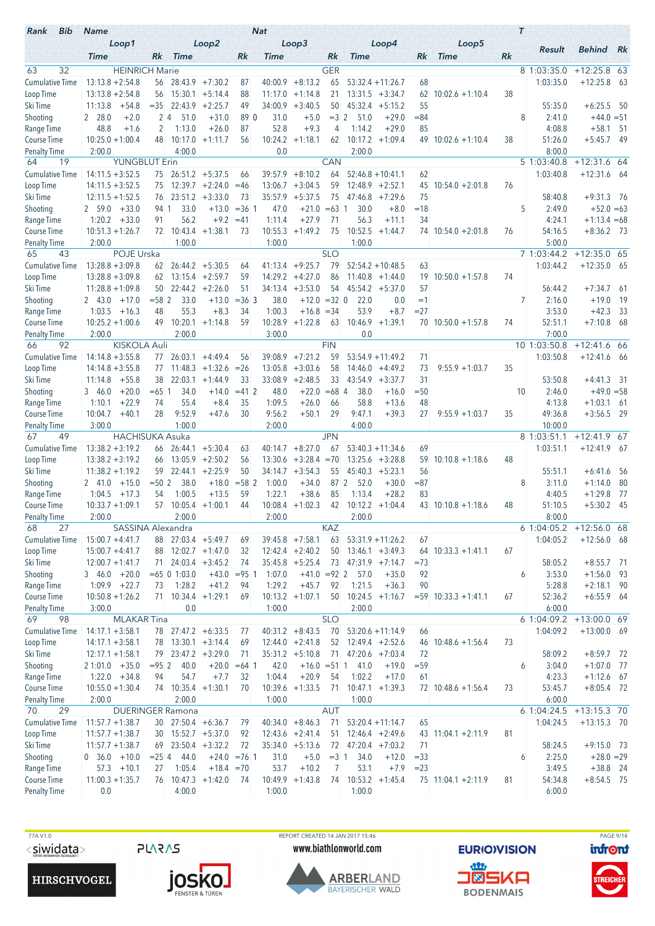| Bib<br>Rank                        | <b>Name</b>                                 |                |                                                            |                                         |                | <b>Nat</b>       |                                |                  |                      |                                           |              |                        |    | $\tau$                   |                              |             |
|------------------------------------|---------------------------------------------|----------------|------------------------------------------------------------|-----------------------------------------|----------------|------------------|--------------------------------|------------------|----------------------|-------------------------------------------|--------------|------------------------|----|--------------------------|------------------------------|-------------|
|                                    | Loop1                                       |                |                                                            | Loop2                                   |                |                  | Loop3                          |                  |                      | Loop4                                     |              | Loop5                  |    | Result                   | <b>Behind</b> Rk             |             |
|                                    | <b>Time</b>                                 | Rk             | <b>Time</b>                                                |                                         | Rk             | Time             |                                | Rk               | <b>Time</b>          |                                           | Rk           | <b>Time</b>            | Rk |                          |                              |             |
| 63<br>32<br><b>Cumulative Time</b> | <b>HEINRICH Marie</b><br>$13:13.8 + 2:54.8$ | 56             |                                                            | $28:43.9$ +7:30.2                       | 87             | 40:00.9          | $+8:13.2$                      | <b>GER</b><br>65 |                      | $53:32.4 + 11:26.7$                       | 68           |                        |    | 8 1:03:35.0<br>1:03:35.0 | $+12:25.8$ 63<br>$+12:25.8$  | - 63        |
| Loop Time                          | $13:13.8 + 2:54.8$                          | 56             |                                                            | $15:30.1 + 5:14.4$                      | 88             | 11:17.0          | $+1:14.8$                      | 21               |                      | $13:31.5 + 3:34.7$                        | 62           | $10:02.6 + 1:10.4$     | 38 |                          |                              |             |
| Ski Time                           | 11:13.8<br>$+54.8$                          | $=35$          | 22:43.9                                                    | $+2:25.7$                               | 49             |                  | $34:00.9 + 3:40.5$             | 50               |                      | $45:32.4 +5:15.2$                         | 55           |                        |    | 55:35.0                  | $+6:25.5$ 50                 |             |
| Shooting                           | 2 28.0<br>$+2.0$                            |                | 2 <sub>4</sub><br>51.0                                     | $+31.0$                                 | 89 0           | 31.0             | $+5.0$                         | $=3 \, 2$        | 51.0                 | $+29.0$                                   | $= 84$       |                        |    | 8<br>2:41.0              | $+44.0 = 51$                 |             |
| Range Time                         | $+1.6$<br>48.8                              | 2              | 1:13.0                                                     | $+26.0$                                 | 87             | 52.8             | $+9.3$                         | 4                | 1:14.2               | $+29.0$                                   | 85           |                        |    | 4:08.8                   | $+58.1$                      | - 51        |
| Course Time                        | $10:25.0 + 1:00.4$                          | 48             | 10:17.0                                                    | $+1:11.7$                               | 56             |                  | $10:24.2 +1:18.1$              | 62               |                      | $10:17.2 + 1:09.4$                        |              | $49$ 10:02.6 +1:10.4   | 38 | 51:26.0                  | $+5:45.7$ 49                 |             |
| <b>Penalty Time</b><br>19<br>64    | 2:00.0<br><b>YUNGBLUT Erin</b>              |                | 4:00.0                                                     |                                         |                | 0.0              |                                | CAN              | 2:00.0               |                                           |              |                        |    | 8:00.0<br>5 1:03:40.8    | $+12:31.6$ 64                |             |
| <b>Cumulative Time</b>             | $14:11.5 + 3:52.5$                          | 75             |                                                            | $26:51.2 +5:37.5$                       | 66             | 39:57.9          | $+8:10.2$                      | 64               |                      | $52:46.8 + 10:41.1$                       | 62           |                        |    | 1:03:40.8                | $+12:31.6$ 64                |             |
| Loop Time                          | $14:11.5 + 3:52.5$                          | 75             |                                                            | $12:39.7 + 2:24.0$                      | $=46$          | 13:06.7          | $+3:04.5$                      | 59               |                      | $12:48.9 + 2:52.1$                        | 45           | $10:54.0 + 2:01.8$     | 76 |                          |                              |             |
| Ski Time                           | $12:11.5 + 1:52.5$                          |                | 76 23:51.2 +3:33.0                                         |                                         | 73             |                  | $35:57.9 + 5:37.5$             | 75               |                      | $47:46.8$ +7:29.6                         | 75           |                        |    | 58:40.8                  | $+9:31.3$ 76                 |             |
| Shooting                           | $+33.0$<br>2 59.0                           | 941            | 33.0                                                       | $+13.0$                                 | $= 36$ 1       | 47.0             | $+21.0 = 63$ 1                 |                  | 30.0                 | $+8.0$                                    | $=18$        |                        |    | 5<br>2:49.0              | $+52.0 = 63$                 |             |
| Range Time                         | $1:20.2 + 33.0$                             | 91             | 56.2                                                       | $+9.2$                                  | $=41$          | 1:11.4           | $+27.9$                        | 71               | 56.3                 | $+11.1$                                   | 34           |                        |    | 4:24.1                   | $+1:13.4 = 68$               |             |
| Course Time                        | $10:51.3 + 1:26.7$                          | 72             |                                                            | $10:43.4 +1:38.1$                       | 73             | 10:55.3          | $+1:49.2$                      | 75               | 10:52.5              | $+1:44.7$                                 |              | $74$ 10:54.0 +2:01.8   | 76 | 54:16.5                  | $+8:36.2$ 73                 |             |
| <b>Penalty Time</b>                | 2:00.0                                      |                | 1:00.0                                                     |                                         |                | 1:00.0           |                                |                  | 1:00.0               |                                           |              |                        |    | 5:00.0                   |                              |             |
| 43<br>65                           | POJE Urska                                  |                |                                                            |                                         |                |                  |                                | <b>SLO</b>       |                      |                                           |              |                        |    | 7 1:03:44.2              | $+12:35.0$ 65                |             |
| <b>Cumulative Time</b>             | $13:28.8 + 3:09.8$<br>$13:28.8 + 3:09.8$    | 62<br>62       |                                                            | $26:44.2 + 5:30.5$<br>$13:15.4 +2:59.7$ | 64<br>59       | 14:29.2          | $41:13.4 +9:25.7$<br>$+4:27.0$ | 79<br>86         |                      | $52:54.2 + 10:48.5$<br>$11:40.8 + 1:44.0$ | 63<br>19     | $10:50.0 + 1:57.8$     | 74 | 1:03:44.2                | $+12:35.0$ 65                |             |
| Loop Time<br>Ski Time              | $11:28.8 + 1:09.8$                          | 50             |                                                            | $22:44.2 + 2:26.0$                      | 51             | 34:13.4          | $+3:53.0$                      | 54               |                      | $45:54.2 +5:37.0$                         | 57           |                        |    | 56:44.2                  | $+7:34.7$                    | - 61        |
| Shooting                           | 2 43.0<br>$+17.0$                           | $= 58$ 2       | 33.0                                                       | $+13.0$                                 | $=363$         | 38.0             | $+12.0$                        | $=32$ 0          | 22.0                 | 0.0                                       | $=1$         |                        |    | 7<br>2:16.0              | $+19.0$                      | -19         |
| Range Time                         | 1:03.5<br>$+16.3$                           | 48             | 55.3                                                       | $+8.3$                                  | 34             | 1:00.3           | $+16.8 = 34$                   |                  | 53.9                 | $+8.7$                                    | $= 27$       |                        |    | 3:53.0                   | $+42.3$                      | 33          |
| Course Time                        | $10:25.2 + 1:00.6$                          |                | 49 10:20.1                                                 | $+1:14.8$                               | 59             | 10:28.9          | $+1:22.8$                      | 63               | 10:46.9              | $+1:39.1$                                 |              | $70$ 10:50.0 +1:57.8   | 74 | 52:51.1                  | $+7:10.8$                    | - 68        |
| Penalty Time                       | 2:00.0                                      |                | 2:00.0                                                     |                                         |                | 3:00.0           |                                |                  | 0.0                  |                                           |              |                        |    | 7:00.0                   |                              |             |
| 92<br>66                           | <b>KISKOLA Auli</b>                         |                |                                                            |                                         |                |                  |                                | <b>FIN</b>       |                      |                                           |              |                        |    | 10 1:03:50.8             | $+12:41.6$ 66                |             |
| <b>Cumulative Time</b>             | $14:14.8 + 3:55.8$                          | 77             | 26:03.1                                                    | $+4:49.4$                               | 56             | 39:08.9          | $+7:21.2$                      | 59               |                      | $53:54.9 + 11:49.2$                       | 71           |                        |    | 1:03:50.8                | $+12:41.6$ 66                |             |
| Loop Time                          | $14:14.8 + 3:55.8$                          | 77             |                                                            | $11:48.3 +1:32.6$                       | $=26$          | 13:05.8          | $+3:03.6$                      | 58               |                      | $14:46.0 + 4:49.2$                        | 73           | $9:55.9 + 1:03.7$      | 35 |                          |                              |             |
| Ski Time                           | $+55.8$<br>11:14.8<br>$+20.0$               | 38<br>$= 65$ 1 | 22:03.1<br>34.0                                            | $+1:44.9$<br>$+14.0$                    | 33<br>$=41$ 2  | 33:08.9<br>48.0  | $+2:48.5$<br>$+22.0$           | 33<br>$=68$ 4    | 38.0                 | $43:54.9 +3:37.7$<br>$+16.0$              | 31<br>$= 50$ |                        |    | 53:50.8<br>2:46.0<br>10  | $+4:41.3$ 31<br>$+49.0 = 58$ |             |
| Shooting<br>Range Time             | 3 46.0<br>1:10.1<br>$+22.9$                 | 74             | 55.4                                                       | $+8.4$                                  | 35             | 1:09.5           | $+26.0$                        | 66               | 58.8                 | $+13.6$                                   | 48           |                        |    | 4:13.8                   | $+1:03.1$                    | - 61        |
| <b>Course Time</b>                 | 10:04.7<br>$+40.1$                          | 28             | 9:52.9                                                     | $+47.6$                                 | 30             | 9:56.2           | $+50.1$                        | 29               | 9:47.1               | $+39.3$                                   | 27           | $9:55.9 + 1:03.7$      | 35 | 49:36.8                  | $+3:56.5$ 29                 |             |
| <b>Penalty Time</b>                | 3:00.0                                      |                | 1:00.0                                                     |                                         |                | 2:00.0           |                                |                  | 4:00.0               |                                           |              |                        |    | 10:00.0                  |                              |             |
| 67<br>49                           | <b>HACHISUKA Asuka</b>                      |                |                                                            |                                         |                |                  |                                | <b>JPN</b>       |                      |                                           |              |                        |    | 8 1:03:51.1              | $+12:41.9$ 67                |             |
| <b>Cumulative Time</b>             | $13:38.2 + 3:19.2$                          |                | $66$ 26:44.1 +5:30.4                                       |                                         | 63             | 40:14.7          | $+8:27.0$                      | 67               |                      | $53:40.3 + 11:34.6$                       | 69           |                        |    | 1:03:51.1                | $+12:41.9$ 67                |             |
| Loop Time                          | $13:38.2 + 3:19.2$                          | 66             |                                                            | $13:05.9 + 2:50.2$                      | 56             | 13:30.6          | $+3:28.4 = 70$                 |                  |                      | $13:25.6 + 3:28.8$                        | 59           | $10:10.8 + 1:18.6$     | 48 |                          |                              |             |
| Ski Time                           | $11:38.2 + 1:19.2$                          | 59             |                                                            | $22:44.1 + 2:25.9$                      | 50             | 34:14.7          | $+3:54.3$                      | 55               |                      | $45:40.3 +5:23.1$                         | 56           |                        |    | 55:51.1                  | $+6:41.6$                    | - 56        |
| Shooting<br>Range Time             | $+15.0$<br>2 41.0<br>1:04.5<br>$+17.3$      | $= 502$<br>54  | 38.0<br>1:00.5                                             | $+18.0$<br>$+13.5$                      | $= 582$<br>59  | 1:00.0<br>1:22.1 | $+34.0$<br>$+38.6$             | 87 2<br>85       | 52.0<br>1:13.4       | $+30.0$<br>$+28.2$                        | $= 87$<br>83 |                        |    | 8<br>3:11.0<br>4:40.5    | $+1:14.0$<br>$+1:29.8$       | -80<br>- 77 |
| <b>Course Time</b>                 | $10:33.7 + 1:09.1$                          | 57             |                                                            | $10:05.4$ +1:00.1                       | 44             |                  | $10:08.4 +1:02.3$              | 42               |                      | $10:12.2 + 1:04.4$                        |              | $43$ 10:10.8 +1:18.6   | 48 | 51:10.5                  | $+5:30.2$                    | - 45        |
| <b>Penalty Time</b>                | 2:00.0                                      |                | 2:00.0                                                     |                                         |                | 2:00.0           |                                |                  | 2:00.0               |                                           |              |                        |    | 8:00.0                   |                              |             |
| 68<br>27                           | SASSINA Alexandra                           |                |                                                            |                                         |                |                  |                                | KAZ              |                      |                                           |              |                        |    | 6 1:04:05.2              | $+12:56.0$ 68                |             |
| <b>Cumulative Time</b>             | $15:00.7 + 4:41.7$                          |                | 88 27:03.4 +5:49.7                                         |                                         | 69             |                  | $39:45.8$ +7:58.1              | 63               |                      | $53:31.9 + 11:26.2$                       | 67           |                        |    | 1:04:05.2                | $+12:56.0$ 68                |             |
| Loop Time                          | $15:00.7 + 4:41.7$                          |                | 88 12:02.7 +1:47.0                                         |                                         | 32             |                  | $12:42.4 + 2:40.2$             | 50               |                      | $13:46.1 + 3:49.3$                        |              | $64$ 10:33.3 +1:41.1   | 67 |                          |                              |             |
| Ski Time                           | $12:00.7 + 1:41.7$                          |                | $71$ 24:03.4 +3:45.2                                       |                                         | 74             |                  | $35:45.8$ +5:25.4              |                  | $73$ 47:31.9 +7:14.7 |                                           | $=73$        |                        |    | 58:05.2                  | $+8:55.7$ 71                 |             |
| Shooting<br>Range Time             | $3, 46.0 + 20.0$<br>$1:09.9$ +22.7          | 73             | $= 65 \begin{array}{ccc} 0 & 1:03.0 \end{array}$<br>1:28.2 | $+43.0$<br>$+41.2$                      | $= 95$ 1<br>94 | 1:07.0<br>1:29.2 | $+41.0 = 92$ 2<br>$+45.7$      | 92               | 57.0<br>1:21.5       | $+35.0$<br>$+36.3$                        | 92<br>90     |                        |    | 3:53.0<br>6<br>5:28.8    | $+1:56.0$ 93<br>$+2:18.1$ 90 |             |
| Course Time                        | $10:50.8 + 1:26.2$                          | 71             |                                                            | $10:34.4 +1:29.1$                       | 69             |                  | $10:13.2 +1:07.1$              | 50               |                      | $10:24.5 +1:16.7$                         |              | $= 59$ 10:33.3 +1:41.1 | 67 | 52:36.2                  | $+6:55.9$ 64                 |             |
| <b>Penalty Time</b>                | 3:00.0                                      |                | 0.0                                                        |                                         |                | 1:00.0           |                                |                  | 2:00.0               |                                           |              |                        |    | 6:00.0                   |                              |             |
| 69<br>98                           | <b>MLAKAR</b> Tina                          |                |                                                            |                                         |                |                  |                                | <b>SLO</b>       |                      |                                           |              |                        |    | 6 1:04:09.2              | +13:00.0 69                  |             |
| <b>Cumulative Time</b>             | $14:17.1 + 3:58.1$                          |                | 78 27:47.2 +6:33.5                                         |                                         | 77             |                  | $40:31.2 +8:43.5$              | 70               |                      | $53:20.6 + 11:14.9$                       | 66           |                        |    | 1:04:09.2                | $+13:00.0$ 69                |             |
| Loop Time                          | $14:17.1 + 3:58.1$                          |                | 78 13:30.1 +3:14.4                                         |                                         | 69             |                  | $12:44.0 + 2:41.8$             | 52               |                      | $12:49.4 + 2:52.6$                        |              | $46$ 10:48.6 +1:56.4   | 73 |                          |                              |             |
| Ski Time                           | $12:17.1 + 1:58.1$                          | 79             |                                                            | $23:47.2 + 3:29.0$                      | 71             |                  | $35:31.2 +5:10.8$              | 71               |                      | $47:20.6$ +7:03.4                         | 72           |                        |    | 58:09.2                  | $+8:59.7$ 72                 |             |
| Shooting                           | $21:01.0 + 35.0$                            | $= 95 \, 2$    | 40.0                                                       |                                         | $+20.0 = 64$ 1 | 42.0             | $+16.0 = 511$                  |                  | 41.0                 | $+19.0$                                   | $= 59$       |                        |    | 3:04.0<br>6              | $+1:07.0$ 77                 |             |
| Range Time<br>Course Time          | $1:22.0 +34.8$<br>$10:55.0 + 1:30.4$        | 94             | 54.7<br>74 10:35.4 +1:30.1                                 | $+7.7$                                  | 32<br>70       | 1:04.4           | $+20.9$<br>$10:39.6 +1:33.5$   | 54<br>71         | 1:02.2               | $+17.0$<br>$10:47.1 + 1:39.3$             | 61           | $72$ 10:48.6 +1:56.4   | 73 | 4:23.3<br>53:45.7        | $+1:12.6$ 67<br>$+8:05.4$ 72 |             |
| <b>Penalty Time</b>                | 2:00.0                                      |                | 2:00.0                                                     |                                         |                | 1:00.0           |                                |                  | 1:00.0               |                                           |              |                        |    | 6:00.0                   |                              |             |
| 29<br>70                           |                                             |                | <b>DUERINGER Ramona</b>                                    |                                         |                |                  |                                | <b>AUT</b>       |                      |                                           |              |                        |    | 6 1:04:24.5              | $+13:15.3$ 70                |             |
| <b>Cumulative Time</b>             | $11:57.7 + 1:38.7$                          |                | 30 27:50.4 +6:36.7                                         |                                         | 79             |                  | $40:34.0 + 8:46.3$             | 71               |                      | $53:20.4 +11:14.7$                        | 65           |                        |    | 1:04:24.5                | $+13:15.3$ 70                |             |
| Loop Time                          | $11:57.7 + 1:38.7$                          | 30             |                                                            | $15:52.7 + 5:37.0$                      | 92             |                  | $12:43.6 + 2:41.4$             | 51               |                      | $12:46.4 + 2:49.6$                        |              | 43 11:04.1 +2:11.9     | 81 |                          |                              |             |
| Ski Time                           | $11:57.7 + 1:38.7$                          |                | $69$ 23:50.4 $+3:32.2$                                     |                                         | 72             |                  | $35:34.0 + 5:13.6$             | 72               |                      | $47:20.4$ +7:03.2                         | 71           |                        |    | 58:24.5                  | $+9:15.0$ 73                 |             |
| Shooting                           | $0\quad36.0\quad +10.0$                     | $= 25 \, 4$    | 44.0                                                       |                                         | $+24.0 = 761$  | 31.0             | $+5.0$                         | $=31$            | 34.0                 | $+12.0$                                   | $= 33$       |                        |    | 2:25.0<br>6              | $+28.0 = 29$                 |             |
| Range Time                         | $57.3 + 10.1$                               | 27             | 1:05.4                                                     | $+18.4 = 70$                            |                | 53.7             | $+10.2$                        | 7                | 53.1                 | $+7.9$                                    | $= 23$       |                        |    | 3:49.5                   | $+38.8$ 24                   |             |
| Course Time<br><b>Penalty Time</b> | $11:00.3 + 1:35.7$<br>0.0                   |                | 4:00.0                                                     | $76$ 10:47.3 +1:42.0                    | 74             | 1:00.0           | $10:49.9 +1:43.8$              | 74               | 1:00.0               | $10:53.2 +1:45.4$                         |              | $75$ 11:04.1 +2:11.9   | 81 | 54:34.8<br>6:00.0        | $+8:54.5$ 75                 |             |
|                                    |                                             |                |                                                            |                                         |                |                  |                                |                  |                      |                                           |              |                        |    |                          |                              |             |

77A V1.0  $<$ siwidata>

**PLARAS** 





REPORT CREATED 14 JAN 2017 15:46 www.biathlonworld.com



**EURIOVISION** <u>an</u> **J®SKA BODENMAIS** 

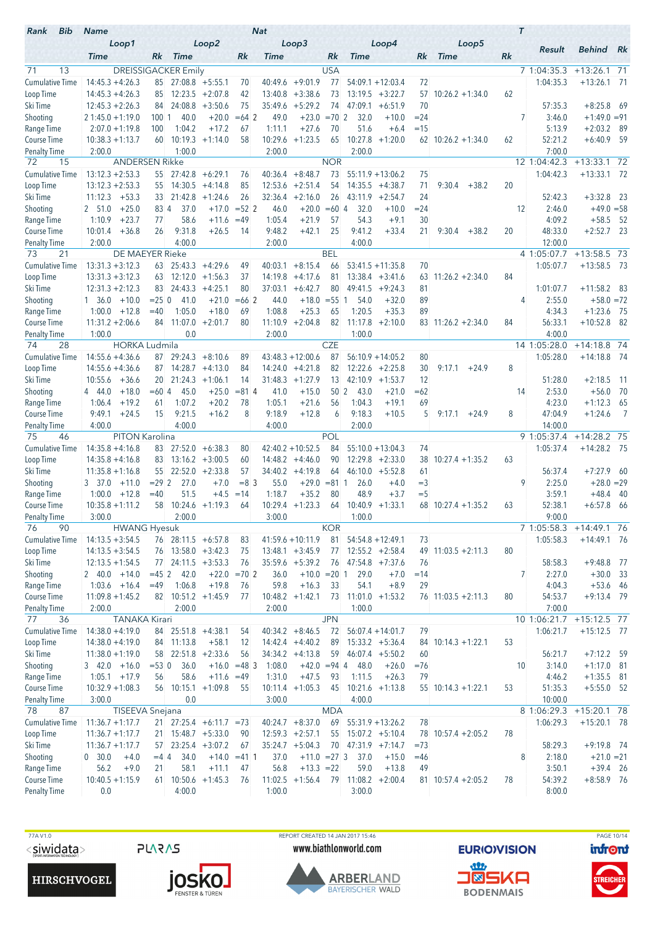| Loop3<br>Loop1<br>Loop2<br>Loop4<br>Loop5<br>Result<br><b>Behind</b> Rk<br>Rk<br><b>Time</b><br>Rk<br><b>Time</b><br>Rk<br><b>Time</b><br>Rk<br><b>Time</b><br>Rk<br><b>Time</b><br>71<br>13<br><b>DREISSIGACKER</b> Emily<br><b>USA</b><br>$+13:26.1$ 71<br>7 1:04:35.3<br><b>Cumulative Time</b><br>$14:45.3 + 4:26.3$<br>$+9:01.9$<br>77<br>1:04:35.3<br>$+13:26.1$ 71<br>$85$ 27:08.8 +5:55.1<br>40:49.6<br>$54:09.1 + 12:03.4$<br>72<br>70<br>$14:45.3 + 4:26.3$<br>$12:23.5 + 2:07.8$<br>$+3:38.6$<br>73<br>$13:19.5 + 3:22.7$<br>85<br>42<br>13:40.8<br>57<br>$10:26.2 + 1:34.0$<br>62<br>$+8:25.8$<br>24:08.8<br>$+3:50.6$<br>35:49.6<br>$+5:29.2$<br>74<br>47:09.1<br>70<br>57:35.3<br>$12:45.3 + 2:26.3$<br>75<br>$+6:51.9$<br>- 69<br>84.<br>40.0<br>$+20.0$<br>$=64$ 2<br>49.0<br>$+23.0$<br>$= 702$<br>32.0<br>$= 24$<br>7<br>3:46.0<br>$+1:49.0 = 91$<br>$21:45.0 + 1:19.0$<br>10011<br>$+10.0$<br>1:04.2<br>$+17.2$<br>1:11.1<br>$+27.6$<br>70<br>51.6<br>$=15$<br>5:13.9<br>$+2:03.2$<br>- 89<br>$2:07.0 + 1:19.8$<br>100<br>67<br>$+6.4$<br>52:21.2<br>$10:38.3 + 1:13.7$<br>10:19.3<br>58<br>10:29.6<br>$+1:23.5$<br>65<br>10:27.8<br>$+1:20.0$<br>$+6:40.9$<br>- 59<br>60<br>$+1:14.0$<br>$62$ 10:26.2 +1:34.0<br>62<br>2:00.0<br>1:00.0<br>2:00.0<br>2:00.0<br>7:00.0<br><b>Penalty Time</b><br>12 1:04:42.3<br>$+13:33.1$ 72<br><b>ANDERSEN Rikke</b><br><b>NOR</b><br>72<br>15<br><b>Cumulative Time</b><br>$13:12.3 + 2:53.3$<br>$+8:48.7$<br>73<br>$55:11.9 + 13:06.2$<br>1:04:42.3<br>$+13:33.1$<br>55<br>$27:42.8 + 6:29.1$<br>40:36.4<br>75<br>- 72<br>76<br>$13:12.3 + 2:53.3$<br>14:30.5<br>$+4:14.8$<br>12:53.6<br>$+2:51.4$<br>54<br>14:35.5<br>71<br>9:30.4<br>20<br>Loop Time<br>55<br>85<br>$+4:38.7$<br>$+38.2$<br>33 21:42.8<br>$+3:32.8$ 23<br>Ski Time<br>11:12.3<br>$+53.3$<br>$+1:24.6$<br>26<br>32:36.4<br>$+2:16.0$<br>26<br>$43:11.9$ +2:54.7<br>24<br>52:42.3<br>$+25.0$<br>37.0<br>$= 52$ 2<br>$+20.0$<br>$=60$ 4<br>2:46.0<br>$+49.0 = 58$<br>Shooting<br>2 51.0<br>834<br>$+17.0$<br>46.0<br>32.0<br>$+10.0$<br>$= 24$<br>12<br>58.6<br>$+21.9$<br>54.3<br>4:09.2<br>$+58.5$<br>Range Time<br>1:10.9<br>$+23.7$<br>77<br>$+11.6$<br>$=49$<br>1:05.4<br>57<br>$+9.1$<br>30<br>- 52<br>25<br>26<br>9:31.8<br>$+26.5$<br>14<br>9:48.2<br>$+42.1$<br>9:41.2<br>$+33.4$<br>21<br>20<br>48:33.0<br>$+2:52.7$ 23<br>10:01.4<br>$+36.8$<br>$9:30.4$ +38.2<br>4:00.0<br>2:00.0<br>4:00.0<br>12:00.0<br><b>Penalty Time</b><br>2:00.0<br>21<br><b>BEL</b><br>4 1:05:07.7<br>$+13:58.5$ 73<br>73<br>DE MAEYER Rieke<br><b>Cumulative Time</b><br>1:05:07.7<br>$+13:58.5$ 73<br>$13:31.3 + 3:12.3$<br>$63$ 25:43.3 +4:29.6<br>$+8:15.4$<br>$53:41.5 + 11:35.8$<br>49<br>40:03.1<br>66<br>70<br>12:12.0<br>14:19.8<br>$+4:17.6$<br>81<br>$13:38.4 + 3:41.6$<br>$11:26.2 +2:34.0$<br>84<br>Loop Time<br>$13:31.3 + 3:12.3$<br>63<br>$+1:56.3$<br>37<br>63<br>Ski Time<br>$12:31.3 + 2:12.3$<br>24:43.3<br>$+4:25.1$<br>80<br>37:03.1<br>$+6:42.7$<br>80<br>49:41.5<br>1:01:07.7<br>$+11:58.2$ 83<br>83<br>$+9:24.3$<br>81<br>$+10.0$<br>$= 250$<br>41.0<br>$+21.0$<br>$=66$ 2<br>44.0<br>$+18.0$<br>$= 55$ 1<br>89<br>2:55.0<br>$+58.0 = 72$<br>Shooting<br>$1 \quad 36.0$<br>54.0<br>$+32.0$<br>4<br>1:05.0<br>$+18.0$<br>1:08.8<br>$+25.3$<br>1:20.5<br>$+35.3$<br>89<br>4:34.3<br>$+1:23.6$ 75<br>Range Time<br>1:00.0<br>$+12.8$<br>$=40$<br>69<br>65<br>Course Time<br>11:07.0<br>$+2:01.7$<br>80<br>11:10.9<br>$+2:04.8$<br>82<br>11:17.8<br>84<br>56:33.1<br>$+10:52.8$ 82<br>$11:31.2 + 2:06.6$<br>84<br>$+2:10.0$<br>$83$ 11:26.2 +2:34.0<br>0.0<br>4:00.0<br><b>Penalty Time</b><br>1:00.0<br>2:00.0<br>1:00.0<br><b>CZE</b><br>74<br>28<br><b>HORKA Ludmila</b><br>14 1:05:28.0<br>$+14:18.8$ 74<br><b>Cumulative Time</b><br>$14:55.6 + 4:36.6$<br>$29:24.3 + 8:10.6$<br>$43:48.3 + 12:00.6$<br>87<br>$56:10.9 + 14:05.2$<br>1:05:28.0<br>$+14:18.8$ 74<br>80<br>87<br>89<br>8<br>$14:28.7 + 4:13.0$<br>82<br>Loop Time<br>$14:55.6 + 4:36.6$<br>87<br>84<br>14:24.0<br>$+4:21.8$<br>$12:22.6$ +2:25.8<br>30<br>9:17.1<br>$+24.9$<br>31:48.3<br>$+1:27.9$<br>13<br>51:28.0<br>10:55.6<br>$+36.6$<br>20<br>$21:24.3 +1:06.1$<br>14<br>$42:10.9$ +1:53.7<br>12<br>$+2:18.5$<br>-11<br>$=604$<br>45.0<br>$+25.0$<br>$= 814$<br>$+15.0$<br>50 <sup>2</sup><br>43.0<br>2:53.0<br>$+56.0$<br>70<br>4 44.0<br>$+18.0$<br>41.0<br>$+21.0$<br>$=62$<br>14<br>1:07.2<br>1:06.4<br>$+19.2$<br>$+20.2$<br>1:05.1<br>$+21.6$<br>56<br>1:04.3<br>$+19.1$<br>69<br>4:23.0<br>$+1:12.3$<br>- 65<br>78<br>61<br>$+12.8$<br>9:49.1<br>9:21.5<br>$+16.2$<br>8<br>9:18.9<br>9:18.3<br>$+10.5$<br>8<br>47:04.9<br>$+1:24.6$<br>$\overline{7}$<br>$+24.5$<br>15<br>6<br>5<br>$9:17.1 + 24.9$<br>4:00.0<br>4:00.0<br>4:00.0<br>2:00.0<br>14:00.0<br><b>Penalty Time</b><br>9 1:05:37.4<br>PITON Karolina<br>POL<br>$+14:28.2$ 75<br>75<br>46<br>Cumulative Time<br>$14:35.8 + 4:16.8$<br>83 27:52.0<br>$42:40.2 + 10:52.5$<br>84<br>$55:10.0 + 13:04.3$<br>1:05:37.4<br>$+14:28.2$ 75<br>$+6:38.3$<br>80<br>74<br>$13:16.2 + 3:00.5$<br>14:48.2<br>90<br>$12:29.8 + 2:33.0$<br>$10:27.4 + 1:35.2$<br>63<br>Loop Time<br>$14:35.8 + 4:16.8$<br>83<br>60<br>$+4:46.0$<br>38<br>22:52.0<br>$+2:33.8$<br>57<br>$+4:19.8$<br>56:37.4<br>$+7:27.9$<br>Ski Time<br>$11:35.8 + 1:16.8$<br>55<br>34:40.2<br>64<br>46:10.0<br>$+5:52.8$<br>61<br>- 60<br>$+28.0 = 29$<br>$= 292$<br>27.0<br>$+7.0$<br>$= 8 \, 3$<br>55.0<br>$+29.0$<br>$= 81 \, 1$<br>$=$ 3<br>9<br>2:25.0<br>Shooting<br>3 37.0<br>$+11.0$<br>26.0<br>$+4.0$<br>$=40$<br>51.5<br>1:18.7<br>$+35.2$<br>48.9<br>3:59.1<br>$+48.4$<br>Range Time<br>1:00.0<br>$+12.8$<br>$+4.5$<br>$=14$<br>80<br>$+3.7$<br>$=$ 5<br>- 40<br>$58$ 10:24.6 +1:19.3<br>$10:29.4 +1:23.3$<br>$10:40.9 +1:33.1$<br>52:38.1<br>$+6:57.8$<br>$10:35.8 + 1:11.2$<br>$68$ 10:27.4 +1:35.2<br>63<br>- 66<br>64<br>64<br>3:00.0<br>2:00.0<br>3:00.0<br>9:00.0<br>1:00.0<br>76<br>90<br><b>KOR</b><br><b>HWANG Hyesuk</b><br>7 1:05:58.3<br>$+14:49.1$ 76<br>Cumulative Time<br>$14:13.5 + 3:54.5$<br>76 28:11.5 +6:57.8<br>$41:59.6 + 10:11.9$<br>81<br>$54:54.8 + 12:49.1$<br>73<br>1:05:58.3<br>$+14:49.1$ 76<br>83<br>Loop Time<br>$76$ 13:58.0 +3:42.3<br>$13:48.1 + 3:45.9$<br>$77$ 12:55.2 +2:58.4<br>$49$ 11:03.5 +2:11.3<br>80<br>$14:13.5 + 3:54.5$<br>75<br>Ski Time<br>$77$ 24:11.5 +3:53.3<br>$35:59.6 + 5:39.2$<br>$47:54.8$ +7:37.6<br>58:58.3<br>$+9:48.8$ 77<br>$12:13.5 + 1:54.5$<br>76<br>76<br>76<br>Shooting<br>$2 40.0 +14.0$<br>$=45.2$<br>42.0<br>$+22.0 = 702$<br>36.0<br>$+10.0 = 20 1$<br>29.0<br>$+7.0$<br>7<br>2:27.0<br>$+30.0$ 33<br>$=14$<br>Range Time<br>1:06.8<br>$+19.8$<br>59.8<br>$+16.3$<br>54.1<br>$+8.9$<br>4:04.3<br>$+53.6$ 46<br>$1:03.6$ +16.4<br>76<br>33<br>29<br>$=49$<br>Course Time<br>82 10:51.2 +1:45.9<br>$10:48.2 +1:42.1$<br>$11:01.0 + 1:53.2$<br>80<br>54:53.7<br>$+9:13.4$ 79<br>$11:09.8 + 1:45.2$<br>73<br>$76$ 11:03.5 +2:11.3<br>77<br><b>Penalty Time</b><br>2:00.0<br>2:00.0<br>1:00.0<br>7:00.0<br>2:00.0<br>77<br><b>TANAKA Kirari</b><br><b>JPN</b><br>36<br>10 1:06:21.7<br>$+15:12.5$ 77<br><b>Cumulative Time</b><br>$40:34.2 +8:46.5$<br>$+15:12.5$ 77<br>$14:38.0 + 4:19.0$<br>84 25:51.8 +4:38.1<br>72<br>$56:07.4 + 14:01.7$<br>79<br>1:06:21.7<br>54<br>Loop Time<br>84 11:13.8<br>$+58.1$<br>89<br>$15:33.2 + 5:36.4$<br>$14:38.0 + 4:19.0$<br>$14:42.4 +4:40.2$<br>$84$ 10:14.3 +1:22.1<br>53<br>12<br>58 22:51.8 +2:33.6<br>56<br>56:21.7<br>$11:38.0 + 1:19.0$<br>$34:34.2 +4:13.8$<br>$59$ 46:07.4 +5:50.2<br>60<br>$+7:12.2$ 59<br>36.0<br>$+16.0 = 48$ 3<br>1:08.0<br>$+42.0 = 94$ 4<br>48.0<br>3:14.0<br>$+1:17.0$ 81<br>$3\quad 42.0\quad +16.0$<br>$= 530$<br>$+26.0$<br>$=76$<br>10<br>58.6<br>$+11.6 = 49$<br>1:31.0<br>$+47.5$<br>93<br>1:11.5<br>$+26.3$<br>79<br>4:46.2<br>$+1:35.5$ 81<br>$1:05.1 + 17.9$<br>56<br>$10:32.9 + 1:08.3$<br>$10:15.1 + 1:09.8$<br>$10:11.4 +1:05.3$<br>56<br>45<br>$10:21.6 +1:13.8$<br>$55$ 10:14.3 +1:22.1<br>53<br>51:35.3<br>$+5:55.0$ 52<br>55<br>0.0<br>3:00.0<br><b>Penalty Time</b><br>3:00.0<br>4:00.0<br>10:00.0<br>78<br>87<br><b>TISEEVA</b> Snejana<br><b>MDA</b><br>8 1:06:29.3<br>+15:20.1 78<br><b>Cumulative Time</b><br>$40:24.7 + 8:37.0$<br>69<br>1:06:29.3<br>$+15:20.1$ 78<br>$11:36.7 + 1:17.7$<br>$21 \quad 27:25.4 \quad +6:11.7 \quad = 73$<br>$55:31.9 + 13:26.2$<br>78<br>Loop Time<br>$11:36.7 + 1:17.7$<br>$21$ 15:48.7 +5:33.0<br>$12:59.3 + 2:57.1$<br>55<br>$15:07.2 + 5:10.4$<br>78 10:57.4 +2:05.2<br>78<br>90<br>Ski Time<br>$70$ 47:31.9 +7:14.7<br>58:29.3<br>$+9:19.8$ 74<br>57 23:25.4 +3:07.2<br>$35:24.7 + 5:04.3$<br>$11:36.7 + 1:17.7$<br>67<br>$= 73$<br>Shooting<br>0 30.0<br>34.0<br>$+14.0 = 41$ 1<br>37.0<br>$+11.0 = 27$ 3<br>8<br>2:18.0<br>$+21.0 = 21$<br>$+4.0$<br>$=4.4$<br>37.0<br>$+15.0$<br>$=46$<br>Range Time<br>58.1<br>$+11.1$<br>56.8<br>$+13.3 = 22$<br>59.0<br>$+13.8$<br>3:50.1<br>$+39.4$ 26<br>56.2<br>$+9.0$<br>21<br>47<br>49<br>Course Time<br>$10:40.5 + 1:15.9$<br>$10:50.6 +1:45.3$<br>$11:02.5 +1:56.4$<br>79 11:08.2<br>54:39.2<br>$+8:58.9$ 76<br>76<br>$+2:00.4$<br>$81$ 10:57.4 +2:05.2<br>78<br>61<br>0.0<br>4:00.0<br>1:00.0<br>3:00.0<br>8:00.0 | Bib<br>Rank         | <b>Name</b> |  |  | <b>Nat</b> |  |  |  | $\tau$ |  |  |
|----------------------------------------------------------------------------------------------------------------------------------------------------------------------------------------------------------------------------------------------------------------------------------------------------------------------------------------------------------------------------------------------------------------------------------------------------------------------------------------------------------------------------------------------------------------------------------------------------------------------------------------------------------------------------------------------------------------------------------------------------------------------------------------------------------------------------------------------------------------------------------------------------------------------------------------------------------------------------------------------------------------------------------------------------------------------------------------------------------------------------------------------------------------------------------------------------------------------------------------------------------------------------------------------------------------------------------------------------------------------------------------------------------------------------------------------------------------------------------------------------------------------------------------------------------------------------------------------------------------------------------------------------------------------------------------------------------------------------------------------------------------------------------------------------------------------------------------------------------------------------------------------------------------------------------------------------------------------------------------------------------------------------------------------------------------------------------------------------------------------------------------------------------------------------------------------------------------------------------------------------------------------------------------------------------------------------------------------------------------------------------------------------------------------------------------------------------------------------------------------------------------------------------------------------------------------------------------------------------------------------------------------------------------------------------------------------------------------------------------------------------------------------------------------------------------------------------------------------------------------------------------------------------------------------------------------------------------------------------------------------------------------------------------------------------------------------------------------------------------------------------------------------------------------------------------------------------------------------------------------------------------------------------------------------------------------------------------------------------------------------------------------------------------------------------------------------------------------------------------------------------------------------------------------------------------------------------------------------------------------------------------------------------------------------------------------------------------------------------------------------------------------------------------------------------------------------------------------------------------------------------------------------------------------------------------------------------------------------------------------------------------------------------------------------------------------------------------------------------------------------------------------------------------------------------------------------------------------------------------------------------------------------------------------------------------------------------------------------------------------------------------------------------------------------------------------------------------------------------------------------------------------------------------------------------------------------------------------------------------------------------------------------------------------------------------------------------------------------------------------------------------------------------------------------------------------------------------------------------------------------------------------------------------------------------------------------------------------------------------------------------------------------------------------------------------------------------------------------------------------------------------------------------------------------------------------------------------------------------------------------------------------------------------------------------------------------------------------------------------------------------------------------------------------------------------------------------------------------------------------------------------------------------------------------------------------------------------------------------------------------------------------------------------------------------------------------------------------------------------------------------------------------------------------------------------------------------------------------------------------------------------------------------------------------------------------------------------------------------------------------------------------------------------------------------------------------------------------------------------------------------------------------------------------------------------------------------------------------------------------------------------------------------------------------------------------------------------------------------------------------------------------------------------------------------------------------------------------------------------------------------------------------------------------------------------------------------------------------------------------------------------------------------------------------------------------------------------------------------------------------------------------------------------------------------------------------------------------------------------------------------------------------------------------------------------------------------------------------------------------------------------------------------------------------------------------------------------------------------------------------------------------------------------------------------------------------------------------------------------------------------------------------------------------------------------------------------------------------------------------------------------------------------------------------------------------------------------------------------------------------------------------------------------------------------------------------------------------------------------------------------------------------------------------------------------------------------------------------------------------------------------------------------------------------------------------------------------------------------------------------------------------------------------------------------------------------------------------------------------------------------------------------------------------------------------------------------------------------------------------------------------------------------------------------------------------------------------------------------------------------------------------------------------------------------------------------------------------------------------------------------------------------------------------------------------------------------------------------------------------------------------------------------------------------------------------------------------------------------------------------------------------------------------------------------------------------------------------------------------------------------------------------------------------------------------------------------------------------------------------------------------------------------------------------------------------------------------------------------------------------------------------------------------------------------------------------------------------------------------------------------------------------------------------------------------------------------|---------------------|-------------|--|--|------------|--|--|--|--------|--|--|
|                                                                                                                                                                                                                                                                                                                                                                                                                                                                                                                                                                                                                                                                                                                                                                                                                                                                                                                                                                                                                                                                                                                                                                                                                                                                                                                                                                                                                                                                                                                                                                                                                                                                                                                                                                                                                                                                                                                                                                                                                                                                                                                                                                                                                                                                                                                                                                                                                                                                                                                                                                                                                                                                                                                                                                                                                                                                                                                                                                                                                                                                                                                                                                                                                                                                                                                                                                                                                                                                                                                                                                                                                                                                                                                                                                                                                                                                                                                                                                                                                                                                                                                                                                                                                                                                                                                                                                                                                                                                                                                                                                                                                                                                                                                                                                                                                                                                                                                                                                                                                                                                                                                                                                                                                                                                                                                                                                                                                                                                                                                                                                                                                                                                                                                                                                                                                                                                                                                                                                                                                                                                                                                                                                                                                                                                                                                                                                                                                                                                                                                                                                                                                                                                                                                                                                                                                                                                                                                                                                                                                                                                                                                                                                                                                                                                                                                                                                                                                                                                                                                                                                                                                                                                                                                                                                                                                                                                                                                                                                                                                                                                                                                                                                                                                                                                                                                                                                                                                                                                                                                                                                                                                                                                                                                                                                                                                                                                                                                                                                                                                                                                                                                                                                                                          |                     |             |  |  |            |  |  |  |        |  |  |
|                                                                                                                                                                                                                                                                                                                                                                                                                                                                                                                                                                                                                                                                                                                                                                                                                                                                                                                                                                                                                                                                                                                                                                                                                                                                                                                                                                                                                                                                                                                                                                                                                                                                                                                                                                                                                                                                                                                                                                                                                                                                                                                                                                                                                                                                                                                                                                                                                                                                                                                                                                                                                                                                                                                                                                                                                                                                                                                                                                                                                                                                                                                                                                                                                                                                                                                                                                                                                                                                                                                                                                                                                                                                                                                                                                                                                                                                                                                                                                                                                                                                                                                                                                                                                                                                                                                                                                                                                                                                                                                                                                                                                                                                                                                                                                                                                                                                                                                                                                                                                                                                                                                                                                                                                                                                                                                                                                                                                                                                                                                                                                                                                                                                                                                                                                                                                                                                                                                                                                                                                                                                                                                                                                                                                                                                                                                                                                                                                                                                                                                                                                                                                                                                                                                                                                                                                                                                                                                                                                                                                                                                                                                                                                                                                                                                                                                                                                                                                                                                                                                                                                                                                                                                                                                                                                                                                                                                                                                                                                                                                                                                                                                                                                                                                                                                                                                                                                                                                                                                                                                                                                                                                                                                                                                                                                                                                                                                                                                                                                                                                                                                                                                                                                                                          |                     |             |  |  |            |  |  |  |        |  |  |
|                                                                                                                                                                                                                                                                                                                                                                                                                                                                                                                                                                                                                                                                                                                                                                                                                                                                                                                                                                                                                                                                                                                                                                                                                                                                                                                                                                                                                                                                                                                                                                                                                                                                                                                                                                                                                                                                                                                                                                                                                                                                                                                                                                                                                                                                                                                                                                                                                                                                                                                                                                                                                                                                                                                                                                                                                                                                                                                                                                                                                                                                                                                                                                                                                                                                                                                                                                                                                                                                                                                                                                                                                                                                                                                                                                                                                                                                                                                                                                                                                                                                                                                                                                                                                                                                                                                                                                                                                                                                                                                                                                                                                                                                                                                                                                                                                                                                                                                                                                                                                                                                                                                                                                                                                                                                                                                                                                                                                                                                                                                                                                                                                                                                                                                                                                                                                                                                                                                                                                                                                                                                                                                                                                                                                                                                                                                                                                                                                                                                                                                                                                                                                                                                                                                                                                                                                                                                                                                                                                                                                                                                                                                                                                                                                                                                                                                                                                                                                                                                                                                                                                                                                                                                                                                                                                                                                                                                                                                                                                                                                                                                                                                                                                                                                                                                                                                                                                                                                                                                                                                                                                                                                                                                                                                                                                                                                                                                                                                                                                                                                                                                                                                                                                                                          |                     |             |  |  |            |  |  |  |        |  |  |
|                                                                                                                                                                                                                                                                                                                                                                                                                                                                                                                                                                                                                                                                                                                                                                                                                                                                                                                                                                                                                                                                                                                                                                                                                                                                                                                                                                                                                                                                                                                                                                                                                                                                                                                                                                                                                                                                                                                                                                                                                                                                                                                                                                                                                                                                                                                                                                                                                                                                                                                                                                                                                                                                                                                                                                                                                                                                                                                                                                                                                                                                                                                                                                                                                                                                                                                                                                                                                                                                                                                                                                                                                                                                                                                                                                                                                                                                                                                                                                                                                                                                                                                                                                                                                                                                                                                                                                                                                                                                                                                                                                                                                                                                                                                                                                                                                                                                                                                                                                                                                                                                                                                                                                                                                                                                                                                                                                                                                                                                                                                                                                                                                                                                                                                                                                                                                                                                                                                                                                                                                                                                                                                                                                                                                                                                                                                                                                                                                                                                                                                                                                                                                                                                                                                                                                                                                                                                                                                                                                                                                                                                                                                                                                                                                                                                                                                                                                                                                                                                                                                                                                                                                                                                                                                                                                                                                                                                                                                                                                                                                                                                                                                                                                                                                                                                                                                                                                                                                                                                                                                                                                                                                                                                                                                                                                                                                                                                                                                                                                                                                                                                                                                                                                                                          | Loop Time           |             |  |  |            |  |  |  |        |  |  |
|                                                                                                                                                                                                                                                                                                                                                                                                                                                                                                                                                                                                                                                                                                                                                                                                                                                                                                                                                                                                                                                                                                                                                                                                                                                                                                                                                                                                                                                                                                                                                                                                                                                                                                                                                                                                                                                                                                                                                                                                                                                                                                                                                                                                                                                                                                                                                                                                                                                                                                                                                                                                                                                                                                                                                                                                                                                                                                                                                                                                                                                                                                                                                                                                                                                                                                                                                                                                                                                                                                                                                                                                                                                                                                                                                                                                                                                                                                                                                                                                                                                                                                                                                                                                                                                                                                                                                                                                                                                                                                                                                                                                                                                                                                                                                                                                                                                                                                                                                                                                                                                                                                                                                                                                                                                                                                                                                                                                                                                                                                                                                                                                                                                                                                                                                                                                                                                                                                                                                                                                                                                                                                                                                                                                                                                                                                                                                                                                                                                                                                                                                                                                                                                                                                                                                                                                                                                                                                                                                                                                                                                                                                                                                                                                                                                                                                                                                                                                                                                                                                                                                                                                                                                                                                                                                                                                                                                                                                                                                                                                                                                                                                                                                                                                                                                                                                                                                                                                                                                                                                                                                                                                                                                                                                                                                                                                                                                                                                                                                                                                                                                                                                                                                                                                          | Ski Time            |             |  |  |            |  |  |  |        |  |  |
|                                                                                                                                                                                                                                                                                                                                                                                                                                                                                                                                                                                                                                                                                                                                                                                                                                                                                                                                                                                                                                                                                                                                                                                                                                                                                                                                                                                                                                                                                                                                                                                                                                                                                                                                                                                                                                                                                                                                                                                                                                                                                                                                                                                                                                                                                                                                                                                                                                                                                                                                                                                                                                                                                                                                                                                                                                                                                                                                                                                                                                                                                                                                                                                                                                                                                                                                                                                                                                                                                                                                                                                                                                                                                                                                                                                                                                                                                                                                                                                                                                                                                                                                                                                                                                                                                                                                                                                                                                                                                                                                                                                                                                                                                                                                                                                                                                                                                                                                                                                                                                                                                                                                                                                                                                                                                                                                                                                                                                                                                                                                                                                                                                                                                                                                                                                                                                                                                                                                                                                                                                                                                                                                                                                                                                                                                                                                                                                                                                                                                                                                                                                                                                                                                                                                                                                                                                                                                                                                                                                                                                                                                                                                                                                                                                                                                                                                                                                                                                                                                                                                                                                                                                                                                                                                                                                                                                                                                                                                                                                                                                                                                                                                                                                                                                                                                                                                                                                                                                                                                                                                                                                                                                                                                                                                                                                                                                                                                                                                                                                                                                                                                                                                                                                                          | Shooting            |             |  |  |            |  |  |  |        |  |  |
|                                                                                                                                                                                                                                                                                                                                                                                                                                                                                                                                                                                                                                                                                                                                                                                                                                                                                                                                                                                                                                                                                                                                                                                                                                                                                                                                                                                                                                                                                                                                                                                                                                                                                                                                                                                                                                                                                                                                                                                                                                                                                                                                                                                                                                                                                                                                                                                                                                                                                                                                                                                                                                                                                                                                                                                                                                                                                                                                                                                                                                                                                                                                                                                                                                                                                                                                                                                                                                                                                                                                                                                                                                                                                                                                                                                                                                                                                                                                                                                                                                                                                                                                                                                                                                                                                                                                                                                                                                                                                                                                                                                                                                                                                                                                                                                                                                                                                                                                                                                                                                                                                                                                                                                                                                                                                                                                                                                                                                                                                                                                                                                                                                                                                                                                                                                                                                                                                                                                                                                                                                                                                                                                                                                                                                                                                                                                                                                                                                                                                                                                                                                                                                                                                                                                                                                                                                                                                                                                                                                                                                                                                                                                                                                                                                                                                                                                                                                                                                                                                                                                                                                                                                                                                                                                                                                                                                                                                                                                                                                                                                                                                                                                                                                                                                                                                                                                                                                                                                                                                                                                                                                                                                                                                                                                                                                                                                                                                                                                                                                                                                                                                                                                                                                                          | Range Time          |             |  |  |            |  |  |  |        |  |  |
|                                                                                                                                                                                                                                                                                                                                                                                                                                                                                                                                                                                                                                                                                                                                                                                                                                                                                                                                                                                                                                                                                                                                                                                                                                                                                                                                                                                                                                                                                                                                                                                                                                                                                                                                                                                                                                                                                                                                                                                                                                                                                                                                                                                                                                                                                                                                                                                                                                                                                                                                                                                                                                                                                                                                                                                                                                                                                                                                                                                                                                                                                                                                                                                                                                                                                                                                                                                                                                                                                                                                                                                                                                                                                                                                                                                                                                                                                                                                                                                                                                                                                                                                                                                                                                                                                                                                                                                                                                                                                                                                                                                                                                                                                                                                                                                                                                                                                                                                                                                                                                                                                                                                                                                                                                                                                                                                                                                                                                                                                                                                                                                                                                                                                                                                                                                                                                                                                                                                                                                                                                                                                                                                                                                                                                                                                                                                                                                                                                                                                                                                                                                                                                                                                                                                                                                                                                                                                                                                                                                                                                                                                                                                                                                                                                                                                                                                                                                                                                                                                                                                                                                                                                                                                                                                                                                                                                                                                                                                                                                                                                                                                                                                                                                                                                                                                                                                                                                                                                                                                                                                                                                                                                                                                                                                                                                                                                                                                                                                                                                                                                                                                                                                                                                                          | <b>Course Time</b>  |             |  |  |            |  |  |  |        |  |  |
|                                                                                                                                                                                                                                                                                                                                                                                                                                                                                                                                                                                                                                                                                                                                                                                                                                                                                                                                                                                                                                                                                                                                                                                                                                                                                                                                                                                                                                                                                                                                                                                                                                                                                                                                                                                                                                                                                                                                                                                                                                                                                                                                                                                                                                                                                                                                                                                                                                                                                                                                                                                                                                                                                                                                                                                                                                                                                                                                                                                                                                                                                                                                                                                                                                                                                                                                                                                                                                                                                                                                                                                                                                                                                                                                                                                                                                                                                                                                                                                                                                                                                                                                                                                                                                                                                                                                                                                                                                                                                                                                                                                                                                                                                                                                                                                                                                                                                                                                                                                                                                                                                                                                                                                                                                                                                                                                                                                                                                                                                                                                                                                                                                                                                                                                                                                                                                                                                                                                                                                                                                                                                                                                                                                                                                                                                                                                                                                                                                                                                                                                                                                                                                                                                                                                                                                                                                                                                                                                                                                                                                                                                                                                                                                                                                                                                                                                                                                                                                                                                                                                                                                                                                                                                                                                                                                                                                                                                                                                                                                                                                                                                                                                                                                                                                                                                                                                                                                                                                                                                                                                                                                                                                                                                                                                                                                                                                                                                                                                                                                                                                                                                                                                                                                                          |                     |             |  |  |            |  |  |  |        |  |  |
|                                                                                                                                                                                                                                                                                                                                                                                                                                                                                                                                                                                                                                                                                                                                                                                                                                                                                                                                                                                                                                                                                                                                                                                                                                                                                                                                                                                                                                                                                                                                                                                                                                                                                                                                                                                                                                                                                                                                                                                                                                                                                                                                                                                                                                                                                                                                                                                                                                                                                                                                                                                                                                                                                                                                                                                                                                                                                                                                                                                                                                                                                                                                                                                                                                                                                                                                                                                                                                                                                                                                                                                                                                                                                                                                                                                                                                                                                                                                                                                                                                                                                                                                                                                                                                                                                                                                                                                                                                                                                                                                                                                                                                                                                                                                                                                                                                                                                                                                                                                                                                                                                                                                                                                                                                                                                                                                                                                                                                                                                                                                                                                                                                                                                                                                                                                                                                                                                                                                                                                                                                                                                                                                                                                                                                                                                                                                                                                                                                                                                                                                                                                                                                                                                                                                                                                                                                                                                                                                                                                                                                                                                                                                                                                                                                                                                                                                                                                                                                                                                                                                                                                                                                                                                                                                                                                                                                                                                                                                                                                                                                                                                                                                                                                                                                                                                                                                                                                                                                                                                                                                                                                                                                                                                                                                                                                                                                                                                                                                                                                                                                                                                                                                                                                                          |                     |             |  |  |            |  |  |  |        |  |  |
|                                                                                                                                                                                                                                                                                                                                                                                                                                                                                                                                                                                                                                                                                                                                                                                                                                                                                                                                                                                                                                                                                                                                                                                                                                                                                                                                                                                                                                                                                                                                                                                                                                                                                                                                                                                                                                                                                                                                                                                                                                                                                                                                                                                                                                                                                                                                                                                                                                                                                                                                                                                                                                                                                                                                                                                                                                                                                                                                                                                                                                                                                                                                                                                                                                                                                                                                                                                                                                                                                                                                                                                                                                                                                                                                                                                                                                                                                                                                                                                                                                                                                                                                                                                                                                                                                                                                                                                                                                                                                                                                                                                                                                                                                                                                                                                                                                                                                                                                                                                                                                                                                                                                                                                                                                                                                                                                                                                                                                                                                                                                                                                                                                                                                                                                                                                                                                                                                                                                                                                                                                                                                                                                                                                                                                                                                                                                                                                                                                                                                                                                                                                                                                                                                                                                                                                                                                                                                                                                                                                                                                                                                                                                                                                                                                                                                                                                                                                                                                                                                                                                                                                                                                                                                                                                                                                                                                                                                                                                                                                                                                                                                                                                                                                                                                                                                                                                                                                                                                                                                                                                                                                                                                                                                                                                                                                                                                                                                                                                                                                                                                                                                                                                                                                                          |                     |             |  |  |            |  |  |  |        |  |  |
|                                                                                                                                                                                                                                                                                                                                                                                                                                                                                                                                                                                                                                                                                                                                                                                                                                                                                                                                                                                                                                                                                                                                                                                                                                                                                                                                                                                                                                                                                                                                                                                                                                                                                                                                                                                                                                                                                                                                                                                                                                                                                                                                                                                                                                                                                                                                                                                                                                                                                                                                                                                                                                                                                                                                                                                                                                                                                                                                                                                                                                                                                                                                                                                                                                                                                                                                                                                                                                                                                                                                                                                                                                                                                                                                                                                                                                                                                                                                                                                                                                                                                                                                                                                                                                                                                                                                                                                                                                                                                                                                                                                                                                                                                                                                                                                                                                                                                                                                                                                                                                                                                                                                                                                                                                                                                                                                                                                                                                                                                                                                                                                                                                                                                                                                                                                                                                                                                                                                                                                                                                                                                                                                                                                                                                                                                                                                                                                                                                                                                                                                                                                                                                                                                                                                                                                                                                                                                                                                                                                                                                                                                                                                                                                                                                                                                                                                                                                                                                                                                                                                                                                                                                                                                                                                                                                                                                                                                                                                                                                                                                                                                                                                                                                                                                                                                                                                                                                                                                                                                                                                                                                                                                                                                                                                                                                                                                                                                                                                                                                                                                                                                                                                                                                                          |                     |             |  |  |            |  |  |  |        |  |  |
|                                                                                                                                                                                                                                                                                                                                                                                                                                                                                                                                                                                                                                                                                                                                                                                                                                                                                                                                                                                                                                                                                                                                                                                                                                                                                                                                                                                                                                                                                                                                                                                                                                                                                                                                                                                                                                                                                                                                                                                                                                                                                                                                                                                                                                                                                                                                                                                                                                                                                                                                                                                                                                                                                                                                                                                                                                                                                                                                                                                                                                                                                                                                                                                                                                                                                                                                                                                                                                                                                                                                                                                                                                                                                                                                                                                                                                                                                                                                                                                                                                                                                                                                                                                                                                                                                                                                                                                                                                                                                                                                                                                                                                                                                                                                                                                                                                                                                                                                                                                                                                                                                                                                                                                                                                                                                                                                                                                                                                                                                                                                                                                                                                                                                                                                                                                                                                                                                                                                                                                                                                                                                                                                                                                                                                                                                                                                                                                                                                                                                                                                                                                                                                                                                                                                                                                                                                                                                                                                                                                                                                                                                                                                                                                                                                                                                                                                                                                                                                                                                                                                                                                                                                                                                                                                                                                                                                                                                                                                                                                                                                                                                                                                                                                                                                                                                                                                                                                                                                                                                                                                                                                                                                                                                                                                                                                                                                                                                                                                                                                                                                                                                                                                                                                                          |                     |             |  |  |            |  |  |  |        |  |  |
|                                                                                                                                                                                                                                                                                                                                                                                                                                                                                                                                                                                                                                                                                                                                                                                                                                                                                                                                                                                                                                                                                                                                                                                                                                                                                                                                                                                                                                                                                                                                                                                                                                                                                                                                                                                                                                                                                                                                                                                                                                                                                                                                                                                                                                                                                                                                                                                                                                                                                                                                                                                                                                                                                                                                                                                                                                                                                                                                                                                                                                                                                                                                                                                                                                                                                                                                                                                                                                                                                                                                                                                                                                                                                                                                                                                                                                                                                                                                                                                                                                                                                                                                                                                                                                                                                                                                                                                                                                                                                                                                                                                                                                                                                                                                                                                                                                                                                                                                                                                                                                                                                                                                                                                                                                                                                                                                                                                                                                                                                                                                                                                                                                                                                                                                                                                                                                                                                                                                                                                                                                                                                                                                                                                                                                                                                                                                                                                                                                                                                                                                                                                                                                                                                                                                                                                                                                                                                                                                                                                                                                                                                                                                                                                                                                                                                                                                                                                                                                                                                                                                                                                                                                                                                                                                                                                                                                                                                                                                                                                                                                                                                                                                                                                                                                                                                                                                                                                                                                                                                                                                                                                                                                                                                                                                                                                                                                                                                                                                                                                                                                                                                                                                                                                                          |                     |             |  |  |            |  |  |  |        |  |  |
|                                                                                                                                                                                                                                                                                                                                                                                                                                                                                                                                                                                                                                                                                                                                                                                                                                                                                                                                                                                                                                                                                                                                                                                                                                                                                                                                                                                                                                                                                                                                                                                                                                                                                                                                                                                                                                                                                                                                                                                                                                                                                                                                                                                                                                                                                                                                                                                                                                                                                                                                                                                                                                                                                                                                                                                                                                                                                                                                                                                                                                                                                                                                                                                                                                                                                                                                                                                                                                                                                                                                                                                                                                                                                                                                                                                                                                                                                                                                                                                                                                                                                                                                                                                                                                                                                                                                                                                                                                                                                                                                                                                                                                                                                                                                                                                                                                                                                                                                                                                                                                                                                                                                                                                                                                                                                                                                                                                                                                                                                                                                                                                                                                                                                                                                                                                                                                                                                                                                                                                                                                                                                                                                                                                                                                                                                                                                                                                                                                                                                                                                                                                                                                                                                                                                                                                                                                                                                                                                                                                                                                                                                                                                                                                                                                                                                                                                                                                                                                                                                                                                                                                                                                                                                                                                                                                                                                                                                                                                                                                                                                                                                                                                                                                                                                                                                                                                                                                                                                                                                                                                                                                                                                                                                                                                                                                                                                                                                                                                                                                                                                                                                                                                                                                                          | Course Time         |             |  |  |            |  |  |  |        |  |  |
|                                                                                                                                                                                                                                                                                                                                                                                                                                                                                                                                                                                                                                                                                                                                                                                                                                                                                                                                                                                                                                                                                                                                                                                                                                                                                                                                                                                                                                                                                                                                                                                                                                                                                                                                                                                                                                                                                                                                                                                                                                                                                                                                                                                                                                                                                                                                                                                                                                                                                                                                                                                                                                                                                                                                                                                                                                                                                                                                                                                                                                                                                                                                                                                                                                                                                                                                                                                                                                                                                                                                                                                                                                                                                                                                                                                                                                                                                                                                                                                                                                                                                                                                                                                                                                                                                                                                                                                                                                                                                                                                                                                                                                                                                                                                                                                                                                                                                                                                                                                                                                                                                                                                                                                                                                                                                                                                                                                                                                                                                                                                                                                                                                                                                                                                                                                                                                                                                                                                                                                                                                                                                                                                                                                                                                                                                                                                                                                                                                                                                                                                                                                                                                                                                                                                                                                                                                                                                                                                                                                                                                                                                                                                                                                                                                                                                                                                                                                                                                                                                                                                                                                                                                                                                                                                                                                                                                                                                                                                                                                                                                                                                                                                                                                                                                                                                                                                                                                                                                                                                                                                                                                                                                                                                                                                                                                                                                                                                                                                                                                                                                                                                                                                                                                                          |                     |             |  |  |            |  |  |  |        |  |  |
|                                                                                                                                                                                                                                                                                                                                                                                                                                                                                                                                                                                                                                                                                                                                                                                                                                                                                                                                                                                                                                                                                                                                                                                                                                                                                                                                                                                                                                                                                                                                                                                                                                                                                                                                                                                                                                                                                                                                                                                                                                                                                                                                                                                                                                                                                                                                                                                                                                                                                                                                                                                                                                                                                                                                                                                                                                                                                                                                                                                                                                                                                                                                                                                                                                                                                                                                                                                                                                                                                                                                                                                                                                                                                                                                                                                                                                                                                                                                                                                                                                                                                                                                                                                                                                                                                                                                                                                                                                                                                                                                                                                                                                                                                                                                                                                                                                                                                                                                                                                                                                                                                                                                                                                                                                                                                                                                                                                                                                                                                                                                                                                                                                                                                                                                                                                                                                                                                                                                                                                                                                                                                                                                                                                                                                                                                                                                                                                                                                                                                                                                                                                                                                                                                                                                                                                                                                                                                                                                                                                                                                                                                                                                                                                                                                                                                                                                                                                                                                                                                                                                                                                                                                                                                                                                                                                                                                                                                                                                                                                                                                                                                                                                                                                                                                                                                                                                                                                                                                                                                                                                                                                                                                                                                                                                                                                                                                                                                                                                                                                                                                                                                                                                                                                                          |                     |             |  |  |            |  |  |  |        |  |  |
|                                                                                                                                                                                                                                                                                                                                                                                                                                                                                                                                                                                                                                                                                                                                                                                                                                                                                                                                                                                                                                                                                                                                                                                                                                                                                                                                                                                                                                                                                                                                                                                                                                                                                                                                                                                                                                                                                                                                                                                                                                                                                                                                                                                                                                                                                                                                                                                                                                                                                                                                                                                                                                                                                                                                                                                                                                                                                                                                                                                                                                                                                                                                                                                                                                                                                                                                                                                                                                                                                                                                                                                                                                                                                                                                                                                                                                                                                                                                                                                                                                                                                                                                                                                                                                                                                                                                                                                                                                                                                                                                                                                                                                                                                                                                                                                                                                                                                                                                                                                                                                                                                                                                                                                                                                                                                                                                                                                                                                                                                                                                                                                                                                                                                                                                                                                                                                                                                                                                                                                                                                                                                                                                                                                                                                                                                                                                                                                                                                                                                                                                                                                                                                                                                                                                                                                                                                                                                                                                                                                                                                                                                                                                                                                                                                                                                                                                                                                                                                                                                                                                                                                                                                                                                                                                                                                                                                                                                                                                                                                                                                                                                                                                                                                                                                                                                                                                                                                                                                                                                                                                                                                                                                                                                                                                                                                                                                                                                                                                                                                                                                                                                                                                                                                                          |                     |             |  |  |            |  |  |  |        |  |  |
|                                                                                                                                                                                                                                                                                                                                                                                                                                                                                                                                                                                                                                                                                                                                                                                                                                                                                                                                                                                                                                                                                                                                                                                                                                                                                                                                                                                                                                                                                                                                                                                                                                                                                                                                                                                                                                                                                                                                                                                                                                                                                                                                                                                                                                                                                                                                                                                                                                                                                                                                                                                                                                                                                                                                                                                                                                                                                                                                                                                                                                                                                                                                                                                                                                                                                                                                                                                                                                                                                                                                                                                                                                                                                                                                                                                                                                                                                                                                                                                                                                                                                                                                                                                                                                                                                                                                                                                                                                                                                                                                                                                                                                                                                                                                                                                                                                                                                                                                                                                                                                                                                                                                                                                                                                                                                                                                                                                                                                                                                                                                                                                                                                                                                                                                                                                                                                                                                                                                                                                                                                                                                                                                                                                                                                                                                                                                                                                                                                                                                                                                                                                                                                                                                                                                                                                                                                                                                                                                                                                                                                                                                                                                                                                                                                                                                                                                                                                                                                                                                                                                                                                                                                                                                                                                                                                                                                                                                                                                                                                                                                                                                                                                                                                                                                                                                                                                                                                                                                                                                                                                                                                                                                                                                                                                                                                                                                                                                                                                                                                                                                                                                                                                                                                                          |                     |             |  |  |            |  |  |  |        |  |  |
|                                                                                                                                                                                                                                                                                                                                                                                                                                                                                                                                                                                                                                                                                                                                                                                                                                                                                                                                                                                                                                                                                                                                                                                                                                                                                                                                                                                                                                                                                                                                                                                                                                                                                                                                                                                                                                                                                                                                                                                                                                                                                                                                                                                                                                                                                                                                                                                                                                                                                                                                                                                                                                                                                                                                                                                                                                                                                                                                                                                                                                                                                                                                                                                                                                                                                                                                                                                                                                                                                                                                                                                                                                                                                                                                                                                                                                                                                                                                                                                                                                                                                                                                                                                                                                                                                                                                                                                                                                                                                                                                                                                                                                                                                                                                                                                                                                                                                                                                                                                                                                                                                                                                                                                                                                                                                                                                                                                                                                                                                                                                                                                                                                                                                                                                                                                                                                                                                                                                                                                                                                                                                                                                                                                                                                                                                                                                                                                                                                                                                                                                                                                                                                                                                                                                                                                                                                                                                                                                                                                                                                                                                                                                                                                                                                                                                                                                                                                                                                                                                                                                                                                                                                                                                                                                                                                                                                                                                                                                                                                                                                                                                                                                                                                                                                                                                                                                                                                                                                                                                                                                                                                                                                                                                                                                                                                                                                                                                                                                                                                                                                                                                                                                                                                                          |                     |             |  |  |            |  |  |  |        |  |  |
|                                                                                                                                                                                                                                                                                                                                                                                                                                                                                                                                                                                                                                                                                                                                                                                                                                                                                                                                                                                                                                                                                                                                                                                                                                                                                                                                                                                                                                                                                                                                                                                                                                                                                                                                                                                                                                                                                                                                                                                                                                                                                                                                                                                                                                                                                                                                                                                                                                                                                                                                                                                                                                                                                                                                                                                                                                                                                                                                                                                                                                                                                                                                                                                                                                                                                                                                                                                                                                                                                                                                                                                                                                                                                                                                                                                                                                                                                                                                                                                                                                                                                                                                                                                                                                                                                                                                                                                                                                                                                                                                                                                                                                                                                                                                                                                                                                                                                                                                                                                                                                                                                                                                                                                                                                                                                                                                                                                                                                                                                                                                                                                                                                                                                                                                                                                                                                                                                                                                                                                                                                                                                                                                                                                                                                                                                                                                                                                                                                                                                                                                                                                                                                                                                                                                                                                                                                                                                                                                                                                                                                                                                                                                                                                                                                                                                                                                                                                                                                                                                                                                                                                                                                                                                                                                                                                                                                                                                                                                                                                                                                                                                                                                                                                                                                                                                                                                                                                                                                                                                                                                                                                                                                                                                                                                                                                                                                                                                                                                                                                                                                                                                                                                                                                                          |                     |             |  |  |            |  |  |  |        |  |  |
|                                                                                                                                                                                                                                                                                                                                                                                                                                                                                                                                                                                                                                                                                                                                                                                                                                                                                                                                                                                                                                                                                                                                                                                                                                                                                                                                                                                                                                                                                                                                                                                                                                                                                                                                                                                                                                                                                                                                                                                                                                                                                                                                                                                                                                                                                                                                                                                                                                                                                                                                                                                                                                                                                                                                                                                                                                                                                                                                                                                                                                                                                                                                                                                                                                                                                                                                                                                                                                                                                                                                                                                                                                                                                                                                                                                                                                                                                                                                                                                                                                                                                                                                                                                                                                                                                                                                                                                                                                                                                                                                                                                                                                                                                                                                                                                                                                                                                                                                                                                                                                                                                                                                                                                                                                                                                                                                                                                                                                                                                                                                                                                                                                                                                                                                                                                                                                                                                                                                                                                                                                                                                                                                                                                                                                                                                                                                                                                                                                                                                                                                                                                                                                                                                                                                                                                                                                                                                                                                                                                                                                                                                                                                                                                                                                                                                                                                                                                                                                                                                                                                                                                                                                                                                                                                                                                                                                                                                                                                                                                                                                                                                                                                                                                                                                                                                                                                                                                                                                                                                                                                                                                                                                                                                                                                                                                                                                                                                                                                                                                                                                                                                                                                                                                                          |                     |             |  |  |            |  |  |  |        |  |  |
|                                                                                                                                                                                                                                                                                                                                                                                                                                                                                                                                                                                                                                                                                                                                                                                                                                                                                                                                                                                                                                                                                                                                                                                                                                                                                                                                                                                                                                                                                                                                                                                                                                                                                                                                                                                                                                                                                                                                                                                                                                                                                                                                                                                                                                                                                                                                                                                                                                                                                                                                                                                                                                                                                                                                                                                                                                                                                                                                                                                                                                                                                                                                                                                                                                                                                                                                                                                                                                                                                                                                                                                                                                                                                                                                                                                                                                                                                                                                                                                                                                                                                                                                                                                                                                                                                                                                                                                                                                                                                                                                                                                                                                                                                                                                                                                                                                                                                                                                                                                                                                                                                                                                                                                                                                                                                                                                                                                                                                                                                                                                                                                                                                                                                                                                                                                                                                                                                                                                                                                                                                                                                                                                                                                                                                                                                                                                                                                                                                                                                                                                                                                                                                                                                                                                                                                                                                                                                                                                                                                                                                                                                                                                                                                                                                                                                                                                                                                                                                                                                                                                                                                                                                                                                                                                                                                                                                                                                                                                                                                                                                                                                                                                                                                                                                                                                                                                                                                                                                                                                                                                                                                                                                                                                                                                                                                                                                                                                                                                                                                                                                                                                                                                                                                                          |                     |             |  |  |            |  |  |  |        |  |  |
|                                                                                                                                                                                                                                                                                                                                                                                                                                                                                                                                                                                                                                                                                                                                                                                                                                                                                                                                                                                                                                                                                                                                                                                                                                                                                                                                                                                                                                                                                                                                                                                                                                                                                                                                                                                                                                                                                                                                                                                                                                                                                                                                                                                                                                                                                                                                                                                                                                                                                                                                                                                                                                                                                                                                                                                                                                                                                                                                                                                                                                                                                                                                                                                                                                                                                                                                                                                                                                                                                                                                                                                                                                                                                                                                                                                                                                                                                                                                                                                                                                                                                                                                                                                                                                                                                                                                                                                                                                                                                                                                                                                                                                                                                                                                                                                                                                                                                                                                                                                                                                                                                                                                                                                                                                                                                                                                                                                                                                                                                                                                                                                                                                                                                                                                                                                                                                                                                                                                                                                                                                                                                                                                                                                                                                                                                                                                                                                                                                                                                                                                                                                                                                                                                                                                                                                                                                                                                                                                                                                                                                                                                                                                                                                                                                                                                                                                                                                                                                                                                                                                                                                                                                                                                                                                                                                                                                                                                                                                                                                                                                                                                                                                                                                                                                                                                                                                                                                                                                                                                                                                                                                                                                                                                                                                                                                                                                                                                                                                                                                                                                                                                                                                                                                                          |                     |             |  |  |            |  |  |  |        |  |  |
|                                                                                                                                                                                                                                                                                                                                                                                                                                                                                                                                                                                                                                                                                                                                                                                                                                                                                                                                                                                                                                                                                                                                                                                                                                                                                                                                                                                                                                                                                                                                                                                                                                                                                                                                                                                                                                                                                                                                                                                                                                                                                                                                                                                                                                                                                                                                                                                                                                                                                                                                                                                                                                                                                                                                                                                                                                                                                                                                                                                                                                                                                                                                                                                                                                                                                                                                                                                                                                                                                                                                                                                                                                                                                                                                                                                                                                                                                                                                                                                                                                                                                                                                                                                                                                                                                                                                                                                                                                                                                                                                                                                                                                                                                                                                                                                                                                                                                                                                                                                                                                                                                                                                                                                                                                                                                                                                                                                                                                                                                                                                                                                                                                                                                                                                                                                                                                                                                                                                                                                                                                                                                                                                                                                                                                                                                                                                                                                                                                                                                                                                                                                                                                                                                                                                                                                                                                                                                                                                                                                                                                                                                                                                                                                                                                                                                                                                                                                                                                                                                                                                                                                                                                                                                                                                                                                                                                                                                                                                                                                                                                                                                                                                                                                                                                                                                                                                                                                                                                                                                                                                                                                                                                                                                                                                                                                                                                                                                                                                                                                                                                                                                                                                                                                                          |                     |             |  |  |            |  |  |  |        |  |  |
|                                                                                                                                                                                                                                                                                                                                                                                                                                                                                                                                                                                                                                                                                                                                                                                                                                                                                                                                                                                                                                                                                                                                                                                                                                                                                                                                                                                                                                                                                                                                                                                                                                                                                                                                                                                                                                                                                                                                                                                                                                                                                                                                                                                                                                                                                                                                                                                                                                                                                                                                                                                                                                                                                                                                                                                                                                                                                                                                                                                                                                                                                                                                                                                                                                                                                                                                                                                                                                                                                                                                                                                                                                                                                                                                                                                                                                                                                                                                                                                                                                                                                                                                                                                                                                                                                                                                                                                                                                                                                                                                                                                                                                                                                                                                                                                                                                                                                                                                                                                                                                                                                                                                                                                                                                                                                                                                                                                                                                                                                                                                                                                                                                                                                                                                                                                                                                                                                                                                                                                                                                                                                                                                                                                                                                                                                                                                                                                                                                                                                                                                                                                                                                                                                                                                                                                                                                                                                                                                                                                                                                                                                                                                                                                                                                                                                                                                                                                                                                                                                                                                                                                                                                                                                                                                                                                                                                                                                                                                                                                                                                                                                                                                                                                                                                                                                                                                                                                                                                                                                                                                                                                                                                                                                                                                                                                                                                                                                                                                                                                                                                                                                                                                                                                                          |                     |             |  |  |            |  |  |  |        |  |  |
|                                                                                                                                                                                                                                                                                                                                                                                                                                                                                                                                                                                                                                                                                                                                                                                                                                                                                                                                                                                                                                                                                                                                                                                                                                                                                                                                                                                                                                                                                                                                                                                                                                                                                                                                                                                                                                                                                                                                                                                                                                                                                                                                                                                                                                                                                                                                                                                                                                                                                                                                                                                                                                                                                                                                                                                                                                                                                                                                                                                                                                                                                                                                                                                                                                                                                                                                                                                                                                                                                                                                                                                                                                                                                                                                                                                                                                                                                                                                                                                                                                                                                                                                                                                                                                                                                                                                                                                                                                                                                                                                                                                                                                                                                                                                                                                                                                                                                                                                                                                                                                                                                                                                                                                                                                                                                                                                                                                                                                                                                                                                                                                                                                                                                                                                                                                                                                                                                                                                                                                                                                                                                                                                                                                                                                                                                                                                                                                                                                                                                                                                                                                                                                                                                                                                                                                                                                                                                                                                                                                                                                                                                                                                                                                                                                                                                                                                                                                                                                                                                                                                                                                                                                                                                                                                                                                                                                                                                                                                                                                                                                                                                                                                                                                                                                                                                                                                                                                                                                                                                                                                                                                                                                                                                                                                                                                                                                                                                                                                                                                                                                                                                                                                                                                                          | Ski Time            |             |  |  |            |  |  |  |        |  |  |
|                                                                                                                                                                                                                                                                                                                                                                                                                                                                                                                                                                                                                                                                                                                                                                                                                                                                                                                                                                                                                                                                                                                                                                                                                                                                                                                                                                                                                                                                                                                                                                                                                                                                                                                                                                                                                                                                                                                                                                                                                                                                                                                                                                                                                                                                                                                                                                                                                                                                                                                                                                                                                                                                                                                                                                                                                                                                                                                                                                                                                                                                                                                                                                                                                                                                                                                                                                                                                                                                                                                                                                                                                                                                                                                                                                                                                                                                                                                                                                                                                                                                                                                                                                                                                                                                                                                                                                                                                                                                                                                                                                                                                                                                                                                                                                                                                                                                                                                                                                                                                                                                                                                                                                                                                                                                                                                                                                                                                                                                                                                                                                                                                                                                                                                                                                                                                                                                                                                                                                                                                                                                                                                                                                                                                                                                                                                                                                                                                                                                                                                                                                                                                                                                                                                                                                                                                                                                                                                                                                                                                                                                                                                                                                                                                                                                                                                                                                                                                                                                                                                                                                                                                                                                                                                                                                                                                                                                                                                                                                                                                                                                                                                                                                                                                                                                                                                                                                                                                                                                                                                                                                                                                                                                                                                                                                                                                                                                                                                                                                                                                                                                                                                                                                                                          | Shooting            |             |  |  |            |  |  |  |        |  |  |
|                                                                                                                                                                                                                                                                                                                                                                                                                                                                                                                                                                                                                                                                                                                                                                                                                                                                                                                                                                                                                                                                                                                                                                                                                                                                                                                                                                                                                                                                                                                                                                                                                                                                                                                                                                                                                                                                                                                                                                                                                                                                                                                                                                                                                                                                                                                                                                                                                                                                                                                                                                                                                                                                                                                                                                                                                                                                                                                                                                                                                                                                                                                                                                                                                                                                                                                                                                                                                                                                                                                                                                                                                                                                                                                                                                                                                                                                                                                                                                                                                                                                                                                                                                                                                                                                                                                                                                                                                                                                                                                                                                                                                                                                                                                                                                                                                                                                                                                                                                                                                                                                                                                                                                                                                                                                                                                                                                                                                                                                                                                                                                                                                                                                                                                                                                                                                                                                                                                                                                                                                                                                                                                                                                                                                                                                                                                                                                                                                                                                                                                                                                                                                                                                                                                                                                                                                                                                                                                                                                                                                                                                                                                                                                                                                                                                                                                                                                                                                                                                                                                                                                                                                                                                                                                                                                                                                                                                                                                                                                                                                                                                                                                                                                                                                                                                                                                                                                                                                                                                                                                                                                                                                                                                                                                                                                                                                                                                                                                                                                                                                                                                                                                                                                                                          | Range Time          |             |  |  |            |  |  |  |        |  |  |
|                                                                                                                                                                                                                                                                                                                                                                                                                                                                                                                                                                                                                                                                                                                                                                                                                                                                                                                                                                                                                                                                                                                                                                                                                                                                                                                                                                                                                                                                                                                                                                                                                                                                                                                                                                                                                                                                                                                                                                                                                                                                                                                                                                                                                                                                                                                                                                                                                                                                                                                                                                                                                                                                                                                                                                                                                                                                                                                                                                                                                                                                                                                                                                                                                                                                                                                                                                                                                                                                                                                                                                                                                                                                                                                                                                                                                                                                                                                                                                                                                                                                                                                                                                                                                                                                                                                                                                                                                                                                                                                                                                                                                                                                                                                                                                                                                                                                                                                                                                                                                                                                                                                                                                                                                                                                                                                                                                                                                                                                                                                                                                                                                                                                                                                                                                                                                                                                                                                                                                                                                                                                                                                                                                                                                                                                                                                                                                                                                                                                                                                                                                                                                                                                                                                                                                                                                                                                                                                                                                                                                                                                                                                                                                                                                                                                                                                                                                                                                                                                                                                                                                                                                                                                                                                                                                                                                                                                                                                                                                                                                                                                                                                                                                                                                                                                                                                                                                                                                                                                                                                                                                                                                                                                                                                                                                                                                                                                                                                                                                                                                                                                                                                                                                                                          | <b>Course Time</b>  |             |  |  |            |  |  |  |        |  |  |
|                                                                                                                                                                                                                                                                                                                                                                                                                                                                                                                                                                                                                                                                                                                                                                                                                                                                                                                                                                                                                                                                                                                                                                                                                                                                                                                                                                                                                                                                                                                                                                                                                                                                                                                                                                                                                                                                                                                                                                                                                                                                                                                                                                                                                                                                                                                                                                                                                                                                                                                                                                                                                                                                                                                                                                                                                                                                                                                                                                                                                                                                                                                                                                                                                                                                                                                                                                                                                                                                                                                                                                                                                                                                                                                                                                                                                                                                                                                                                                                                                                                                                                                                                                                                                                                                                                                                                                                                                                                                                                                                                                                                                                                                                                                                                                                                                                                                                                                                                                                                                                                                                                                                                                                                                                                                                                                                                                                                                                                                                                                                                                                                                                                                                                                                                                                                                                                                                                                                                                                                                                                                                                                                                                                                                                                                                                                                                                                                                                                                                                                                                                                                                                                                                                                                                                                                                                                                                                                                                                                                                                                                                                                                                                                                                                                                                                                                                                                                                                                                                                                                                                                                                                                                                                                                                                                                                                                                                                                                                                                                                                                                                                                                                                                                                                                                                                                                                                                                                                                                                                                                                                                                                                                                                                                                                                                                                                                                                                                                                                                                                                                                                                                                                                                                          |                     |             |  |  |            |  |  |  |        |  |  |
|                                                                                                                                                                                                                                                                                                                                                                                                                                                                                                                                                                                                                                                                                                                                                                                                                                                                                                                                                                                                                                                                                                                                                                                                                                                                                                                                                                                                                                                                                                                                                                                                                                                                                                                                                                                                                                                                                                                                                                                                                                                                                                                                                                                                                                                                                                                                                                                                                                                                                                                                                                                                                                                                                                                                                                                                                                                                                                                                                                                                                                                                                                                                                                                                                                                                                                                                                                                                                                                                                                                                                                                                                                                                                                                                                                                                                                                                                                                                                                                                                                                                                                                                                                                                                                                                                                                                                                                                                                                                                                                                                                                                                                                                                                                                                                                                                                                                                                                                                                                                                                                                                                                                                                                                                                                                                                                                                                                                                                                                                                                                                                                                                                                                                                                                                                                                                                                                                                                                                                                                                                                                                                                                                                                                                                                                                                                                                                                                                                                                                                                                                                                                                                                                                                                                                                                                                                                                                                                                                                                                                                                                                                                                                                                                                                                                                                                                                                                                                                                                                                                                                                                                                                                                                                                                                                                                                                                                                                                                                                                                                                                                                                                                                                                                                                                                                                                                                                                                                                                                                                                                                                                                                                                                                                                                                                                                                                                                                                                                                                                                                                                                                                                                                                                                          |                     |             |  |  |            |  |  |  |        |  |  |
|                                                                                                                                                                                                                                                                                                                                                                                                                                                                                                                                                                                                                                                                                                                                                                                                                                                                                                                                                                                                                                                                                                                                                                                                                                                                                                                                                                                                                                                                                                                                                                                                                                                                                                                                                                                                                                                                                                                                                                                                                                                                                                                                                                                                                                                                                                                                                                                                                                                                                                                                                                                                                                                                                                                                                                                                                                                                                                                                                                                                                                                                                                                                                                                                                                                                                                                                                                                                                                                                                                                                                                                                                                                                                                                                                                                                                                                                                                                                                                                                                                                                                                                                                                                                                                                                                                                                                                                                                                                                                                                                                                                                                                                                                                                                                                                                                                                                                                                                                                                                                                                                                                                                                                                                                                                                                                                                                                                                                                                                                                                                                                                                                                                                                                                                                                                                                                                                                                                                                                                                                                                                                                                                                                                                                                                                                                                                                                                                                                                                                                                                                                                                                                                                                                                                                                                                                                                                                                                                                                                                                                                                                                                                                                                                                                                                                                                                                                                                                                                                                                                                                                                                                                                                                                                                                                                                                                                                                                                                                                                                                                                                                                                                                                                                                                                                                                                                                                                                                                                                                                                                                                                                                                                                                                                                                                                                                                                                                                                                                                                                                                                                                                                                                                                                          |                     |             |  |  |            |  |  |  |        |  |  |
|                                                                                                                                                                                                                                                                                                                                                                                                                                                                                                                                                                                                                                                                                                                                                                                                                                                                                                                                                                                                                                                                                                                                                                                                                                                                                                                                                                                                                                                                                                                                                                                                                                                                                                                                                                                                                                                                                                                                                                                                                                                                                                                                                                                                                                                                                                                                                                                                                                                                                                                                                                                                                                                                                                                                                                                                                                                                                                                                                                                                                                                                                                                                                                                                                                                                                                                                                                                                                                                                                                                                                                                                                                                                                                                                                                                                                                                                                                                                                                                                                                                                                                                                                                                                                                                                                                                                                                                                                                                                                                                                                                                                                                                                                                                                                                                                                                                                                                                                                                                                                                                                                                                                                                                                                                                                                                                                                                                                                                                                                                                                                                                                                                                                                                                                                                                                                                                                                                                                                                                                                                                                                                                                                                                                                                                                                                                                                                                                                                                                                                                                                                                                                                                                                                                                                                                                                                                                                                                                                                                                                                                                                                                                                                                                                                                                                                                                                                                                                                                                                                                                                                                                                                                                                                                                                                                                                                                                                                                                                                                                                                                                                                                                                                                                                                                                                                                                                                                                                                                                                                                                                                                                                                                                                                                                                                                                                                                                                                                                                                                                                                                                                                                                                                                                          |                     |             |  |  |            |  |  |  |        |  |  |
|                                                                                                                                                                                                                                                                                                                                                                                                                                                                                                                                                                                                                                                                                                                                                                                                                                                                                                                                                                                                                                                                                                                                                                                                                                                                                                                                                                                                                                                                                                                                                                                                                                                                                                                                                                                                                                                                                                                                                                                                                                                                                                                                                                                                                                                                                                                                                                                                                                                                                                                                                                                                                                                                                                                                                                                                                                                                                                                                                                                                                                                                                                                                                                                                                                                                                                                                                                                                                                                                                                                                                                                                                                                                                                                                                                                                                                                                                                                                                                                                                                                                                                                                                                                                                                                                                                                                                                                                                                                                                                                                                                                                                                                                                                                                                                                                                                                                                                                                                                                                                                                                                                                                                                                                                                                                                                                                                                                                                                                                                                                                                                                                                                                                                                                                                                                                                                                                                                                                                                                                                                                                                                                                                                                                                                                                                                                                                                                                                                                                                                                                                                                                                                                                                                                                                                                                                                                                                                                                                                                                                                                                                                                                                                                                                                                                                                                                                                                                                                                                                                                                                                                                                                                                                                                                                                                                                                                                                                                                                                                                                                                                                                                                                                                                                                                                                                                                                                                                                                                                                                                                                                                                                                                                                                                                                                                                                                                                                                                                                                                                                                                                                                                                                                                                          |                     |             |  |  |            |  |  |  |        |  |  |
|                                                                                                                                                                                                                                                                                                                                                                                                                                                                                                                                                                                                                                                                                                                                                                                                                                                                                                                                                                                                                                                                                                                                                                                                                                                                                                                                                                                                                                                                                                                                                                                                                                                                                                                                                                                                                                                                                                                                                                                                                                                                                                                                                                                                                                                                                                                                                                                                                                                                                                                                                                                                                                                                                                                                                                                                                                                                                                                                                                                                                                                                                                                                                                                                                                                                                                                                                                                                                                                                                                                                                                                                                                                                                                                                                                                                                                                                                                                                                                                                                                                                                                                                                                                                                                                                                                                                                                                                                                                                                                                                                                                                                                                                                                                                                                                                                                                                                                                                                                                                                                                                                                                                                                                                                                                                                                                                                                                                                                                                                                                                                                                                                                                                                                                                                                                                                                                                                                                                                                                                                                                                                                                                                                                                                                                                                                                                                                                                                                                                                                                                                                                                                                                                                                                                                                                                                                                                                                                                                                                                                                                                                                                                                                                                                                                                                                                                                                                                                                                                                                                                                                                                                                                                                                                                                                                                                                                                                                                                                                                                                                                                                                                                                                                                                                                                                                                                                                                                                                                                                                                                                                                                                                                                                                                                                                                                                                                                                                                                                                                                                                                                                                                                                                                                          |                     |             |  |  |            |  |  |  |        |  |  |
|                                                                                                                                                                                                                                                                                                                                                                                                                                                                                                                                                                                                                                                                                                                                                                                                                                                                                                                                                                                                                                                                                                                                                                                                                                                                                                                                                                                                                                                                                                                                                                                                                                                                                                                                                                                                                                                                                                                                                                                                                                                                                                                                                                                                                                                                                                                                                                                                                                                                                                                                                                                                                                                                                                                                                                                                                                                                                                                                                                                                                                                                                                                                                                                                                                                                                                                                                                                                                                                                                                                                                                                                                                                                                                                                                                                                                                                                                                                                                                                                                                                                                                                                                                                                                                                                                                                                                                                                                                                                                                                                                                                                                                                                                                                                                                                                                                                                                                                                                                                                                                                                                                                                                                                                                                                                                                                                                                                                                                                                                                                                                                                                                                                                                                                                                                                                                                                                                                                                                                                                                                                                                                                                                                                                                                                                                                                                                                                                                                                                                                                                                                                                                                                                                                                                                                                                                                                                                                                                                                                                                                                                                                                                                                                                                                                                                                                                                                                                                                                                                                                                                                                                                                                                                                                                                                                                                                                                                                                                                                                                                                                                                                                                                                                                                                                                                                                                                                                                                                                                                                                                                                                                                                                                                                                                                                                                                                                                                                                                                                                                                                                                                                                                                                                                          | <b>Course Time</b>  |             |  |  |            |  |  |  |        |  |  |
|                                                                                                                                                                                                                                                                                                                                                                                                                                                                                                                                                                                                                                                                                                                                                                                                                                                                                                                                                                                                                                                                                                                                                                                                                                                                                                                                                                                                                                                                                                                                                                                                                                                                                                                                                                                                                                                                                                                                                                                                                                                                                                                                                                                                                                                                                                                                                                                                                                                                                                                                                                                                                                                                                                                                                                                                                                                                                                                                                                                                                                                                                                                                                                                                                                                                                                                                                                                                                                                                                                                                                                                                                                                                                                                                                                                                                                                                                                                                                                                                                                                                                                                                                                                                                                                                                                                                                                                                                                                                                                                                                                                                                                                                                                                                                                                                                                                                                                                                                                                                                                                                                                                                                                                                                                                                                                                                                                                                                                                                                                                                                                                                                                                                                                                                                                                                                                                                                                                                                                                                                                                                                                                                                                                                                                                                                                                                                                                                                                                                                                                                                                                                                                                                                                                                                                                                                                                                                                                                                                                                                                                                                                                                                                                                                                                                                                                                                                                                                                                                                                                                                                                                                                                                                                                                                                                                                                                                                                                                                                                                                                                                                                                                                                                                                                                                                                                                                                                                                                                                                                                                                                                                                                                                                                                                                                                                                                                                                                                                                                                                                                                                                                                                                                                                          | Penalty Time        |             |  |  |            |  |  |  |        |  |  |
|                                                                                                                                                                                                                                                                                                                                                                                                                                                                                                                                                                                                                                                                                                                                                                                                                                                                                                                                                                                                                                                                                                                                                                                                                                                                                                                                                                                                                                                                                                                                                                                                                                                                                                                                                                                                                                                                                                                                                                                                                                                                                                                                                                                                                                                                                                                                                                                                                                                                                                                                                                                                                                                                                                                                                                                                                                                                                                                                                                                                                                                                                                                                                                                                                                                                                                                                                                                                                                                                                                                                                                                                                                                                                                                                                                                                                                                                                                                                                                                                                                                                                                                                                                                                                                                                                                                                                                                                                                                                                                                                                                                                                                                                                                                                                                                                                                                                                                                                                                                                                                                                                                                                                                                                                                                                                                                                                                                                                                                                                                                                                                                                                                                                                                                                                                                                                                                                                                                                                                                                                                                                                                                                                                                                                                                                                                                                                                                                                                                                                                                                                                                                                                                                                                                                                                                                                                                                                                                                                                                                                                                                                                                                                                                                                                                                                                                                                                                                                                                                                                                                                                                                                                                                                                                                                                                                                                                                                                                                                                                                                                                                                                                                                                                                                                                                                                                                                                                                                                                                                                                                                                                                                                                                                                                                                                                                                                                                                                                                                                                                                                                                                                                                                                                                          |                     |             |  |  |            |  |  |  |        |  |  |
|                                                                                                                                                                                                                                                                                                                                                                                                                                                                                                                                                                                                                                                                                                                                                                                                                                                                                                                                                                                                                                                                                                                                                                                                                                                                                                                                                                                                                                                                                                                                                                                                                                                                                                                                                                                                                                                                                                                                                                                                                                                                                                                                                                                                                                                                                                                                                                                                                                                                                                                                                                                                                                                                                                                                                                                                                                                                                                                                                                                                                                                                                                                                                                                                                                                                                                                                                                                                                                                                                                                                                                                                                                                                                                                                                                                                                                                                                                                                                                                                                                                                                                                                                                                                                                                                                                                                                                                                                                                                                                                                                                                                                                                                                                                                                                                                                                                                                                                                                                                                                                                                                                                                                                                                                                                                                                                                                                                                                                                                                                                                                                                                                                                                                                                                                                                                                                                                                                                                                                                                                                                                                                                                                                                                                                                                                                                                                                                                                                                                                                                                                                                                                                                                                                                                                                                                                                                                                                                                                                                                                                                                                                                                                                                                                                                                                                                                                                                                                                                                                                                                                                                                                                                                                                                                                                                                                                                                                                                                                                                                                                                                                                                                                                                                                                                                                                                                                                                                                                                                                                                                                                                                                                                                                                                                                                                                                                                                                                                                                                                                                                                                                                                                                                                                          |                     |             |  |  |            |  |  |  |        |  |  |
|                                                                                                                                                                                                                                                                                                                                                                                                                                                                                                                                                                                                                                                                                                                                                                                                                                                                                                                                                                                                                                                                                                                                                                                                                                                                                                                                                                                                                                                                                                                                                                                                                                                                                                                                                                                                                                                                                                                                                                                                                                                                                                                                                                                                                                                                                                                                                                                                                                                                                                                                                                                                                                                                                                                                                                                                                                                                                                                                                                                                                                                                                                                                                                                                                                                                                                                                                                                                                                                                                                                                                                                                                                                                                                                                                                                                                                                                                                                                                                                                                                                                                                                                                                                                                                                                                                                                                                                                                                                                                                                                                                                                                                                                                                                                                                                                                                                                                                                                                                                                                                                                                                                                                                                                                                                                                                                                                                                                                                                                                                                                                                                                                                                                                                                                                                                                                                                                                                                                                                                                                                                                                                                                                                                                                                                                                                                                                                                                                                                                                                                                                                                                                                                                                                                                                                                                                                                                                                                                                                                                                                                                                                                                                                                                                                                                                                                                                                                                                                                                                                                                                                                                                                                                                                                                                                                                                                                                                                                                                                                                                                                                                                                                                                                                                                                                                                                                                                                                                                                                                                                                                                                                                                                                                                                                                                                                                                                                                                                                                                                                                                                                                                                                                                                                          |                     |             |  |  |            |  |  |  |        |  |  |
|                                                                                                                                                                                                                                                                                                                                                                                                                                                                                                                                                                                                                                                                                                                                                                                                                                                                                                                                                                                                                                                                                                                                                                                                                                                                                                                                                                                                                                                                                                                                                                                                                                                                                                                                                                                                                                                                                                                                                                                                                                                                                                                                                                                                                                                                                                                                                                                                                                                                                                                                                                                                                                                                                                                                                                                                                                                                                                                                                                                                                                                                                                                                                                                                                                                                                                                                                                                                                                                                                                                                                                                                                                                                                                                                                                                                                                                                                                                                                                                                                                                                                                                                                                                                                                                                                                                                                                                                                                                                                                                                                                                                                                                                                                                                                                                                                                                                                                                                                                                                                                                                                                                                                                                                                                                                                                                                                                                                                                                                                                                                                                                                                                                                                                                                                                                                                                                                                                                                                                                                                                                                                                                                                                                                                                                                                                                                                                                                                                                                                                                                                                                                                                                                                                                                                                                                                                                                                                                                                                                                                                                                                                                                                                                                                                                                                                                                                                                                                                                                                                                                                                                                                                                                                                                                                                                                                                                                                                                                                                                                                                                                                                                                                                                                                                                                                                                                                                                                                                                                                                                                                                                                                                                                                                                                                                                                                                                                                                                                                                                                                                                                                                                                                                                                          |                     |             |  |  |            |  |  |  |        |  |  |
|                                                                                                                                                                                                                                                                                                                                                                                                                                                                                                                                                                                                                                                                                                                                                                                                                                                                                                                                                                                                                                                                                                                                                                                                                                                                                                                                                                                                                                                                                                                                                                                                                                                                                                                                                                                                                                                                                                                                                                                                                                                                                                                                                                                                                                                                                                                                                                                                                                                                                                                                                                                                                                                                                                                                                                                                                                                                                                                                                                                                                                                                                                                                                                                                                                                                                                                                                                                                                                                                                                                                                                                                                                                                                                                                                                                                                                                                                                                                                                                                                                                                                                                                                                                                                                                                                                                                                                                                                                                                                                                                                                                                                                                                                                                                                                                                                                                                                                                                                                                                                                                                                                                                                                                                                                                                                                                                                                                                                                                                                                                                                                                                                                                                                                                                                                                                                                                                                                                                                                                                                                                                                                                                                                                                                                                                                                                                                                                                                                                                                                                                                                                                                                                                                                                                                                                                                                                                                                                                                                                                                                                                                                                                                                                                                                                                                                                                                                                                                                                                                                                                                                                                                                                                                                                                                                                                                                                                                                                                                                                                                                                                                                                                                                                                                                                                                                                                                                                                                                                                                                                                                                                                                                                                                                                                                                                                                                                                                                                                                                                                                                                                                                                                                                                                          |                     |             |  |  |            |  |  |  |        |  |  |
|                                                                                                                                                                                                                                                                                                                                                                                                                                                                                                                                                                                                                                                                                                                                                                                                                                                                                                                                                                                                                                                                                                                                                                                                                                                                                                                                                                                                                                                                                                                                                                                                                                                                                                                                                                                                                                                                                                                                                                                                                                                                                                                                                                                                                                                                                                                                                                                                                                                                                                                                                                                                                                                                                                                                                                                                                                                                                                                                                                                                                                                                                                                                                                                                                                                                                                                                                                                                                                                                                                                                                                                                                                                                                                                                                                                                                                                                                                                                                                                                                                                                                                                                                                                                                                                                                                                                                                                                                                                                                                                                                                                                                                                                                                                                                                                                                                                                                                                                                                                                                                                                                                                                                                                                                                                                                                                                                                                                                                                                                                                                                                                                                                                                                                                                                                                                                                                                                                                                                                                                                                                                                                                                                                                                                                                                                                                                                                                                                                                                                                                                                                                                                                                                                                                                                                                                                                                                                                                                                                                                                                                                                                                                                                                                                                                                                                                                                                                                                                                                                                                                                                                                                                                                                                                                                                                                                                                                                                                                                                                                                                                                                                                                                                                                                                                                                                                                                                                                                                                                                                                                                                                                                                                                                                                                                                                                                                                                                                                                                                                                                                                                                                                                                                                                          |                     |             |  |  |            |  |  |  |        |  |  |
|                                                                                                                                                                                                                                                                                                                                                                                                                                                                                                                                                                                                                                                                                                                                                                                                                                                                                                                                                                                                                                                                                                                                                                                                                                                                                                                                                                                                                                                                                                                                                                                                                                                                                                                                                                                                                                                                                                                                                                                                                                                                                                                                                                                                                                                                                                                                                                                                                                                                                                                                                                                                                                                                                                                                                                                                                                                                                                                                                                                                                                                                                                                                                                                                                                                                                                                                                                                                                                                                                                                                                                                                                                                                                                                                                                                                                                                                                                                                                                                                                                                                                                                                                                                                                                                                                                                                                                                                                                                                                                                                                                                                                                                                                                                                                                                                                                                                                                                                                                                                                                                                                                                                                                                                                                                                                                                                                                                                                                                                                                                                                                                                                                                                                                                                                                                                                                                                                                                                                                                                                                                                                                                                                                                                                                                                                                                                                                                                                                                                                                                                                                                                                                                                                                                                                                                                                                                                                                                                                                                                                                                                                                                                                                                                                                                                                                                                                                                                                                                                                                                                                                                                                                                                                                                                                                                                                                                                                                                                                                                                                                                                                                                                                                                                                                                                                                                                                                                                                                                                                                                                                                                                                                                                                                                                                                                                                                                                                                                                                                                                                                                                                                                                                                                                          |                     |             |  |  |            |  |  |  |        |  |  |
|                                                                                                                                                                                                                                                                                                                                                                                                                                                                                                                                                                                                                                                                                                                                                                                                                                                                                                                                                                                                                                                                                                                                                                                                                                                                                                                                                                                                                                                                                                                                                                                                                                                                                                                                                                                                                                                                                                                                                                                                                                                                                                                                                                                                                                                                                                                                                                                                                                                                                                                                                                                                                                                                                                                                                                                                                                                                                                                                                                                                                                                                                                                                                                                                                                                                                                                                                                                                                                                                                                                                                                                                                                                                                                                                                                                                                                                                                                                                                                                                                                                                                                                                                                                                                                                                                                                                                                                                                                                                                                                                                                                                                                                                                                                                                                                                                                                                                                                                                                                                                                                                                                                                                                                                                                                                                                                                                                                                                                                                                                                                                                                                                                                                                                                                                                                                                                                                                                                                                                                                                                                                                                                                                                                                                                                                                                                                                                                                                                                                                                                                                                                                                                                                                                                                                                                                                                                                                                                                                                                                                                                                                                                                                                                                                                                                                                                                                                                                                                                                                                                                                                                                                                                                                                                                                                                                                                                                                                                                                                                                                                                                                                                                                                                                                                                                                                                                                                                                                                                                                                                                                                                                                                                                                                                                                                                                                                                                                                                                                                                                                                                                                                                                                                                                          |                     |             |  |  |            |  |  |  |        |  |  |
|                                                                                                                                                                                                                                                                                                                                                                                                                                                                                                                                                                                                                                                                                                                                                                                                                                                                                                                                                                                                                                                                                                                                                                                                                                                                                                                                                                                                                                                                                                                                                                                                                                                                                                                                                                                                                                                                                                                                                                                                                                                                                                                                                                                                                                                                                                                                                                                                                                                                                                                                                                                                                                                                                                                                                                                                                                                                                                                                                                                                                                                                                                                                                                                                                                                                                                                                                                                                                                                                                                                                                                                                                                                                                                                                                                                                                                                                                                                                                                                                                                                                                                                                                                                                                                                                                                                                                                                                                                                                                                                                                                                                                                                                                                                                                                                                                                                                                                                                                                                                                                                                                                                                                                                                                                                                                                                                                                                                                                                                                                                                                                                                                                                                                                                                                                                                                                                                                                                                                                                                                                                                                                                                                                                                                                                                                                                                                                                                                                                                                                                                                                                                                                                                                                                                                                                                                                                                                                                                                                                                                                                                                                                                                                                                                                                                                                                                                                                                                                                                                                                                                                                                                                                                                                                                                                                                                                                                                                                                                                                                                                                                                                                                                                                                                                                                                                                                                                                                                                                                                                                                                                                                                                                                                                                                                                                                                                                                                                                                                                                                                                                                                                                                                                                                          |                     |             |  |  |            |  |  |  |        |  |  |
|                                                                                                                                                                                                                                                                                                                                                                                                                                                                                                                                                                                                                                                                                                                                                                                                                                                                                                                                                                                                                                                                                                                                                                                                                                                                                                                                                                                                                                                                                                                                                                                                                                                                                                                                                                                                                                                                                                                                                                                                                                                                                                                                                                                                                                                                                                                                                                                                                                                                                                                                                                                                                                                                                                                                                                                                                                                                                                                                                                                                                                                                                                                                                                                                                                                                                                                                                                                                                                                                                                                                                                                                                                                                                                                                                                                                                                                                                                                                                                                                                                                                                                                                                                                                                                                                                                                                                                                                                                                                                                                                                                                                                                                                                                                                                                                                                                                                                                                                                                                                                                                                                                                                                                                                                                                                                                                                                                                                                                                                                                                                                                                                                                                                                                                                                                                                                                                                                                                                                                                                                                                                                                                                                                                                                                                                                                                                                                                                                                                                                                                                                                                                                                                                                                                                                                                                                                                                                                                                                                                                                                                                                                                                                                                                                                                                                                                                                                                                                                                                                                                                                                                                                                                                                                                                                                                                                                                                                                                                                                                                                                                                                                                                                                                                                                                                                                                                                                                                                                                                                                                                                                                                                                                                                                                                                                                                                                                                                                                                                                                                                                                                                                                                                                                                          |                     |             |  |  |            |  |  |  |        |  |  |
|                                                                                                                                                                                                                                                                                                                                                                                                                                                                                                                                                                                                                                                                                                                                                                                                                                                                                                                                                                                                                                                                                                                                                                                                                                                                                                                                                                                                                                                                                                                                                                                                                                                                                                                                                                                                                                                                                                                                                                                                                                                                                                                                                                                                                                                                                                                                                                                                                                                                                                                                                                                                                                                                                                                                                                                                                                                                                                                                                                                                                                                                                                                                                                                                                                                                                                                                                                                                                                                                                                                                                                                                                                                                                                                                                                                                                                                                                                                                                                                                                                                                                                                                                                                                                                                                                                                                                                                                                                                                                                                                                                                                                                                                                                                                                                                                                                                                                                                                                                                                                                                                                                                                                                                                                                                                                                                                                                                                                                                                                                                                                                                                                                                                                                                                                                                                                                                                                                                                                                                                                                                                                                                                                                                                                                                                                                                                                                                                                                                                                                                                                                                                                                                                                                                                                                                                                                                                                                                                                                                                                                                                                                                                                                                                                                                                                                                                                                                                                                                                                                                                                                                                                                                                                                                                                                                                                                                                                                                                                                                                                                                                                                                                                                                                                                                                                                                                                                                                                                                                                                                                                                                                                                                                                                                                                                                                                                                                                                                                                                                                                                                                                                                                                                                                          | Ski Time            |             |  |  |            |  |  |  |        |  |  |
|                                                                                                                                                                                                                                                                                                                                                                                                                                                                                                                                                                                                                                                                                                                                                                                                                                                                                                                                                                                                                                                                                                                                                                                                                                                                                                                                                                                                                                                                                                                                                                                                                                                                                                                                                                                                                                                                                                                                                                                                                                                                                                                                                                                                                                                                                                                                                                                                                                                                                                                                                                                                                                                                                                                                                                                                                                                                                                                                                                                                                                                                                                                                                                                                                                                                                                                                                                                                                                                                                                                                                                                                                                                                                                                                                                                                                                                                                                                                                                                                                                                                                                                                                                                                                                                                                                                                                                                                                                                                                                                                                                                                                                                                                                                                                                                                                                                                                                                                                                                                                                                                                                                                                                                                                                                                                                                                                                                                                                                                                                                                                                                                                                                                                                                                                                                                                                                                                                                                                                                                                                                                                                                                                                                                                                                                                                                                                                                                                                                                                                                                                                                                                                                                                                                                                                                                                                                                                                                                                                                                                                                                                                                                                                                                                                                                                                                                                                                                                                                                                                                                                                                                                                                                                                                                                                                                                                                                                                                                                                                                                                                                                                                                                                                                                                                                                                                                                                                                                                                                                                                                                                                                                                                                                                                                                                                                                                                                                                                                                                                                                                                                                                                                                                                                          | Shooting            |             |  |  |            |  |  |  |        |  |  |
|                                                                                                                                                                                                                                                                                                                                                                                                                                                                                                                                                                                                                                                                                                                                                                                                                                                                                                                                                                                                                                                                                                                                                                                                                                                                                                                                                                                                                                                                                                                                                                                                                                                                                                                                                                                                                                                                                                                                                                                                                                                                                                                                                                                                                                                                                                                                                                                                                                                                                                                                                                                                                                                                                                                                                                                                                                                                                                                                                                                                                                                                                                                                                                                                                                                                                                                                                                                                                                                                                                                                                                                                                                                                                                                                                                                                                                                                                                                                                                                                                                                                                                                                                                                                                                                                                                                                                                                                                                                                                                                                                                                                                                                                                                                                                                                                                                                                                                                                                                                                                                                                                                                                                                                                                                                                                                                                                                                                                                                                                                                                                                                                                                                                                                                                                                                                                                                                                                                                                                                                                                                                                                                                                                                                                                                                                                                                                                                                                                                                                                                                                                                                                                                                                                                                                                                                                                                                                                                                                                                                                                                                                                                                                                                                                                                                                                                                                                                                                                                                                                                                                                                                                                                                                                                                                                                                                                                                                                                                                                                                                                                                                                                                                                                                                                                                                                                                                                                                                                                                                                                                                                                                                                                                                                                                                                                                                                                                                                                                                                                                                                                                                                                                                                                                          | Range Time          |             |  |  |            |  |  |  |        |  |  |
|                                                                                                                                                                                                                                                                                                                                                                                                                                                                                                                                                                                                                                                                                                                                                                                                                                                                                                                                                                                                                                                                                                                                                                                                                                                                                                                                                                                                                                                                                                                                                                                                                                                                                                                                                                                                                                                                                                                                                                                                                                                                                                                                                                                                                                                                                                                                                                                                                                                                                                                                                                                                                                                                                                                                                                                                                                                                                                                                                                                                                                                                                                                                                                                                                                                                                                                                                                                                                                                                                                                                                                                                                                                                                                                                                                                                                                                                                                                                                                                                                                                                                                                                                                                                                                                                                                                                                                                                                                                                                                                                                                                                                                                                                                                                                                                                                                                                                                                                                                                                                                                                                                                                                                                                                                                                                                                                                                                                                                                                                                                                                                                                                                                                                                                                                                                                                                                                                                                                                                                                                                                                                                                                                                                                                                                                                                                                                                                                                                                                                                                                                                                                                                                                                                                                                                                                                                                                                                                                                                                                                                                                                                                                                                                                                                                                                                                                                                                                                                                                                                                                                                                                                                                                                                                                                                                                                                                                                                                                                                                                                                                                                                                                                                                                                                                                                                                                                                                                                                                                                                                                                                                                                                                                                                                                                                                                                                                                                                                                                                                                                                                                                                                                                                                                          | Course Time         |             |  |  |            |  |  |  |        |  |  |
|                                                                                                                                                                                                                                                                                                                                                                                                                                                                                                                                                                                                                                                                                                                                                                                                                                                                                                                                                                                                                                                                                                                                                                                                                                                                                                                                                                                                                                                                                                                                                                                                                                                                                                                                                                                                                                                                                                                                                                                                                                                                                                                                                                                                                                                                                                                                                                                                                                                                                                                                                                                                                                                                                                                                                                                                                                                                                                                                                                                                                                                                                                                                                                                                                                                                                                                                                                                                                                                                                                                                                                                                                                                                                                                                                                                                                                                                                                                                                                                                                                                                                                                                                                                                                                                                                                                                                                                                                                                                                                                                                                                                                                                                                                                                                                                                                                                                                                                                                                                                                                                                                                                                                                                                                                                                                                                                                                                                                                                                                                                                                                                                                                                                                                                                                                                                                                                                                                                                                                                                                                                                                                                                                                                                                                                                                                                                                                                                                                                                                                                                                                                                                                                                                                                                                                                                                                                                                                                                                                                                                                                                                                                                                                                                                                                                                                                                                                                                                                                                                                                                                                                                                                                                                                                                                                                                                                                                                                                                                                                                                                                                                                                                                                                                                                                                                                                                                                                                                                                                                                                                                                                                                                                                                                                                                                                                                                                                                                                                                                                                                                                                                                                                                                                                          |                     |             |  |  |            |  |  |  |        |  |  |
|                                                                                                                                                                                                                                                                                                                                                                                                                                                                                                                                                                                                                                                                                                                                                                                                                                                                                                                                                                                                                                                                                                                                                                                                                                                                                                                                                                                                                                                                                                                                                                                                                                                                                                                                                                                                                                                                                                                                                                                                                                                                                                                                                                                                                                                                                                                                                                                                                                                                                                                                                                                                                                                                                                                                                                                                                                                                                                                                                                                                                                                                                                                                                                                                                                                                                                                                                                                                                                                                                                                                                                                                                                                                                                                                                                                                                                                                                                                                                                                                                                                                                                                                                                                                                                                                                                                                                                                                                                                                                                                                                                                                                                                                                                                                                                                                                                                                                                                                                                                                                                                                                                                                                                                                                                                                                                                                                                                                                                                                                                                                                                                                                                                                                                                                                                                                                                                                                                                                                                                                                                                                                                                                                                                                                                                                                                                                                                                                                                                                                                                                                                                                                                                                                                                                                                                                                                                                                                                                                                                                                                                                                                                                                                                                                                                                                                                                                                                                                                                                                                                                                                                                                                                                                                                                                                                                                                                                                                                                                                                                                                                                                                                                                                                                                                                                                                                                                                                                                                                                                                                                                                                                                                                                                                                                                                                                                                                                                                                                                                                                                                                                                                                                                                                                          |                     |             |  |  |            |  |  |  |        |  |  |
|                                                                                                                                                                                                                                                                                                                                                                                                                                                                                                                                                                                                                                                                                                                                                                                                                                                                                                                                                                                                                                                                                                                                                                                                                                                                                                                                                                                                                                                                                                                                                                                                                                                                                                                                                                                                                                                                                                                                                                                                                                                                                                                                                                                                                                                                                                                                                                                                                                                                                                                                                                                                                                                                                                                                                                                                                                                                                                                                                                                                                                                                                                                                                                                                                                                                                                                                                                                                                                                                                                                                                                                                                                                                                                                                                                                                                                                                                                                                                                                                                                                                                                                                                                                                                                                                                                                                                                                                                                                                                                                                                                                                                                                                                                                                                                                                                                                                                                                                                                                                                                                                                                                                                                                                                                                                                                                                                                                                                                                                                                                                                                                                                                                                                                                                                                                                                                                                                                                                                                                                                                                                                                                                                                                                                                                                                                                                                                                                                                                                                                                                                                                                                                                                                                                                                                                                                                                                                                                                                                                                                                                                                                                                                                                                                                                                                                                                                                                                                                                                                                                                                                                                                                                                                                                                                                                                                                                                                                                                                                                                                                                                                                                                                                                                                                                                                                                                                                                                                                                                                                                                                                                                                                                                                                                                                                                                                                                                                                                                                                                                                                                                                                                                                                                                          |                     |             |  |  |            |  |  |  |        |  |  |
|                                                                                                                                                                                                                                                                                                                                                                                                                                                                                                                                                                                                                                                                                                                                                                                                                                                                                                                                                                                                                                                                                                                                                                                                                                                                                                                                                                                                                                                                                                                                                                                                                                                                                                                                                                                                                                                                                                                                                                                                                                                                                                                                                                                                                                                                                                                                                                                                                                                                                                                                                                                                                                                                                                                                                                                                                                                                                                                                                                                                                                                                                                                                                                                                                                                                                                                                                                                                                                                                                                                                                                                                                                                                                                                                                                                                                                                                                                                                                                                                                                                                                                                                                                                                                                                                                                                                                                                                                                                                                                                                                                                                                                                                                                                                                                                                                                                                                                                                                                                                                                                                                                                                                                                                                                                                                                                                                                                                                                                                                                                                                                                                                                                                                                                                                                                                                                                                                                                                                                                                                                                                                                                                                                                                                                                                                                                                                                                                                                                                                                                                                                                                                                                                                                                                                                                                                                                                                                                                                                                                                                                                                                                                                                                                                                                                                                                                                                                                                                                                                                                                                                                                                                                                                                                                                                                                                                                                                                                                                                                                                                                                                                                                                                                                                                                                                                                                                                                                                                                                                                                                                                                                                                                                                                                                                                                                                                                                                                                                                                                                                                                                                                                                                                                                          |                     |             |  |  |            |  |  |  |        |  |  |
|                                                                                                                                                                                                                                                                                                                                                                                                                                                                                                                                                                                                                                                                                                                                                                                                                                                                                                                                                                                                                                                                                                                                                                                                                                                                                                                                                                                                                                                                                                                                                                                                                                                                                                                                                                                                                                                                                                                                                                                                                                                                                                                                                                                                                                                                                                                                                                                                                                                                                                                                                                                                                                                                                                                                                                                                                                                                                                                                                                                                                                                                                                                                                                                                                                                                                                                                                                                                                                                                                                                                                                                                                                                                                                                                                                                                                                                                                                                                                                                                                                                                                                                                                                                                                                                                                                                                                                                                                                                                                                                                                                                                                                                                                                                                                                                                                                                                                                                                                                                                                                                                                                                                                                                                                                                                                                                                                                                                                                                                                                                                                                                                                                                                                                                                                                                                                                                                                                                                                                                                                                                                                                                                                                                                                                                                                                                                                                                                                                                                                                                                                                                                                                                                                                                                                                                                                                                                                                                                                                                                                                                                                                                                                                                                                                                                                                                                                                                                                                                                                                                                                                                                                                                                                                                                                                                                                                                                                                                                                                                                                                                                                                                                                                                                                                                                                                                                                                                                                                                                                                                                                                                                                                                                                                                                                                                                                                                                                                                                                                                                                                                                                                                                                                                                          |                     |             |  |  |            |  |  |  |        |  |  |
|                                                                                                                                                                                                                                                                                                                                                                                                                                                                                                                                                                                                                                                                                                                                                                                                                                                                                                                                                                                                                                                                                                                                                                                                                                                                                                                                                                                                                                                                                                                                                                                                                                                                                                                                                                                                                                                                                                                                                                                                                                                                                                                                                                                                                                                                                                                                                                                                                                                                                                                                                                                                                                                                                                                                                                                                                                                                                                                                                                                                                                                                                                                                                                                                                                                                                                                                                                                                                                                                                                                                                                                                                                                                                                                                                                                                                                                                                                                                                                                                                                                                                                                                                                                                                                                                                                                                                                                                                                                                                                                                                                                                                                                                                                                                                                                                                                                                                                                                                                                                                                                                                                                                                                                                                                                                                                                                                                                                                                                                                                                                                                                                                                                                                                                                                                                                                                                                                                                                                                                                                                                                                                                                                                                                                                                                                                                                                                                                                                                                                                                                                                                                                                                                                                                                                                                                                                                                                                                                                                                                                                                                                                                                                                                                                                                                                                                                                                                                                                                                                                                                                                                                                                                                                                                                                                                                                                                                                                                                                                                                                                                                                                                                                                                                                                                                                                                                                                                                                                                                                                                                                                                                                                                                                                                                                                                                                                                                                                                                                                                                                                                                                                                                                                                                          |                     |             |  |  |            |  |  |  |        |  |  |
|                                                                                                                                                                                                                                                                                                                                                                                                                                                                                                                                                                                                                                                                                                                                                                                                                                                                                                                                                                                                                                                                                                                                                                                                                                                                                                                                                                                                                                                                                                                                                                                                                                                                                                                                                                                                                                                                                                                                                                                                                                                                                                                                                                                                                                                                                                                                                                                                                                                                                                                                                                                                                                                                                                                                                                                                                                                                                                                                                                                                                                                                                                                                                                                                                                                                                                                                                                                                                                                                                                                                                                                                                                                                                                                                                                                                                                                                                                                                                                                                                                                                                                                                                                                                                                                                                                                                                                                                                                                                                                                                                                                                                                                                                                                                                                                                                                                                                                                                                                                                                                                                                                                                                                                                                                                                                                                                                                                                                                                                                                                                                                                                                                                                                                                                                                                                                                                                                                                                                                                                                                                                                                                                                                                                                                                                                                                                                                                                                                                                                                                                                                                                                                                                                                                                                                                                                                                                                                                                                                                                                                                                                                                                                                                                                                                                                                                                                                                                                                                                                                                                                                                                                                                                                                                                                                                                                                                                                                                                                                                                                                                                                                                                                                                                                                                                                                                                                                                                                                                                                                                                                                                                                                                                                                                                                                                                                                                                                                                                                                                                                                                                                                                                                                                                          |                     |             |  |  |            |  |  |  |        |  |  |
|                                                                                                                                                                                                                                                                                                                                                                                                                                                                                                                                                                                                                                                                                                                                                                                                                                                                                                                                                                                                                                                                                                                                                                                                                                                                                                                                                                                                                                                                                                                                                                                                                                                                                                                                                                                                                                                                                                                                                                                                                                                                                                                                                                                                                                                                                                                                                                                                                                                                                                                                                                                                                                                                                                                                                                                                                                                                                                                                                                                                                                                                                                                                                                                                                                                                                                                                                                                                                                                                                                                                                                                                                                                                                                                                                                                                                                                                                                                                                                                                                                                                                                                                                                                                                                                                                                                                                                                                                                                                                                                                                                                                                                                                                                                                                                                                                                                                                                                                                                                                                                                                                                                                                                                                                                                                                                                                                                                                                                                                                                                                                                                                                                                                                                                                                                                                                                                                                                                                                                                                                                                                                                                                                                                                                                                                                                                                                                                                                                                                                                                                                                                                                                                                                                                                                                                                                                                                                                                                                                                                                                                                                                                                                                                                                                                                                                                                                                                                                                                                                                                                                                                                                                                                                                                                                                                                                                                                                                                                                                                                                                                                                                                                                                                                                                                                                                                                                                                                                                                                                                                                                                                                                                                                                                                                                                                                                                                                                                                                                                                                                                                                                                                                                                                                          | <b>Penalty Time</b> |             |  |  |            |  |  |  |        |  |  |





TTA V1.0 PAGE 10/14<br>
TO REPORT CREATED 14 JAN 2017 15:46 PORT CREATED 14 JAN 2017 15:46 PAGE 10/14<br>
PLARAS WWW.biathlonworld.com EURIOVISION infont www.biathlonworld.com



<u>an</u> **J®SKA BODENMAIS** 

**EURIOVISION** 

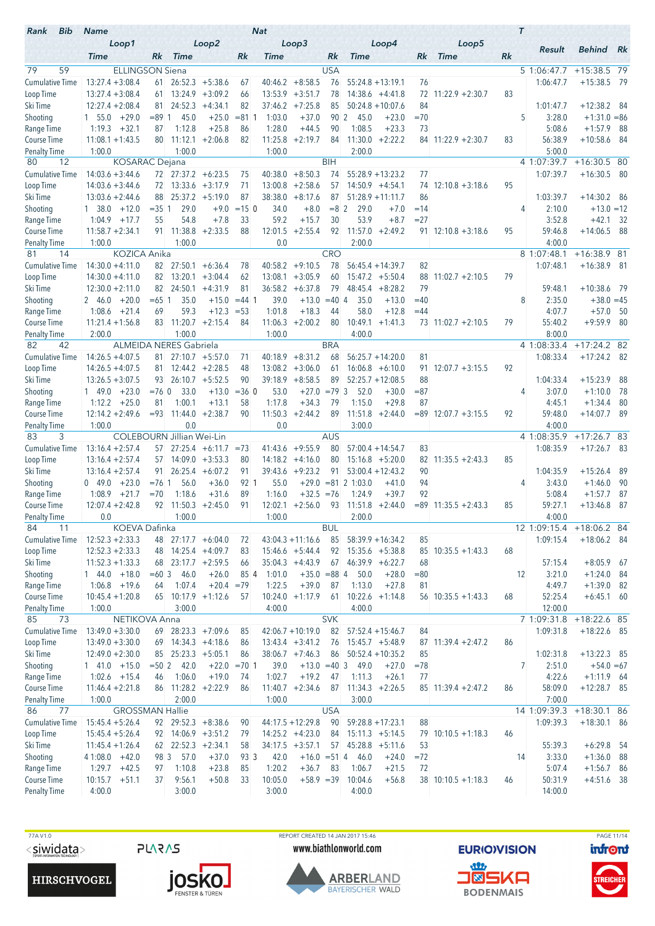| Bib<br>Rank               | <b>Name</b>                             |             |                                  |                         |               | <b>Nat</b>        |                           |                  |                      |                     |                 |                        |    | $\tau$         |                  |                              |      |
|---------------------------|-----------------------------------------|-------------|----------------------------------|-------------------------|---------------|-------------------|---------------------------|------------------|----------------------|---------------------|-----------------|------------------------|----|----------------|------------------|------------------------------|------|
|                           | Loop1<br><b>Time</b>                    | Rk          | <b>Time</b>                      | Loop2                   | Rk            | <b>Time</b>       | Loop3                     | Rk               | <b>Time</b>          | Loop4               | Rk              | Loop5<br><b>Time</b>   | Rk | Result         |                  | <b>Behind</b> Rk             |      |
| 79<br>59                  | <b>ELLINGSON Siena</b>                  |             |                                  |                         |               |                   |                           | <b>USA</b>       |                      |                     |                 |                        |    | 5 1:06:47.7    |                  | +15:38.5 79                  |      |
| Cumulative Time           | $13:27.4 + 3:08.4$                      |             | $61$ 26:52.3 +5:38.6             |                         | 67            | 40:46.2           | $+8:58.5$                 | 76               |                      | $55:24.8 + 13:19.1$ | 76              |                        |    | 1:06:47.7      |                  | $+15:38.5$ 79                |      |
| Loop Time                 | $13:27.4 + 3:08.4$                      | 61.         | 13:24.9                          | $+3:09.2$               | 66            | 13:53.9           | $+3:51.7$                 | 78               |                      | $14:38.6 +4:41.8$   | 72              | $11:22.9 + 2:30.7$     | 83 |                |                  |                              |      |
| Ski Time                  | $12:27.4 + 2:08.4$                      | 81          | 24:52.3                          | $+4:34.1$               | 82            | 37:46.2           | $+7:25.8$                 | 85               |                      | $50:24.8 + 10:07.6$ | 84              |                        |    | 1:01:47.7      |                  | $+12:38.2$ 84                |      |
| Shooting                  | $+29.0$<br>$1\quad 55.0$                | $= 89 \, 1$ | 45.0                             | $+25.0$                 | $= 81.1$      | 1:03.0            | $+37.0$                   |                  | 90 2<br>45.0         | $+23.0$             | $=70$           |                        |    | 5              | 3:28.0           | $+1:31.0 = 86$               |      |
| Range Time                | $+32.1$<br>1:19.3                       | 87          | 1:12.8                           | $+25.8$                 | 86            | 1:28.0            | $+44.5$                   | 90               | 1:08.5               | $+23.3$             | 73              |                        |    |                | 5:08.6           | $+1:57.9$                    | - 88 |
| Course Time               | $11:08.1 + 1:43.5$                      | 80          | 11:12.1                          | $+2:06.8$               | 82            | 11:25.8           | $+2:19.7$                 | 84               | 11:30.0              | $+2:22.2$           |                 | $84$ 11:22.9 +2:30.7   | 83 | 56:38.9        |                  | $+10:58.6$                   | - 84 |
| <b>Penalty Time</b>       | 1:00.0                                  |             | 1:00.0                           |                         |               | 1:00.0            |                           |                  | 2:00.0               |                     |                 |                        |    |                | 5:00.0           |                              |      |
| 12<br>80                  | <b>KOSARAC</b> Dejana                   |             |                                  |                         |               |                   |                           | <b>BIH</b>       |                      |                     |                 |                        |    | 4 1:07:39.7    |                  | $+16:30.5$ 80                |      |
| <b>Cumulative Time</b>    | $14:03.6 + 3:44.6$                      |             | $72$ $27:37.2$ $+6:23.5$         |                         | 75            | 40:38.0           | $+8:50.3$                 | 74               |                      | $55:28.9 + 13:23.2$ | 77              |                        |    | 1:07:39.7      |                  | $+16:30.5$                   | - 80 |
| Loop Time                 | $14:03.6 + 3:44.6$                      | 72          |                                  | $13:33.6 + 3:17.9$      | 71            | 13:00.8           | $+2:58.6$                 | 57               |                      | $14:50.9 + 4:54.1$  | 74              | $12:10.8 + 3:18.6$     | 95 |                |                  |                              |      |
| Ski Time                  | $13:03.6 + 2:44.6$                      | 88          |                                  | $25:37.2 +5:19.0$       | 87            | 38:38.0           | $+8:17.6$                 | 87               |                      | $51:28.9 + 11:11.7$ | 86              |                        |    | 1:03:39.7      |                  | $+14:30.2$ 86                |      |
| Shooting                  | 1 38.0<br>$+12.0$                       | $= 351$     | 29.0<br>54.8                     | $+9.0$<br>$+7.8$        | $= 150$<br>33 | 34.0<br>59.2      | $+8.0$<br>$+15.7$         | $= 8 \, 2$<br>30 | 29.0<br>53.9         | $+7.0$<br>$+8.7$    | $=14$<br>$= 27$ |                        |    | 4              | 2:10.0<br>3:52.8 | $+13.0 = 12$<br>$+42.1$      |      |
| Range Time<br>Course Time | 1:04.9<br>$+17.7$<br>$11:58.7 + 2:34.1$ | 55          | 91 11:38.8                       | $+2:33.5$               | 88            | 12:01.5           | $+2:55.4$                 | 92               | 11:57.0              | $+2:49.2$           |                 | $91$ 12:10.8 +3:18.6   | 95 | 59:46.8        |                  | $+14:06.5$ 88                | - 32 |
| <b>Penalty Time</b>       | 1:00.0                                  |             | 1:00.0                           |                         |               | 0.0               |                           |                  | 2:00.0               |                     |                 |                        |    |                | 4:00.0           |                              |      |
| 14<br>81                  | KOZICA Anika                            |             |                                  |                         |               |                   |                           | <b>CRO</b>       |                      |                     |                 |                        |    | 8 1:07:48.1    |                  | $+16:38.9$ 81                |      |
| <b>Cumulative Time</b>    | $14:30.0 + 4:11.0$                      |             | $82 \quad 27:50.1 \quad +6:36.4$ |                         | 78            |                   | $40:58.2 +9:10.5$         | 78               |                      | $56:45.4 + 14:39.7$ | 82              |                        |    | 1:07:48.1      |                  | $+16:38.9$ 81                |      |
| Loop Time                 | $14:30.0 + 4:11.0$                      | 82          | 13:20.1                          | $+3:04.4$               | 62            | 13:08.1           | $+3:05.9$                 | 60               |                      | $15:47.2 + 5:50.4$  | 88              | $11:02.7 + 2:10.5$     | 79 |                |                  |                              |      |
| Ski Time                  | $12:30.0 + 2:11.0$                      | 82          | 24:50.1                          | $+4:31.9$               | 81            | 36:58.2           | $+6:37.8$                 | 79               | 48:45.4              | $+8:28.2$           | 79              |                        |    | 59:48.1        |                  | $+10:38.6$ 79                |      |
| Shooting                  | $+20.0$<br>2 46.0                       | $= 651$     | 35.0                             | $+15.0$                 | $= 44$ 1      | 39.0              | $+13.0$                   | $= 40 \, 4$      | 35.0                 | $+13.0$             | $=40$           |                        |    | 8              | 2:35.0           | $+38.0 = 45$                 |      |
| Range Time                | 1:08.6<br>$+21.4$                       | 69          | 59.3                             | $+12.3$                 | $= 53$        | 1:01.8            | $+18.3$                   | 44               | 58.0                 | $+12.8$             | $=44$           |                        |    | 4:07.7         |                  | $+57.0$                      | - 50 |
| Course Time               | $11:21.4 + 1:56.8$                      | 83          |                                  | $11:20.7 + 2:15.4$      | 84            | 11:06.3           | $+2:00.2$                 | 80               | 10:49.1              | $+1:41.3$           |                 | 73 11:02.7 +2:10.5     | 79 | 55:40.2        |                  | $+9:59.9$ 80                 |      |
| Penalty Time              | 2:00.0                                  |             | 1:00.0                           |                         |               | 1:00.0            |                           |                  | 4:00.0               |                     |                 |                        |    |                | 8:00.0           |                              |      |
| 42<br>82                  |                                         |             | <b>ALMEIDA NERES Gabriela</b>    |                         |               |                   |                           | <b>BRA</b>       |                      |                     |                 |                        |    | 4 1:08:33.4    |                  | $+17:24.2$ 82                |      |
| <b>Cumulative Time</b>    | $14:26.5 + 4:07.5$                      | 81.         |                                  | $27:10.7 + 5:57.0$      | 71            | 40:18.9           | $+8:31.2$                 | 68               |                      | $56:25.7 + 14:20.0$ | 81              |                        |    | 1:08:33.4      |                  | $+17:24.2$ 82                |      |
| Loop Time                 | $14:26.5 + 4:07.5$                      |             | $81 \quad 12:44.2 \quad +2:28.5$ |                         | 48            | 13:08.2           | $+3:06.0$                 | 61               |                      | $16:06.8 + 6:10.0$  | 91.             | $12:07.7 + 3:15.5$     | 92 |                |                  |                              |      |
| Ski Time                  | $13:26.5 + 3:07.5$                      | 93          |                                  | $26:10.7 + 5:52.5$      | 90            | 39:18.9           | $+8:58.5$                 | 89               |                      | $52:25.7 + 12:08.5$ | 88              |                        |    | 1:04:33.4      |                  | $+15:23.9$                   | 88   |
| Shooting                  | 149.0<br>$+23.0$                        | $=76$ 0     | 33.0                             | $+13.0$                 | $= 36$ 0      | 53.0              | $+27.0$                   | $=79.3$          | 52.0                 | $+30.0$             | $= 87$          |                        |    | 4              | 3:07.0           | $+1:10.0$                    | - 78 |
| Range Time                | $1:12.2 + 25.0$                         | 81          | 1:00.1                           | $+13.1$                 | 58            | 1:17.8            | $+34.3$                   | 79               | 1:15.0               | $+29.8$             | 87              |                        |    |                | 4:45.1           | $+1:34.4$<br>$+14:07.7$ 89   | - 80 |
| Course Time               | $12:14.2 + 2:49.6$<br>1:00.0            | $= 93$      | 0.0                              | $11:44.0 + 2:38.7$      | 90            | 11:50.3<br>0.0    | $+2:44.2$                 | 89               | 3:00.0               | $11:51.8 + 2:44.0$  |                 | $= 89$ 12:07.7 +3:15.5 | 92 | 59:48.0        | 4:00.0           |                              |      |
| Penalty Time<br>3<br>83   |                                         |             | <b>COLEBOURN Jillian Wei-Lin</b> |                         |               |                   |                           | AUS              |                      |                     |                 |                        |    | 4 1:08:35.9    |                  | $+17:26.7$ 83                |      |
| <b>Cumulative Time</b>    | $13:16.4 + 2:57.4$                      |             |                                  | $57$ 27:25.4 +6:11.7    | $= 73$        | 41:43.6           | $+9:55.9$                 | 80               |                      | $57:00.4 + 14:54.7$ | 83              |                        |    | 1:08:35.9      |                  | $+17:26.7$ 83                |      |
| Loop Time                 | $13:16.4 + 2:57.4$                      | 57          |                                  | $14:09.0 + 3:53.3$      | 80            | 14:18.2           | $+4:16.0$                 | 80               |                      | $15:16.8 + 5:20.0$  | 82              | $11:35.5 + 2:43.3$     | 85 |                |                  |                              |      |
| Ski Time                  | $13:16.4 + 2:57.4$                      | 91          | 26:25.4                          | $+6:07.2$               | 91            | 39:43.6           | $+9:23.2$                 | 91               |                      | $53:00.4 + 12:43.2$ | 90              |                        |    | 1:04:35.9      |                  | $+15:26.4$                   | 89   |
| Shooting                  | 049.0<br>$+23.0$                        | $= 76.1$    | 56.0                             | $+36.0$                 | 92 1          | 55.0              | $+29.0$                   |                  | $= 81 \ 2 \ 1:03.0$  | $+41.0$             | 94              |                        |    | 4              | 3:43.0           | $+1:46.0$                    | -90  |
| Range Time                | 1:08.9<br>$+21.7$                       | $=70$       | 1:18.6                           | $+31.6$                 | 89            | 1:16.0            | $+32.5 = 76$              |                  | 1:24.9               | $+39.7$             | 92              |                        |    |                | 5:08.4           | $+1:57.7$                    | 87   |
| <b>Course Time</b>        | $12:07.4 + 2:42.8$                      |             | $92$ 11:50.3 +2:45.0             |                         | 91            |                   | $12:02.1 + 2:56.0$        |                  | $93$ 11:51.8 +2:44.0 |                     |                 | $= 89$ 11:35.5 +2:43.3 | 85 | 59:27.1        |                  | $+13:46.8$                   | -87  |
| Penalty Time              | 0.0                                     |             | 1:00.0                           |                         |               | 1:00.0            |                           |                  | 2:00.0               |                     |                 |                        |    | 4:00.0         |                  |                              |      |
| 84<br>11                  | KOEVA Dafinka                           |             |                                  |                         |               |                   |                           | <b>BUL</b>       |                      |                     |                 |                        |    | 12 1:09:15.4   |                  | +18:06.2 84                  |      |
| <b>Cumulative Time</b>    | $12:52.3 + 2:33.3$                      |             | 48 27:17.7 +6:04.0               |                         | 72            |                   | $43:04.3 +11:16.6$        | 85               |                      | $58:39.9 + 16:34.2$ | 85              |                        |    | 1:09:15.4      |                  | $+18:06.2$ 84                |      |
| Loop Time                 | $12:52.3 + 2:33.3$                      | 48          |                                  | $14:25.4 +4:09.7$       | 83            |                   | $15:46.6 + 5:44.4$        | 92               |                      | $15:35.6 + 5:38.8$  |                 | $85$ 10:35.5 +1:43.3   | 68 |                |                  |                              |      |
| Ski Time                  | $11:52.3 + 1:33.3$                      |             | $68$ 23:17.7 +2:59.5             |                         | 66            |                   | $35:04.3 +4:43.9$         |                  | $67$ 46:39.9 +6:22.7 |                     | 68              |                        |    | 57:15.4        |                  | $+8:05.9$ 67                 |      |
| Shooting<br>Range Time    | $144.0 +18.0$<br>$1:06.8$ +19.6         | $=603$      | 46.0<br>1:07.4                   | $+26.0$<br>$+20.4 = 79$ | 85 4          | 1:01.0<br>1:22.5  | $+35.0 = 88$ 4<br>$+39.0$ | 87               | 50.0<br>1:13.0       | $+28.0$<br>$+27.8$  | $= 80$          |                        |    | 12<br>4:49.7   | 3:21.0           | $+1:24.0$ 84<br>$+1:39.0$ 82 |      |
| Course Time               | $10:45.4 + 1:20.8$                      | 64          |                                  | 65 10:17.9 +1:12.6      | 57            |                   | $10:24.0 +1:17.9$         | 61               |                      | $10:22.6 +1:14.8$   | 81              | $56$ 10:35.5 +1:43.3   | 68 | 52:25.4        |                  | $+6:45.1$ 60                 |      |
| <b>Penalty Time</b>       | 1:00.0                                  |             | 3:00.0                           |                         |               | 4:00.0            |                           |                  | 4:00.0               |                     |                 |                        |    | 12:00.0        |                  |                              |      |
| 85<br>73                  | NETIKOVA Anna                           |             |                                  |                         |               |                   |                           | <b>SVK</b>       |                      |                     |                 |                        |    | 71:09:31.8     |                  | +18:22.6 85                  |      |
| Cumulative Time           | $13:49.0 + 3:30.0$                      |             | $69$ 28:23.3 +7:09.6             |                         | 85            |                   | $42:06.7 + 10:19.0$       | 82               |                      | $57:52.4 + 15:46.7$ | 84              |                        |    | 1:09:31.8      |                  | $+18:22.6$ 85                |      |
| Loop Time                 | $13:49.0 + 3:30.0$                      |             | $69$ 14:34.3 +4:18.6             |                         | 86            |                   | $13:43.4 + 3:41.2$        | 76               |                      | $15:45.7 + 5:48.9$  |                 | 87 11:39.4 +2:47.2     | 86 |                |                  |                              |      |
| Ski Time                  | $12:49.0 + 2:30.0$                      | 85          |                                  | $25:23.3 + 5:05.1$      | 86            |                   | $38:06.7 +7:46.3$         | 86               |                      | $50:52.4 + 10:35.2$ | 85              |                        |    | 1:02:31.8      |                  | $+13:22.3$ 85                |      |
| Shooting                  | $1$ 41.0 $+15.0$                        | $= 502$     | 42.0                             |                         | $+22.0 = 701$ | 39.0              | $+13.0 = 403$             |                  | 49.0                 | $+27.0$             | $= 78$          |                        |    | $\overline{7}$ | 2:51.0           | $+54.0 = 67$                 |      |
| Range Time                | $1:02.6$ +15.4                          | 46          | 1:06.0                           | $+19.0$                 | 74            | 1:02.7            | $+19.2$                   | 47               | 1:11.3               | $+26.1$             | 77              |                        |    |                | 4:22.6           | $+1:11.9$ 64                 |      |
| Course Time               | $11:46.4 + 2:21.8$                      | 86          |                                  | $11:28.2 +2:22.9$       | 86            |                   | $11:40.7 +2:34.6$         | 87               |                      | $11:34.3 +2:26.5$   |                 | $85$ 11:39.4 +2:47.2   | 86 | 58:09.0        |                  | $+12:28.7$ 85                |      |
| Penalty Time              | 1:00.0                                  |             | 2:00.0                           |                         |               | 1:00.0            |                           |                  | 3:00.0               |                     |                 |                        |    |                | 7:00.0           |                              |      |
| 86<br>77                  | <b>GROSSMAN Hallie</b>                  |             |                                  |                         |               |                   |                           | <b>USA</b>       |                      |                     |                 |                        |    | 14 1:09:39.3   |                  | +18:30.1 86                  |      |
| <b>Cumulative Time</b>    | $15:45.4 + 5:26.4$                      |             | 92 29:52.3 +8:38.6               |                         | 90            |                   | $44:17.5 + 12:29.8$       | 90               |                      | $59:28.8 + 17:23.1$ | 88              |                        |    | 1:09:39.3      |                  | $+18:30.1$ 86                |      |
| Loop Time                 | $15:45.4 + 5:26.4$                      |             | 92 14:06.9 +3:51.2               |                         | 79            |                   | $14:25.2 +4:23.0$         | 84               |                      | $15:11.3 + 5:14.5$  |                 | 79 10:10.5 +1:18.3     | 46 |                |                  |                              |      |
| Ski Time                  | $11:45.4 + 1:26.4$                      |             | $62$ $22:52.3$ $+2:34.1$         |                         | 58            |                   | $34:17.5 + 3:57.1$        |                  | $57$ 45:28.8 +5:11.6 |                     | 53              |                        |    | 55:39.3        |                  | $+6:29.8$ 54                 |      |
| Shooting                  | $41:08.0 +42.0$                         |             | 98 3<br>57.0                     | $+37.0$                 | 93 3          | 42.0              | $+16.0 = 514$             |                  | 46.0                 | $+24.0$             | $= 72$          |                        |    | 14             | 3:33.0           | $+1:36.0$ 88                 |      |
| Range Time<br>Course Time | $1:29.7 +42.5$<br>10:15.7<br>$+51.1$    | 97<br>37    | 1:10.8<br>9:56.1                 | $+23.8$<br>$+50.8$      | 85<br>33      | 1:20.2<br>10:05.0 | $+36.7$<br>$+58.9 = 39$   | 83               | 1:06.7<br>10:04.6    | $+21.5$<br>$+56.8$  | 72              | $38$ 10:10.5 +1:18.3   | 46 | 50:31.9        | 5:07.4           | $+1:56.7$ 86<br>$+4:51.6$ 38 |      |
| <b>Penalty Time</b>       | 4:00.0                                  |             | 3:00.0                           |                         |               | 3:00.0            |                           |                  | 4:00.0               |                     |                 |                        |    | 14:00.0        |                  |                              |      |
|                           |                                         |             |                                  |                         |               |                   |                           |                  |                      |                     |                 |                        |    |                |                  |                              |      |

**HIRSCHVOGEL** 



TTA V1.0 PAGE 11/14<br>
TO REPORT CREATED 14 JAN 2017 15:46 PORT CREATED 14 JAN 2017 15:46 PAGE 11/14<br>
PLARAS WWW.biathlonworld.com EURIOVISION infont www.biathlonworld.com



**EURIOVISION** <u>an</u> **J®SKA** 

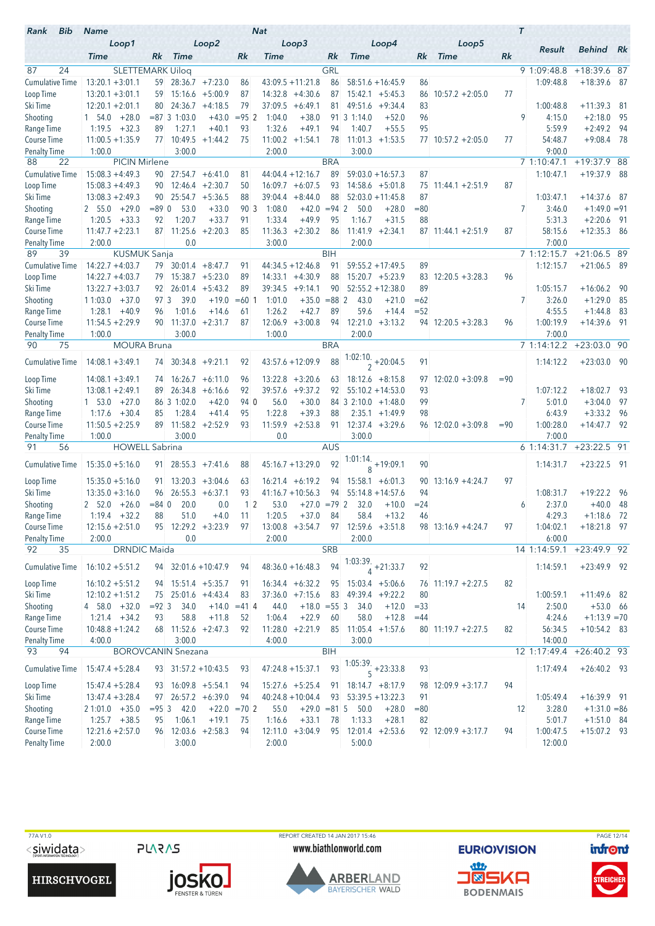| Bib<br>Rank                        | <b>Name</b>                             |                   |                                  |                    |                      | <b>Nat</b>        |                           |               |                       |                                |                 |                      |        | $\tau$         |                     |                                |      |
|------------------------------------|-----------------------------------------|-------------------|----------------------------------|--------------------|----------------------|-------------------|---------------------------|---------------|-----------------------|--------------------------------|-----------------|----------------------|--------|----------------|---------------------|--------------------------------|------|
|                                    | Loop1                                   |                   |                                  | Loop2              |                      |                   | Loop3                     |               |                       | Loop4                          |                 | Loop5                |        |                | Result              | <b>Behind</b> Rk               |      |
|                                    | <b>Time</b>                             | Rk                | <b>Time</b>                      |                    | Rk                   | <b>Time</b>       |                           | Rk            | <b>Time</b>           |                                | Rk              | <b>Time</b>          | Rk     |                |                     |                                |      |
| 87<br>24                           | <b>SLETTEMARK Uilog</b>                 |                   |                                  |                    |                      |                   |                           | GRL           |                       |                                |                 |                      |        |                | 9 1:09:48.8         | +18:39.6 87                    |      |
| <b>Cumulative Time</b>             | $13:20.1 + 3:01.1$                      |                   | 59 28:36.7 +7:23.0               |                    | 86                   |                   | $43:09.5 +11:21.8$        | 86            |                       | $58:51.6 + 16:45.9$            | 86              |                      |        |                | 1:09:48.8           | $+18:39.6$ 87                  |      |
| Loop Time                          | $13:20.1 + 3:01.1$                      | 59                |                                  | $15:16.6 + 5:00.9$ | 87                   | 14:32.8           | $+4:30.6$                 | 87            |                       | $15:42.1 + 5:45.3$             | 86              | $10:57.2 + 2:05.0$   | 77     |                |                     |                                |      |
| Ski Time                           | $12:20.1 + 2:01.1$                      | 80                | 24:36.7                          | $+4:18.5$          | 79                   | 37:09.5           | $+6:49.1$                 | 81            |                       | $49:51.6 + 9:34.4$             | 83              |                      |        |                | 1:00:48.8           | $+11:39.3$                     | -81  |
| Shooting                           | $+28.0$<br>1 54.0                       |                   | $= 87$ 3 1:03.0                  | $+43.0$            | $= 952$              | 1:04.0            | $+38.0$                   |               | 91 3 1:14.0           | $+52.0$                        | 96              |                      |        | 9              | 4:15.0              | $+2:18.0$                      | - 95 |
| Range Time                         | 1:19.5<br>$+32.3$                       | 89                | 1:27.1                           | $+40.1$            | 93                   | 1:32.6            | $+49.1$                   | 94            | 1:40.7                | $+55.5$                        | 95              |                      |        |                | 5:59.9              | $+2:49.2$                      | - 94 |
| Course Time<br><b>Penalty Time</b> | $11:00.5 + 1:35.9$<br>1:00.0            | 77                | 10:49.5<br>3:00.0                | $+1:44.2$          | 75                   | 2:00.0            | $11:00.2 +1:54.1$         | 78            | 11:01.3<br>3:00.0     | $+1:53.5$                      |                 | $77$ 10:57.2 +2:05.0 | 77     |                | 54:48.7<br>9:00.0   | $+9:08.4$                      | - 78 |
| 22<br>88                           | <b>PICIN Mirlene</b>                    |                   |                                  |                    |                      |                   |                           | <b>BRA</b>    |                       |                                |                 |                      |        |                | 7 1:10:47.1         | $+19:37.9$ 88                  |      |
| Cumulative Time                    | $15:08.3 + 4:49.3$                      |                   | $90$ 27:54.7 +6:41.0             |                    | 81                   |                   | $44:04.4 + 12:16.7$       | 89            |                       | $59:03.0 + 16:57.3$            | 87              |                      |        |                | 1:10:47.1           | $+19:37.9$                     | - 88 |
| Loop Time                          | $15:08.3 + 4:49.3$                      | 90                | 12:46.4                          | $+2:30.7$          | 50                   |                   | $16:09.7 + 6:07.5$        | 93            |                       | $14:58.6 + 5:01.8$             | 75              | $11:44.1 + 2:51.9$   | 87     |                |                     |                                |      |
| Ski Time                           | $13:08.3 + 2:49.3$                      |                   | $90$ 25:54.7 $+5:36.5$           |                    | 88                   | 39:04.4           | $+8:44.0$                 | 88            |                       | $52:03.0 + 11:45.8$            | 87              |                      |        |                | 1:03:47.1           | $+14:37.6$ 87                  |      |
| Shooting                           | $+29.0$<br>2 55.0                       | $= 89$ 0          | 53.0                             | $+33.0$            | 90 3                 | 1:08.0            | $+42.0 = 94$ 2            |               | 50.0                  | $+28.0$                        | $= 80$          |                      |        | 7              | 3:46.0              | $+1:49.0 = 91$                 |      |
| Range Time                         | 1:20.5<br>$+33.3$                       | 92                | 1:20.7                           | $+33.7$            | 91                   | 1:33.4            | $+49.9$                   | 95            | 1:16.7                | $+31.5$                        | 88              |                      |        |                | 5:31.3              | $+2:20.6$ 91                   |      |
| Course Time                        | $11:47.7 + 2:23.1$                      | 87                | 11:25.6                          | $+2:20.3$          | 85                   | 11:36.3           | $+2:30.2$                 | 86            |                       | $11:41.9 +2:34.1$              |                 | $87$ 11:44.1 +2:51.9 | 87     |                | 58:15.6             | $+12:35.3$ 86                  |      |
| <b>Penalty Time</b>                | 2:00.0                                  |                   | 0.0                              |                    |                      | 3:00.0            |                           |               | 2:00.0                |                                |                 |                      |        |                | 7:00.0              |                                |      |
| 89<br>39                           | <b>KUSMUK Sanja</b>                     |                   |                                  |                    |                      |                   |                           | <b>BIH</b>    |                       |                                |                 |                      |        |                | 7 1:12:15.7         | $+21:06.5$ 89                  |      |
| <b>Cumulative Time</b>             | $14:22.7 + 4:03.7$                      | 79                |                                  | $30:01.4 + 8:47.7$ | 91                   |                   | $44:34.5 + 12:46.8$       | 91            |                       | $59:55.2 + 17:49.5$            | 89              |                      |        |                | 1:12:15.7           | $+21:06.5$ 89                  |      |
| Loop Time                          | $14:22.7 + 4:03.7$                      | 79                |                                  | $15:38.7 + 5:23.0$ | 89                   | 14:33.1           | $+4:30.9$                 | 88            |                       | $15:20.7 + 5:23.9$             | 83              | $12:20.5 + 3:28.3$   | 96     |                |                     |                                |      |
| Ski Time                           | $13:22.7 + 3:03.7$                      | 92.               | 26:01.4                          | $+5:43.2$          | 89                   |                   | $39:34.5 +9:14.1$         | 90            |                       | $52:55.2 + 12:38.0$            | 89              |                      |        |                | 1:05:15.7           | $+16:06.2$                     | - 90 |
| Shooting                           | $+37.0$<br>11:03.0                      | 97 3              | 39.0<br>1:01.6                   | $+19.0$            | $=60$                | 1:01.0            | $+35.0$                   | $= 882$<br>89 | 43.0<br>59.6          | $+21.0$                        | $=62$<br>$= 52$ |                      |        | 7              | 3:26.0              | $+1:29.0$                      | - 85 |
| Range Time<br>Course Time          | 1:28.1<br>$+40.9$<br>$11:54.5 + 2:29.9$ | 96                | $90$ 11:37.0 +2:31.7             | $+14.6$            | 61<br>87             | 1:26.2<br>12:06.9 | $+42.7$<br>$+3:00.8$      | 94            |                       | $+14.4$<br>$12:21.0 +3:13.2$   |                 | $94$ 12:20.5 +3:28.3 | 96     |                | 4:55.5<br>1:00:19.9 | $+1:44.8$<br>$+14:39.6$ 91     | - 83 |
| <b>Penalty Time</b>                | 1:00.0                                  |                   | 3:00.0                           |                    |                      | 1:00.0            |                           |               | 2:00.0                |                                |                 |                      |        |                | 7:00.0              |                                |      |
| 90<br>75                           | <b>MOURA Bruna</b>                      |                   |                                  |                    |                      |                   |                           | <b>BRA</b>    |                       |                                |                 |                      |        |                | 7 1:14:12.2         | $+23:03.0$ 90                  |      |
|                                    |                                         |                   |                                  |                    |                      |                   |                           |               |                       |                                |                 |                      |        |                |                     |                                |      |
| <b>Cumulative Time</b>             | $14:08.1 + 3:49.1$                      |                   | $74$ 30:34.8 +9:21.1             |                    | 92                   |                   | 43:57.6 +12:09.9          | 88            |                       | $\frac{1:02:10}{2}$ + 20:04.5  | 91              |                      |        |                | 1:14:12.2           | $+23:03.0$ 90                  |      |
| Loop Time                          | $14:08.1 + 3:49.1$                      | 74                |                                  | $16:26.7 + 6:11.0$ | 96                   |                   | $13:22.8$ +3:20.6         | 63            |                       | $18:12.6 + 8:15.8$             | 97              | $12:02.0 + 3:09.8$   | $= 90$ |                |                     |                                |      |
| Ski Time                           | $13:08.1 + 2:49.1$                      | 89                | 26:34.8                          | $+6:16.6$          | 92                   | 39:57.6           | $+9:37.2$                 | 92            |                       | $55:10.2 + 14:53.0$            | 93              |                      |        |                | 1:07:12.2           | $+18:02.7$                     | - 93 |
| Shooting                           | 1 53.0<br>$+27.0$                       |                   | 86 3 1:02.0                      | $+42.0$            | 94 0                 | 56.0              | $+30.0$                   |               | $84$ 3 2:10.0 +1:48.0 |                                | 99              |                      |        | $\overline{7}$ | 5:01.0              | $+3:04.0$                      | - 97 |
| Range Time                         | 1:17.6<br>$+30.4$                       | 85                | 1:28.4                           | $+41.4$            | 95                   | 1:22.8            | $+39.3$                   | 88            |                       | $2:35.1 + 1:49.9$              | 98              |                      |        |                | 6:43.9              | $+3:33.2$                      | - 96 |
| Course Time                        | $11:50.5 + 2:25.9$                      | 89                | 11:58.2                          | $+2:52.9$          | 93                   | 11:59.9           | $+2:53.8$                 | 91            |                       | $12:37.4 + 3:29.6$             |                 | $96$ 12:02.0 +3:09.8 | $= 90$ |                | 1:00:28.0           | $+14:47.7$ 92                  |      |
| <b>Penalty Time</b>                | 1:00.0                                  |                   | 3:00.0                           |                    |                      | 0.0               |                           |               | 3:00.0                |                                |                 |                      |        |                | 7:00.0              |                                |      |
| 91<br>56                           | <b>HOWELL Sabrina</b>                   |                   |                                  |                    |                      |                   |                           | <b>AUS</b>    |                       |                                |                 |                      |        |                | 6 1:14:31.7         | $+23:22.5$ 91                  |      |
| <b>Cumulative Time</b>             | $15:35.0 + 5:16.0$                      |                   | $91 \quad 28:55.3 \quad +7:41.6$ |                    | 88                   |                   | $45:16.7 + 13:29.0$       | 92            |                       | $\frac{1:01:14.}{8}$ + 19:09.1 | 90              |                      |        |                | 1:14:31.7           | $+23:22.5$ 91                  |      |
| Loop Time                          | $15:35.0 + 5:16.0$                      | 91.               |                                  | $13:20.3 + 3:04.6$ | 63                   |                   | $16:21.4 + 6:19.2$        | 94            |                       | $15:58.1 + 6:01.3$             | 90              | $13:16.9 + 4:24.7$   | 97     |                |                     |                                |      |
| Ski Time                           | $13:35.0 + 3:16.0$                      | 96                |                                  | $26:55.3 + 6:37.1$ | 93                   |                   | $41:16.7 + 10:56.3$       | 94            |                       | $55:14.8 + 14:57.6$            | 94              |                      |        |                | 1:08:31.7           | $+19:22.2$ 96                  |      |
| Shooting                           | $2\quad 52.0\quad +26.0$                | $= 84.0$          | 20.0                             | 0.0                | $1\,2$               | 53.0              | $+27.0 = 79$ 2            |               | 32.0                  | $+10.0$                        | $= 24$          |                      |        | 6              | 2:37.0              | $+40.0$                        | - 48 |
| Range Time                         | $1:19.4 + 32.2$                         | 88                | 51.0                             | $+4.0$             | 11                   | 1:20.5            | $+37.0$                   | 84            | 58.4                  | $+13.2$                        | 46              |                      |        |                | 4:29.3              | $+1:18.6$ 72                   |      |
| Course Time                        | $12:15.6 + 2:51.0$                      |                   |                                  | 95 12:29.2 +3:23.9 | 97                   |                   | $13:00.8$ +3:54.7         |               | $97$ 12:59.6 +3:51.8  |                                |                 | $98$ 13:16.9 +4:24.7 | 97     |                | 1:04:02.1           | $+18:21.8$ 97                  |      |
| Penalty Time                       | 2:00.0                                  |                   | 0.0                              |                    |                      | 2:00.0            |                           |               | 2:00.0                |                                |                 |                      |        |                | 6:00.0              |                                |      |
| 92<br>35                           | <b>DRNDIC Maida</b>                     |                   |                                  |                    |                      |                   |                           | <b>SRB</b>    |                       |                                |                 |                      |        |                | 14 1:14:59.1        | $+23:49.9$ 92                  |      |
| Cumulative Time                    | $16:10.2 + 5:51.2$                      |                   | 94 32:01.6 +10:47.9              |                    | 94                   |                   | $48:36.0 + 16:48.3$       | 94            |                       | $\frac{1:03:39.}{4}$ + 21:33.7 | 92              |                      |        |                | 1:14:59.1           | $+23:49.9$ 92                  |      |
| Loop Time                          | $16:10.2 + 5:51.2$                      |                   | 94 15:51.4 +5:35.7               |                    | 91                   |                   | $16:34.4 + 6:32.2$        |               | $95$ 15:03.4 +5:06.6  |                                |                 | $76$ 11:19.7 +2:27.5 | 82     |                |                     |                                |      |
| Ski Time                           | $12:10.2 + 1:51.2$                      |                   | 75 25:01.6 +4:43.4               |                    | 83                   |                   | $37:36.0 +7:15.6$         |               | 83 49:39.4 +9:22.2    |                                | 80              |                      |        |                | 1:00:59.1           | $+11:49.6$ 82                  |      |
| Shooting                           | $4$ 58.0 $+32.0$                        | $= 92 \, 3$       | 34.0                             |                    | $+14.0 = 414$        | 44.0              | $+18.0 = 55$ 3            |               | 34.0                  | $+12.0$                        | $= 33$          |                      |        | 14             | 2:50.0              | $+53.0$ 66                     |      |
| Range Time                         | $1:21.4 + 34.2$                         | 93                | 58.8                             | $+11.8$            | 52                   | 1:06.4            | $+22.9$                   | 60            | 58.0                  | $+12.8$                        | $=44$           |                      |        |                | 4:24.6              | $+1:13.9 = 70$                 |      |
| Course Time                        | $10:48.8 + 1:24.2$                      |                   | $68$ 11:52.6 +2:47.3             |                    | 92                   |                   | $11:28.0 +2:21.9$         |               | 85 11:05.4 +1:57.6    |                                |                 | $80$ 11:19.7 +2:27.5 | 82     |                | 56:34.5             | $+10:54.2$ 83                  |      |
| <b>Penalty Time</b>                | 4:00.0                                  |                   | 3:00.0                           |                    |                      | 4:00.0            |                           |               | 3:00.0                |                                |                 |                      |        |                | 14:00.0             |                                |      |
| 93<br>94                           |                                         |                   | <b>BOROVCANIN Snezana</b>        |                    |                      |                   |                           | <b>BIH</b>    |                       |                                |                 |                      |        |                | 12 1:17:49.4        | $+26:40.2$ 93                  |      |
| Cumulative Time                    | $15:47.4 + 5:28.4$                      |                   | $93$ 31:57.2 +10:43.5            |                    | 93                   |                   | $47:24.8 + 15:37.1$       | 93            |                       | $\frac{1:05:39.5+23:33.8}{5}$  | 93              |                      |        |                | 1:17:49.4           | $+26:40.2$ 93                  |      |
|                                    |                                         |                   |                                  |                    |                      |                   |                           |               |                       |                                |                 |                      |        |                |                     |                                |      |
| Loop Time                          | $15:47.4 + 5:28.4$                      |                   | 93 16:09.8 +5:54.1               |                    | 94                   |                   | $15:27.6$ +5:25.4         | 91            |                       | $18:14.7 + 8:17.9$             |                 | $98$ 12:09.9 +3:17.7 | 94     |                |                     |                                |      |
| Ski Time                           | $13:47.4 + 3:28.4$                      |                   | 97 26:57.2 +6:39.0               |                    | 94                   |                   | $40:24.8 + 10:04.4$       | 93            |                       | $53:39.5 + 13:22.3$            | 91              |                      |        |                | 1:05:49.4           | $+16:39.9$ 91                  |      |
| Shooting<br>Range Time             | $21:01.0 + 35.0$<br>$1:25.7 + 38.5$     | $= 95 \, 3$<br>95 | 42.0<br>1:06.1                   | $+19.1$            | $+22.0 = 70$ 2<br>75 | 55.0<br>1:16.6    | $+29.0 = 81$ 5<br>$+33.1$ | 78            | 50.0<br>1:13.3        | $+28.0$<br>$+28.1$             | $= 80$<br>82    |                      |        | 12             | 3:28.0<br>5:01.7    | $+1:31.0 = 86$<br>$+1:51.0$ 84 |      |
| Course Time                        | $12:21.6 + 2:57.0$                      |                   | 96 12:03.6 +2:58.3               |                    | 94                   |                   | $12:11.0 +3:04.9$         |               | $95$ 12:01.4 +2:53.6  |                                |                 | $92$ 12:09.9 +3:17.7 | 94     |                | 1:00:47.5           | $+15:07.2$ 93                  |      |
| <b>Penalty Time</b>                | 2:00.0                                  |                   | 3:00.0                           |                    |                      | 2:00.0            |                           |               | 5:00.0                |                                |                 |                      |        |                | 12:00.0             |                                |      |

**HIRSCHVOGEL** 

**PLARAS** 

**JOSKO.** 

www.biathlonworld.com



TTA V1.0 PAGE 12/14<br>
TODAY AS PURIS REPORT CREATED 14 JAN 2017 15:46 PAGE 12/14<br>
WWW.biathlonworld.com **EURIO)VISION infont EURIOVISION** 



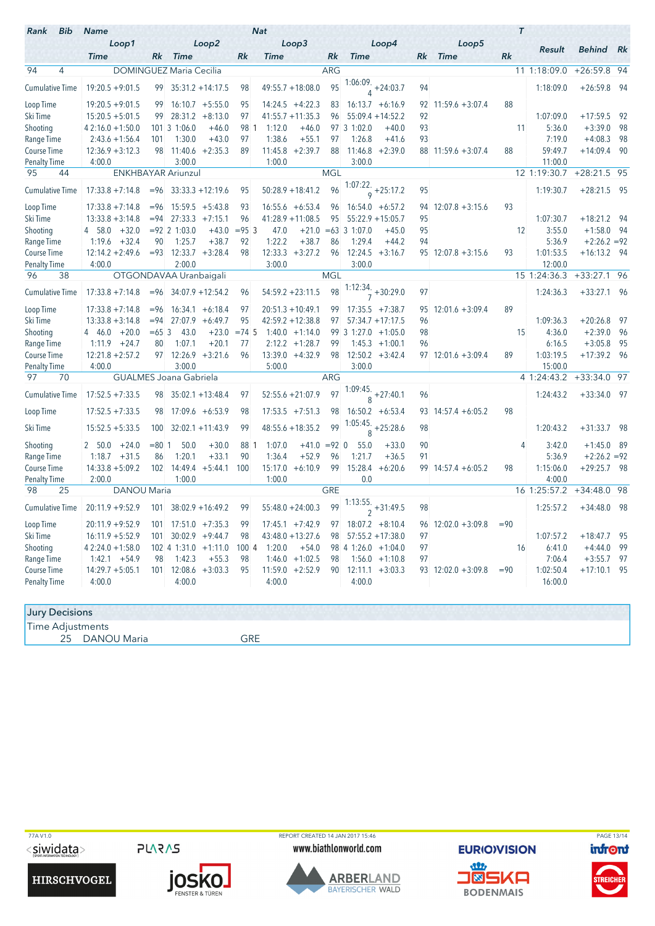| <b>Bib</b><br>Rank     | <b>Name</b>        |             |                                    |           |             | <b>Nat</b>  |                     |            |                                |                           |    | $\tau$               |        |              |                  |      |
|------------------------|--------------------|-------------|------------------------------------|-----------|-------------|-------------|---------------------|------------|--------------------------------|---------------------------|----|----------------------|--------|--------------|------------------|------|
|                        | Loop1              |             |                                    | Loop2     |             |             | Loop3               |            |                                | Loop4                     |    | Loop5                |        |              |                  |      |
|                        | <b>Time</b>        | Rk          | <b>Time</b>                        |           | Rk          | <b>Time</b> |                     | Rk         | <b>Time</b>                    |                           | Rk | <b>Time</b>          | Rk     | Result       | <b>Behind</b> Rk |      |
| $\overline{4}$<br>94   |                    |             | <b>DOMINGUEZ Maria Cecilia</b>     |           |             |             |                     | <b>ARG</b> |                                |                           |    |                      |        | 11 1:18:09.0 | +26:59.8 94      |      |
| <b>Cumulative Time</b> | $19:20.5 + 9:01.5$ | 99          | $35:31.2 + 14:17.5$                |           | 98          |             | $49:55.7 + 18:08.0$ | 95         |                                | $1:06:09. +24:03.7$       | 94 |                      |        | 1:18:09.0    | $+26:59.8$       | - 94 |
| Loop Time              | $19:20.5 + 9:01.5$ | 99          | $16:10.7 + 5:55.0$                 |           | 95          |             | $14:24.5 +4:22.3$   | 83         |                                | $16:13.7 + 6:16.9$        | 92 | $11:59.6 + 3:07.4$   | 88     |              |                  |      |
| Ski Time               | $15:20.5 + 5:01.5$ | 99          | $28:31.2 + 8:13.0$                 |           | 97          |             | $41:55.7 + 11:35.3$ | 96         |                                | $55:09.4 + 14:52.2$       | 92 |                      |        | 1:07:09.0    | $+17:59.5$       | 92   |
| Shooting               | $42:16.0 + 1:50.0$ |             | 101 3 1:06.0                       | $+46.0$   | 98 1        | 1:12.0      | $+46.0$             |            | 97 3 1:02.0                    | $+40.0$                   | 93 |                      | 11     | 5:36.0       | $+3:39.0$        | 98   |
| Range Time             | $2:43.6 + 1:56.4$  | 101         | 1:30.0                             | $+43.0$   | 97          | 1:38.6      | $+55.1$             | 97         | 1:26.8                         | $+41.6$                   | 93 |                      |        | 7:19.0       | $+4:08.3$        | 98   |
| Course Time            | $12:36.9 + 3:12.3$ | 98          | 11:40.6                            | $+2:35.3$ | 89          | 11:45.8     | $+2:39.7$           | 88         | 11:46.8                        | $+2:39.0$                 |    | $88$ 11:59.6 +3:07.4 | 88     | 59:49.7      | $+14:09.4$       | -90  |
| <b>Penalty Time</b>    | 4:00.0             |             | 3:00.0                             |           |             | 1:00.0      |                     |            | 3:00.0                         |                           |    |                      |        | 11:00.0      |                  |      |
| 44<br>95               |                    |             | <b>ENKHBAYAR Ariunzul</b>          |           |             |             |                     | <b>MGL</b> |                                |                           |    |                      |        | 12 1:19:30.7 | $+28:21.5$       | 95   |
| <b>Cumulative Time</b> | $17:33.8 + 7:14.8$ |             | $= 96$ 33:33.3 + 12:19.6           |           | 95          |             | $50:28.9 + 18:41.2$ | 96         |                                | 1:07:22.<br>$9 + 25:17.2$ | 95 |                      |        | 1:19:30.7    | $+28:21.5$ 95    |      |
| Loop Time              | $17:33.8 + 7:14.8$ | $= 96$      | $15:59.5 + 5:43.8$                 |           | 93          |             | $16:55.6 + 6:53.4$  | 96         |                                | $16:54.0 + 6:57.2$        |    | $94$ 12:07.8 +3:15.6 | 93     |              |                  |      |
| Ski Time               | $13:33.8 + 3:14.8$ | $= 94$      | $27:33.3 +7:15.1$                  |           | 96          |             | $41:28.9 + 11:08.5$ | 95         |                                | $55:22.9 + 15:05.7$       | 95 |                      |        | 1:07:30.7    | $+18:21.2$       | 94   |
| Shooting               | 4 58.0<br>$+32.0$  |             | $= 92 \ 2 \ 1:03.0$                | $+43.0$   | $= 95 \, 3$ | 47.0        | $+21.0$             |            | $= 63$ 3 1:07.0                | $+45.0$                   | 95 |                      | 12     | 3:55.0       | $+1:58.0$        | - 94 |
| Range Time             | 1:19.6<br>$+32.4$  | 90          | 1:25.7                             | $+38.7$   | 92          | 1:22.2      | $+38.7$             | 86         | 1:29.4                         | $+44.2$                   | 94 |                      |        | 5:36.9       | $+2:26.2 = 92$   |      |
| Course Time            | $12:14.2 + 2:49.6$ |             | $= 93 \quad 12:33.7 \quad +3:28.4$ |           | 98          |             | $12:33.3 + 3:27.2$  | 96         | $12:24.5 +3:16.7$              |                           |    | $95$ 12:07.8 +3:15.6 | 93     | 1:01:53.5    | $+16:13.2$ 94    |      |
| Penalty Time           | 4:00.0             |             | 2:00.0                             |           |             | 3:00.0      |                     |            | 3:00.0                         |                           |    |                      |        | 12:00.0      |                  |      |
| 38<br>96               |                    |             | OTGONDAVAA Uranbaigali             |           |             |             |                     | <b>MGL</b> |                                |                           |    |                      |        | 15 1:24:36.3 | $+33:27.1$       | 96   |
| <b>Cumulative Time</b> | $17:33.8 + 7:14.8$ |             | $= 96$ 34:07.9 + 12:54.2           |           | 96          |             | $54:59.2 + 23:11.5$ | 98         |                                | $1:12:34.$ + 30:29.0      | 97 |                      |        | 1:24:36.3    | $+33:27.1$ 96    |      |
| Loop Time              | $17:33.8 + 7:14.8$ | $= 96$      | $16:34.1 + 6:18.4$                 |           | 97          |             | $20:51.3 + 10:49.1$ | 99         |                                | $17:35.5 +7:38.7$         | 95 | $12:01.6 + 3:09.4$   | 89     |              |                  |      |
| Ski Time               | $13:33.8 + 3:14.8$ | $= 94$      | 27:07.9                            | $+6:49.7$ | 95          |             | $42:59.2 + 12:38.8$ | 97         |                                | $57:34.7 + 17:17.5$       | 96 |                      |        | 1:09:36.3    | $+20:26.8$       | - 97 |
| Shooting               | $+20.0$<br>4 46.0  | $= 65 \, 3$ | 43.0                               | $+23.0$   | $= 74.5$    |             | $1:40.0 + 1:14.0$   |            | 99 3 1:27.0 +1:05.0            |                           | 98 |                      | 15     | 4:36.0       | $+2:39.0$        | - 96 |
| Range Time             | 1:11.9<br>$+24.7$  | 80          | 1:07.1                             | $+20.1$   | 77          |             | $2:12.2 +1:28.7$    | 99         |                                | $1:45.3 +1:00.1$          | 96 |                      |        | 6:16.5       | $+3:05.8$        | 95   |
| Course Time            | $12:21.8 + 2:57.2$ |             | $97$ 12:26.9 +3:21.6               |           | 96          |             | $13:39.0 +4:32.9$   | 98         |                                | $12:50.2 + 3:42.4$        |    | $97$ 12:01.6 +3:09.4 | 89     | 1:03:19.5    | $+17:39.2$ 96    |      |
| <b>Penalty Time</b>    | 4:00.0             |             | 3:00.0                             |           |             | 5:00.0      |                     |            | 3:00.0                         |                           |    |                      |        | 15:00.0      |                  |      |
| 97<br>70               |                    |             | <b>GUALMES Joana Gabriela</b>      |           |             |             |                     | <b>ARG</b> |                                |                           |    |                      |        | 4 1:24:43.2  | $+33:34.0$       | 97   |
| <b>Cumulative Time</b> | $17:52.5 + 7:33.5$ | 98          | $35:02.1 + 13:48.4$                |           | 97          |             | $52:55.6 + 21:07.9$ | 97         | $\frac{1:09:45.}{8} + 27:40.1$ |                           | 96 |                      |        | 1:24:43.2    | $+33:34.0$ 97    |      |
| Loop Time              | $17:52.5 + 7:33.5$ | 98          | $17:09.6 + 6:53.9$                 |           | 98          |             | $17:53.5 +7:51.3$   | 98         |                                | $16:50.2 + 6:53.4$        |    | $93$ 14:57.4 +6:05.2 | 98     |              |                  |      |
| Ski Time               | $15:52.5 + 5:33.5$ | 100         | $32:02.1 + 11:43.9$                |           | 99          |             | $48:55.6 + 18:35.2$ | 99         | 1:05:45.<br>$\mathsf{R}$       | $+25:28.6$                | 98 |                      |        | 1:20:43.2    | $+31:33.7$       | - 98 |
| Shooting               | $+24.0$<br>2, 50.0 | $= 80$ 1    | 50.0                               | $+30.0$   | 88 1        | 1:07.0      | $+41.0 = 92$ 0      |            | 55.0                           | $+33.0$                   | 90 |                      | 4      | 3:42.0       | $+1:45.0$        | - 89 |
| Range Time             | 1:18.7<br>$+31.5$  | 86          | 1:20.1                             | $+33.1$   | 90          | 1:36.4      | $+52.9$             | 96         | 1:21.7                         | $+36.5$                   | 91 |                      |        | 5:36.9       | $+2:26.2 = 92$   |      |
| Course Time            | $14:33.8 + 5:09.2$ |             | $102 \quad 14:49.4 \quad +5:44.1$  |           | 100         | 15:17.0     | $+6:10.9$           | 99         | 15:28.4                        | $+6:20.6$                 |    | $99$ 14:57.4 +6:05.2 | 98     | 1:15:06.0    | $+29:25.7$ 98    |      |
| <b>Penalty Time</b>    | 2:00.0             |             | 1:00.0                             |           |             | 1:00.0      |                     |            | 0.0                            |                           |    |                      |        | 4:00.0       |                  |      |
| 25<br>98               | DANOU Maria        |             |                                    |           |             |             |                     | <b>GRE</b> |                                |                           |    |                      |        | 16 1:25:57.2 | $+34:48.0$       | 98   |
| <b>Cumulative Time</b> | $20:11.9 + 9:52.9$ | 101         | $38:02.9 + 16:49.2$                |           | 99          |             | $55:48.0 + 24:00.3$ | 99         |                                | $1:13:55.$ + 31:49.5      | 98 |                      |        | 1:25:57.2    | $+34:48.0$       | - 98 |
| Loop Time              | $20:11.9 + 9:52.9$ | 101         | $17:51.0 +7:35.3$                  |           | 99          |             | $17:45.1 + 7:42.9$  | 97         |                                | $18:07.2 + 8:10.4$        | 96 | $12:02.0 + 3:09.8$   | $= 90$ |              |                  |      |
| Ski Time               | $16:11.9 + 5:52.9$ | 101         | $30:02.9 +9:44.7$                  |           | 98          |             | $43:48.0 + 13:27.6$ | 98         |                                | $57:55.2 + 17:38.0$       | 97 |                      |        | 1:07:57.2    | $+18:47.7$       | 95   |
| Shooting               | $42:24.0 + 1:58.0$ |             | 102 4 1:31.0                       | $+1:11.0$ | 100 4       | 1:20.0      | $+54.0$             |            | 98 4 1:26.0 +1:04.0            |                           | 97 |                      | 16     | 6:41.0       | $+4:44.0$        | 99   |
| Range Time             | 1:42.1<br>$+54.9$  | 98          | 1:42.3                             | $+55.3$   | 98          | 1:46.0      | $+1:02.5$           | 98         |                                | $1:56.0 + 1:10.8$         | 97 |                      |        | 7:06.4       | $+3:55.7$        | 97   |
| Course Time            | $14:29.7 + 5:05.1$ | 101         | 12:08.6                            | $+3:03.3$ | 95          | 11:59.0     | $+2:52.9$           | 90         |                                | $12:11.1 + 3:03.3$        |    | $93$ 12:02.0 +3:09.8 | $= 90$ | 1:02:50.4    | $+17:10.1$       | - 95 |
| <b>Penalty Time</b>    | 4:00.0             |             | 4:00.0                             |           |             | 4:00.0      |                     |            | 4:00.0                         |                           |    |                      |        | 16:00.0      |                  |      |
|                        |                    |             |                                    |           |             |             |                     |            |                                |                           |    |                      |        |              |                  |      |

| <b>Jury Decisions</b> |            |
|-----------------------|------------|
| .<br>lime Adjustments |            |
| DANOU Maria<br>25     | ≘o⊏<br>ำҞ∟ |

TZAV1.0<br>
TAGE 13/14<br>
TOTO PURICULE AND THE WWW.biathlonworld.com CURIOVISION <mark>info</mark>nt

**HIRSCHVOGEL** 

**PLARAS** 

**JOSKO.** 

www.biathlonworld.com